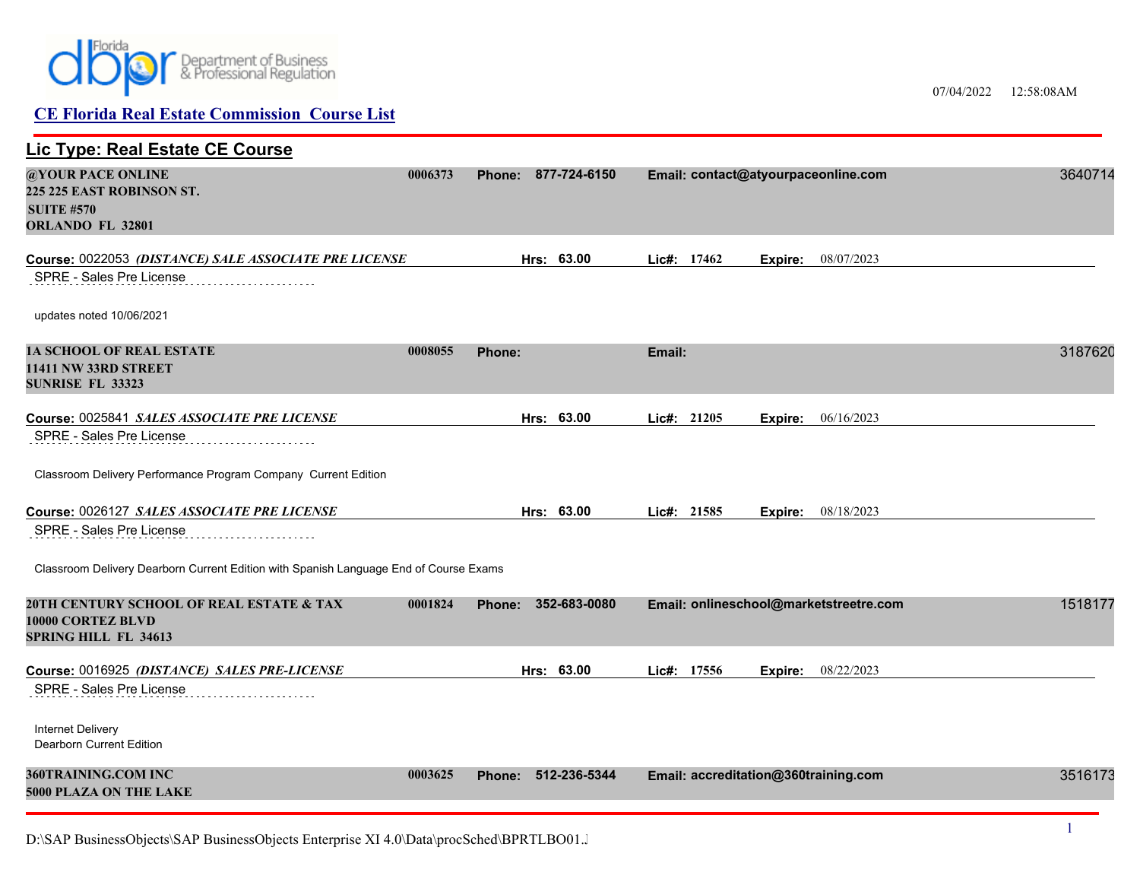

07/04/2022 12:58:08AM

| <b>Lic Type: Real Estate CE Course</b>                                                              |         |                        |             |                                        |         |
|-----------------------------------------------------------------------------------------------------|---------|------------------------|-------------|----------------------------------------|---------|
| @YOUR PACE ONLINE<br>225 225 EAST ROBINSON ST.<br><b>SUITE #570</b><br>ORLANDO FL 32801             | 0006373 | Phone: 877-724-6150    |             | Email: contact@atyourpaceonline.com    | 3640714 |
| Course: 0022053 (DISTANCE) SALE ASSOCIATE PRE LICENSE<br>SPRE - Sales Pre License                   |         | Hrs: 63.00             | Lic#: 17462 | 08/07/2023<br>Expire:                  |         |
| updates noted 10/06/2021                                                                            |         |                        |             |                                        |         |
| 1A SCHOOL OF REAL ESTATE<br>11411 NW 33RD STREET<br><b>SUNRISE FL 33323</b>                         | 0008055 | Phone:                 | Email:      |                                        | 3187620 |
| Course: 0025841 SALES ASSOCIATE PRE LICENSE                                                         |         | Hrs: 63.00             | Lic#: 21205 | 06/16/2023<br>Expire:                  |         |
| SPRE - Sales Pre License                                                                            |         |                        |             |                                        |         |
| Classroom Delivery Performance Program Company Current Edition                                      |         |                        |             |                                        |         |
| Course: 0026127 SALES ASSOCIATE PRE LICENSE                                                         |         | Hrs: 63.00             | Lic#: 21585 | 08/18/2023<br>Expire:                  |         |
| SPRE - Sales Pre License                                                                            |         |                        |             |                                        |         |
| Classroom Delivery Dearborn Current Edition with Spanish Language End of Course Exams               |         |                        |             |                                        |         |
| 20TH CENTURY SCHOOL OF REAL ESTATE & TAX<br><b>10000 CORTEZ BLVD</b><br><b>SPRING HILL FL 34613</b> | 0001824 | 352-683-0080<br>Phone: |             | Email: onlineschool@marketstreetre.com | 1518177 |
| Course: 0016925 (DISTANCE) SALES PRE-LICENSE                                                        |         | Hrs: 63.00             | Lic#: 17556 | 08/22/2023<br>Expire:                  |         |
| SPRE - Sales Pre License                                                                            |         |                        |             |                                        |         |
| <b>Internet Delivery</b><br>Dearborn Current Edition                                                |         |                        |             |                                        |         |
| 360TRAINING.COM INC<br>5000 PLAZA ON THE LAKE                                                       | 0003625 | Phone: 512-236-5344    |             | Email: accreditation@360training.com   | 3516173 |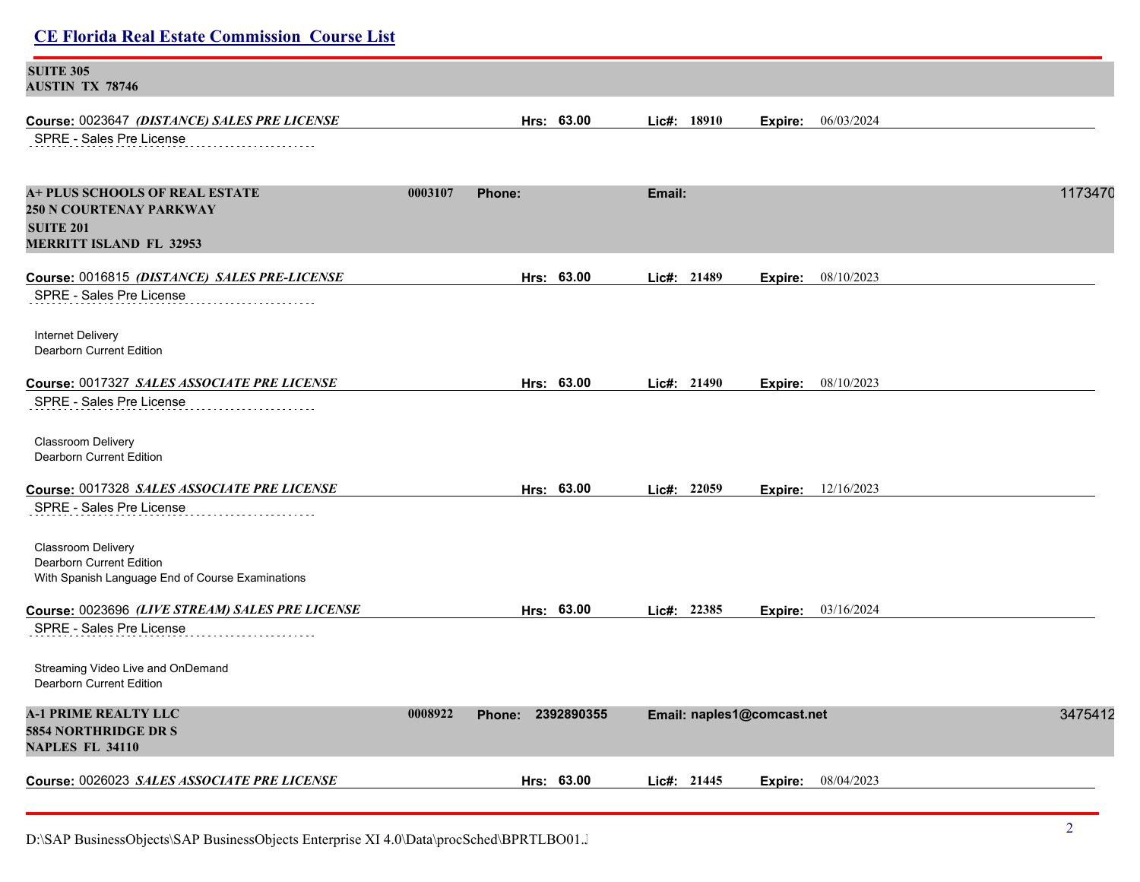| <b>CE Florida Real Estate Commission Course List</b>                                |         |                   |            |        |                |                            |                             |         |
|-------------------------------------------------------------------------------------|---------|-------------------|------------|--------|----------------|----------------------------|-----------------------------|---------|
| <b>SUITE 305</b><br><b>AUSTIN TX 78746</b>                                          |         |                   |            |        |                |                            |                             |         |
| Course: 0023647 (DISTANCE) SALES PRE LICENSE                                        |         |                   | Hrs: 63.00 |        | Lic#: 18910    | Expire:                    | 06/03/2024                  |         |
| SPRE - Sales Pre License                                                            |         |                   |            |        |                |                            |                             |         |
| <b>A+ PLUS SCHOOLS OF REAL ESTATE</b>                                               | 0003107 | Phone:            |            | Email: |                |                            |                             | 1173470 |
| <b>250 N COURTENAY PARKWAY</b><br><b>SUITE 201</b>                                  |         |                   |            |        |                |                            |                             |         |
| <b>MERRITT ISLAND FL 32953</b>                                                      |         |                   |            |        |                |                            |                             |         |
| Course: 0016815 (DISTANCE) SALES PRE-LICENSE                                        |         |                   | Hrs: 63.00 |        | Lic#: 21489    | Expire:                    | 08/10/2023                  |         |
| SPRE - Sales Pre License                                                            |         |                   |            |        |                |                            |                             |         |
| Internet Delivery<br><b>Dearborn Current Edition</b>                                |         |                   |            |        |                |                            |                             |         |
| Course: 0017327 SALES ASSOCIATE PRE LICENSE                                         |         |                   | Hrs: 63.00 |        | Lic#: 21490    |                            | <b>Expire:</b> 08/10/2023   |         |
| SPRE - Sales Pre License                                                            |         |                   |            |        |                |                            |                             |         |
| Classroom Delivery                                                                  |         |                   |            |        |                |                            |                             |         |
| <b>Dearborn Current Edition</b>                                                     |         |                   |            |        |                |                            |                             |         |
| Course: 0017328 SALES ASSOCIATE PRE LICENSE                                         |         |                   | Hrs: 63.00 |        | Lic#: 22059    |                            | <b>Expire:</b> $12/16/2023$ |         |
| SPRE - Sales Pre License                                                            |         |                   |            |        |                |                            |                             |         |
| Classroom Delivery                                                                  |         |                   |            |        |                |                            |                             |         |
| <b>Dearborn Current Edition</b><br>With Spanish Language End of Course Examinations |         |                   |            |        |                |                            |                             |         |
| Course: 0023696 (LIVE STREAM) SALES PRE LICENSE                                     |         |                   | Hrs: 63.00 |        | $Lic\#: 22385$ |                            | <b>Expire:</b> 03/16/2024   |         |
| SPRE - Sales Pre License                                                            |         |                   |            |        |                |                            |                             |         |
| Streaming Video Live and OnDemand<br>Dearborn Current Edition                       |         |                   |            |        |                |                            |                             |         |
| <b>A-1 PRIME REALTY LLC</b><br>5854 NORTHRIDGE DR S<br><b>NAPLES FL 34110</b>       | 0008922 | Phone: 2392890355 |            |        |                | Email: naples1@comcast.net |                             | 3475412 |
| Course: 0026023 SALES ASSOCIATE PRE LICENSE                                         |         |                   | Hrs: 63.00 |        | Lic#: 21445    | Expire:                    | 08/04/2023                  |         |
|                                                                                     |         |                   |            |        |                |                            |                             |         |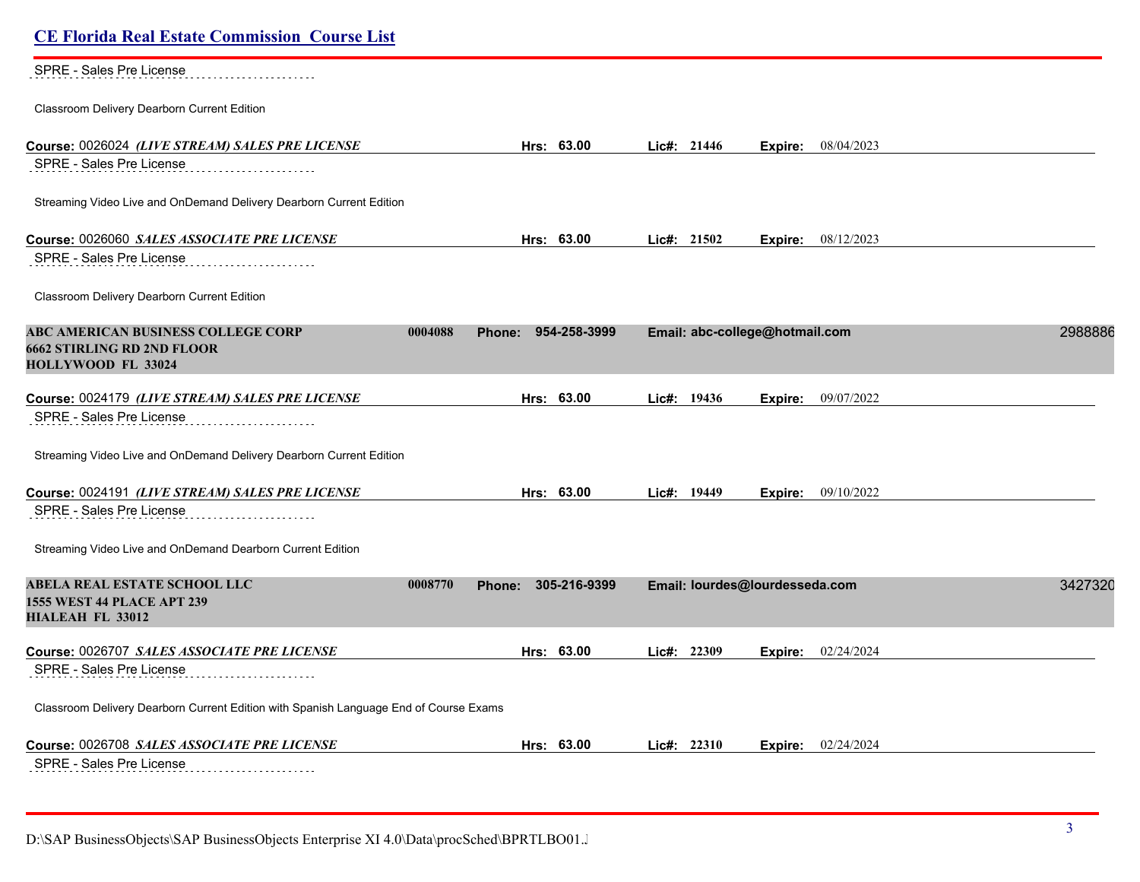| <b>CE Florida Real Estate Commission Course List</b>                                                        |         |                               |             |                                |                             |         |
|-------------------------------------------------------------------------------------------------------------|---------|-------------------------------|-------------|--------------------------------|-----------------------------|---------|
| <b>SPRE - Sales Pre License</b>                                                                             |         |                               |             |                                |                             |         |
| Classroom Delivery Dearborn Current Edition                                                                 |         |                               |             |                                |                             |         |
| Course: 0026024 (LIVE STREAM) SALES PRE LICENSE                                                             |         | Hrs: 63.00                    | Lie#: 21446 |                                | <b>Expire:</b> 08/04/2023   |         |
| SPRE - Sales Pre License                                                                                    |         |                               |             |                                |                             |         |
| Streaming Video Live and OnDemand Delivery Dearborn Current Edition                                         |         |                               |             |                                |                             |         |
| Course: 0026060 SALES ASSOCIATE PRE LICENSE                                                                 |         | Hrs: 63.00                    | Lie#: 21502 |                                | <b>Expire:</b> $08/12/2023$ |         |
| SPRE - Sales Pre License                                                                                    |         |                               |             |                                |                             |         |
| Classroom Delivery Dearborn Current Edition                                                                 |         |                               |             |                                |                             |         |
| <b>ABC AMERICAN BUSINESS COLLEGE CORP</b><br><b>6662 STIRLING RD 2ND FLOOR</b><br><b>HOLLYWOOD FL 33024</b> | 0004088 | 954-258-3999<br><b>Phone:</b> |             | Email: abc-college@hotmail.com |                             | 2988886 |
| Course: 0024179 (LIVE STREAM) SALES PRE LICENSE                                                             |         | Hrs: 63.00                    | Lic#: 19436 |                                | <b>Expire:</b> 09/07/2022   |         |
| SPRE - Sales Pre License                                                                                    |         |                               |             |                                |                             |         |
| Streaming Video Live and OnDemand Delivery Dearborn Current Edition                                         |         |                               |             |                                |                             |         |
| Course: 0024191 (LIVE STREAM) SALES PRE LICENSE                                                             |         | Hrs: 63.00                    | Lic#: 19449 | Expire:                        | 09/10/2022                  |         |
| SPRE - Sales Pre License                                                                                    |         |                               |             |                                |                             |         |
| Streaming Video Live and OnDemand Dearborn Current Edition                                                  |         |                               |             |                                |                             |         |
| <b>ABELA REAL ESTATE SCHOOL LLC</b><br><b>1555 WEST 44 PLACE APT 239</b><br>HIALEAH FL 33012                | 0008770 | 305-216-9399<br>Phone:        |             | Email: lourdes@lourdesseda.com |                             | 3427320 |
| Course: 0026707 SALES ASSOCIATE PRE LICENSE                                                                 |         | Hrs: 63.00                    | Lic#: 22309 | Expire:                        | 02/24/2024                  |         |
| SPRE - Sales Pre License                                                                                    |         |                               |             |                                |                             |         |
| Classroom Delivery Dearborn Current Edition with Spanish Language End of Course Exams                       |         |                               |             |                                |                             |         |
| Course: 0026708 SALES ASSOCIATE PRE LICENSE                                                                 |         | Hrs: 63.00                    | Lie#: 22310 | Expire:                        | 02/24/2024                  |         |
| SPRE - Sales Pre License                                                                                    |         |                               |             |                                |                             |         |

D:\SAP BusinessObjects\SAP BusinessObjects Enterprise XI 4.0\Data\procSched\BPRTLBO01.J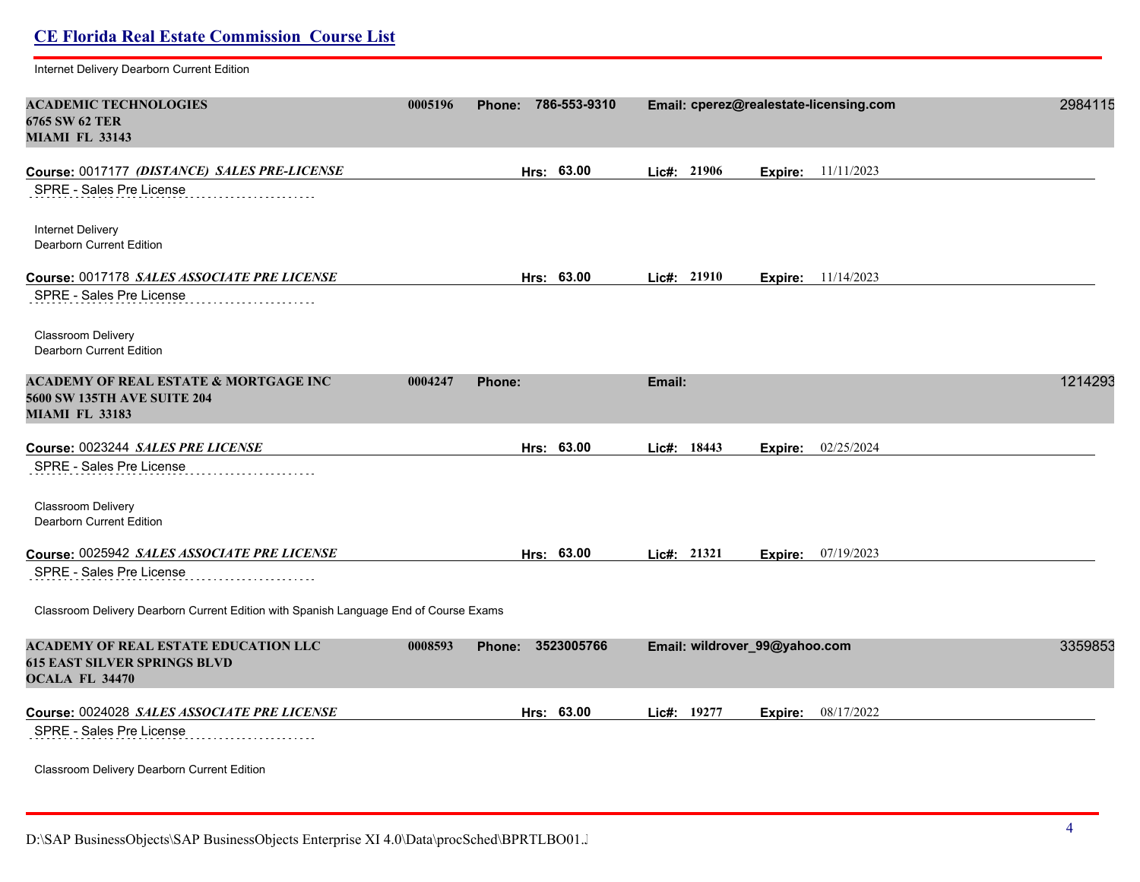Internet Delivery Dearborn Current Edition

| <b>ACADEMIC TECHNOLOGIES</b><br>6765 SW 62 TER<br><b>MIAMI FL 33143</b>                              | 0005196 | Phone: 786-553-9310 |            |             | Email: cperez@realestate-licensing.com | 2984115 |
|------------------------------------------------------------------------------------------------------|---------|---------------------|------------|-------------|----------------------------------------|---------|
| Course: 0017177 (DISTANCE) SALES PRE-LICENSE                                                         |         |                     | Hrs: 63.00 | Lic#: 21906 | <b>Expire:</b> 11/11/2023              |         |
| SPRE - Sales Pre License                                                                             |         |                     |            |             |                                        |         |
| Internet Delivery<br>Dearborn Current Edition                                                        |         |                     |            |             |                                        |         |
| Course: 0017178 SALES ASSOCIATE PRE LICENSE                                                          |         |                     | Hrs: 63.00 | Lic#: 21910 | Expire: 11/14/2023                     |         |
| SPRE - Sales Pre License                                                                             |         |                     |            |             |                                        |         |
| Classroom Delivery<br>Dearborn Current Edition                                                       |         |                     |            |             |                                        |         |
| ACADEMY OF REAL ESTATE & MORTGAGE INC<br>5600 SW 135TH AVE SUITE 204<br><b>MIAMI FL 33183</b>        | 0004247 | Phone:              |            | Email:      |                                        | 1214293 |
| Course: 0023244 SALES PRE LICENSE                                                                    |         |                     | Hrs: 63.00 | Lic#: 18443 | 02/25/2024<br>Expire:                  |         |
| SPRE - Sales Pre License                                                                             |         |                     |            |             |                                        |         |
| Classroom Delivery<br>Dearborn Current Edition                                                       |         |                     |            |             |                                        |         |
| Course: 0025942 SALES ASSOCIATE PRE LICENSE                                                          |         |                     | Hrs: 63.00 | Lic#: 21321 | 07/19/2023<br>Expire:                  |         |
| SPRE - Sales Pre License                                                                             |         |                     |            |             |                                        |         |
| Classroom Delivery Dearborn Current Edition with Spanish Language End of Course Exams                |         |                     |            |             |                                        |         |
| <b>ACADEMY OF REAL ESTATE EDUCATION LLC</b><br><b>615 EAST SILVER SPRINGS BLVD</b><br>OCALA FL 34470 | 0008593 | Phone:              | 3523005766 |             | Email: wildrover_99@yahoo.com          | 3359853 |
| Course: 0024028 SALES ASSOCIATE PRE LICENSE<br>SPRE - Sales Pre License                              |         |                     | Hrs: 63.00 | Lic#: 19277 | Expire: 08/17/2022                     |         |
| Classroom Delivery Dearborn Current Edition                                                          |         |                     |            |             |                                        |         |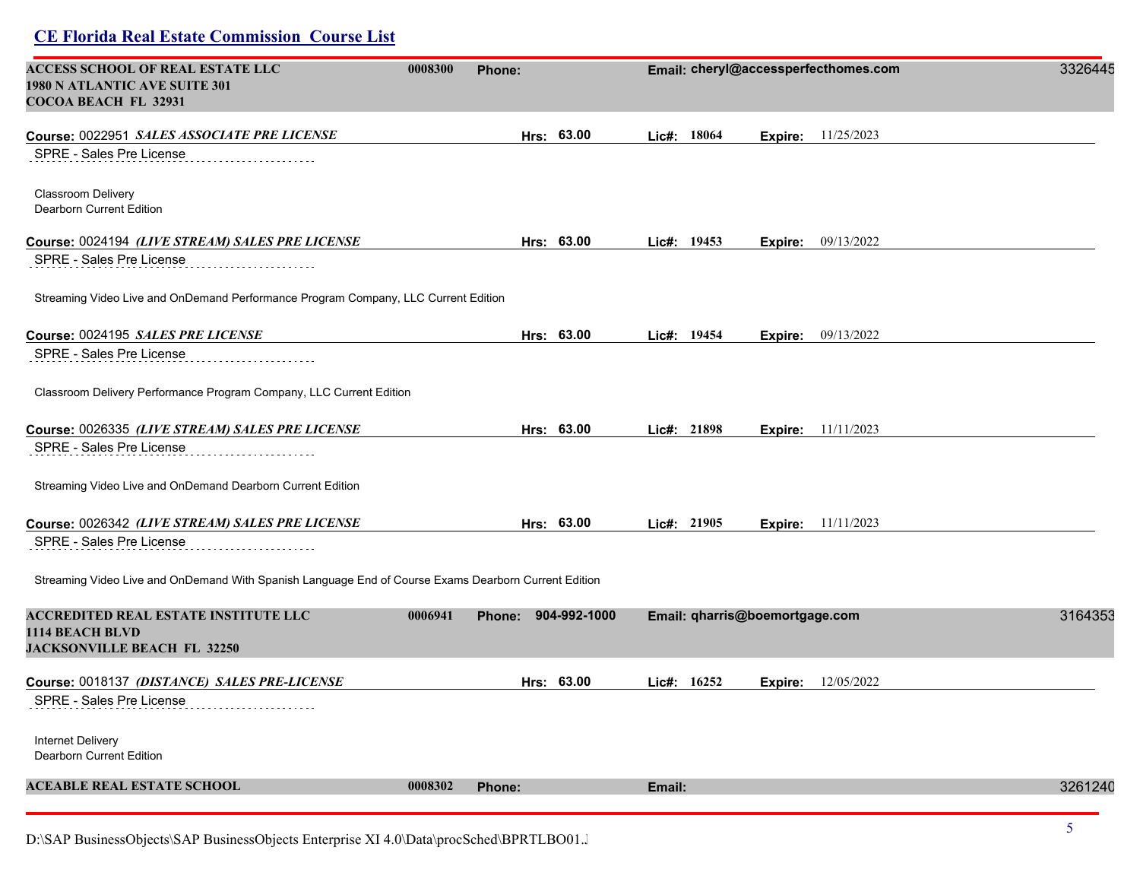| <b>ACCESS SCHOOL OF REAL ESTATE LLC</b><br>1980 N ATLANTIC AVE SUITE 301<br>COCOA BEACH FL 32931            | 0008300 | Phone:              |            |        |               |                                | Email: cheryl@accessperfecthomes.com | 3326445 |
|-------------------------------------------------------------------------------------------------------------|---------|---------------------|------------|--------|---------------|--------------------------------|--------------------------------------|---------|
| Course: 0022951 SALES ASSOCIATE PRE LICENSE                                                                 |         |                     | Hrs: 63.00 |        | Lic#: 18064   |                                | <b>Expire:</b> 11/25/2023            |         |
| SPRE - Sales Pre License                                                                                    |         |                     |            |        |               |                                |                                      |         |
| Classroom Delivery<br>Dearborn Current Edition                                                              |         |                     |            |        |               |                                |                                      |         |
| Course: 0024194 (LIVE STREAM) SALES PRE LICENSE                                                             |         |                     | Hrs: 63.00 |        | Lic#: $19453$ |                                | <b>Expire:</b> 09/13/2022            |         |
| SPRE - Sales Pre License                                                                                    |         |                     |            |        |               |                                |                                      |         |
| Streaming Video Live and OnDemand Performance Program Company, LLC Current Edition                          |         |                     |            |        |               |                                |                                      |         |
| Course: 0024195 SALES PRE LICENSE                                                                           |         |                     | Hrs: 63.00 |        | Lic#: 19454   |                                | <b>Expire:</b> 09/13/2022            |         |
| SPRE - Sales Pre License                                                                                    |         |                     |            |        |               |                                |                                      |         |
| Classroom Delivery Performance Program Company, LLC Current Edition                                         |         |                     |            |        |               |                                |                                      |         |
| Course: 0026335 (LIVE STREAM) SALES PRE LICENSE                                                             |         |                     | Hrs: 63.00 |        | Lic#: 21898   |                                | Expire: 11/11/2023                   |         |
| SPRE - Sales Pre License                                                                                    |         |                     |            |        |               |                                |                                      |         |
| Streaming Video Live and OnDemand Dearborn Current Edition                                                  |         |                     |            |        |               |                                |                                      |         |
| Course: 0026342 (LIVE STREAM) SALES PRE LICENSE                                                             |         |                     | Hrs: 63.00 |        | Lic#: 21905   | Expire:                        | 11/11/2023                           |         |
| SPRE - Sales Pre License                                                                                    |         |                     |            |        |               |                                |                                      |         |
| Streaming Video Live and OnDemand With Spanish Language End of Course Exams Dearborn Current Edition        |         |                     |            |        |               |                                |                                      |         |
| <b>ACCREDITED REAL ESTATE INSTITUTE LLC</b><br><b>1114 BEACH BLVD</b><br><b>JACKSONVILLE BEACH FL 32250</b> | 0006941 | Phone: 904-992-1000 |            |        |               | Email: qharris@boemortgage.com |                                      | 3164353 |
| Course: 0018137 (DISTANCE) SALES PRE-LICENSE                                                                |         |                     | Hrs: 63.00 |        | Lic#: 16252   | Expire:                        | 12/05/2022                           |         |
| SPRE - Sales Pre License                                                                                    |         |                     |            |        |               |                                |                                      |         |
| Internet Delivery<br>Dearborn Current Edition                                                               |         |                     |            |        |               |                                |                                      |         |
| <b>ACEABLE REAL ESTATE SCHOOL</b>                                                                           | 0008302 | Phone:              |            | Email: |               |                                |                                      | 3261240 |
|                                                                                                             |         |                     |            |        |               |                                |                                      |         |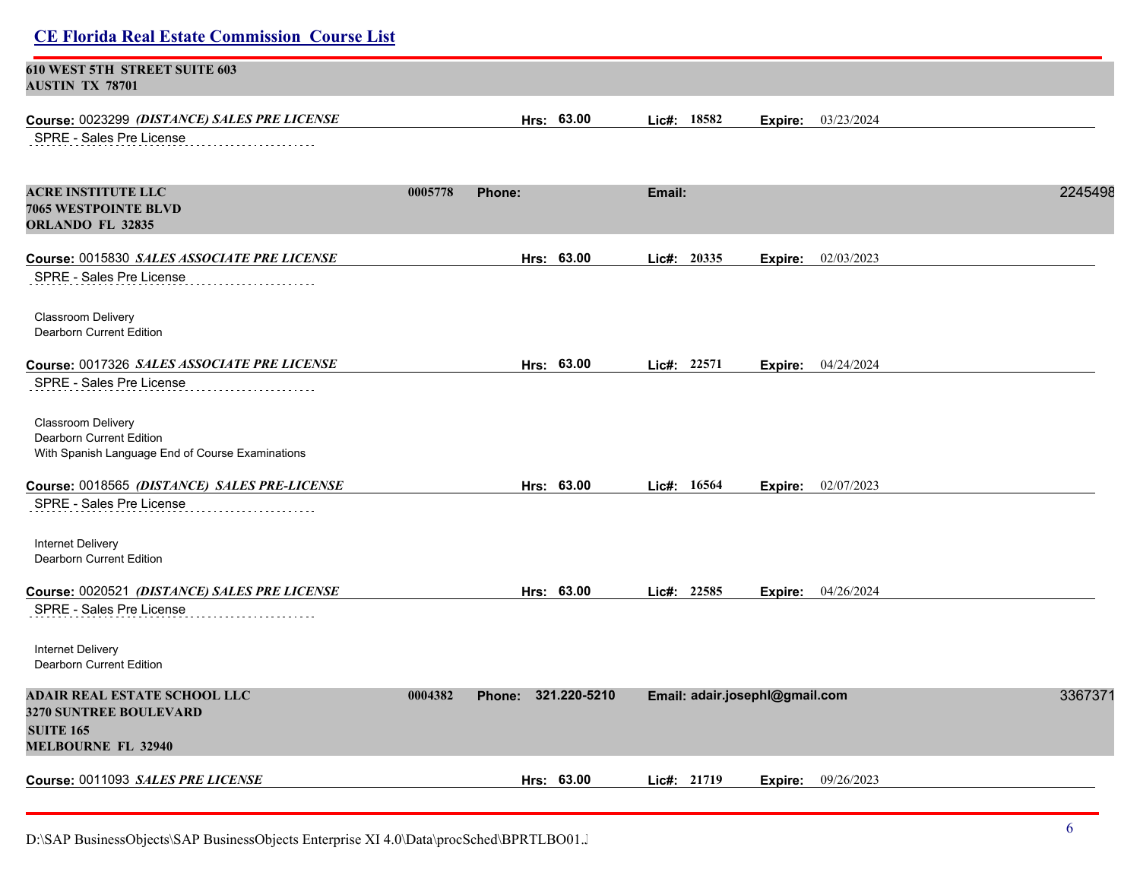| <b>CE Florida Real Estate Commission Course List</b>                                                      |         |                     |            |             |                                |            |         |
|-----------------------------------------------------------------------------------------------------------|---------|---------------------|------------|-------------|--------------------------------|------------|---------|
| <b>610 WEST 5TH STREET SUITE 603</b><br><b>AUSTIN TX 78701</b>                                            |         |                     |            |             |                                |            |         |
| Course: 0023299 (DISTANCE) SALES PRE LICENSE                                                              |         |                     | Hrs: 63.00 | Lic#: 18582 | Expire:                        | 03/23/2024 |         |
| SPRE - Sales Pre License                                                                                  |         |                     |            |             |                                |            |         |
| <b>ACRE INSTITUTE LLC</b><br><b>7065 WESTPOINTE BLVD</b><br>ORLANDO FL 32835                              | 0005778 | Phone:              |            | Email:      |                                |            | 2245498 |
| Course: 0015830 SALES ASSOCIATE PRE LICENSE<br>SPRE - Sales Pre License                                   |         |                     | Hrs: 63.00 | Lic#: 20335 | Expire:                        | 02/03/2023 |         |
| Classroom Delivery<br>Dearborn Current Edition                                                            |         |                     |            |             |                                |            |         |
| Course: 0017326 SALES ASSOCIATE PRE LICENSE<br>SPRE - Sales Pre License                                   |         |                     | Hrs: 63.00 | Lic#: 22571 | Expire:                        | 04/24/2024 |         |
| Classroom Delivery<br><b>Dearborn Current Edition</b><br>With Spanish Language End of Course Examinations |         |                     |            |             |                                |            |         |
| Course: 0018565 (DISTANCE) SALES PRE-LICENSE                                                              |         |                     | Hrs: 63.00 | Lic#: 16564 | Expire:                        | 02/07/2023 |         |
| SPRE - Sales Pre License<br>Internet Delivery<br>Dearborn Current Edition                                 |         |                     |            |             |                                |            |         |
| Course: 0020521 (DISTANCE) SALES PRE LICENSE<br>SPRE - Sales Pre License<br>Internet Delivery             |         |                     | Hrs: 63.00 | Lic#: 22585 | Expire:                        | 04/26/2024 |         |
| Dearborn Current Edition                                                                                  |         |                     |            |             |                                |            |         |
| ADAIR REAL ESTATE SCHOOL LLC<br>3270 SUNTREE BOULEVARD<br><b>SUITE 165</b><br><b>MELBOURNE FL 32940</b>   | 0004382 | Phone: 321.220-5210 |            |             | Email: adair.josephl@gmail.com |            | 3367371 |
| Course: 0011093 SALES PRE LICENSE                                                                         |         |                     | Hrs: 63.00 | Lic#: 21719 | Expire:                        | 09/26/2023 |         |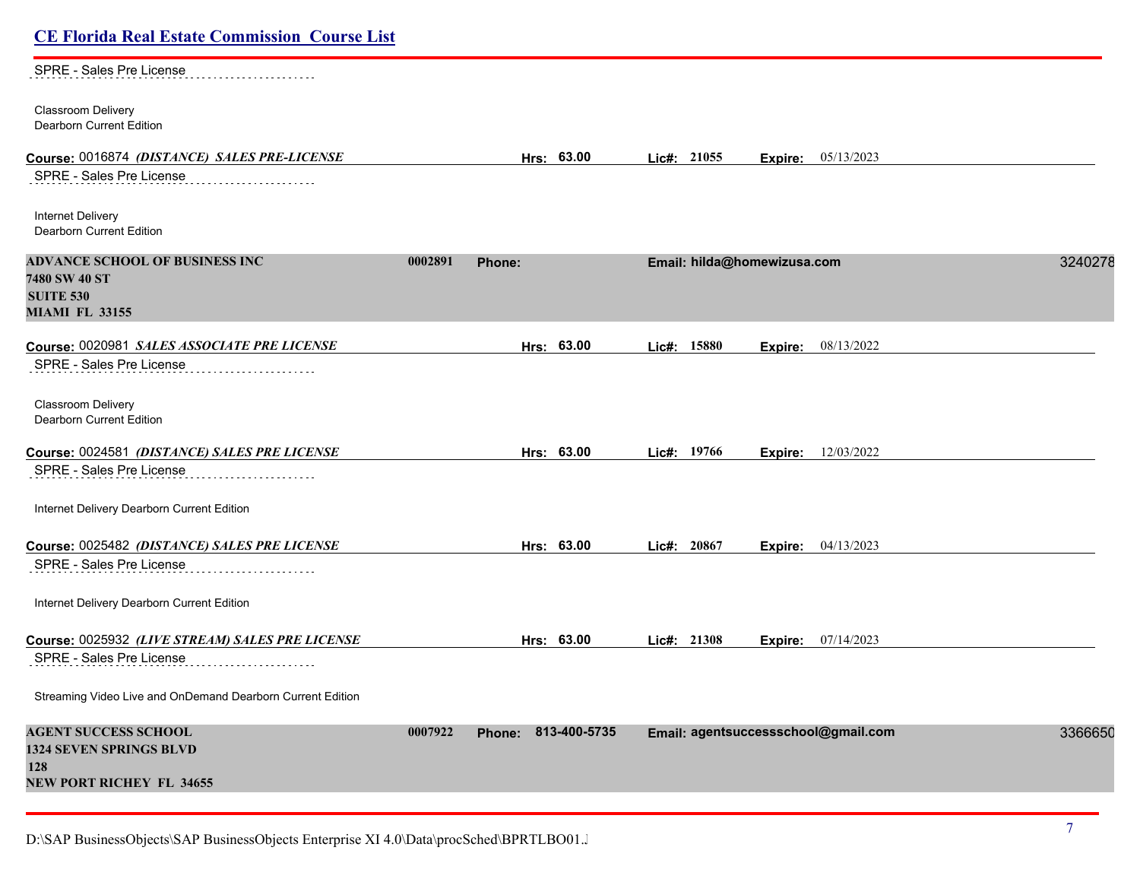| <b>CE Florida Real Estate Commission Course List</b>                                                    |         |                     |             |                             |                                     |         |
|---------------------------------------------------------------------------------------------------------|---------|---------------------|-------------|-----------------------------|-------------------------------------|---------|
| SPRE - Sales Pre License                                                                                |         |                     |             |                             |                                     |         |
| Classroom Delivery<br>Dearborn Current Edition                                                          |         |                     |             |                             |                                     |         |
| Course: 0016874 (DISTANCE) SALES PRE-LICENSE<br>SPRE - Sales Pre License                                |         | Hrs: 63.00          | Lic#: 21055 | Expire:                     | 05/13/2023                          |         |
| Internet Delivery<br>Dearborn Current Edition                                                           |         |                     |             |                             |                                     |         |
| <b>ADVANCE SCHOOL OF BUSINESS INC</b><br>7480 SW 40 ST<br><b>SUITE 530</b><br><b>MIAMI FL 33155</b>     | 0002891 | Phone:              |             | Email: hilda@homewizusa.com |                                     | 3240278 |
| Course: 0020981 SALES ASSOCIATE PRE LICENSE                                                             |         | Hrs: 63.00          | Lic#: 15880 | Expire:                     | 08/13/2022                          |         |
| SPRE - Sales Pre License<br>Classroom Delivery<br>Dearborn Current Edition                              |         |                     |             |                             |                                     |         |
| Course: 0024581 (DISTANCE) SALES PRE LICENSE<br>SPRE - Sales Pre License                                |         | Hrs: 63.00          | Lic#: 19766 |                             | <b>Expire:</b> 12/03/2022           |         |
| Internet Delivery Dearborn Current Edition                                                              |         |                     |             |                             |                                     |         |
| Course: 0025482 (DISTANCE) SALES PRE LICENSE                                                            |         | Hrs: 63.00          | Lic#: 20867 | Expire:                     | 04/13/2023                          |         |
| SPRE - Sales Pre License<br>Internet Delivery Dearborn Current Edition                                  |         |                     |             |                             |                                     |         |
| Course: 0025932 (LIVE STREAM) SALES PRE LICENSE<br>SPRE - Sales Pre License<br>.                        |         | Hrs: 63.00          | Lic#: 21308 |                             | Expire: 07/14/2023                  |         |
| Streaming Video Live and OnDemand Dearborn Current Edition                                              |         |                     |             |                             |                                     |         |
| <b>AGENT SUCCESS SCHOOL</b><br><b>1324 SEVEN SPRINGS BLVD</b><br>128<br><b>NEW PORT RICHEY FL 34655</b> | 0007922 | Phone: 813-400-5735 |             |                             | Email: agentsuccessschool@gmail.com | 3366650 |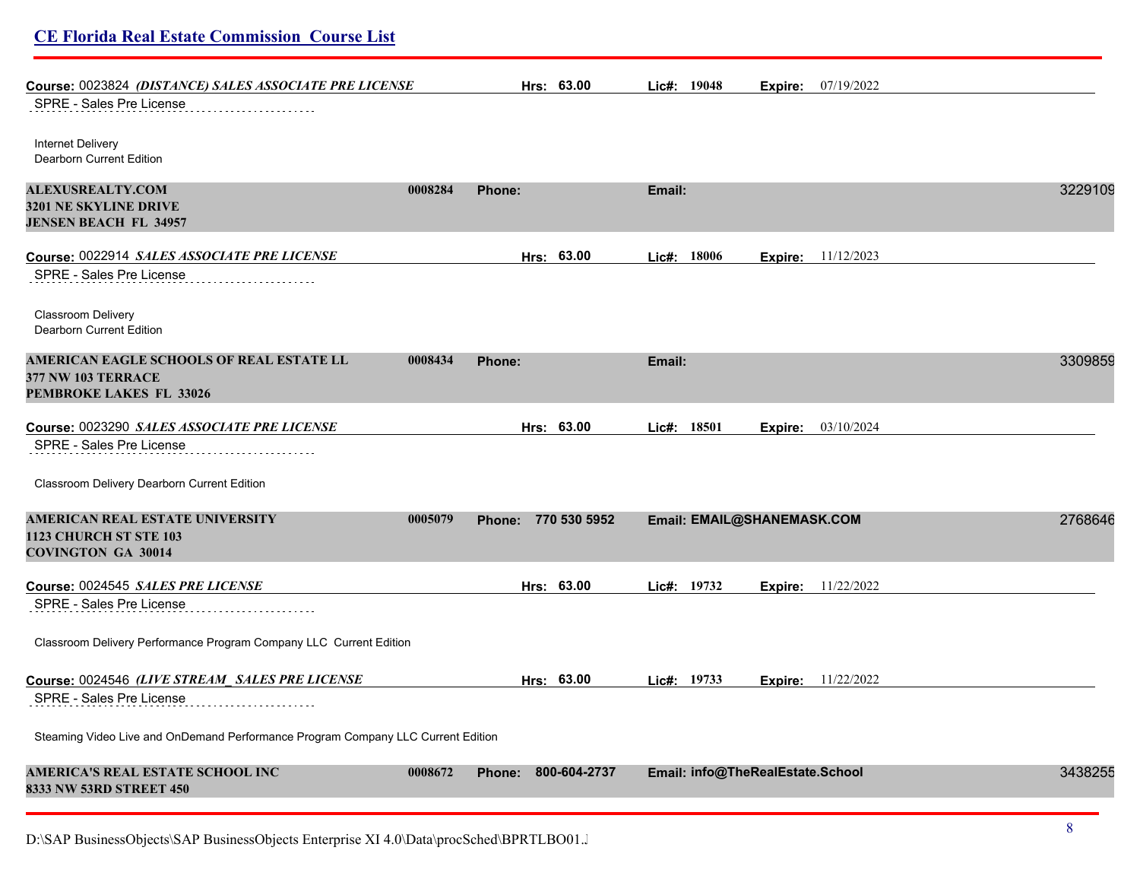| <b>CE Florida Real Estate Commission Course List</b>                                             |         |                               |             |                                  |         |                           |         |
|--------------------------------------------------------------------------------------------------|---------|-------------------------------|-------------|----------------------------------|---------|---------------------------|---------|
| Course: 0023824 (DISTANCE) SALES ASSOCIATE PRE LICENSE                                           |         | Hrs: 63.00                    |             | Lic#: 19048                      |         | <b>Expire:</b> 07/19/2022 |         |
| SPRE - Sales Pre License                                                                         |         |                               |             |                                  |         |                           |         |
| Internet Delivery<br>Dearborn Current Edition                                                    |         |                               |             |                                  |         |                           |         |
| <b>ALEXUSREALTY.COM</b><br>3201 NE SKYLINE DRIVE<br><b>JENSEN BEACH FL 34957</b>                 | 0008284 | <b>Phone:</b>                 | Email:      |                                  |         |                           | 3229109 |
| Course: 0022914 SALES ASSOCIATE PRE LICENSE<br>SPRE - Sales Pre License                          |         | Hrs: 63.00                    | Lic#: 18006 |                                  | Expire: | 11/12/2023                |         |
| Classroom Delivery<br>Dearborn Current Edition                                                   |         |                               |             |                                  |         |                           |         |
| AMERICAN EAGLE SCHOOLS OF REAL ESTATE LL<br><b>377 NW 103 TERRACE</b><br>PEMBROKE LAKES FL 33026 | 0008434 | Phone:                        | Email:      |                                  |         |                           | 3309859 |
| Course: 0023290 SALES ASSOCIATE PRE LICENSE<br>SPRE - Sales Pre License                          |         | Hrs: 63.00                    | Lic#: 18501 |                                  | Expire: | 03/10/2024                |         |
| Classroom Delivery Dearborn Current Edition                                                      |         |                               |             |                                  |         |                           |         |
| AMERICAN REAL ESTATE UNIVERSITY<br>1123 CHURCH ST STE 103<br><b>COVINGTON GA 30014</b>           | 0005079 | 770 530 5952<br><b>Phone:</b> |             | Email: EMAIL@SHANEMASK.COM       |         |                           | 2768646 |
| Course: 0024545 SALES PRE LICENSE                                                                |         | Hrs: 63.00                    |             | Lic#: 19732                      | Expire: | 11/22/2022                |         |
| SPRE - Sales Pre License                                                                         |         |                               |             |                                  |         |                           |         |
| Classroom Delivery Performance Program Company LLC Current Edition                               |         |                               |             |                                  |         |                           |         |
| Course: 0024546 (LIVE STREAM SALES PRE LICENSE<br>SPRE - Sales Pre License                       |         | Hrs: 63.00                    | Lic#: 19733 |                                  |         | <b>Expire:</b> 11/22/2022 |         |
| Steaming Video Live and OnDemand Performance Program Company LLC Current Edition                 |         |                               |             |                                  |         |                           |         |
| AMERICA'S REAL ESTATE SCHOOL INC<br>8333 NW 53RD STREET 450                                      | 0008672 | 800-604-2737<br>Phone:        |             | Email: info@TheRealEstate.School |         |                           | 3438255 |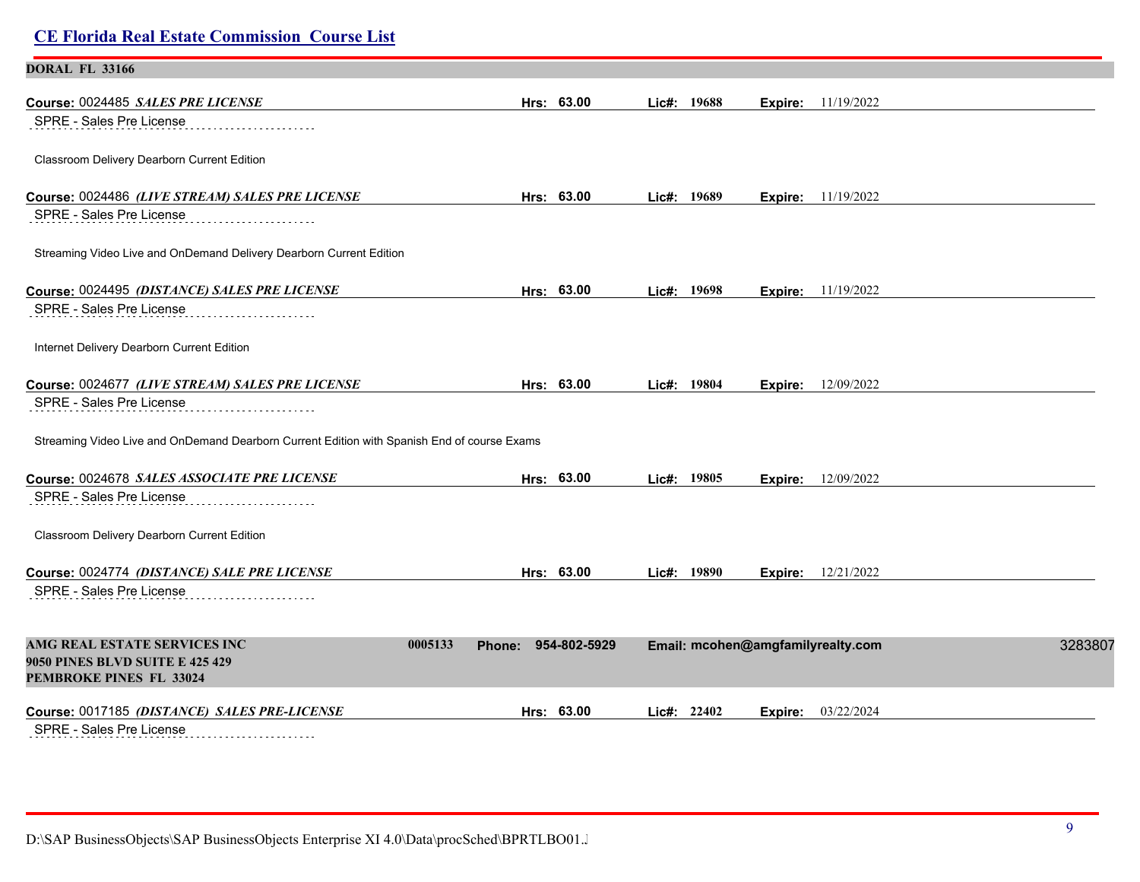| <b>DORAL FL 33166</b>                                                                                        |                               |                                   |                           |         |
|--------------------------------------------------------------------------------------------------------------|-------------------------------|-----------------------------------|---------------------------|---------|
| Course: 0024485 SALES PRE LICENSE                                                                            | Hrs: 63.00                    | Lic#: 19688                       | <b>Expire:</b> 11/19/2022 |         |
| SPRE - Sales Pre License                                                                                     |                               |                                   |                           |         |
| Classroom Delivery Dearborn Current Edition                                                                  |                               |                                   |                           |         |
| Course: 0024486 (LIVE STREAM) SALES PRE LICENSE                                                              | Hrs: 63.00                    | Lic#: 19689                       | <b>Expire:</b> 11/19/2022 |         |
| SPRE - Sales Pre License                                                                                     |                               |                                   |                           |         |
| Streaming Video Live and OnDemand Delivery Dearborn Current Edition                                          |                               |                                   |                           |         |
| Course: 0024495 (DISTANCE) SALES PRE LICENSE                                                                 | Hrs: 63.00                    | Lic#: 19698                       | <b>Expire:</b> 11/19/2022 |         |
| SPRE - Sales Pre License                                                                                     |                               |                                   |                           |         |
| Internet Delivery Dearborn Current Edition                                                                   |                               |                                   |                           |         |
| Course: 0024677 (LIVE STREAM) SALES PRE LICENSE                                                              | Hrs: 63.00                    | Lic#: 19804<br>Expire:            | 12/09/2022                |         |
| SPRE - Sales Pre License                                                                                     |                               |                                   |                           |         |
| Streaming Video Live and OnDemand Dearborn Current Edition with Spanish End of course Exams                  |                               |                                   |                           |         |
| Course: 0024678 SALES ASSOCIATE PRE LICENSE                                                                  | Hrs: 63.00                    | Lic#: 19805<br>Expire:            | 12/09/2022                |         |
| SPRE - Sales Pre License                                                                                     |                               |                                   |                           |         |
| Classroom Delivery Dearborn Current Edition                                                                  |                               |                                   |                           |         |
| Course: 0024774 (DISTANCE) SALE PRE LICENSE                                                                  | Hrs: 63.00                    | Lic#: 19890<br>Expire:            | 12/21/2022                |         |
| SPRE - Sales Pre License                                                                                     |                               |                                   |                           |         |
| AMG REAL ESTATE SERVICES INC<br>0005133<br>9050 PINES BLVD SUITE E 425 429<br><b>PEMBROKE PINES FL 33024</b> | 954-802-5929<br><b>Phone:</b> | Email: mcohen@amgfamilyrealty.com |                           | 3283807 |
| Course: 0017185 (DISTANCE) SALES PRE-LICENSE<br>SPRE - Sales Pre License<br>.                                | Hrs: 63.00                    | Lic#: 22402<br>Expire:            | 03/22/2024                |         |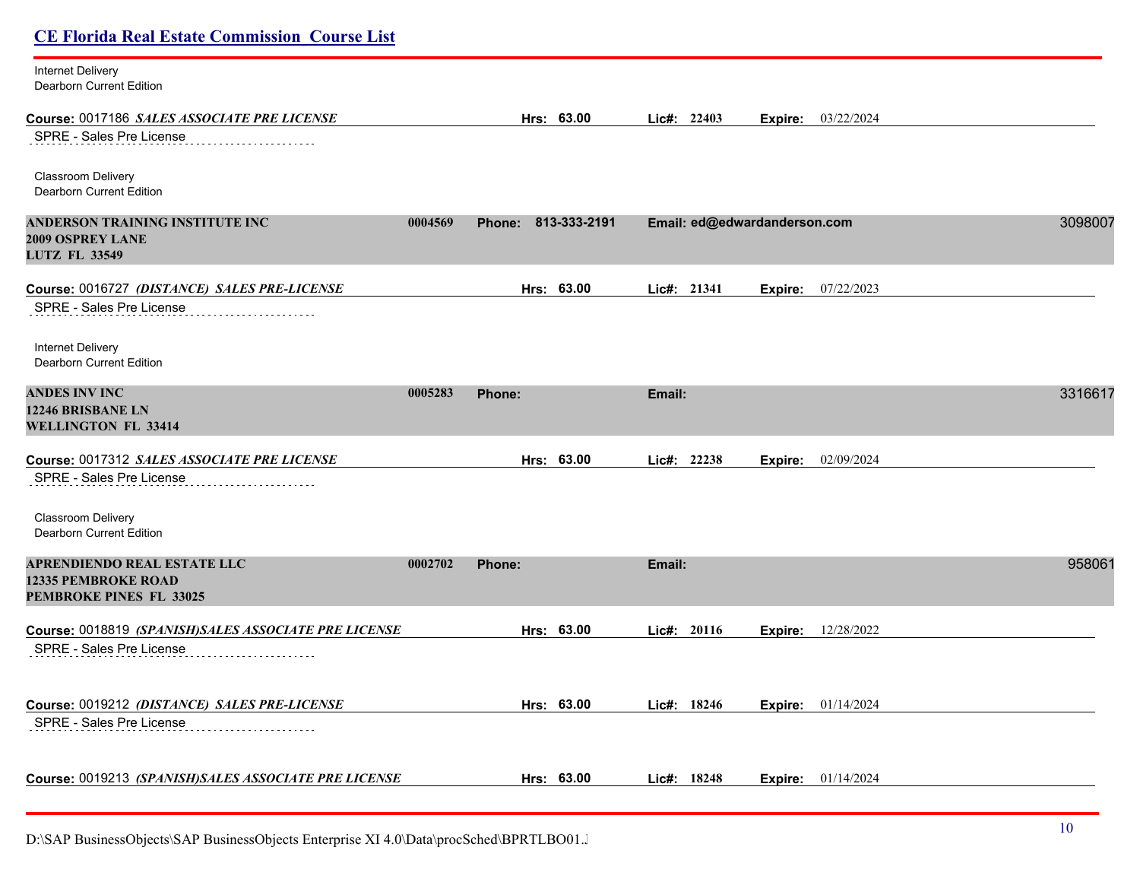| <b>CE Florida Real Estate Commission Course List</b>                                 |         |                        |             |                              |         |
|--------------------------------------------------------------------------------------|---------|------------------------|-------------|------------------------------|---------|
| Internet Delivery<br>Dearborn Current Edition                                        |         |                        |             |                              |         |
| Course: 0017186 SALES ASSOCIATE PRE LICENSE                                          |         | Hrs: 63.00             | Lic#: 22403 | 03/22/2024<br>Expire:        |         |
| SPRE - Sales Pre License                                                             |         |                        |             |                              |         |
| Classroom Delivery<br>Dearborn Current Edition                                       |         |                        |             |                              |         |
| ANDERSON TRAINING INSTITUTE INC<br><b>2009 OSPREY LANE</b><br><b>LUTZ FL 33549</b>   | 0004569 | 813-333-2191<br>Phone: |             | Email: ed@edwardanderson.com | 3098007 |
| Course: 0016727 (DISTANCE) SALES PRE-LICENSE<br>SPRE - Sales Pre License             |         | Hrs: 63.00             | Lic#: 21341 | 07/22/2023<br>Expire:        |         |
| Internet Delivery<br>Dearborn Current Edition                                        |         |                        |             |                              |         |
| <b>ANDES INVINC</b><br>12246 BRISBANE LN<br><b>WELLINGTON FL 33414</b>               | 0005283 | Phone:                 | Email:      |                              | 3316617 |
| Course: 0017312 SALES ASSOCIATE PRE LICENSE                                          |         | Hrs: 63.00             | Lic#: 22238 | 02/09/2024<br>Expire:        |         |
| SPRE - Sales Pre License                                                             |         |                        |             |                              |         |
| Classroom Delivery<br>Dearborn Current Edition                                       |         |                        |             |                              |         |
| APRENDIENDO REAL ESTATE LLC<br><b>12335 PEMBROKE ROAD</b><br>PEMBROKE PINES FL 33025 | 0002702 | Phone:                 | Email:      |                              | 958061  |
| Course: 0018819 (SPANISH)SALES ASSOCIATE PRE LICENSE                                 |         | Hrs: 63.00             | Lic#: 20116 | 12/28/2022<br>Expire:        |         |
| SPRE - Sales Pre License                                                             |         |                        |             |                              |         |
| Course: 0019212 (DISTANCE) SALES PRE-LICENSE                                         |         | Hrs: 63.00             | Lic#: 18246 | 01/14/2024<br>Expire:        |         |
| SPRE - Sales Pre License                                                             |         |                        |             |                              |         |
| Course: 0019213 (SPANISH)SALES ASSOCIATE PRE LICENSE                                 |         | Hrs: 63.00             | Lic#: 18248 | 01/14/2024<br>Expire:        |         |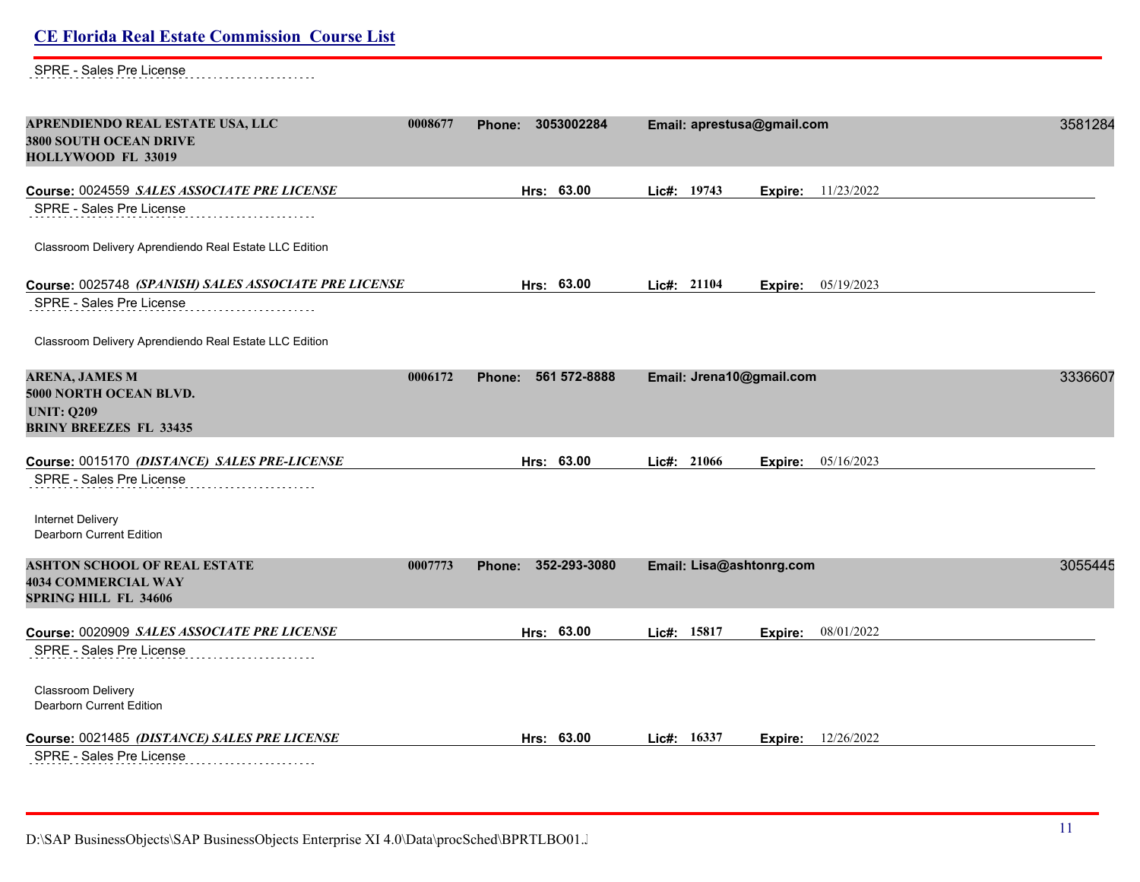# **CE Florida Real Estate Commission Course List** SPRE - Sales Pre License **APRENDIENDO REAL ESTATE USA, LLC 0008677 Phone: 3053002284 Email: aprestusa@gmail.com** 35812844 **3800 SOUTH OCEAN DRIVE HOLLYWOOD FL 33019 Course:** 0024559 *SALES ASSOCIATE PRE LICENSE* **Hrs: 63.00 Lic#: 19743 Expire:** 11/23/2022 SPRE - Sales Pre License Classroom Delivery Aprendiendo Real Estate LLC Edition **Course:** 0025748 *(SPANISH) SALES ASSOCIATE PRE LICENSE* **Hrs: 63.00 Lic#: 21104 Expire:** 05/19/2023 SPRE - Sales Pre License Classroom Delivery Aprendiendo Real Estate LLC Edition **ARENA, JAMES M 0006172 Phone: 561 572-8888 Email: Jrena10@gmail.com** 33366070 **5000 NORTH OCEAN BLVD. UNIT: Q209 BRINY BREEZES FL 33435 Course:** 0015170 *(DISTANCE) SALES PRE-LICENSE* **Hrs: 63.00 Lic#: 21066 Expire:** 05/16/2023 SPRE - Sales Pre License Internet Delivery Dearborn Current Edition **ASHTON SCHOOL OF REAL ESTATE 0007773 Phone: 352-293-3080 Email: Lisa@ashtonrg.com** 30554457 **4034 COMMERCIAL WAY SPRING HILL FL 34606 Course:** 0020909 *SALES ASSOCIATE PRE LICENSE* **Hrs: 63.00 Lic#: 15817 Expire:** 08/01/2022

SPRE - Sales Pre License

Classroom Delivery Dearborn Current Edition

**Course:** 0021485 *(DISTANCE) SALES PRE LICENSE* **Hrs: 63.00 Lic#: 16337 Expire:** 12/26/2022

SPRE - Sales Pre License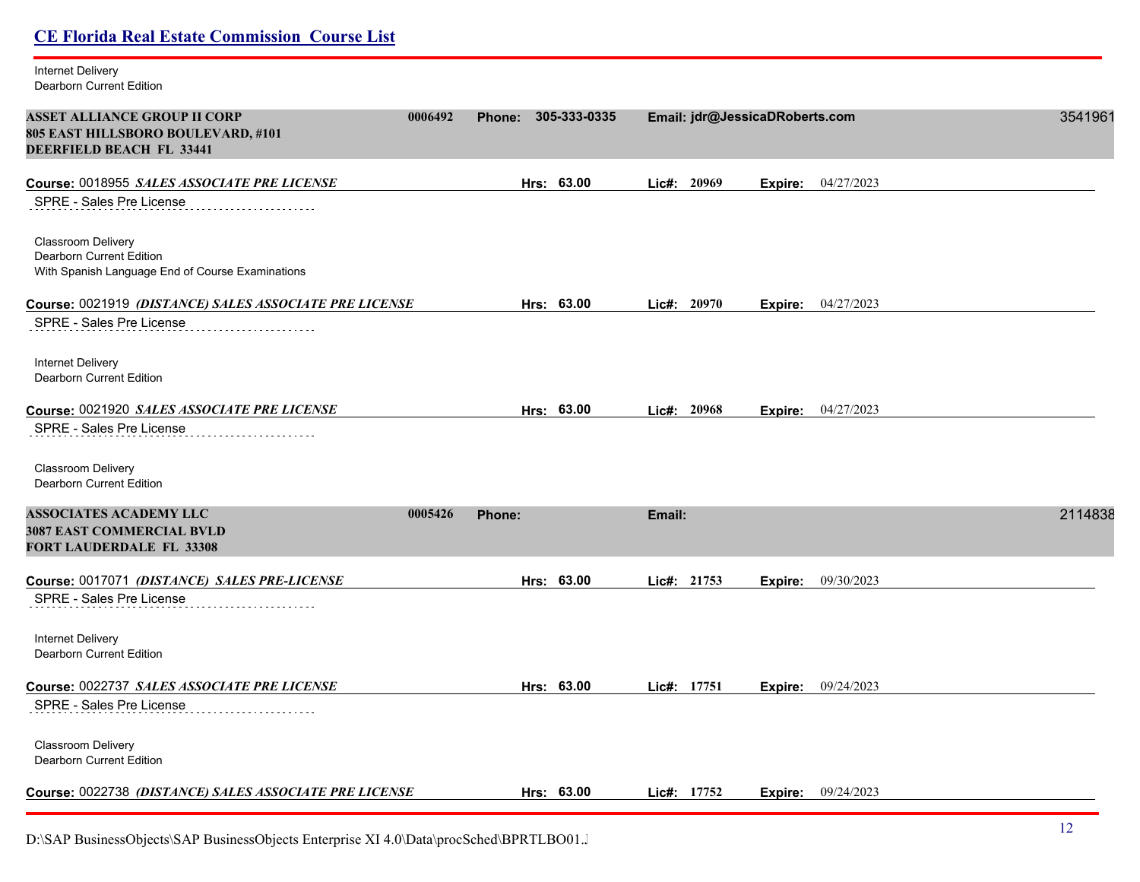| <b>Internet Delivery</b><br>Dearborn Current Edition                                 |                        |                                      |         |
|--------------------------------------------------------------------------------------|------------------------|--------------------------------------|---------|
| <b>ASSET ALLIANCE GROUP II CORP</b><br>0006492<br>805 EAST HILLSBORO BOULEVARD, #101 | 305-333-0335<br>Phone: | Email: jdr@JessicaDRoberts.com       | 3541961 |
| DEERFIELD BEACH FL 33441                                                             |                        |                                      |         |
| Course: 0018955 SALES ASSOCIATE PRE LICENSE                                          | Hrs: 63.00             | Lic#: 20969<br>04/27/2023<br>Expire: |         |
| SPRE - Sales Pre License                                                             |                        |                                      |         |
| Classroom Delivery<br>Dearborn Current Edition                                       |                        |                                      |         |
| With Spanish Language End of Course Examinations                                     |                        |                                      |         |
| Course: 0021919 (DISTANCE) SALES ASSOCIATE PRE LICENSE                               | Hrs: 63.00             | Lic#: 20970<br>04/27/2023<br>Expire: |         |
| SPRE - Sales Pre License<br>.                                                        |                        |                                      |         |
| Internet Delivery<br><b>Dearborn Current Edition</b>                                 |                        |                                      |         |
| Course: 0021920 SALES ASSOCIATE PRE LICENSE                                          | Hrs: 63.00             | Lic#: 20968<br>04/27/2023<br>Expire: |         |
| SPRE - Sales Pre License                                                             |                        |                                      |         |
| Classroom Delivery                                                                   |                        |                                      |         |
| Dearborn Current Edition                                                             |                        |                                      |         |
| <b>ASSOCIATES ACADEMY LLC</b><br>0005426<br>3087 EAST COMMERCIAL BVLD                | Phone:                 | Email:                               | 2114838 |
| <b>FORT LAUDERDALE FL 33308</b>                                                      |                        |                                      |         |
| Course: 0017071 (DISTANCE) SALES PRE-LICENSE                                         | Hrs: 63.00             | 09/30/2023<br>Lic#: 21753<br>Expire: |         |
| SPRE - Sales Pre License                                                             |                        |                                      |         |
| Internet Delivery                                                                    |                        |                                      |         |
| Dearborn Current Edition                                                             |                        |                                      |         |
| Course: 0022737 SALES ASSOCIATE PRE LICENSE                                          | Hrs: 63.00             | 09/24/2023<br>Lic#: 17751<br>Expire: |         |
| SPRE - Sales Pre License                                                             |                        |                                      |         |
| Classroom Delivery                                                                   |                        |                                      |         |
| Dearborn Current Edition                                                             |                        |                                      |         |
| Course: 0022738 (DISTANCE) SALES ASSOCIATE PRE LICENSE                               | Hrs: 63.00             | 09/24/2023<br>Lic#: 17752<br>Expire: |         |
|                                                                                      |                        |                                      |         |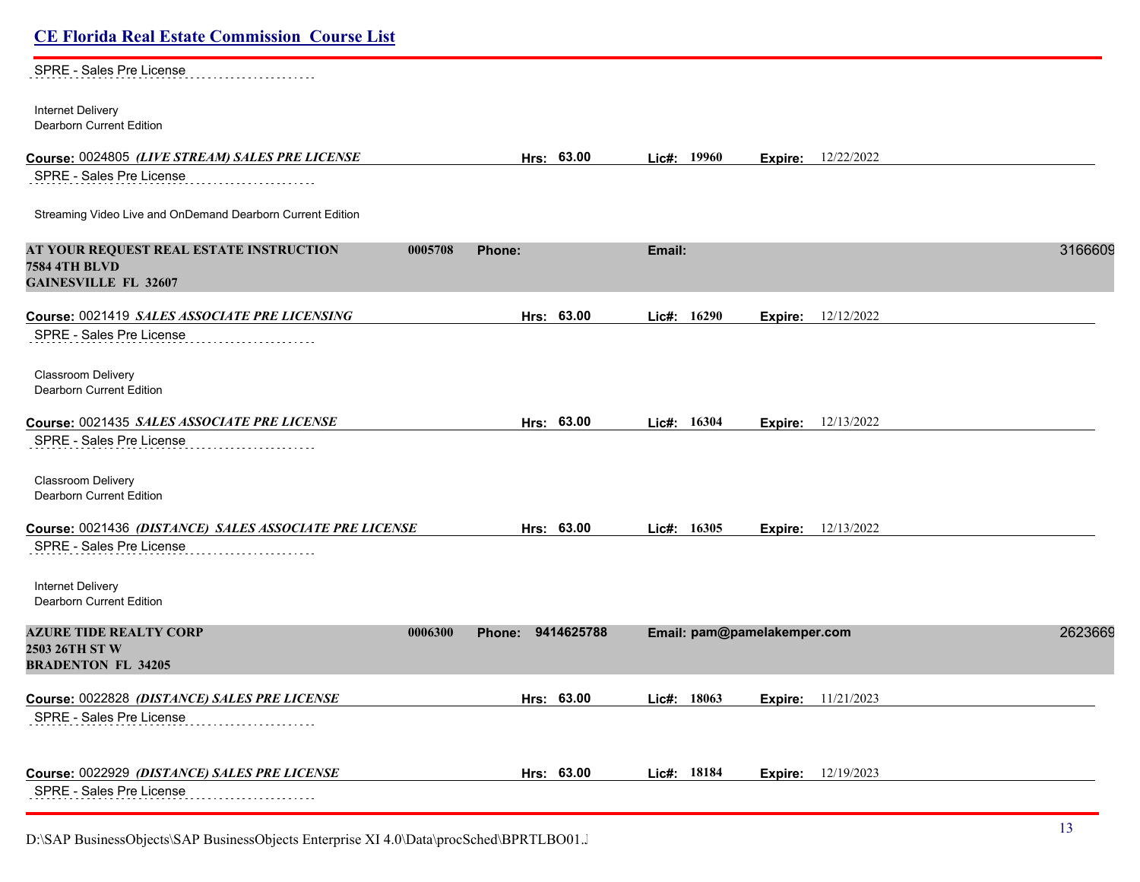| <b>CE Florida Real Estate Commission Course List</b>                     |                      |             |                             |         |
|--------------------------------------------------------------------------|----------------------|-------------|-----------------------------|---------|
| SPRE - Sales Pre License                                                 |                      |             |                             |         |
| Internet Delivery<br>Dearborn Current Edition                            |                      |             |                             |         |
| Course: 0024805 (LIVE STREAM) SALES PRE LICENSE                          | Hrs: 63.00           | Lic#: 19960 | 12/22/2022<br>Expire:       |         |
| SPRE - Sales Pre License                                                 |                      |             |                             |         |
| Streaming Video Live and OnDemand Dearborn Current Edition               |                      |             |                             |         |
| AT YOUR REQUEST REAL ESTATE INSTRUCTION<br>0005708                       | <b>Phone:</b>        | Email:      |                             | 3166609 |
| <b>7584 4TH BLVD</b><br><b>GAINESVILLE FL 32607</b>                      |                      |             |                             |         |
| Course: 0021419 SALES ASSOCIATE PRE LICENSING                            | Hrs: 63.00           | Lic#: 16290 | 12/12/2022<br>Expire:       |         |
| SPRE - Sales Pre License                                                 |                      |             |                             |         |
| Classroom Delivery<br><b>Dearborn Current Edition</b>                    |                      |             |                             |         |
| Course: 0021435 SALES ASSOCIATE PRE LICENSE                              | Hrs: 63.00           | Lic#: 16304 | <b>Expire:</b> 12/13/2022   |         |
| SPRE - Sales Pre License                                                 |                      |             |                             |         |
| Classroom Delivery<br><b>Dearborn Current Edition</b>                    |                      |             |                             |         |
| Course: 0021436 (DISTANCE) SALES ASSOCIATE PRE LICENSE                   | Hrs: 63.00           | Lic#: 16305 | 12/13/2022<br>Expire:       |         |
| SPRE - Sales Pre License                                                 |                      |             |                             |         |
| Internet Delivery<br><b>Dearborn Current Edition</b>                     |                      |             |                             |         |
| <b>AZURE TIDE REALTY CORP</b><br>0006300                                 | 9414625788<br>Phone: |             | Email: pam@pamelakemper.com | 2623669 |
| 2503 26TH ST W<br><b>BRADENTON FL 34205</b>                              |                      |             |                             |         |
|                                                                          |                      |             |                             |         |
| Course: 0022828 (DISTANCE) SALES PRE LICENSE<br>SPRE - Sales Pre License | Hrs: 63.00           | Lic#: 18063 | 11/21/2023<br>Expire:       |         |
|                                                                          |                      |             |                             |         |
| Course: 0022929 (DISTANCE) SALES PRE LICENSE                             | Hrs: 63.00           | Lic#: 18184 | 12/19/2023<br>Expire:       |         |
| SPRE - Sales Pre License                                                 |                      |             |                             |         |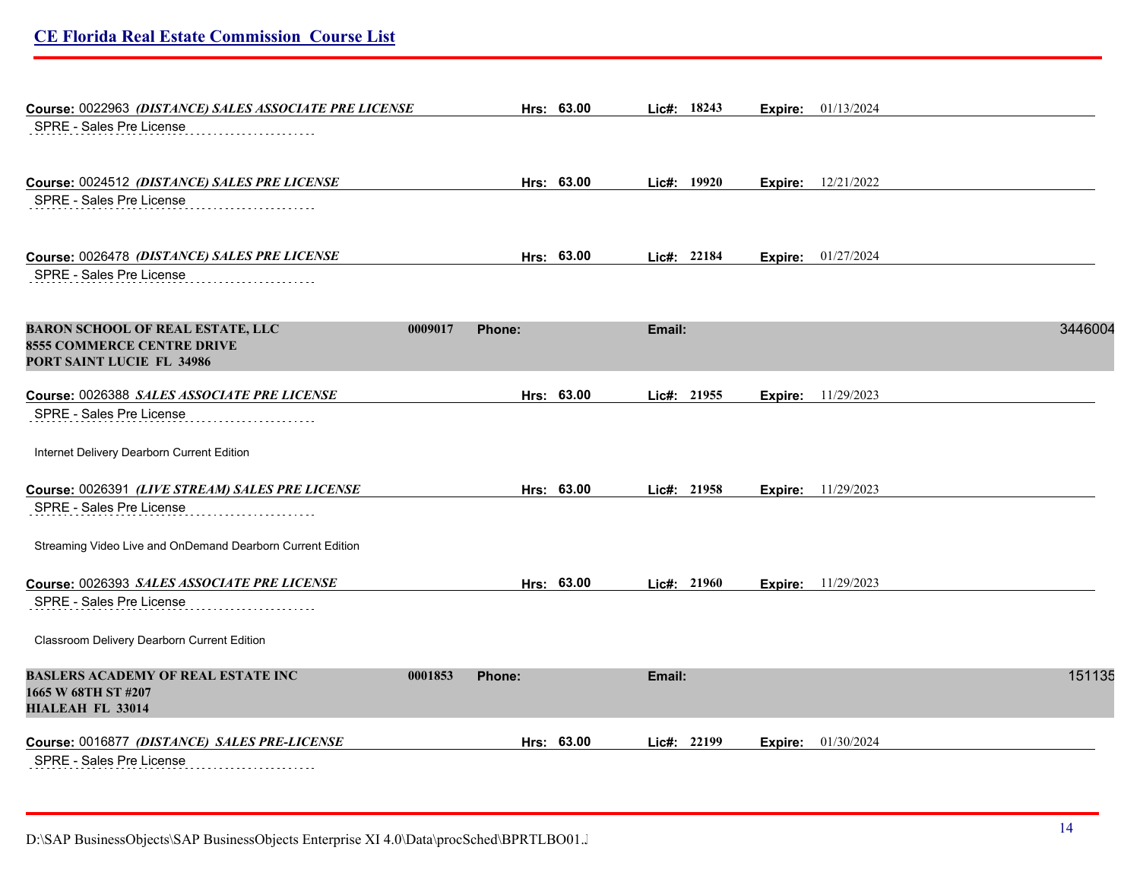| Course: 0022963 (DISTANCE) SALES ASSOCIATE PRE LICENSE<br>SPRE - Sales Pre License                        |         |        | Hrs: 63.00 |        | Lic#: 18243 | <b>Expire:</b> 01/13/2024 |         |
|-----------------------------------------------------------------------------------------------------------|---------|--------|------------|--------|-------------|---------------------------|---------|
| Course: 0024512 (DISTANCE) SALES PRE LICENSE                                                              |         |        | Hrs: 63.00 |        | Lic#: 19920 | <b>Expire:</b> 12/21/2022 |         |
| SPRE - Sales Pre License                                                                                  |         |        |            |        |             |                           |         |
| Course: 0026478 (DISTANCE) SALES PRE LICENSE                                                              |         |        | Hrs: 63.00 |        | Lic#: 22184 | Expire: 01/27/2024        |         |
| SPRE - Sales Pre License                                                                                  |         |        |            |        |             |                           |         |
| <b>BARON SCHOOL OF REAL ESTATE, LLC</b><br><b>8555 COMMERCE CENTRE DRIVE</b><br>PORT SAINT LUCIE FL 34986 | 0009017 | Phone: |            | Email: |             |                           | 3446004 |
| Course: 0026388 SALES ASSOCIATE PRE LICENSE                                                               |         |        | Hrs: 63.00 |        | Lic#: 21955 | <b>Expire:</b> 11/29/2023 |         |
| SPRE - Sales Pre License                                                                                  |         |        |            |        |             |                           |         |
| Internet Delivery Dearborn Current Edition                                                                |         |        |            |        |             |                           |         |
| Course: 0026391 (LIVE STREAM) SALES PRE LICENSE                                                           |         |        | Hrs: 63.00 |        | Lic#: 21958 | <b>Expire:</b> 11/29/2023 |         |
| SPRE - Sales Pre License                                                                                  |         |        |            |        |             |                           |         |
| Streaming Video Live and OnDemand Dearborn Current Edition                                                |         |        |            |        |             |                           |         |
| Course: 0026393 SALES ASSOCIATE PRE LICENSE                                                               |         |        | Hrs: 63.00 |        | Lic#: 21960 | <b>Expire:</b> 11/29/2023 |         |
| SPRE - Sales Pre License                                                                                  |         |        |            |        |             |                           |         |
| Classroom Delivery Dearborn Current Edition                                                               |         |        |            |        |             |                           |         |
| BASLERS ACADEMY OF REAL ESTATE INC<br>1665 W 68TH ST #207<br>HIALEAH FL 33014                             | 0001853 | Phone: |            | Email: |             |                           | 151135  |
| Course: 0016877 (DISTANCE) SALES PRE-LICENSE                                                              |         |        | Hrs: 63.00 |        | Lic#: 22199 | Expire: 01/30/2024        |         |
| SPRE - Sales Pre License                                                                                  |         |        |            |        |             |                           |         |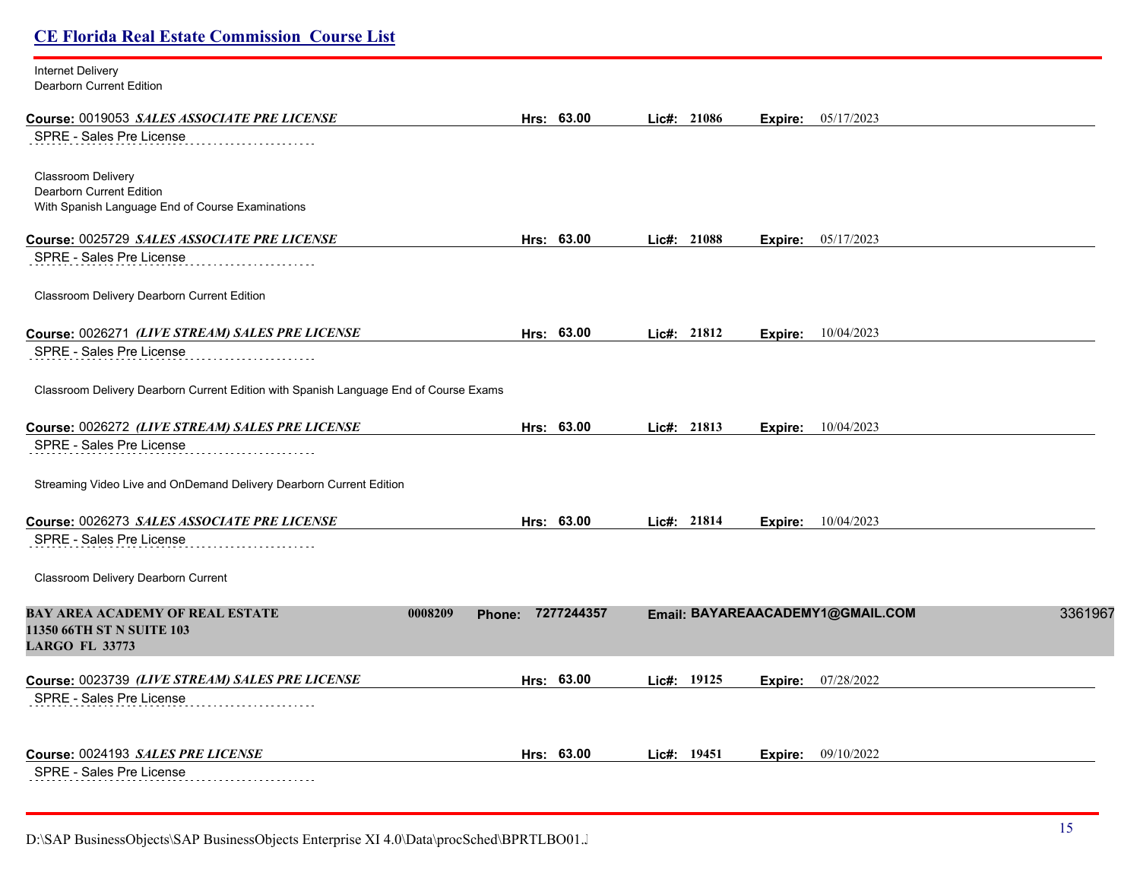#### Internet Delivery

Dearborn Current Edition

| Course: 0019053 SALES ASSOCIATE PRE LICENSE                                           | Hrs: 63.00        | Lic#: 21086   | 05/17/2023<br>Expire:            |         |
|---------------------------------------------------------------------------------------|-------------------|---------------|----------------------------------|---------|
| SPRE - Sales Pre License                                                              |                   |               |                                  |         |
| Classroom Delivery                                                                    |                   |               |                                  |         |
| <b>Dearborn Current Edition</b>                                                       |                   |               |                                  |         |
| With Spanish Language End of Course Examinations                                      |                   |               |                                  |         |
| Course: 0025729 SALES ASSOCIATE PRE LICENSE                                           | Hrs: 63.00        | Lic#: 21088   | 05/17/2023<br>Expire:            |         |
| SPRE - Sales Pre License                                                              |                   |               |                                  |         |
| Classroom Delivery Dearborn Current Edition                                           |                   |               |                                  |         |
| Course: 0026271 (LIVE STREAM) SALES PRE LICENSE                                       | Hrs: 63.00        | Lie#: 21812   | 10/04/2023<br>Expire:            |         |
| SPRE - Sales Pre License                                                              |                   |               |                                  |         |
| Classroom Delivery Dearborn Current Edition with Spanish Language End of Course Exams |                   |               |                                  |         |
| Course: 0026272 (LIVE STREAM) SALES PRE LICENSE                                       | Hrs: 63.00        | Lic#: $21813$ | <b>Expire:</b> 10/04/2023        |         |
| SPRE - Sales Pre License                                                              |                   |               |                                  |         |
| Streaming Video Live and OnDemand Delivery Dearborn Current Edition                   |                   |               |                                  |         |
| Course: 0026273 SALES ASSOCIATE PRE LICENSE                                           | Hrs: 63.00        | Lic#: 21814   | 10/04/2023<br>Expire:            |         |
| SPRE - Sales Pre License                                                              |                   |               |                                  |         |
| Classroom Delivery Dearborn Current                                                   |                   |               |                                  |         |
| <b>BAY AREA ACADEMY OF REAL ESTATE</b><br>0008209                                     | Phone: 7277244357 |               | Email: BAYAREAACADEMY1@GMAIL.COM | 3361967 |
| 11350 66TH ST N SUITE 103<br><b>LARGO FL 33773</b>                                    |                   |               |                                  |         |
| Course: 0023739 (LIVE STREAM) SALES PRE LICENSE                                       | Hrs: 63.00        | Lic#: 19125   | 07/28/2022<br>Expire:            |         |
| SPRE - Sales Pre License                                                              |                   |               |                                  |         |
|                                                                                       |                   |               |                                  |         |
| Course: 0024193 SALES PRE LICENSE<br>SPRE - Sales Pre License                         | Hrs: 63.00        | Lie#: 19451   | 09/10/2022<br>Expire:            |         |
|                                                                                       |                   |               |                                  |         |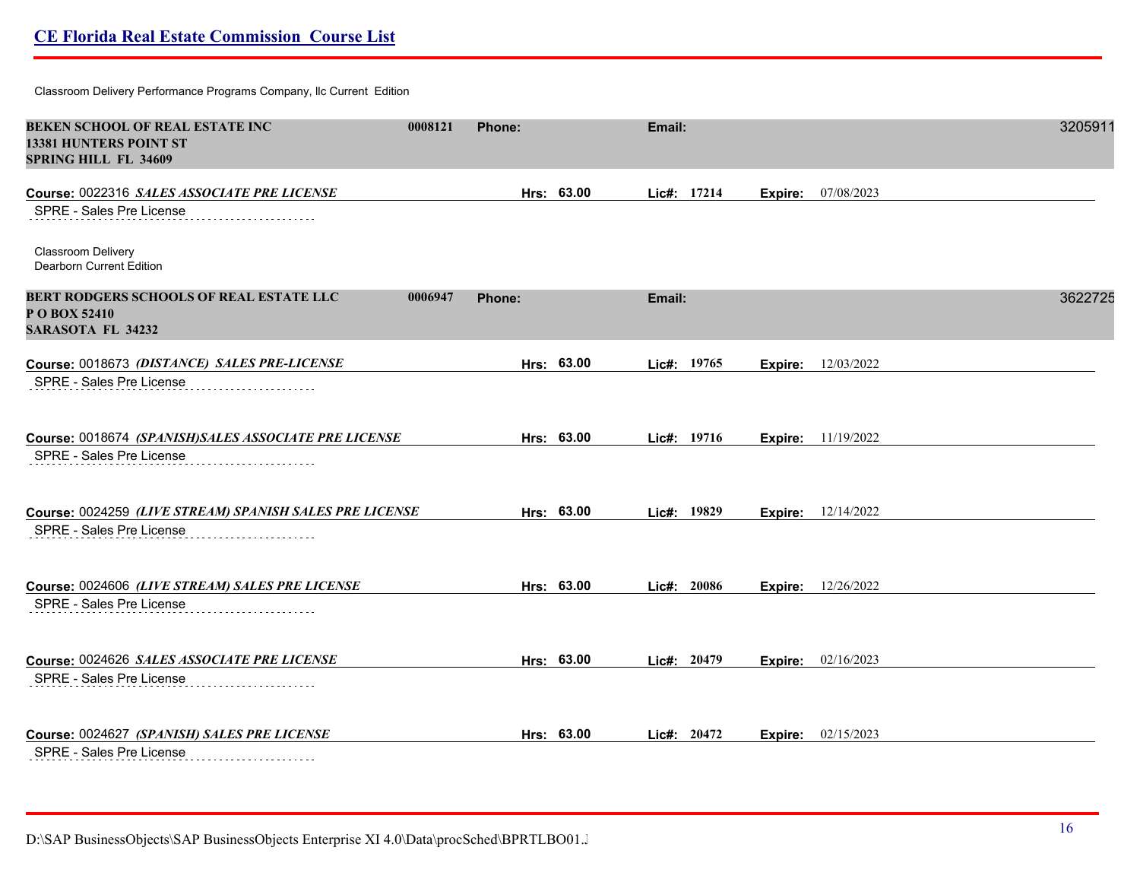Classroom Delivery Performance Programs Company, llc Current Edition

| <b>BEKEN SCHOOL OF REAL ESTATE INC</b><br>13381 HUNTERS POINT ST<br><b>SPRING HILL FL 34609</b> | 0008121 | Phone: |            | Email:        |             |         |                             | 3205911 |
|-------------------------------------------------------------------------------------------------|---------|--------|------------|---------------|-------------|---------|-----------------------------|---------|
| Course: 0022316 SALES ASSOCIATE PRE LICENSE<br>SPRE - Sales Pre License                         |         |        | Hrs: 63.00 | Lic#: 17214   |             | Expire: | 07/08/2023                  |         |
| Classroom Delivery<br><b>Dearborn Current Edition</b>                                           |         |        |            |               |             |         |                             |         |
| BERT RODGERS SCHOOLS OF REAL ESTATE LLC<br>POBOX 52410<br><b>SARASOTA FL 34232</b>              | 0006947 | Phone: |            | Email:        |             |         |                             | 3622725 |
| Course: 0018673 (DISTANCE) SALES PRE-LICENSE                                                    |         |        | Hrs: 63.00 | Lic#: 19765   |             | Expire: | 12/03/2022                  |         |
| SPRE - Sales Pre License                                                                        |         |        |            |               |             |         |                             |         |
| Course: 0018674 (SPANISH)SALES ASSOCIATE PRE LICENSE                                            |         |        | Hrs: 63.00 |               | Lic#: 19716 |         | <b>Expire:</b> 11/19/2022   |         |
| SPRE - Sales Pre License                                                                        |         |        |            |               |             |         |                             |         |
| Course: 0024259 (LIVE STREAM) SPANISH SALES PRE LICENSE                                         |         |        | Hrs: 63.00 | Lic#: 19829   |             |         | <b>Expire:</b> 12/14/2022   |         |
| SPRE - Sales Pre License                                                                        |         |        |            |               |             |         |                             |         |
| Course: 0024606 (LIVE STREAM) SALES PRE LICENSE                                                 |         |        | Hrs: 63.00 |               | Lic#: 20086 | Expire: | 12/26/2022                  |         |
| SPRE - Sales Pre License                                                                        |         |        |            |               |             |         |                             |         |
| Course: 0024626 SALES ASSOCIATE PRE LICENSE                                                     |         |        | Hrs: 63.00 | Lic#: $20479$ |             |         | <b>Expire:</b> 02/16/2023   |         |
| SPRE - Sales Pre License                                                                        |         |        |            |               |             |         |                             |         |
| Course: 0024627 (SPANISH) SALES PRE LICENSE                                                     |         |        | Hrs: 63.00 | Lic#: $20472$ |             |         | <b>Expire:</b> $02/15/2023$ |         |
| SPRE - Sales Pre License                                                                        |         |        |            |               |             |         |                             |         |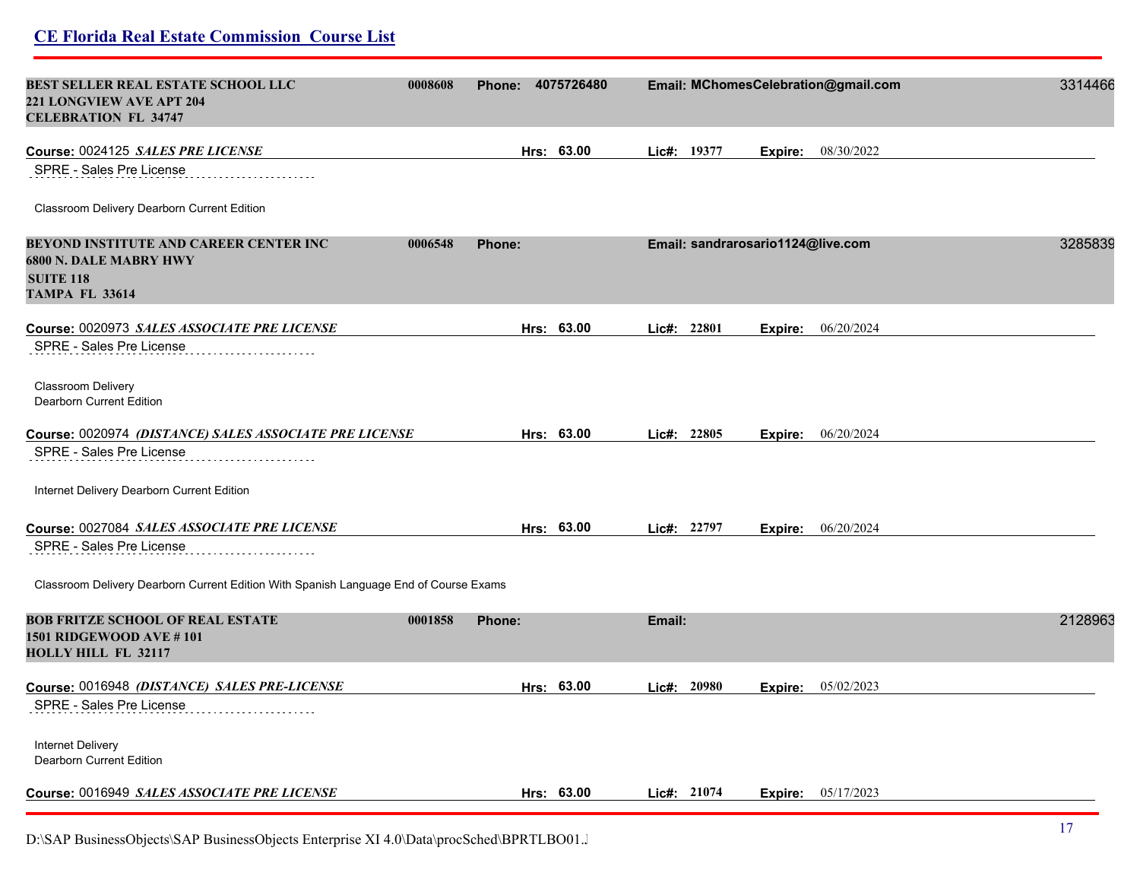| BEST SELLER REAL ESTATE SCHOOL LLC<br><b>221 LONGVIEW AVE APT 204</b><br><b>CELEBRATION FL 34747</b>          | 0008608 | Phone: 4075726480 |            |             |                                   | Email: MChomesCelebration@gmail.com | 3314466 |
|---------------------------------------------------------------------------------------------------------------|---------|-------------------|------------|-------------|-----------------------------------|-------------------------------------|---------|
| Course: 0024125 SALES PRE LICENSE                                                                             |         |                   | Hrs: 63.00 | Lic#: 19377 |                                   | Expire: 08/30/2022                  |         |
| SPRE - Sales Pre License                                                                                      |         |                   |            |             |                                   |                                     |         |
| Classroom Delivery Dearborn Current Edition                                                                   |         |                   |            |             |                                   |                                     |         |
| BEYOND INSTITUTE AND CAREER CENTER INC<br>6800 N. DALE MABRY HWY<br><b>SUITE 118</b><br><b>TAMPA FL 33614</b> | 0006548 | <b>Phone:</b>     |            |             | Email: sandrarosario1124@live.com |                                     | 3285839 |
| Course: 0020973 SALES ASSOCIATE PRE LICENSE                                                                   |         |                   | Hrs: 63.00 | Lic#: 22801 |                                   | Expire: 06/20/2024                  |         |
| SPRE - Sales Pre License                                                                                      |         |                   |            |             |                                   |                                     |         |
| <b>Classroom Delivery</b><br>Dearborn Current Edition                                                         |         |                   |            |             |                                   |                                     |         |
| Course: 0020974 (DISTANCE) SALES ASSOCIATE PRE LICENSE                                                        |         |                   | Hrs: 63.00 | Lic#: 22805 |                                   | <b>Expire:</b> 06/20/2024           |         |
| SPRE - Sales Pre License                                                                                      |         |                   |            |             |                                   |                                     |         |
| Internet Delivery Dearborn Current Edition                                                                    |         |                   |            |             |                                   |                                     |         |
| Course: 0027084 SALES ASSOCIATE PRE LICENSE                                                                   |         |                   | Hrs: 63.00 | Lic#: 22797 |                                   | <b>Expire:</b> $06/20/2024$         |         |
| SPRE - Sales Pre License                                                                                      |         |                   |            |             |                                   |                                     |         |
| Classroom Delivery Dearborn Current Edition With Spanish Language End of Course Exams                         |         |                   |            |             |                                   |                                     |         |
| BOB FRITZE SCHOOL OF REAL ESTATE<br><b>1501 RIDGEWOOD AVE #101</b><br><b>HOLLY HILL FL 32117</b>              | 0001858 | <b>Phone:</b>     |            | Email:      |                                   |                                     | 2128963 |
| Course: 0016948 (DISTANCE) SALES PRE-LICENSE                                                                  |         |                   | Hrs: 63.00 | Lic#: 20980 | Expire:                           | 05/02/2023                          |         |
| SPRE - Sales Pre License                                                                                      |         |                   |            |             |                                   |                                     |         |
| <b>Internet Delivery</b><br><b>Dearborn Current Edition</b>                                                   |         |                   |            |             |                                   |                                     |         |
| Course: 0016949 SALES ASSOCIATE PRE LICENSE                                                                   |         |                   | Hrs: 63.00 | Lic#: 21074 |                                   | <b>Expire:</b> $05/17/2023$         |         |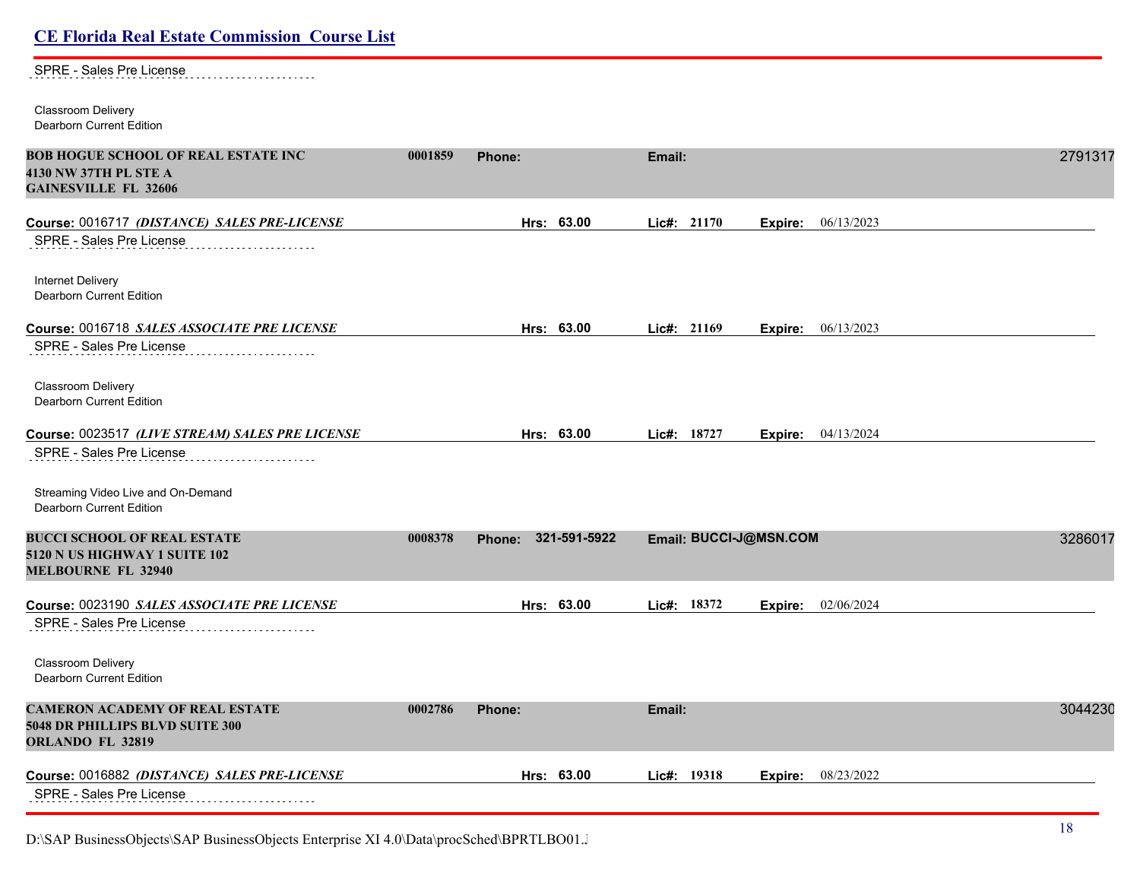# SPRE - Sales Pre License Classroom Delivery Dearborn Current Edition **BOB HOGUE SCHOOL OF REAL ESTATE INC 0001859 Phone: Email:** 27913178 **4130 NW 37TH PL STE A GAINESVILLE FL 32606 Course:** 0016717 *(DISTANCE) SALES PRE-LICENSE* **Hrs: 63.00 Lic#: 21170 Expire:** 06/13/2023 SPRE - Sales Pre License Internet Delivery Dearborn Current Edition **Course:** 0016718 *SALES ASSOCIATE PRE LICENSE* **Hrs: 63.00 Lic#: 21169 Expire:** 06/13/2023 SPRE - Sales Pre License Classroom Delivery Dearborn Current Edition **Course:** 0023517 *(LIVE STREAM) SALES PRE LICENSE* **Hrs: 63.00 Lic#: 18727 Expire:** 04/13/2024 SPRE - Sales Pre License Streaming Video Live and On-Demand Dearborn Current Edition **BUCCI SCHOOL OF REAL ESTATE 0008378 Phone: 321-591-5922 Email: BUCCI-J@MSN.COM** 32860170 **5120 N US HIGHWAY 1 SUITE 102 MELBOURNE FL 32940 Course:** 0023190 *SALES ASSOCIATE PRE LICENSE* **Hrs: 63.00 Lic#: 18372 Expire:** 02/06/2024 SPRE - Sales Pre License Classroom Delivery Dearborn Current Edition **CAMERON ACADEMY OF REAL ESTATE 0002786 Phone: Email:** 30442305 **5048 DR PHILLIPS BLVD SUITE 300 ORLANDO FL 32819 Course:** 0016882 *(DISTANCE) SALES PRE-LICENSE* **Hrs: 63.00 Lic#: 19318 Expire:** 08/23/2022 SPRE - Sales Pre License

D:\SAP BusinessObjects\SAP BusinessObjects Enterprise XI 4.0\Data\procSched\BPRTLBO01.Jobserver20130bb63130bb63130bb63130bb63130bb63130bb63130bb63130bb63130bb63130bb63130bb63130bb63130bb63130bb63120bb63120bb63120bb63120bb6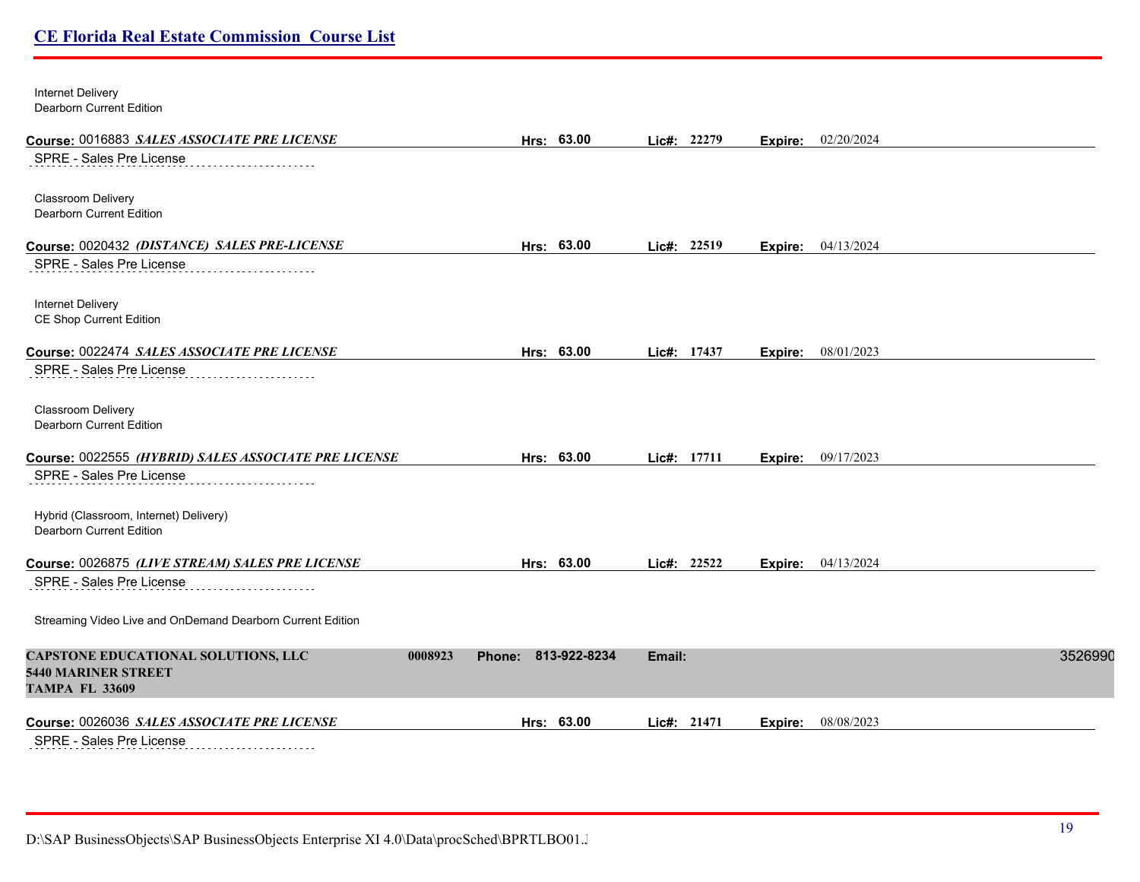| Internet Delivery<br><b>Dearborn Current Edition</b>                                       |                                |            |             |         |                           |  |
|--------------------------------------------------------------------------------------------|--------------------------------|------------|-------------|---------|---------------------------|--|
| Course: 0016883 SALES ASSOCIATE PRE LICENSE                                                |                                | Hrs: 63.00 | Lic#: 22279 |         | Expire: 02/20/2024        |  |
| SPRE - Sales Pre License                                                                   |                                |            |             |         |                           |  |
| Classroom Delivery<br>Dearborn Current Edition                                             |                                |            |             |         |                           |  |
| Course: 0020432 (DISTANCE) SALES PRE-LICENSE                                               |                                | Hrs: 63.00 | Lic#: 22519 |         | Expire: 04/13/2024        |  |
| SPRE - Sales Pre License                                                                   |                                |            |             |         |                           |  |
| Internet Delivery<br>CE Shop Current Edition                                               |                                |            |             |         |                           |  |
| Course: 0022474 SALES ASSOCIATE PRE LICENSE                                                |                                | Hrs: 63.00 | Lic#: 17437 |         | <b>Expire:</b> 08/01/2023 |  |
| SPRE - Sales Pre License                                                                   |                                |            |             |         |                           |  |
| Classroom Delivery<br><b>Dearborn Current Edition</b>                                      |                                |            |             |         |                           |  |
| Course: 0022555 (HYBRID) SALES ASSOCIATE PRE LICENSE                                       |                                | Hrs: 63.00 | Lic#: 17711 |         | <b>Expire:</b> 09/17/2023 |  |
| SPRE - Sales Pre License                                                                   |                                |            |             |         |                           |  |
| Hybrid (Classroom, Internet) Delivery)<br><b>Dearborn Current Edition</b>                  |                                |            |             |         |                           |  |
| Course: 0026875 (LIVE STREAM) SALES PRE LICENSE                                            |                                | Hrs: 63.00 | Lic#: 22522 |         | Expire: 04/13/2024        |  |
| SPRE - Sales Pre License                                                                   |                                |            |             |         |                           |  |
| Streaming Video Live and OnDemand Dearborn Current Edition                                 |                                |            |             |         |                           |  |
| CAPSTONE EDUCATIONAL SOLUTIONS, LLC<br><b>5440 MARINER STREET</b><br><b>TAMPA FL 33609</b> | 0008923<br>Phone: 813-922-8234 | Email:     |             |         | 3526990                   |  |
| Course: 0026036 SALES ASSOCIATE PRE LICENSE                                                |                                | Hrs: 63.00 | Lic#: 21471 | Expire: | 08/08/2023                |  |
| <b>SPRE - Sales Pre License</b>                                                            |                                |            |             |         |                           |  |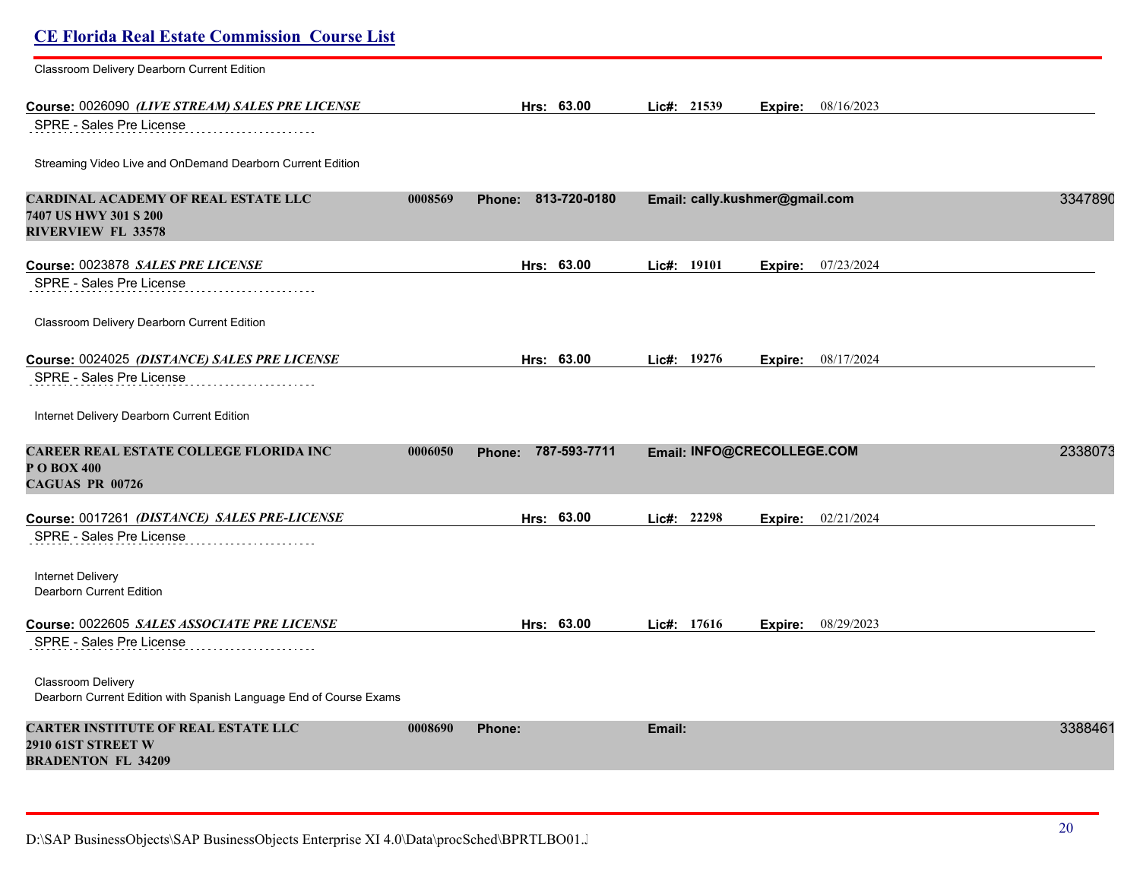| <b>CE Florida Real Estate Commission Course List</b>                                                 |         |                        |             |                                |         |
|------------------------------------------------------------------------------------------------------|---------|------------------------|-------------|--------------------------------|---------|
| Classroom Delivery Dearborn Current Edition                                                          |         |                        |             |                                |         |
| Course: 0026090 <i>(LIVE STREAM) SALES PRE LICENSE</i><br>SPRE - Sales Pre License                   |         | Hrs: 63.00             | Lic#: 21539 | Expire: 08/16/2023             |         |
| Streaming Video Live and OnDemand Dearborn Current Edition                                           |         |                        |             |                                |         |
| <b>CARDINAL ACADEMY OF REAL ESTATE LLC</b><br>7407 US HWY 301 S 200<br><b>RIVERVIEW FL 33578</b>     | 0008569 | 813-720-0180<br>Phone: |             | Email: cally.kushmer@gmail.com | 3347890 |
| Course: 0023878 SALES PRE LICENSE<br>SPRE - Sales Pre License                                        |         | Hrs: 63.00             | Lic#: 19101 | 07/23/2024<br>Expire:          |         |
| Classroom Delivery Dearborn Current Edition                                                          |         |                        |             |                                |         |
| Course: 0024025 (DISTANCE) SALES PRE LICENSE<br>SPRE - Sales Pre License                             |         | Hrs: 63.00             | Lic#: 19276 | 08/17/2024<br>Expire:          |         |
| Internet Delivery Dearborn Current Edition                                                           |         |                        |             |                                |         |
| <b>CAREER REAL ESTATE COLLEGE FLORIDA INC</b><br>P O BOX 400<br><b>CAGUAS PR 00726</b>               | 0006050 | 787-593-7711<br>Phone: |             | Email: INFO@CRECOLLEGE.COM     | 2338073 |
| Course: 0017261 (DISTANCE) SALES PRE-LICENSE                                                         |         | Hrs: 63.00             | Lic#: 22298 | Expire: 02/21/2024             |         |
| SPRE - Sales Pre License                                                                             |         |                        |             |                                |         |
| Internet Delivery<br>Dearborn Current Edition                                                        |         |                        |             |                                |         |
| Course: 0022605 SALES ASSOCIATE PRE LICENSE                                                          |         | Hrs: 63.00             | Lic#: 17616 | Expire: 08/29/2023             |         |
| SPRE - Sales Pre License                                                                             |         |                        |             |                                |         |
| Classroom Delivery<br>Dearborn Current Edition with Spanish Language End of Course Exams             |         |                        |             |                                |         |
| <b>CARTER INSTITUTE OF REAL ESTATE LLC</b><br><b>2910 61ST STREET W</b><br><b>BRADENTON FL 34209</b> | 0008690 | <b>Phone:</b>          | Email:      |                                | 3388461 |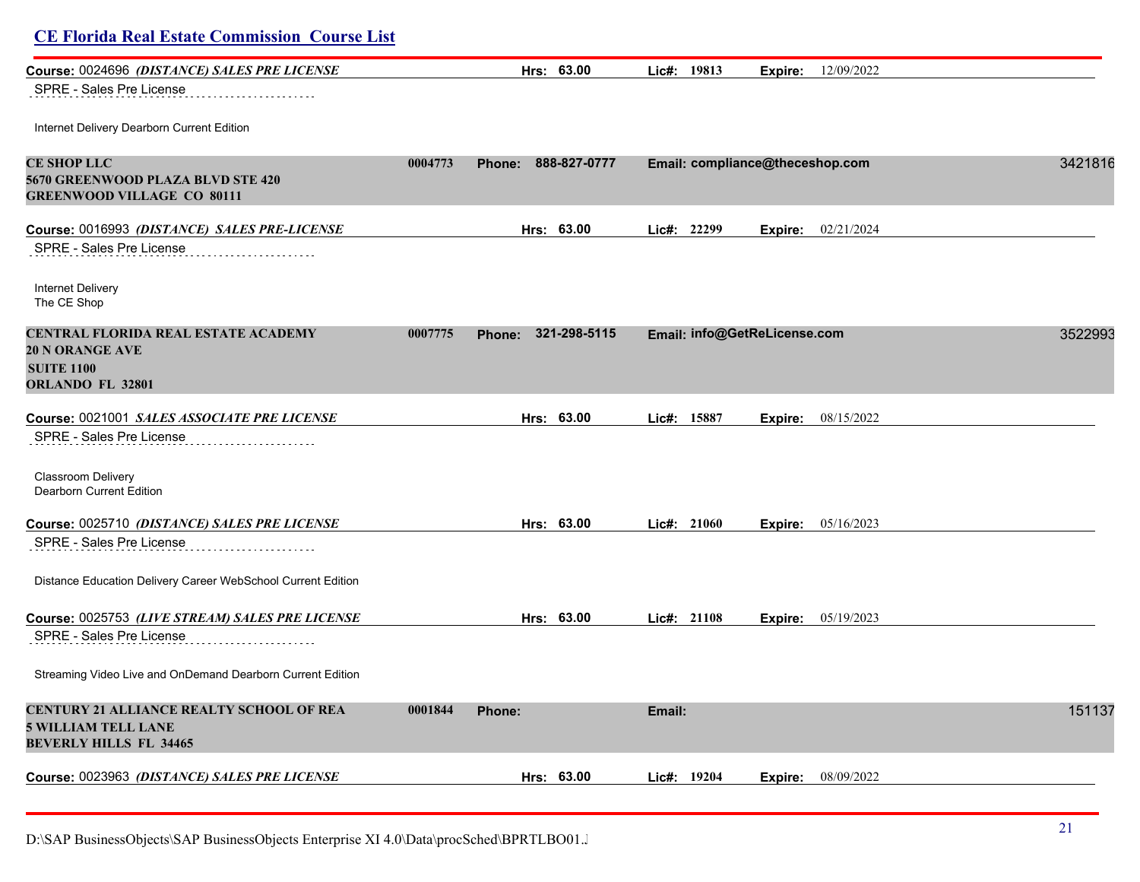# **CE Florida Real Estate Commission Course List Course:** 0024696 *(DISTANCE) SALES PRE LICENSE* **Hrs: 63.00 Lic#: 19813 Expire:** 12/09/2022 SPRE - Sales Pre License Internet Delivery Dearborn Current Edition **CE SHOP LLC 0004773 Phone: 888-827-0777 Email: compliance@theceshop.com** 34218169 **5670 GREENWOOD PLAZA BLVD STE 420 GREENWOOD VILLAGE CO 80111 Course:** 0016993 *(DISTANCE) SALES PRE-LICENSE* **Hrs: 63.00 Lic#: 22299 Expire:** 02/21/2024 SPRE - Sales Pre License Internet Delivery The CE Shop **CENTRAL FLORIDA REAL ESTATE ACADEMY 0007775 Phone: 321-298-5115 Email: info@GetReLicense.com** 35229937 **20 N ORANGE AVE SUITE 1100 ORLANDO FL 32801 Course:** 0021001 *SALES ASSOCIATE PRE LICENSE* **Hrs: 63.00 Lic#: 15887 Expire:** 08/15/2022 SPRE - Sales Pre License Classroom Delivery Dearborn Current Edition **Course:** 0025710 *(DISTANCE) SALES PRE LICENSE* **Hrs: 63.00 Lic#: 21060 Expire:** 05/16/2023 SPRE - Sales Pre License Distance Education Delivery Career WebSchool Current Edition **Course:** 0025753 *(LIVE STREAM) SALES PRE LICENSE* **Hrs: 63.00 Lic#: 21108 Expire:** 05/19/2023 SPRE - Sales Pre License Streaming Video Live and OnDemand Dearborn Current Edition **CENTURY 21 ALLIANCE REALTY SCHOOL OF REA 0001844 Phone: Email:** 1511375 **5 WILLIAM TELL LANE BEVERLY HILLS FL 34465 Course:** 0023963 *(DISTANCE) SALES PRE LICENSE* **Hrs: 63.00 Lic#: 19204 Expire:** 08/09/2022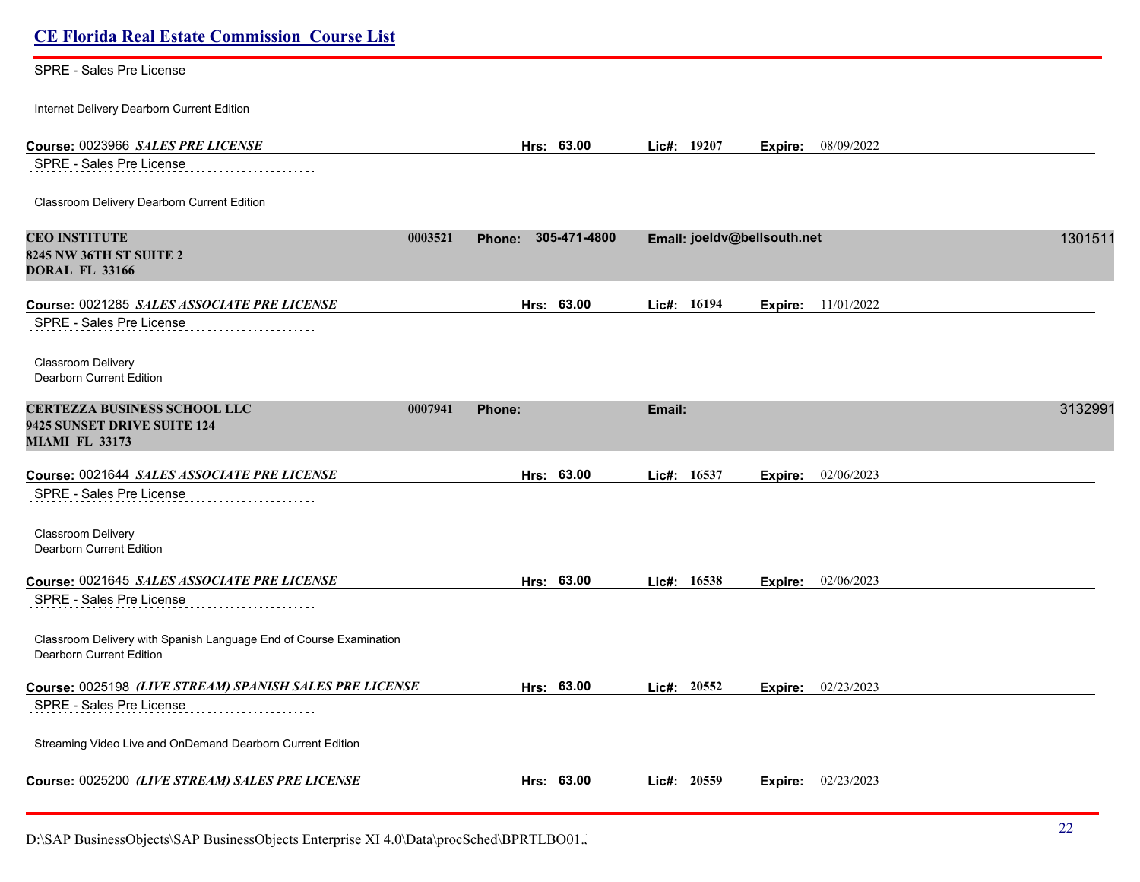| <b>CE Florida Real Estate Commission Course List</b>                                                   |                        |                             |                           |         |
|--------------------------------------------------------------------------------------------------------|------------------------|-----------------------------|---------------------------|---------|
| SPRE - Sales Pre License                                                                               |                        |                             |                           |         |
| Internet Delivery Dearborn Current Edition                                                             |                        |                             |                           |         |
| Course: 0023966 SALES PRE LICENSE                                                                      | Hrs: 63.00             | Lic#: 19207                 | <b>Expire:</b> 08/09/2022 |         |
| SPRE - Sales Pre License                                                                               |                        |                             |                           |         |
| Classroom Delivery Dearborn Current Edition                                                            |                        |                             |                           |         |
| <b>CEO INSTITUTE</b><br>0003521<br><b>8245 NW 36TH ST SUITE 2</b><br><b>DORAL FL 33166</b>             | 305-471-4800<br>Phone: | Email: joeldv@bellsouth.net |                           | 1301511 |
| Course: 0021285 SALES ASSOCIATE PRE LICENSE                                                            | Hrs: 63.00             | Lic#: 16194                 | 11/01/2022<br>Expire:     |         |
| SPRE - Sales Pre License                                                                               |                        |                             |                           |         |
| Classroom Delivery<br><b>Dearborn Current Edition</b>                                                  |                        |                             |                           |         |
| <b>CERTEZZA BUSINESS SCHOOL LLC</b><br>0007941<br>9425 SUNSET DRIVE SUITE 124<br><b>MIAMI FL 33173</b> | Phone:                 | Email:                      |                           | 3132991 |
| Course: 0021644 SALES ASSOCIATE PRE LICENSE                                                            | Hrs: 63.00             | Lic#: 16537                 | 02/06/2023<br>Expire:     |         |
| SPRE - Sales Pre License                                                                               |                        |                             |                           |         |
| Classroom Delivery<br>Dearborn Current Edition                                                         |                        |                             |                           |         |
| Course: 0021645 SALES ASSOCIATE PRE LICENSE                                                            | Hrs: 63.00             | Lic#: 16538                 | Expire: 02/06/2023        |         |
| SPRE - Sales Pre License                                                                               |                        |                             |                           |         |
| Classroom Delivery with Spanish Language End of Course Examination<br><b>Dearborn Current Edition</b>  |                        |                             |                           |         |
| Course: 0025198 (LIVE STREAM) SPANISH SALES PRE LICENSE                                                | Hrs: 63.00             | Lic#: 20552                 | 02/23/2023<br>Expire:     |         |
| SPRE - Sales Pre License                                                                               |                        |                             |                           |         |
| Streaming Video Live and OnDemand Dearborn Current Edition                                             |                        |                             |                           |         |
| Course: 0025200 (LIVE STREAM) SALES PRE LICENSE                                                        | Hrs: 63.00             | Lic#: 20559                 | 02/23/2023<br>Expire:     |         |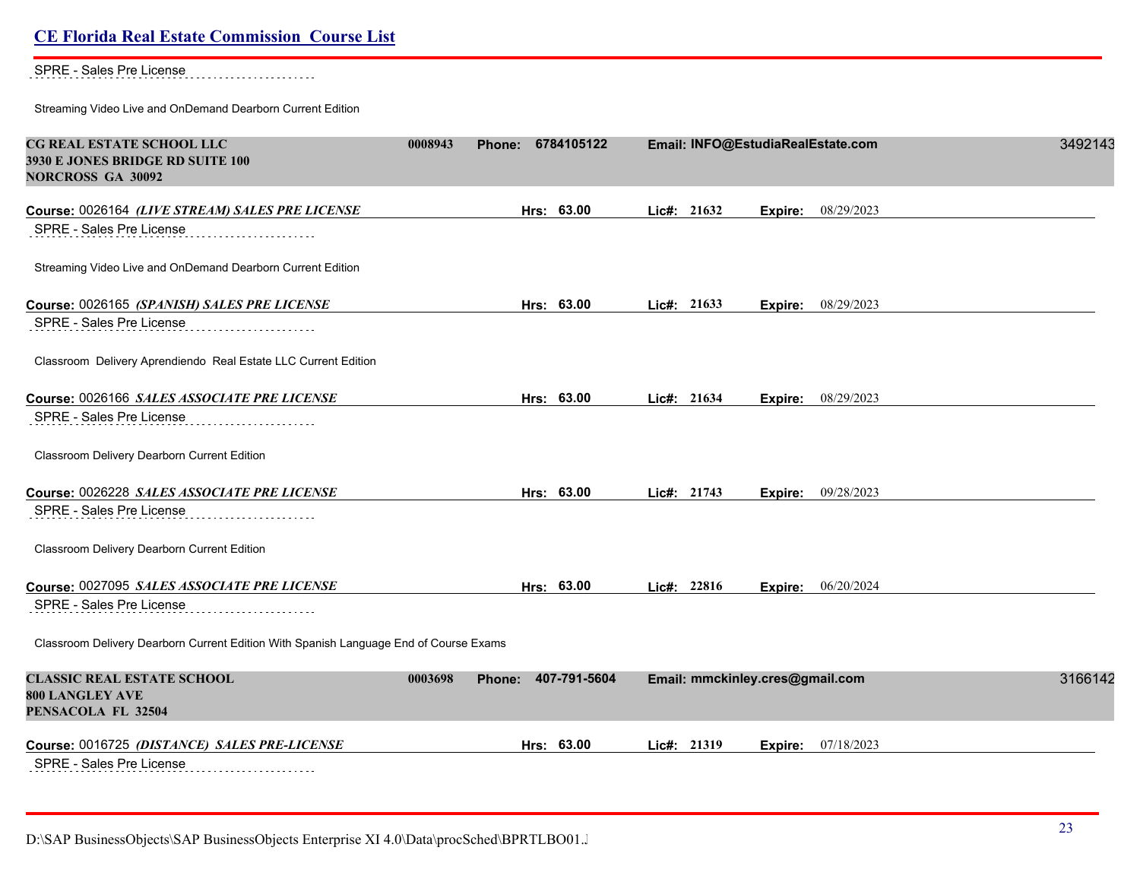#### SPRE - Sales Pre License . . . . . . . . . . . . . . . . .

Streaming Video Live and OnDemand Dearborn Current Edition

| CG REAL ESTATE SCHOOL LLC<br>3930 E JONES BRIDGE RD SUITE 100<br><b>NORCROSS GA 30092</b> | 0008943 | <b>Phone:</b> | 6784105122   |             |                                 | Email: INFO@EstudiaRealEstate.com | 3492143 |
|-------------------------------------------------------------------------------------------|---------|---------------|--------------|-------------|---------------------------------|-----------------------------------|---------|
| Course: 0026164 (LIVE STREAM) SALES PRE LICENSE                                           |         | Hrs: 63.00    |              | Lic#: 21632 |                                 | Expire: 08/29/2023                |         |
| SPRE - Sales Pre License                                                                  |         |               |              |             |                                 |                                   |         |
| Streaming Video Live and OnDemand Dearborn Current Edition                                |         |               |              |             |                                 |                                   |         |
| Course: 0026165 (SPANISH) SALES PRE LICENSE                                               |         | Hrs: 63.00    |              | Lic#: 21633 |                                 | <b>Expire:</b> 08/29/2023         |         |
| <b>SPRE - Sales Pre License</b>                                                           |         |               |              |             |                                 |                                   |         |
| Classroom Delivery Aprendiendo Real Estate LLC Current Edition                            |         |               |              |             |                                 |                                   |         |
| Course: 0026166 SALES ASSOCIATE PRE LICENSE                                               |         | Hrs: 63.00    |              | Lic#: 21634 |                                 | Expire: 08/29/2023                |         |
| SPRE - Sales Pre License                                                                  |         |               |              |             |                                 |                                   |         |
| Classroom Delivery Dearborn Current Edition                                               |         |               |              |             |                                 |                                   |         |
| Course: 0026228 SALES ASSOCIATE PRE LICENSE                                               |         | Hrs: 63.00    |              | Lic#: 21743 |                                 | <b>Expire:</b> 09/28/2023         |         |
| SPRE - Sales Pre License                                                                  |         |               |              |             |                                 |                                   |         |
| Classroom Delivery Dearborn Current Edition                                               |         |               |              |             |                                 |                                   |         |
| Course: 0027095 SALES ASSOCIATE PRE LICENSE                                               |         | Hrs: 63.00    |              | Lic#: 22816 |                                 | Expire: 06/20/2024                |         |
| <b>SPRE - Sales Pre License</b>                                                           |         |               |              |             |                                 |                                   |         |
| Classroom Delivery Dearborn Current Edition With Spanish Language End of Course Exams     |         |               |              |             |                                 |                                   |         |
| <b>CLASSIC REAL ESTATE SCHOOL</b><br><b>800 LANGLEY AVE</b><br>PENSACOLA FL 32504         | 0003698 | <b>Phone:</b> | 407-791-5604 |             | Email: mmckinley.cres@gmail.com |                                   | 3166142 |
| Course: 0016725 (DISTANCE) SALES PRE-LICENSE                                              |         | Hrs: 63.00    |              | Lic#: 21319 | Expire:                         | 07/18/2023                        |         |
| SPRE - Sales Pre License                                                                  |         |               |              |             |                                 |                                   |         |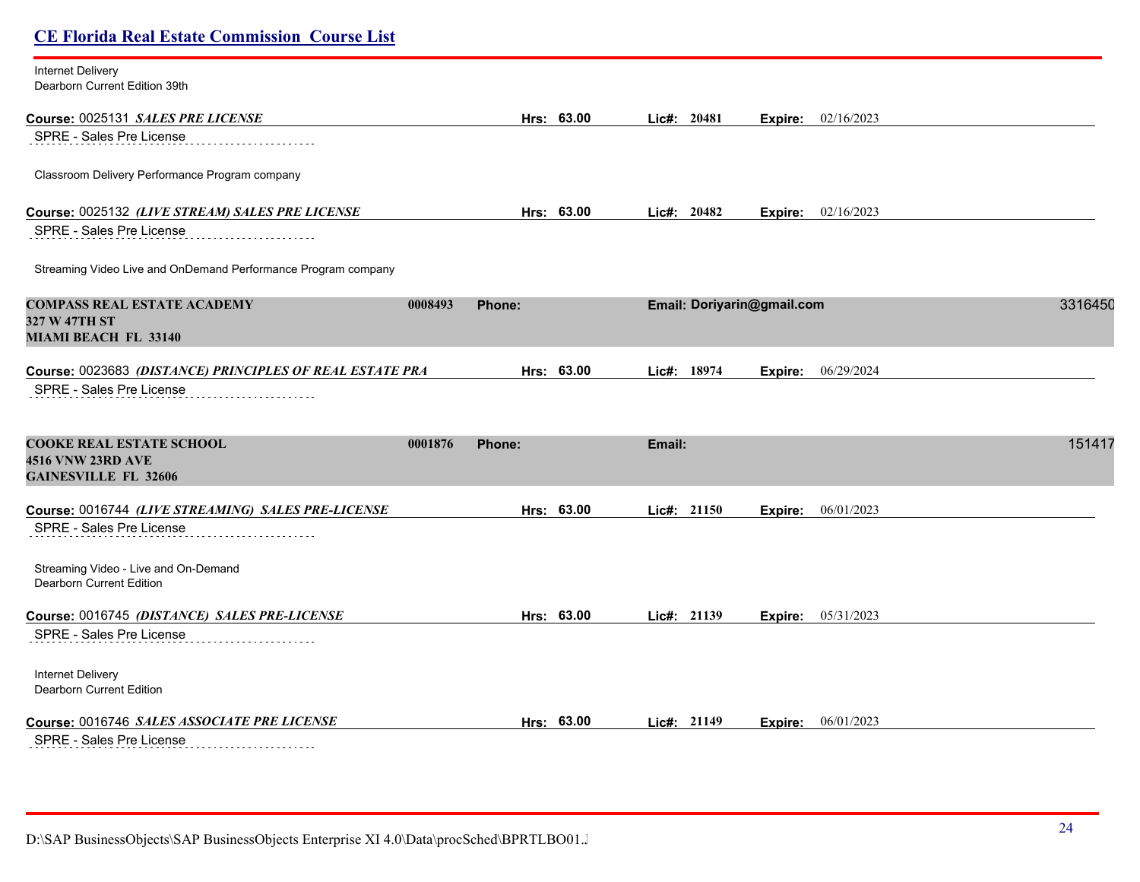| <b>CE Florida Real Estate Commission Course List</b>                                       |         |               |            |        |                |                            |                           |         |
|--------------------------------------------------------------------------------------------|---------|---------------|------------|--------|----------------|----------------------------|---------------------------|---------|
| Internet Delivery<br>Dearborn Current Edition 39th                                         |         |               |            |        |                |                            |                           |         |
| Course: 0025131 SALES PRE LICENSE<br><b>SPRE - Sales Pre License</b>                       |         |               | Hrs: 63.00 |        | Lic#: 20481    | Expire:                    | 02/16/2023                |         |
| Classroom Delivery Performance Program company                                             |         |               |            |        |                |                            |                           |         |
| Course: 0025132 (LIVE STREAM) SALES PRE LICENSE<br>SPRE - Sales Pre License                |         |               | Hrs: 63.00 |        | $Lic\#: 20482$ |                            | <b>Expire:</b> 02/16/2023 |         |
| Streaming Video Live and OnDemand Performance Program company                              |         |               |            |        |                |                            |                           |         |
| <b>COMPASS REAL ESTATE ACADEMY</b><br>327 W 47TH ST<br><b>MIAMI BEACH FL 33140</b>         | 0008493 | <b>Phone:</b> |            |        |                | Email: Doriyarin@gmail.com |                           | 3316450 |
| Course: 0023683 (DISTANCE) PRINCIPLES OF REAL ESTATE PRA<br>SPRE - Sales Pre License       |         |               | Hrs: 63.00 |        | Lic#: 18974    | Expire:                    | 06/29/2024                |         |
| <b>COOKE REAL ESTATE SCHOOL</b><br><b>4516 VNW 23RD AVE</b><br><b>GAINESVILLE FL 32606</b> | 0001876 | <b>Phone:</b> |            | Email: |                |                            |                           | 151417  |
| Course: 0016744 (LIVE STREAMING) SALES PRE-LICENSE<br><b>SPRE - Sales Pre License</b>      |         | Hrs:          | 63.00      |        | Lic#: 21150    | Expire:                    | 06/01/2023                |         |
| Streaming Video - Live and On-Demand<br>Dearborn Current Edition                           |         |               |            |        |                |                            |                           |         |
| Course: 0016745 (DISTANCE) SALES PRE-LICENSE<br>SPRE - Sales Pre License                   |         |               | Hrs: 63.00 |        | Lie#: 21139    | Expire:                    | 05/31/2023                |         |
| <b>Internet Delivery</b><br>Dearborn Current Edition                                       |         |               |            |        |                |                            |                           |         |
| Course: 0016746 SALES ASSOCIATE PRE LICENSE                                                |         |               | Hrs: 63.00 |        | Lic#: 21149    |                            | <b>Expire:</b> 06/01/2023 |         |
| SDDE - Sales Dre License                                                                   |         |               |            |        |                |                            |                           |         |

SPRE - Sales Pre License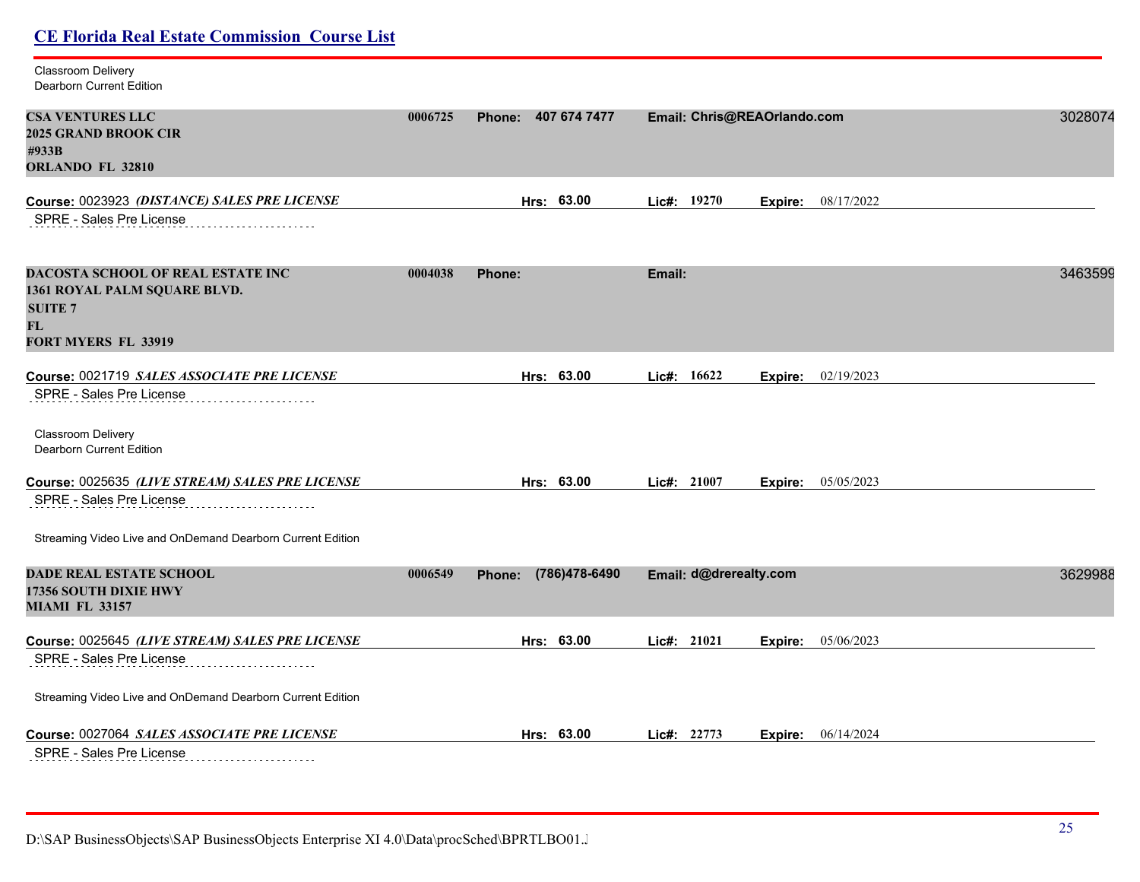| <b>CE Florida Real Estate Commission Course List</b>                                                                    |         |                      |                        |                             |         |
|-------------------------------------------------------------------------------------------------------------------------|---------|----------------------|------------------------|-----------------------------|---------|
| Classroom Delivery<br>Dearborn Current Edition                                                                          |         |                      |                        |                             |         |
| <b>CSA VENTURES LLC</b><br>2025 GRAND BROOK CIR<br>#933B<br><b>ORLANDO FL 32810</b>                                     | 0006725 | Phone: 407 674 7477  |                        | Email: Chris@REAOrlando.com | 3028074 |
| Course: 0023923 (DISTANCE) SALES PRE LICENSE<br>SPRE - Sales Pre License                                                |         | Hrs: 63.00           | Lic#: $19270$          | <b>Expire:</b> 08/17/2022   |         |
| DACOSTA SCHOOL OF REAL ESTATE INC<br>1361 ROYAL PALM SQUARE BLVD.<br><b>SUITE 7</b><br>FL<br><b>FORT MYERS FL 33919</b> | 0004038 | Phone:               | Email:                 |                             | 3463599 |
| Course: 0021719 SALES ASSOCIATE PRE LICENSE<br>SPRE - Sales Pre License                                                 |         | Hrs: 63.00           | Lic#: $16622$          | 02/19/2023<br>Expire:       |         |
| Classroom Delivery<br>Dearborn Current Edition                                                                          |         |                      |                        |                             |         |
| Course: 0025635 (LIVE STREAM) SALES PRE LICENSE                                                                         |         | Hrs: 63.00           | Lie#: 21007            | 05/05/2023<br>Expire:       |         |
| SPRE - Sales Pre License                                                                                                |         |                      |                        |                             |         |
| Streaming Video Live and OnDemand Dearborn Current Edition                                                              |         |                      |                        |                             |         |
| <b>DADE REAL ESTATE SCHOOL</b><br>17356 SOUTH DIXIE HWY<br><b>MIAMI FL 33157</b>                                        | 0006549 | Phone: (786)478-6490 | Email: d@drerealty.com |                             | 3629988 |
| Course: 0025645 (LIVE STREAM) SALES PRE LICENSE<br>SPRE - Sales Pre License                                             |         | Hrs: 63.00           | Lic#: 21021            | 05/06/2023<br>Expire:       |         |
| Streaming Video Live and OnDemand Dearborn Current Edition                                                              |         |                      |                        |                             |         |
| Course: 0027064 SALES ASSOCIATE PRE LICENSE<br>SPRE - Sales Pre License                                                 |         | Hrs: 63.00           | Lic#: 22773            | 06/14/2024<br>Expire:       |         |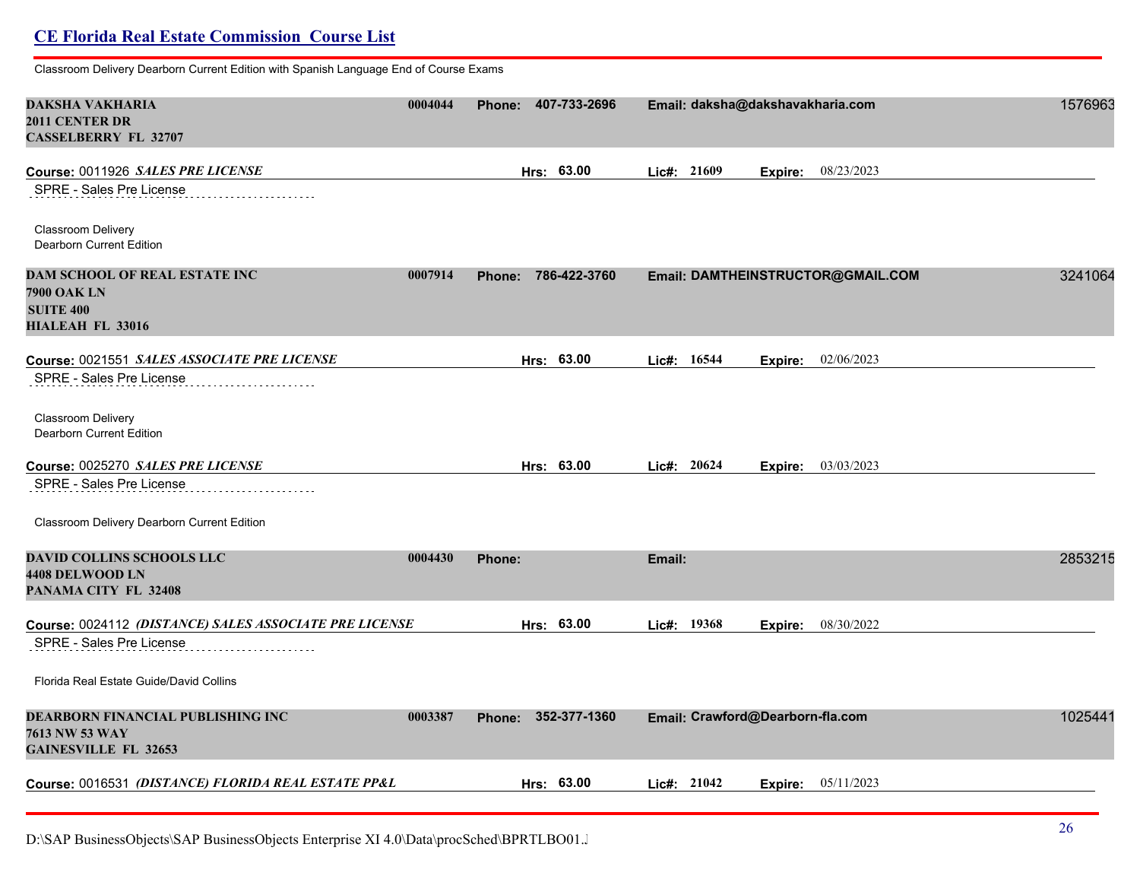Classroom Delivery Dearborn Current Edition with Spanish Language End of Course Exams

| DAKSHA VAKHARIA<br>0004044<br>2011 CENTER DR<br><b>CASSELBERRY FL 32707</b> | 407-733-2696<br>Phone: | Email: daksha@dakshavakharia.com         | 1576963 |
|-----------------------------------------------------------------------------|------------------------|------------------------------------------|---------|
| Course: 0011926 SALES PRE LICENSE                                           | Hrs: 63.00             | Lic#: 21609<br>08/23/2023<br>Expire:     |         |
| <b>SPRE - Sales Pre License</b>                                             |                        |                                          |         |
| Classroom Delivery<br>Dearborn Current Edition                              |                        |                                          |         |
| DAM SCHOOL OF REAL ESTATE INC<br>0007914                                    | Phone: 786-422-3760    | Email: DAMTHEINSTRUCTOR@GMAIL.COM        | 3241064 |
| 7900 OAK LN                                                                 |                        |                                          |         |
| <b>SUITE 400</b><br>HIALEAH FL 33016                                        |                        |                                          |         |
| Course: 0021551 SALES ASSOCIATE PRE LICENSE                                 | Hrs: 63.00             | Lic#: 16544<br>02/06/2023<br>Expire:     |         |
| SPRE - Sales Pre License                                                    |                        |                                          |         |
| Classroom Delivery<br>Dearborn Current Edition                              |                        |                                          |         |
| Course: 0025270 SALES PRE LICENSE                                           | Hrs: 63.00             | Lic#: 20624<br>Expire: 03/03/2023        |         |
| SPRE - Sales Pre License                                                    |                        |                                          |         |
| Classroom Delivery Dearborn Current Edition                                 |                        |                                          |         |
| <b>DAVID COLLINS SCHOOLS LLC</b><br>0004430                                 | <b>Phone:</b>          | Email:                                   | 2853215 |
| <b>4408 DELWOOD LN</b><br>PANAMA CITY FL 32408                              |                        |                                          |         |
| Course: 0024112 (DISTANCE) SALES ASSOCIATE PRE LICENSE                      | Hrs: 63.00             | Lic#: 19368<br>08/30/2022<br>Expire:     |         |
| SPRE - Sales Pre License                                                    |                        |                                          |         |
| Florida Real Estate Guide/David Collins                                     |                        |                                          |         |
| DEARBORN FINANCIAL PUBLISHING INC<br>0003387<br>7613 NW 53 WAY              | 352-377-1360<br>Phone: | Email: Crawford@Dearborn-fla.com         | 1025441 |
| <b>GAINESVILLE FL 32653</b>                                                 |                        |                                          |         |
| Course: 0016531 (DISTANCE) FLORIDA REAL ESTATE PP&L                         | Hrs: 63.00             | Lic#: 21042<br><b>Expire:</b> 05/11/2023 |         |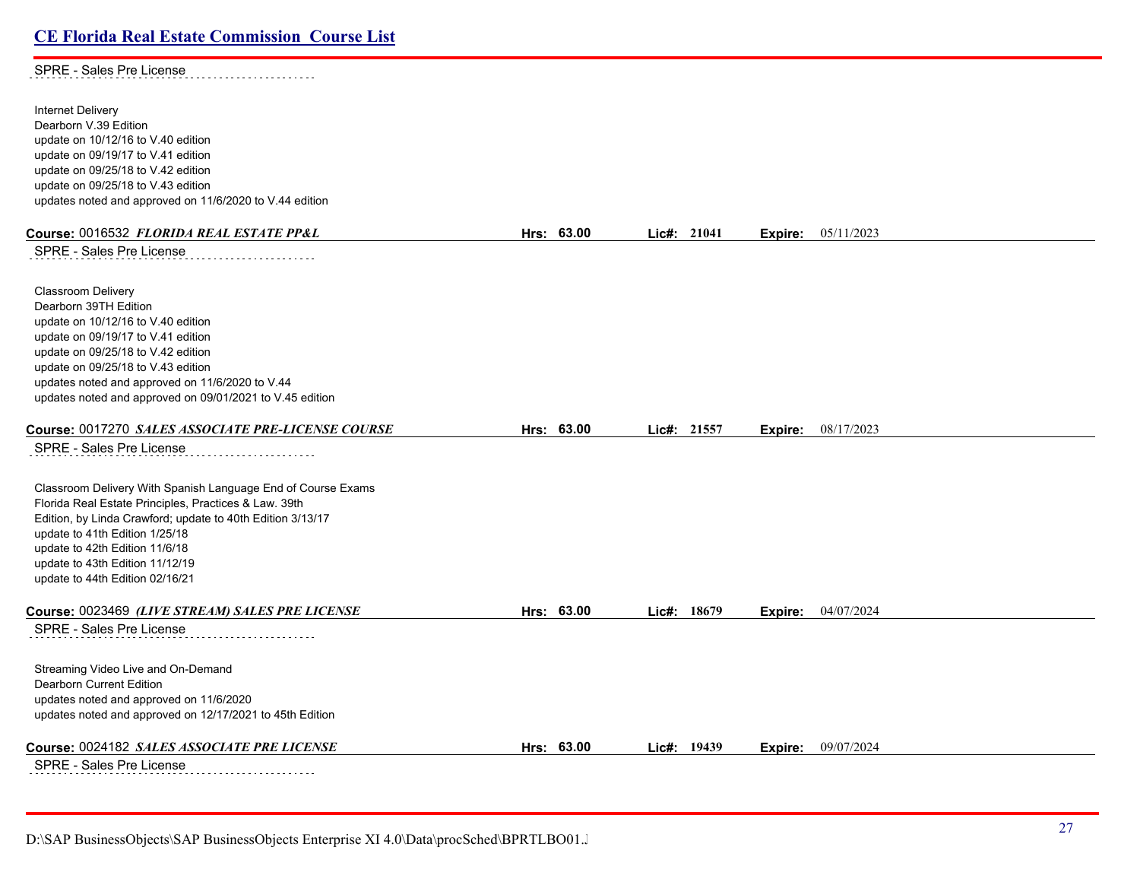SPRE - Sales Pre License . . . . . . . . . . . . . . . . . .

| Internet Delivery<br>Dearborn V.39 Edition<br>update on 10/12/16 to V.40 edition<br>update on 09/19/17 to V.41 edition<br>update on 09/25/18 to V.42 edition<br>update on 09/25/18 to V.43 edition<br>updates noted and approved on 11/6/2020 to V.44 edition |            |             |         |                           |
|---------------------------------------------------------------------------------------------------------------------------------------------------------------------------------------------------------------------------------------------------------------|------------|-------------|---------|---------------------------|
| Course: 0016532 FLORIDA REAL ESTATE PP&L                                                                                                                                                                                                                      | Hrs: 63.00 | Lic#: 21041 |         | <b>Expire:</b> 05/11/2023 |
| SPRE - Sales Pre License                                                                                                                                                                                                                                      |            |             |         |                           |
|                                                                                                                                                                                                                                                               |            |             |         |                           |
| Classroom Delivery                                                                                                                                                                                                                                            |            |             |         |                           |
| Dearborn 39TH Edition                                                                                                                                                                                                                                         |            |             |         |                           |
| update on 10/12/16 to V.40 edition                                                                                                                                                                                                                            |            |             |         |                           |
| update on 09/19/17 to V.41 edition                                                                                                                                                                                                                            |            |             |         |                           |
| update on 09/25/18 to V.42 edition                                                                                                                                                                                                                            |            |             |         |                           |
| update on 09/25/18 to V.43 edition                                                                                                                                                                                                                            |            |             |         |                           |
| updates noted and approved on 11/6/2020 to V.44                                                                                                                                                                                                               |            |             |         |                           |
| updates noted and approved on 09/01/2021 to V.45 edition                                                                                                                                                                                                      |            |             |         |                           |
| Course: 0017270 SALES ASSOCIATE PRE-LICENSE COURSE                                                                                                                                                                                                            | Hrs: 63.00 | Lic#: 21557 | Expire: | 08/17/2023                |
|                                                                                                                                                                                                                                                               |            |             |         |                           |
| SPRE - Sales Pre License                                                                                                                                                                                                                                      |            |             |         |                           |
|                                                                                                                                                                                                                                                               |            |             |         |                           |
| Classroom Delivery With Spanish Language End of Course Exams                                                                                                                                                                                                  |            |             |         |                           |
| Florida Real Estate Principles, Practices & Law. 39th                                                                                                                                                                                                         |            |             |         |                           |
| Edition, by Linda Crawford; update to 40th Edition 3/13/17                                                                                                                                                                                                    |            |             |         |                           |
| update to 41th Edition 1/25/18                                                                                                                                                                                                                                |            |             |         |                           |
| update to 42th Edition 11/6/18                                                                                                                                                                                                                                |            |             |         |                           |
| update to 43th Edition 11/12/19<br>update to 44th Edition 02/16/21                                                                                                                                                                                            |            |             |         |                           |
|                                                                                                                                                                                                                                                               |            |             |         |                           |
| Course: 0023469 (LIVE STREAM) SALES PRE LICENSE                                                                                                                                                                                                               | Hrs: 63.00 | Lic#: 18679 |         | <b>Expire:</b> 04/07/2024 |
| SPRE - Sales Pre License                                                                                                                                                                                                                                      |            |             |         |                           |
|                                                                                                                                                                                                                                                               |            |             |         |                           |
| Streaming Video Live and On-Demand                                                                                                                                                                                                                            |            |             |         |                           |
| Dearborn Current Edition                                                                                                                                                                                                                                      |            |             |         |                           |
| updates noted and approved on 11/6/2020                                                                                                                                                                                                                       |            |             |         |                           |
| updates noted and approved on 12/17/2021 to 45th Edition                                                                                                                                                                                                      |            |             |         |                           |
|                                                                                                                                                                                                                                                               |            |             |         |                           |
| Course: 0024182 SALES ASSOCIATE PRE LICENSE                                                                                                                                                                                                                   | Hrs: 63.00 | Lic#: 19439 | Expire: | 09/07/2024                |
| SPRE - Sales Pre License                                                                                                                                                                                                                                      |            |             |         |                           |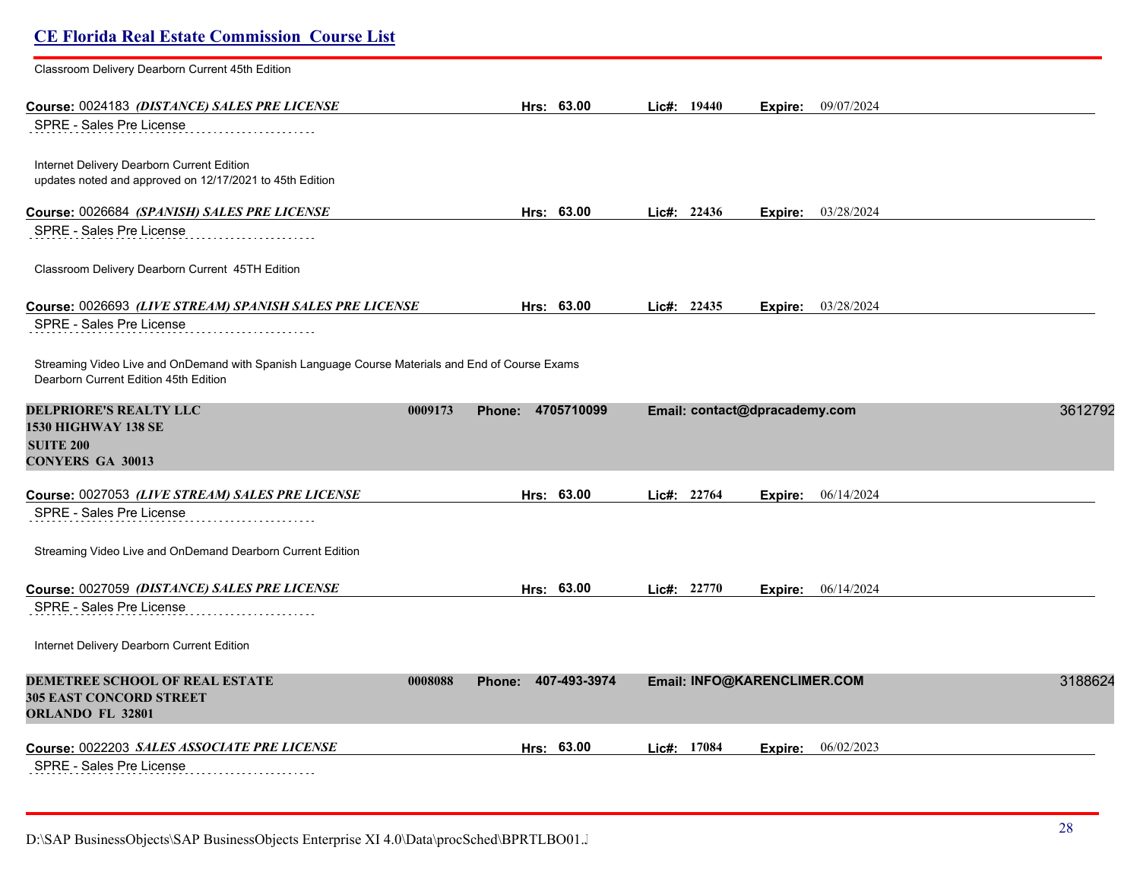| Classroom Delivery Dearborn Current 45th Edition                                                                                          |                        |                |                               |         |
|-------------------------------------------------------------------------------------------------------------------------------------------|------------------------|----------------|-------------------------------|---------|
| Course: 0024183 (DISTANCE) SALES PRE LICENSE                                                                                              | Hrs: 63.00             | Lic#: 19440    | <b>Expire:</b> 09/07/2024     |         |
| <b>SPRE - Sales Pre License</b>                                                                                                           |                        |                |                               |         |
| Internet Delivery Dearborn Current Edition<br>updates noted and approved on 12/17/2021 to 45th Edition                                    |                        |                |                               |         |
| Course: 0026684 (SPANISH) SALES PRE LICENSE                                                                                               | Hrs: 63.00             | Lic#: $22436$  | 03/28/2024<br>Expire:         |         |
| SPRE - Sales Pre License                                                                                                                  |                        |                |                               |         |
| Classroom Delivery Dearborn Current 45TH Edition                                                                                          |                        |                |                               |         |
| Course: 0026693 (LIVE STREAM) SPANISH SALES PRE LICENSE                                                                                   | Hrs: 63.00             | Lic#: $22435$  | 03/28/2024<br>Expire:         |         |
| SPRE - Sales Pre License                                                                                                                  |                        |                |                               |         |
| Streaming Video Live and OnDemand with Spanish Language Course Materials and End of Course Exams<br>Dearborn Current Edition 45th Edition |                        |                |                               |         |
| <b>DELPRIORE'S REALTY LLC</b><br>0009173                                                                                                  | 4705710099<br>Phone:   |                | Email: contact@dpracademy.com | 3612792 |
| <b>1530 HIGHWAY 138 SE</b><br><b>SUITE 200</b><br><b>CONYERS GA 30013</b>                                                                 |                        |                |                               |         |
| Course: 0027053 (LIVE STREAM) SALES PRE LICENSE                                                                                           | Hrs: 63.00             | $Lic\#: 22764$ | 06/14/2024<br>Expire:         |         |
| <b>SPRE - Sales Pre License</b>                                                                                                           |                        |                |                               |         |
| Streaming Video Live and OnDemand Dearborn Current Edition                                                                                |                        |                |                               |         |
| Course: 0027059 (DISTANCE) SALES PRE LICENSE                                                                                              | Hrs: 63.00             | Lic#: $22770$  | 06/14/2024<br>Expire:         |         |
| SPRE - Sales Pre License                                                                                                                  |                        |                |                               |         |
| Internet Delivery Dearborn Current Edition                                                                                                |                        |                |                               |         |
|                                                                                                                                           |                        |                |                               |         |
| <b>DEMETREE SCHOOL OF REAL ESTATE</b><br>0008088<br><b>305 EAST CONCORD STREET</b><br><b>ORLANDO FL 32801</b>                             | 407-493-3974<br>Phone: |                | Email: INFO@KARENCLIMER.COM   | 3188624 |
| Course: 0022203 SALES ASSOCIATE PRE LICENSE                                                                                               | Hrs: 63.00             | Lic#: 17084    | 06/02/2023<br>Expire:         |         |
| SPRE - Sales Pre License                                                                                                                  |                        |                |                               |         |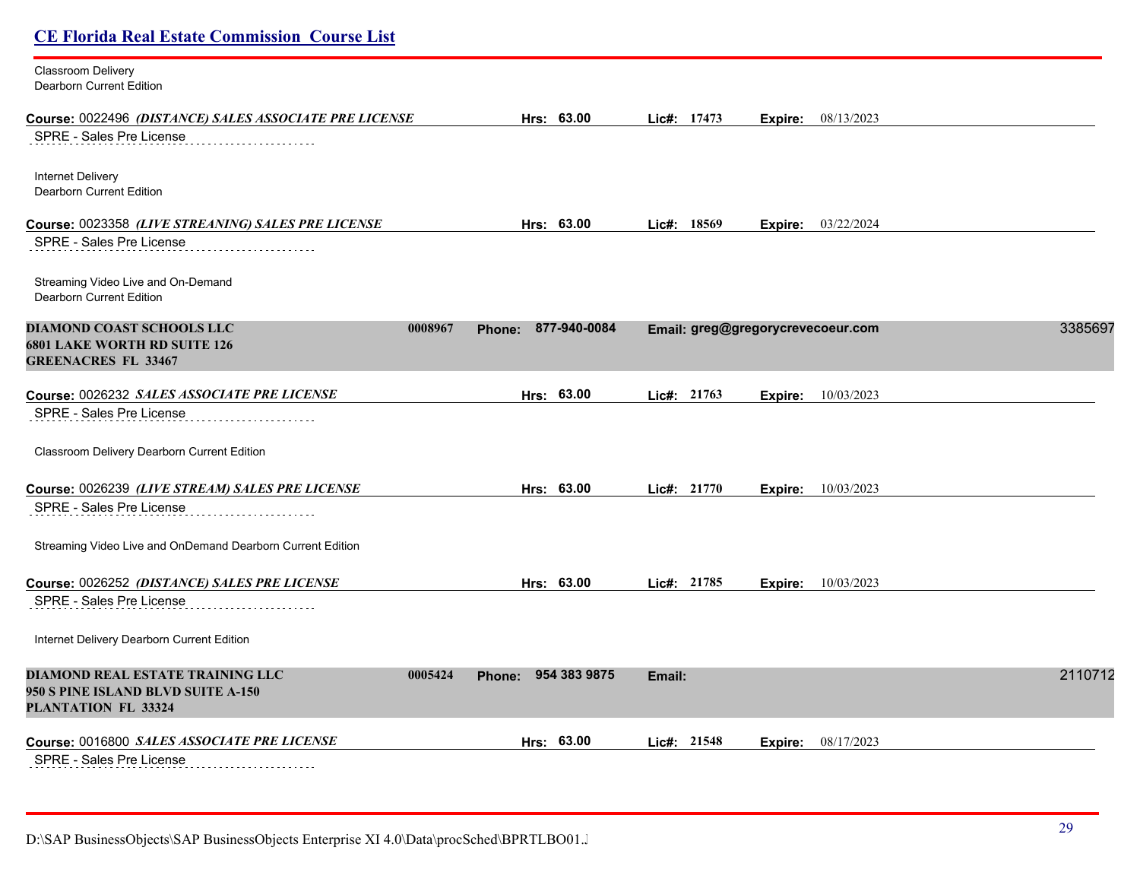| <b>CE Florida Real Estate Commission Course List</b>                               |                     |               |                                   |         |
|------------------------------------------------------------------------------------|---------------------|---------------|-----------------------------------|---------|
| <b>Classroom Delivery</b><br>Dearborn Current Edition                              |                     |               |                                   |         |
| Course: 0022496 (DISTANCE) SALES ASSOCIATE PRE LICENSE<br>SPRE - Sales Pre License | Hrs: 63.00          | Lic#: 17473   | 08/13/2023<br>Expire:             |         |
|                                                                                    |                     |               |                                   |         |
| <b>Internet Delivery</b><br>Dearborn Current Edition                               |                     |               |                                   |         |
| Course: 0023358 (LIVE STREANING) SALES PRE LICENSE                                 | Hrs: 63.00          | Lic#: 18569   | <b>Expire:</b> 03/22/2024         |         |
| SPRE - Sales Pre License                                                           |                     |               |                                   |         |
| Streaming Video Live and On-Demand<br>Dearborn Current Edition                     |                     |               |                                   |         |
| <b>DIAMOND COAST SCHOOLS LLC</b><br>0008967                                        | Phone: 877-940-0084 |               | Email: greg@gregorycrevecoeur.com | 3385697 |
| <b>6801 LAKE WORTH RD SUITE 126</b><br><b>GREENACRES FL 33467</b>                  |                     |               |                                   |         |
| Course: 0026232 SALES ASSOCIATE PRE LICENSE                                        | Hrs: 63.00          | Lic#: 21763   | 10/03/2023<br>Expire:             |         |
| SPRE - Sales Pre License                                                           |                     |               |                                   |         |
| Classroom Delivery Dearborn Current Edition                                        |                     |               |                                   |         |
| Course: 0026239 (LIVE STREAM) SALES PRE LICENSE                                    | Hrs: 63.00          | Lic#: 21770   | 10/03/2023<br>Expire:             |         |
| SPRE - Sales Pre License                                                           |                     |               |                                   |         |
| Streaming Video Live and OnDemand Dearborn Current Edition                         |                     |               |                                   |         |
| Course: 0026252 (DISTANCE) SALES PRE LICENSE                                       | Hrs: 63.00          | Lic#: $21785$ | 10/03/2023<br>Expire:             |         |
| SPRE - Sales Pre License                                                           |                     |               |                                   |         |
| Internet Delivery Dearborn Current Edition                                         |                     |               |                                   |         |
| DIAMOND REAL ESTATE TRAINING LLC<br>0005424                                        | Phone: 954 383 9875 | Email:        |                                   | 2110712 |
| 950 S PINE ISLAND BLVD SUITE A-150<br><b>PLANTATION FL 33324</b>                   |                     |               |                                   |         |
| Course: 0016800 SALES ASSOCIATE PRE LICENSE                                        | Hrs: 63.00          | Lic#: 21548   | 08/17/2023<br>Expire:             |         |
| SPRE - Sales Pre License                                                           |                     |               |                                   |         |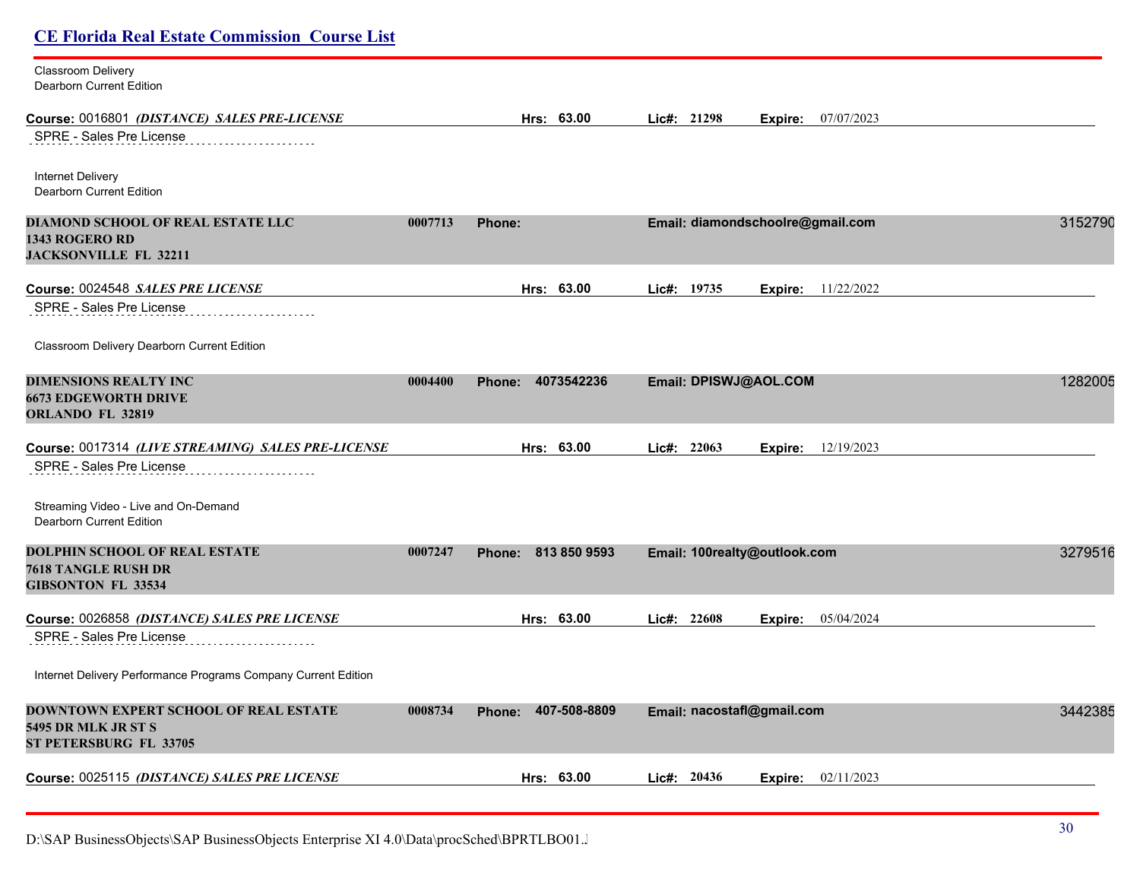| <b>CE Florida Real Estate Commission Course List</b>                                            |         |                     |                              |                                  |         |
|-------------------------------------------------------------------------------------------------|---------|---------------------|------------------------------|----------------------------------|---------|
| Classroom Delivery<br>Dearborn Current Edition                                                  |         |                     |                              |                                  |         |
| Course: 0016801 (DISTANCE) SALES PRE-LICENSE                                                    |         | Hrs: 63.00          | Lic#: 21298                  | 07/07/2023<br>Expire:            |         |
| SPRE - Sales Pre License                                                                        |         |                     |                              |                                  |         |
| <b>Internet Delivery</b><br><b>Dearborn Current Edition</b>                                     |         |                     |                              |                                  |         |
| <b>DIAMOND SCHOOL OF REAL ESTATE LLC</b><br>1343 ROGERO RD<br><b>JACKSONVILLE FL 32211</b>      | 0007713 | <b>Phone:</b>       |                              | Email: diamondschoolre@gmail.com | 3152790 |
| Course: 0024548 SALES PRE LICENSE                                                               |         | Hrs: 63.00          | Lic#: 19735                  | 11/22/2022<br>Expire:            |         |
| SPRE - Sales Pre License                                                                        |         |                     |                              |                                  |         |
| Classroom Delivery Dearborn Current Edition                                                     |         |                     |                              |                                  |         |
| <b>DIMENSIONS REALTY INC</b><br><b>6673 EDGEWORTH DRIVE</b><br><b>ORLANDO FL 32819</b>          | 0004400 | Phone: 4073542236   | Email: DPISWJ@AOL.COM        |                                  | 1282005 |
| Course: 0017314 (LIVE STREAMING) SALES PRE-LICENSE                                              |         | Hrs: 63.00          | Lic#: 22063                  | <b>Expire:</b> 12/19/2023        |         |
| SPRE - Sales Pre License<br>.                                                                   |         |                     |                              |                                  |         |
| Streaming Video - Live and On-Demand<br>Dearborn Current Edition                                |         |                     |                              |                                  |         |
| <b>DOLPHIN SCHOOL OF REAL ESTATE</b><br><b>7618 TANGLE RUSH DR</b><br><b>GIBSONTON FL 33534</b> | 0007247 | Phone: 813 850 9593 | Email: 100realty@outlook.com |                                  | 3279516 |
| Course: 0026858 (DISTANCE) SALES PRE LICENSE                                                    |         | 63.00<br>Hrs:       | Lic#: 22608                  | 05/04/2024<br>Expire:            |         |
| SPRE - Sales Pre License                                                                        |         |                     |                              |                                  |         |
| Internet Delivery Performance Programs Company Current Edition                                  |         |                     |                              |                                  |         |
| DOWNTOWN EXPERT SCHOOL OF REAL ESTATE<br><b>5495 DR MLK JR ST S</b><br>ST PETERSBURG FL 33705   | 0008734 | Phone: 407-508-8809 | Email: nacostafl@gmail.com   |                                  | 3442385 |
| Course: 0025115 (DISTANCE) SALES PRE LICENSE                                                    |         | Hrs: 63.00          | Lic#: 20436                  | Expire:<br>02/11/2023            |         |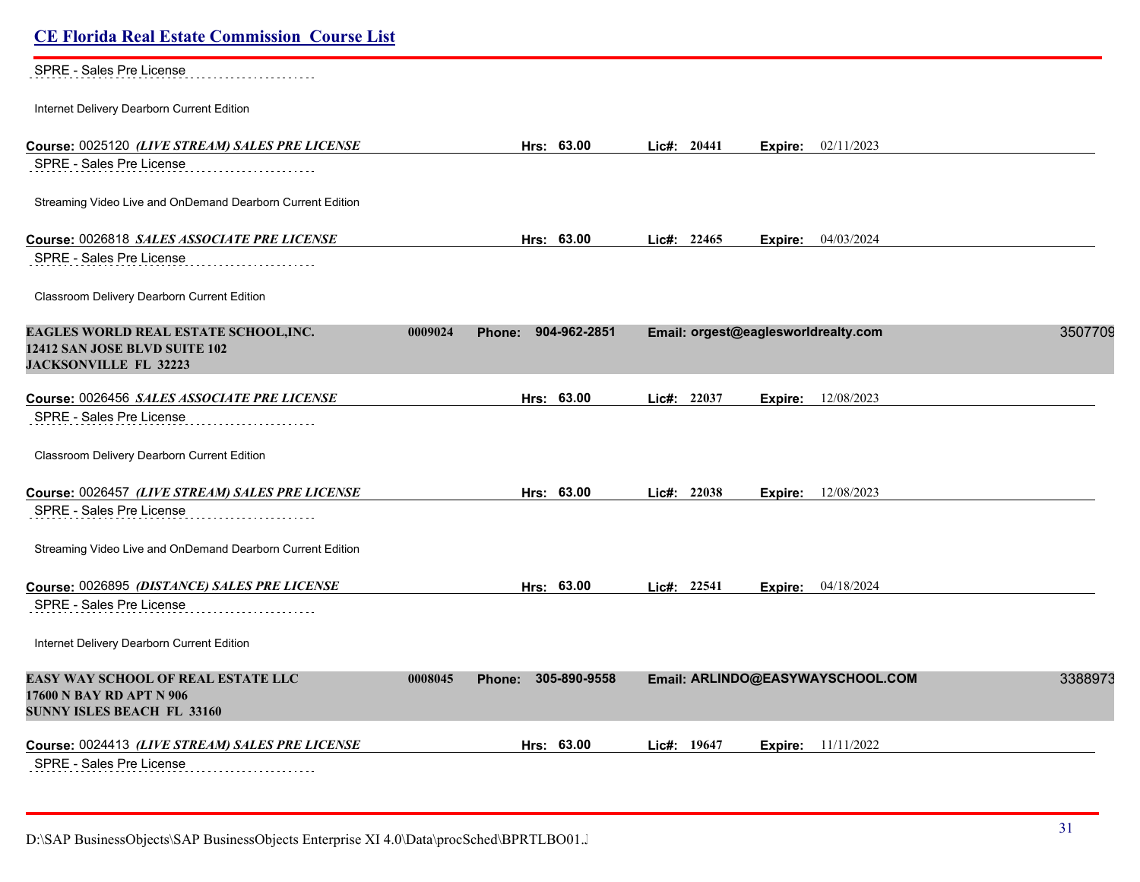| <b>CE Florida Real Estate Commission Course List</b>                                                   |         |                        |               |         |                                     |         |
|--------------------------------------------------------------------------------------------------------|---------|------------------------|---------------|---------|-------------------------------------|---------|
| SPRE - Sales Pre License                                                                               |         |                        |               |         |                                     |         |
| Internet Delivery Dearborn Current Edition                                                             |         |                        |               |         |                                     |         |
| Course: 0025120 (LIVE STREAM) SALES PRE LICENSE                                                        |         | Hrs: 63.00             | Lic#: 20441   |         | <b>Expire:</b> $02/11/2023$         |         |
| SPRE - Sales Pre License                                                                               |         |                        |               |         |                                     |         |
| Streaming Video Live and OnDemand Dearborn Current Edition                                             |         |                        |               |         |                                     |         |
| Course: 0026818 SALES ASSOCIATE PRE LICENSE                                                            |         | Hrs: 63.00             | Lic#: $22465$ |         | Expire: 04/03/2024                  |         |
| SPRE - Sales Pre License                                                                               |         |                        |               |         |                                     |         |
| Classroom Delivery Dearborn Current Edition                                                            |         |                        |               |         |                                     |         |
| EAGLES WORLD REAL ESTATE SCHOOL, INC.<br>12412 SAN JOSE BLVD SUITE 102<br><b>JACKSONVILLE FL 32223</b> | 0009024 | 904-962-2851<br>Phone: |               |         | Email: orgest@eaglesworldrealty.com | 3507709 |
| Course: 0026456 SALES ASSOCIATE PRE LICENSE                                                            |         | Hrs: 63.00             | Lic#: 22037   | Expire: | 12/08/2023                          |         |
| SPRE - Sales Pre License                                                                               |         |                        |               |         |                                     |         |
| Classroom Delivery Dearborn Current Edition                                                            |         |                        |               |         |                                     |         |
| Course: 0026457 <i>(LIVE STREAM) SALES PRE LICENSE</i>                                                 |         | Hrs: 63.00             | Lic#: 22038   | Expire: | 12/08/2023                          |         |
| SPRE - Sales Pre License                                                                               |         |                        |               |         |                                     |         |
| Streaming Video Live and OnDemand Dearborn Current Edition                                             |         |                        |               |         |                                     |         |
| Course: 0026895 (DISTANCE) SALES PRE LICENSE                                                           |         | Hrs: 63.00             | Lic#: 22541   |         | <b>Expire:</b> 04/18/2024           |         |
| SPRE - Sales Pre License                                                                               |         |                        |               |         |                                     |         |
| Internet Delivery Dearborn Current Edition                                                             |         |                        |               |         |                                     |         |
| EASY WAY SCHOOL OF REAL ESTATE LLC<br>17600 N BAY RD APT N 906<br><b>SUNNY ISLES BEACH FL 33160</b>    | 0008045 | 305-890-9558<br>Phone: |               |         | Email: ARLINDO@EASYWAYSCHOOL.COM    | 3388973 |
| Course: 0024413 (LIVE STREAM) SALES PRE LICENSE<br>SPRE - Sales Pre License                            |         | Hrs: 63.00             | Lic#: 19647   |         | <b>Expire:</b> 11/11/2022           |         |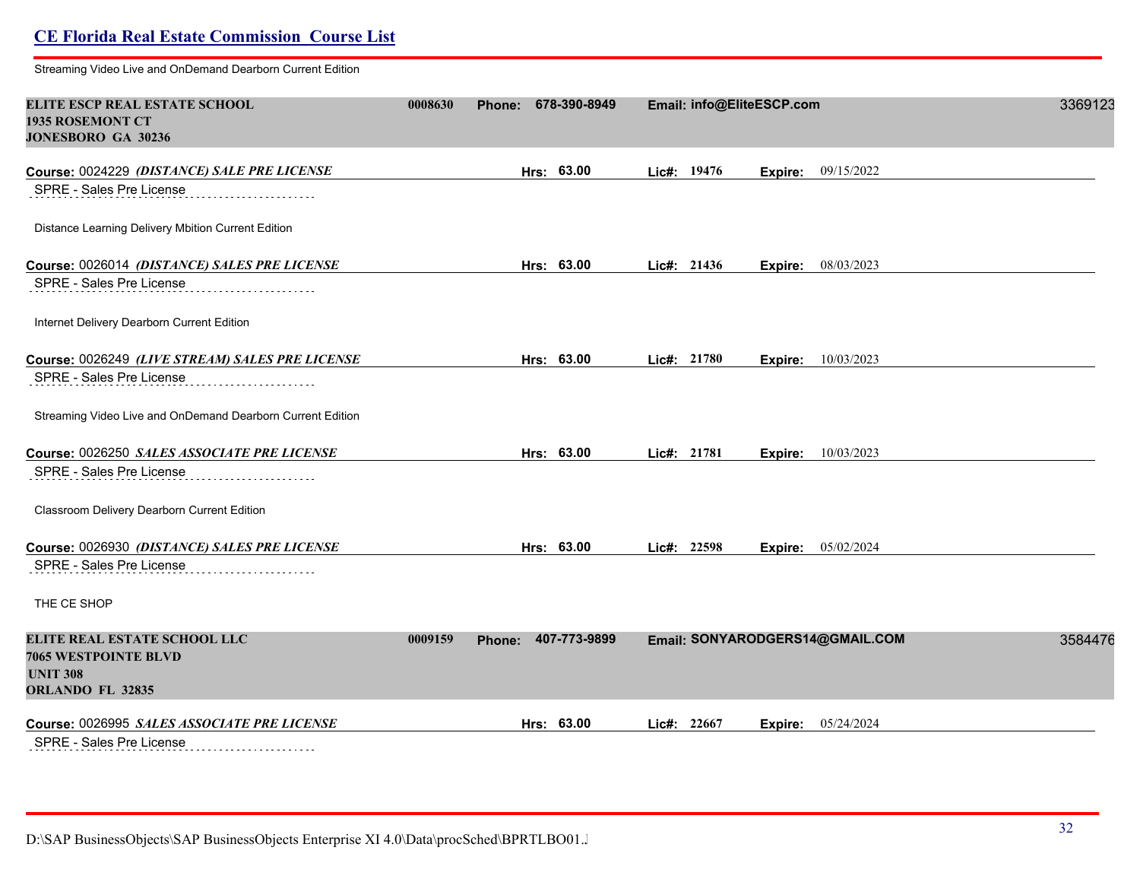Streaming Video Live and OnDemand Dearborn Current Edition

| <b>ELITE ESCP REAL ESTATE SCHOOL</b><br><b>1935 ROSEMONT CT</b><br>JONESBORO GA 30236 | 0008630 | 678-390-8949<br><b>Phone:</b> |       |             | Email: info@EliteESCP.com |                                 | 3369123 |
|---------------------------------------------------------------------------------------|---------|-------------------------------|-------|-------------|---------------------------|---------------------------------|---------|
| Course: 0024229 (DISTANCE) SALE PRE LICENSE                                           |         | Hrs: 63.00                    |       | Lic#: 19476 | Expire:                   | 09/15/2022                      |         |
| SPRE - Sales Pre License                                                              |         |                               |       |             |                           |                                 |         |
| Distance Learning Delivery Mbition Current Edition                                    |         |                               |       |             |                           |                                 |         |
| Course: 0026014 (DISTANCE) SALES PRE LICENSE                                          |         | Hrs: 63.00                    |       | Lic#: 21436 |                           | Expire: 08/03/2023              |         |
| SPRE - Sales Pre License                                                              |         |                               |       |             |                           |                                 |         |
| Internet Delivery Dearborn Current Edition                                            |         |                               |       |             |                           |                                 |         |
| Course: 0026249 (LIVE STREAM) SALES PRE LICENSE                                       |         | Hrs: 63.00                    |       | Lic#: 21780 | Expire:                   | 10/03/2023                      |         |
| SPRE - Sales Pre License                                                              |         |                               |       |             |                           |                                 |         |
| Streaming Video Live and OnDemand Dearborn Current Edition                            |         |                               |       |             |                           |                                 |         |
| Course: 0026250 SALES ASSOCIATE PRE LICENSE                                           |         | Hrs: 63.00                    |       | Lie#: 21781 |                           | <b>Expire:</b> 10/03/2023       |         |
| SPRE - Sales Pre License                                                              |         |                               |       |             |                           |                                 |         |
| Classroom Delivery Dearborn Current Edition                                           |         |                               |       |             |                           |                                 |         |
| Course: 0026930 (DISTANCE) SALES PRE LICENSE                                          |         | Hrs: 63.00                    |       | Lic#: 22598 | Expire:                   | 05/02/2024                      |         |
| SPRE - Sales Pre License                                                              |         |                               |       |             |                           |                                 |         |
| THE CE SHOP                                                                           |         |                               |       |             |                           |                                 |         |
| ELITE REAL ESTATE SCHOOL LLC                                                          | 0009159 | 407-773-9899<br><b>Phone:</b> |       |             |                           | Email: SONYARODGERS14@GMAIL.COM | 3584476 |
| <b>7065 WESTPOINTE BLVD</b>                                                           |         |                               |       |             |                           |                                 |         |
| <b>UNIT 308</b><br>ORLANDO FL 32835                                                   |         |                               |       |             |                           |                                 |         |
| Course: 0026995 SALES ASSOCIATE PRE LICENSE                                           |         | 63.00<br>Hrs:                 | Lic#: | 22667       | Expire:                   | 05/24/2024                      |         |
| SPRE - Sales Pre License                                                              |         |                               |       |             |                           |                                 |         |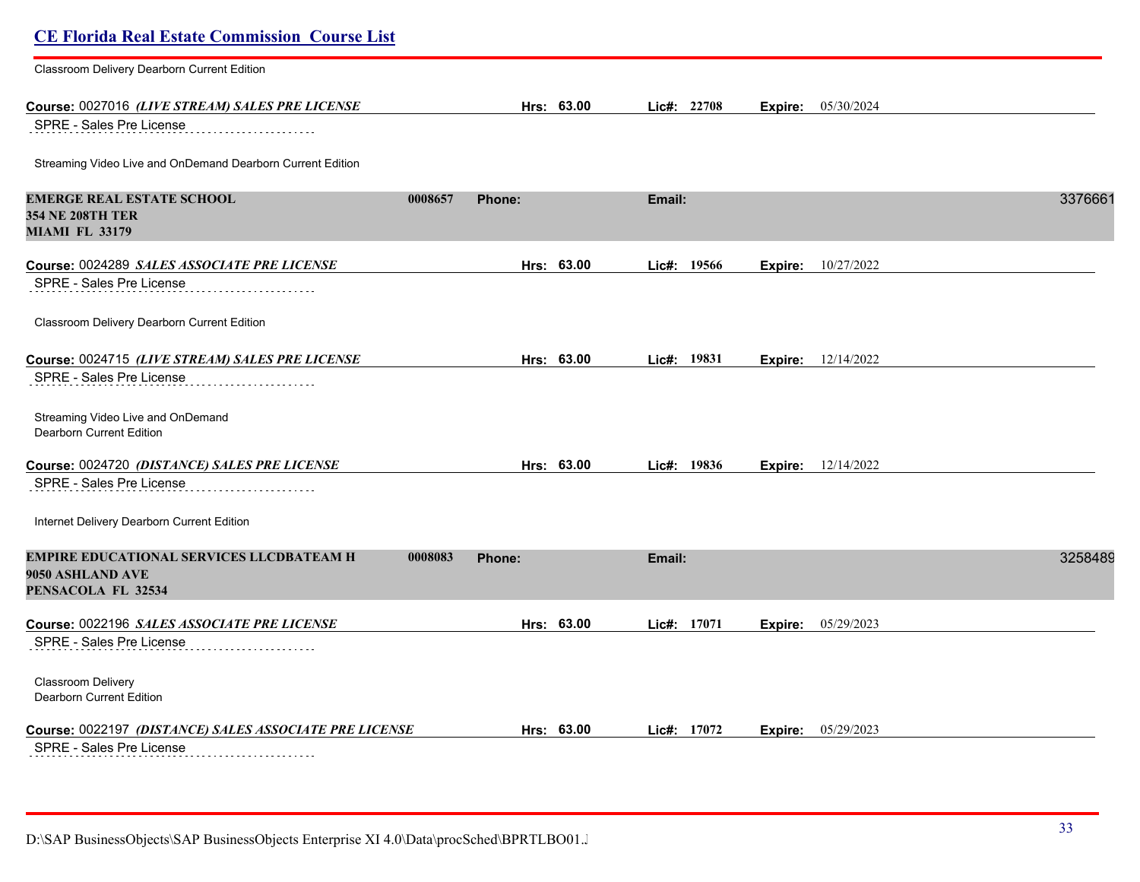| <b>CE Florida Real Estate Commission Course List</b>                                      |         |        |            |        |                |         |                           |         |
|-------------------------------------------------------------------------------------------|---------|--------|------------|--------|----------------|---------|---------------------------|---------|
| Classroom Delivery Dearborn Current Edition                                               |         |        |            |        |                |         |                           |         |
| Course: 0027016 (LIVE STREAM) SALES PRE LICENSE<br>SPRE - Sales Pre License               |         |        | Hrs: 63.00 |        | $Lic\#: 22708$ |         | Expire: 05/30/2024        |         |
| Streaming Video Live and OnDemand Dearborn Current Edition                                |         |        |            |        |                |         |                           |         |
| <b>EMERGE REAL ESTATE SCHOOL</b><br><b>354 NE 208TH TER</b><br><b>MIAMI FL 33179</b>      | 0008657 | Phone: |            | Email: |                |         |                           | 3376661 |
| Course: 0024289 SALES ASSOCIATE PRE LICENSE                                               |         |        | Hrs: 63.00 |        | Lic#: 19566    | Expire: | 10/27/2022                |         |
| SPRE - Sales Pre License                                                                  |         |        |            |        |                |         |                           |         |
| Classroom Delivery Dearborn Current Edition                                               |         |        |            |        |                |         |                           |         |
| Course: 0024715 (LIVE STREAM) SALES PRE LICENSE                                           |         |        | Hrs: 63.00 |        | Lic#: 19831    |         | <b>Expire:</b> 12/14/2022 |         |
| SPRE - Sales Pre License                                                                  |         |        |            |        |                |         |                           |         |
| Streaming Video Live and OnDemand<br>Dearborn Current Edition                             |         |        |            |        |                |         |                           |         |
| Course: 0024720 (DISTANCE) SALES PRE LICENSE                                              |         |        | Hrs: 63.00 |        | Lic#: 19836    |         | <b>Expire:</b> 12/14/2022 |         |
| SPRE - Sales Pre License                                                                  |         |        |            |        |                |         |                           |         |
| Internet Delivery Dearborn Current Edition                                                |         |        |            |        |                |         |                           |         |
| <b>EMPIRE EDUCATIONAL SERVICES LLCDBATEAM H</b><br>9050 ASHLAND AVE<br>PENSACOLA FL 32534 | 0008083 | Phone: |            | Email: |                |         |                           | 3258489 |
| Course: 0022196 SALES ASSOCIATE PRE LICENSE                                               |         |        | Hrs: 63.00 |        | Lie#: 17071    |         | Expire: 05/29/2023        |         |
| SPRE - Sales Pre License                                                                  |         |        |            |        |                |         |                           |         |
| <b>Classroom Delivery</b><br>Dearborn Current Edition                                     |         |        |            |        |                |         |                           |         |
| Course: 0022197 (DISTANCE) SALES ASSOCIATE PRE LICENSE                                    |         |        | Hrs: 63.00 |        | Lic#: 17072    |         | Expire: 05/29/2023        |         |
| SPRE - Sales Pre License                                                                  |         |        |            |        |                |         |                           |         |

D:\SAP BusinessObjects\SAP BusinessObjects Enterprise XI 4.0\Data\procSched\BPRTLBO01.Jobserver2\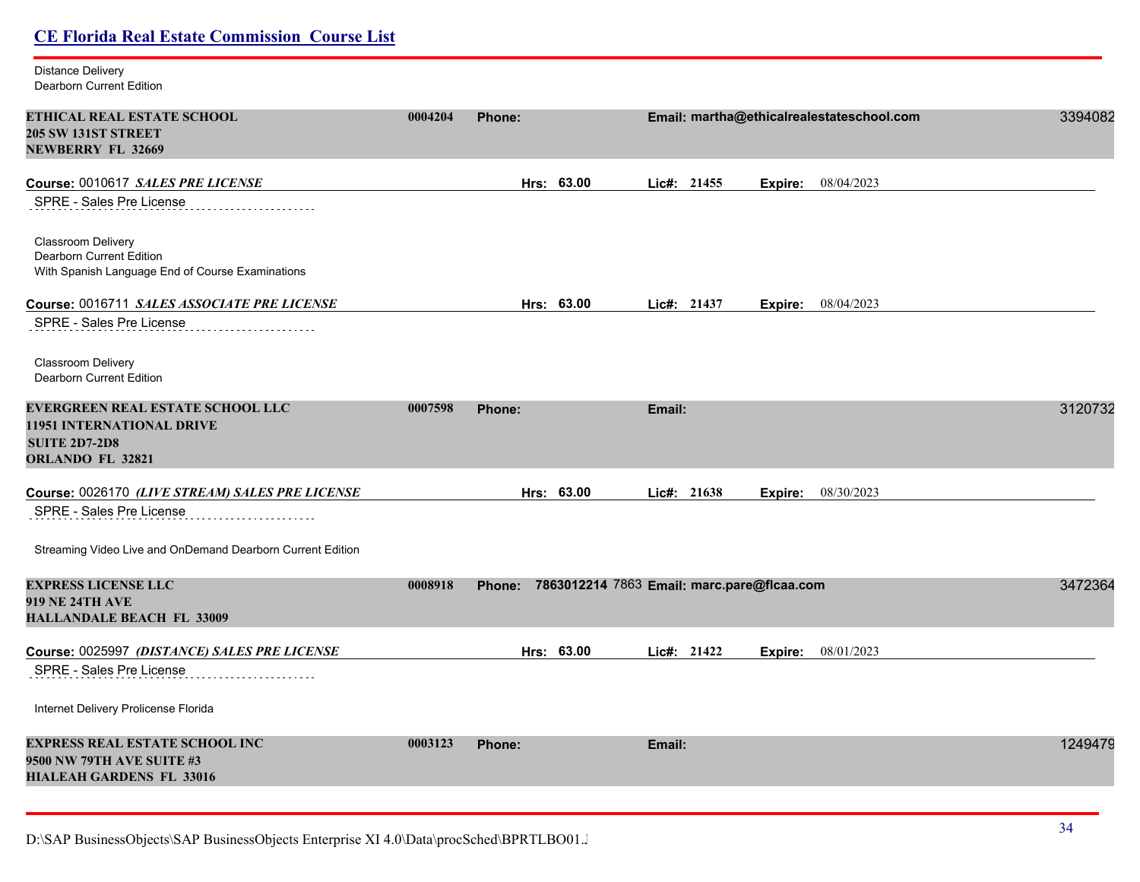# Distance Delivery Dearborn Current Edition **ETHICAL REAL ESTATE SCHOOL 0004204 Phone: Email: martha@ethicalrealestateschool.com** 33940828 **205 SW 131ST STREET NEWBERRY FL 32669 Course:** 0010617 *SALES PRE LICENSE* **Hrs: 63.00 Lic#: 21455 Expire:** 08/04/2023 SPRE - Sales Pre License Classroom Delivery Dearborn Current Edition With Spanish Language End of Course Examinations **Course:** 0016711 *SALES ASSOCIATE PRE LICENSE* **Hrs: 63.00 Lic#: 21437 Expire:** 08/04/2023 SPRE - Sales Pre License Classroom Delivery Dearborn Current Edition **EVERGREEN REAL ESTATE SCHOOL LLC 0007598 Phone: Email:** 31207322 **11951 INTERNATIONAL DRIVE SUITE 2D7-2D8 ORLANDO FL 32821 Course:** 0026170 *(LIVE STREAM) SALES PRE LICENSE* **Hrs: 63.00 Lic#: 21638 Expire:** 08/30/2023 SPRE - Sales Pre License Streaming Video Live and OnDemand Dearborn Current Edition **EXPRESS LICENSE LLC 0008918 Phone: 7863012214** 7863 **Email: marc.pare@flcaa.com** 34723647 **919 NE 24TH AVE HALLANDALE BEACH FL 33009 Course:** 0025997 *(DISTANCE) SALES PRE LICENSE* **Hrs: 63.00 Lic#: 21422 Expire:** 08/01/2023 SPRE - Sales Pre License Internet Delivery Prolicense Florida **EXPRESS REAL ESTATE SCHOOL INC 0003123 Phone: Email:** 12494797 **9500 NW 79TH AVE SUITE #3 HIALEAH GARDENS FL 33016**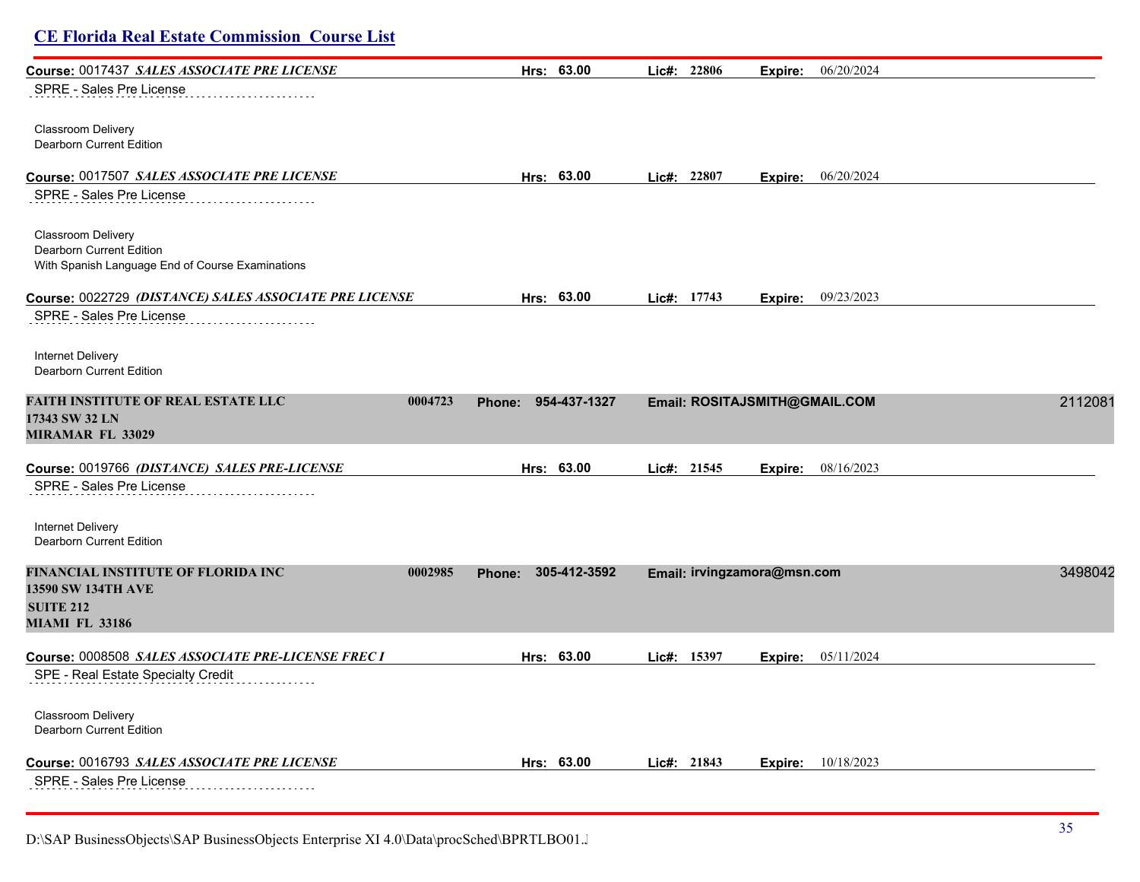| Course: 0017437 SALES ASSOCIATE PRE LICENSE<br>SPRE - Sales Pre License            |                          | Hrs: 63.00   | Lic#: 22806                 | 06/20/2024<br>Expire:         |         |
|------------------------------------------------------------------------------------|--------------------------|--------------|-----------------------------|-------------------------------|---------|
| Classroom Delivery                                                                 |                          |              |                             |                               |         |
| Dearborn Current Edition                                                           |                          |              |                             |                               |         |
| Course: 0017507 SALES ASSOCIATE PRE LICENSE<br>SPRE - Sales Pre License            |                          | Hrs: 63.00   | Lic#: 22807                 | 06/20/2024<br>Expire:         |         |
|                                                                                    |                          |              |                             |                               |         |
| Classroom Delivery<br>Dearborn Current Edition                                     |                          |              |                             |                               |         |
| With Spanish Language End of Course Examinations                                   |                          |              |                             |                               |         |
| Course: 0022729 (DISTANCE) SALES ASSOCIATE PRE LICENSE<br>SPRE - Sales Pre License |                          | Hrs: 63.00   | Lic#: 17743                 | 09/23/2023<br>Expire:         |         |
| Internet Delivery<br>Dearborn Current Edition                                      |                          |              |                             |                               |         |
| FAITH INSTITUTE OF REAL ESTATE LLC<br>17343 SW 32 LN<br><b>MIRAMAR FL 33029</b>    | 0004723<br><b>Phone:</b> | 954-437-1327 |                             | Email: ROSITAJSMITH@GMAIL.COM | 2112081 |
| Course: 0019766 <i>(DISTANCE) SALES PRE-LICENSE</i>                                |                          | Hrs: 63.00   | Lie#: 21545                 | <b>Expire:</b> 08/16/2023     |         |
| SPRE - Sales Pre License                                                           |                          |              |                             |                               |         |
| Internet Delivery<br>Dearborn Current Edition                                      |                          |              |                             |                               |         |
| FINANCIAL INSTITUTE OF FLORIDA INC<br>13590 SW 134TH AVE                           | 0002985<br>Phone:        | 305-412-3592 | Email: irvingzamora@msn.com |                               | 3498042 |
| <b>SUITE 212</b><br><b>MIAMI FL 33186</b>                                          |                          |              |                             |                               |         |
| Course: 0008508 SALES ASSOCIATE PRE-LICENSE FREC I                                 |                          | Hrs: 63.00   | Lic#: 15397                 | 05/11/2024<br>Expire:         |         |
| SPE - Real Estate Specialty Credit                                                 |                          |              |                             |                               |         |
| Classroom Delivery<br>Dearborn Current Edition                                     |                          |              |                             |                               |         |
| Course: 0016793 SALES ASSOCIATE PRE LICENSE                                        |                          | Hrs: 63.00   | Lie#: 21843                 | <b>Expire:</b> 10/18/2023     |         |
| SPRE - Sales Pre License                                                           |                          |              |                             |                               |         |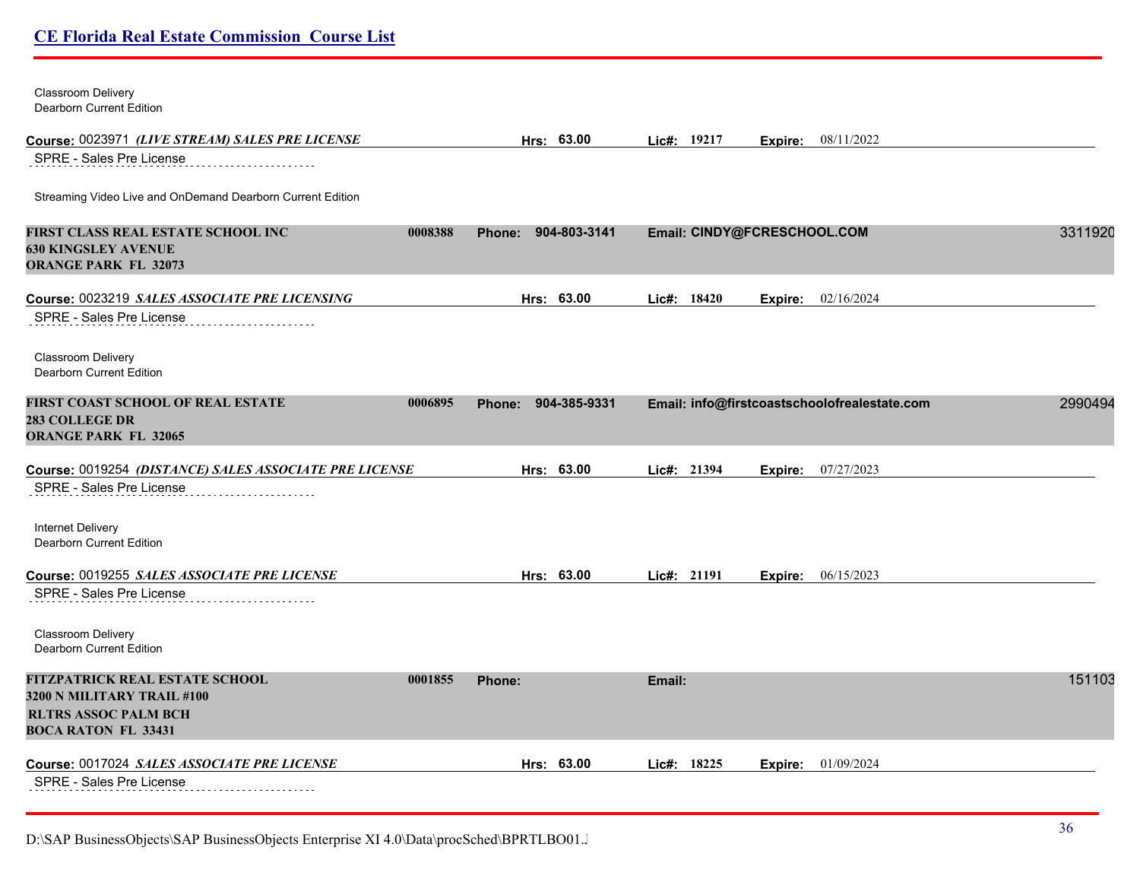| <b>Classroom Delivery</b><br><b>Dearborn Current Edition</b>                                               |                     |            |                             |         |                                              |         |
|------------------------------------------------------------------------------------------------------------|---------------------|------------|-----------------------------|---------|----------------------------------------------|---------|
| Course: 0023971 (LIVE STREAM) SALES PRE LICENSE                                                            |                     | Hrs: 63.00 | Lic#: $19217$               | Expire: | 08/11/2022                                   |         |
| SPRE - Sales Pre License                                                                                   |                     |            |                             |         |                                              |         |
| Streaming Video Live and OnDemand Dearborn Current Edition                                                 |                     |            |                             |         |                                              |         |
| FIRST CLASS REAL ESTATE SCHOOL INC<br>0008388<br><b>630 KINGSLEY AVENUE</b><br><b>ORANGE PARK FL 32073</b> | Phone: 904-803-3141 |            | Email: CINDY@FCRESCHOOL.COM |         |                                              | 3311920 |
| Course: 0023219 SALES ASSOCIATE PRE LICENSING                                                              |                     | Hrs: 63.00 | Lic#: 18420                 | Expire: | 02/16/2024                                   |         |
| SPRE - Sales Pre License                                                                                   |                     |            |                             |         |                                              |         |
| <b>Classroom Delivery</b><br>Dearborn Current Edition                                                      |                     |            |                             |         |                                              |         |
| FIRST COAST SCHOOL OF REAL ESTATE<br>0006895                                                               | Phone: 904-385-9331 |            |                             |         | Email: info@firstcoastschoolofrealestate.com | 2990494 |
| <b>283 COLLEGE DR</b><br><b>ORANGE PARK FL 32065</b>                                                       |                     |            |                             |         |                                              |         |
| Course: 0019254 (DISTANCE) SALES ASSOCIATE PRE LICENSE                                                     |                     | Hrs: 63.00 | Lic#: 21394                 | Expire: | 07/27/2023                                   |         |
| SPRE - Sales Pre License                                                                                   |                     |            |                             |         |                                              |         |
| <b>Internet Delivery</b>                                                                                   |                     |            |                             |         |                                              |         |
| Dearborn Current Edition                                                                                   |                     |            |                             |         |                                              |         |
| Course: 0019255 SALES ASSOCIATE PRE LICENSE                                                                |                     | Hrs: 63.00 | Lie#: 21191                 |         | <b>Expire:</b> 06/15/2023                    |         |
| SPRE - Sales Pre License                                                                                   |                     |            |                             |         |                                              |         |
| Classroom Delivery<br><b>Dearborn Current Edition</b>                                                      |                     |            |                             |         |                                              |         |
|                                                                                                            |                     |            |                             |         |                                              |         |
| FITZPATRICK REAL ESTATE SCHOOL<br>0001855<br>3200 N MILITARY TRAIL #100                                    | Phone:              | Email:     |                             |         |                                              | 151103  |
| <b>RLTRS ASSOC PALM BCH</b>                                                                                |                     |            |                             |         |                                              |         |
| <b>BOCA RATON FL 33431</b>                                                                                 |                     |            |                             |         |                                              |         |
| <b>Course: 0017024 <i>SALES ASSOCIATE PRE LICENSE</i></b>                                                  |                     | Hrs: 63.00 | Lic#: 18225                 | Expire: | 01/09/2024                                   |         |
| SPRE - Sales Pre License                                                                                   |                     |            |                             |         |                                              |         |

D:\SAP BusinessObjects\SAP BusinessObjects Enterprise XI 4.0\Data\procSched\BPRTLBO01.J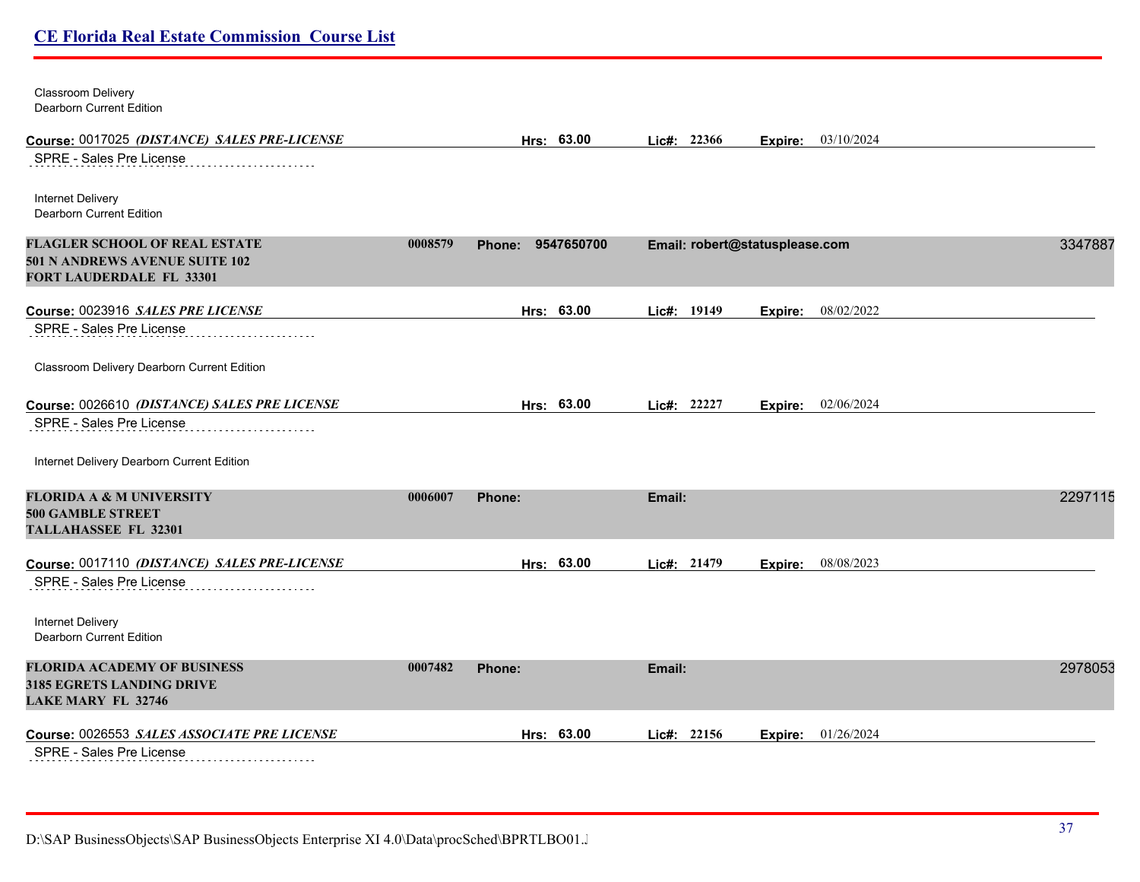| Classroom Delivery<br>Dearborn Current Edition                                                                   |         |                   |             |                                |         |
|------------------------------------------------------------------------------------------------------------------|---------|-------------------|-------------|--------------------------------|---------|
| Course: 0017025 (DISTANCE) SALES PRE-LICENSE                                                                     |         | Hrs: 63.00        | Lic#: 22366 | 03/10/2024<br>Expire:          |         |
| SPRE - Sales Pre License                                                                                         |         |                   |             |                                |         |
| Internet Delivery<br>Dearborn Current Edition                                                                    |         |                   |             |                                |         |
| <b>FLAGLER SCHOOL OF REAL ESTATE</b><br><b>501 N ANDREWS AVENUE SUITE 102</b><br><b>FORT LAUDERDALE FL 33301</b> | 0008579 | Phone: 9547650700 |             | Email: robert@statusplease.com | 3347887 |
| Course: 0023916 SALES PRE LICENSE                                                                                |         | Hrs: 63.00        | Lic#: 19149 | 08/02/2022<br>Expire:          |         |
| SPRE - Sales Pre License                                                                                         |         |                   |             |                                |         |
| Classroom Delivery Dearborn Current Edition                                                                      |         |                   |             |                                |         |
| Course: 0026610 (DISTANCE) SALES PRE LICENSE                                                                     |         | Hrs: 63.00        | Lic#: 22227 | Expire: 02/06/2024             |         |
| SPRE - Sales Pre License                                                                                         |         |                   |             |                                |         |
| Internet Delivery Dearborn Current Edition                                                                       |         |                   |             |                                |         |
| <b>FLORIDA A &amp; M UNIVERSITY</b><br><b>500 GAMBLE STREET</b><br>TALLAHASSEE FL 32301                          | 0006007 | Phone:            | Email:      |                                | 2297115 |
| Course: 0017110 (DISTANCE) SALES PRE-LICENSE<br>SPRE - Sales Pre License                                         |         | Hrs: 63.00        | Lic#: 21479 | 08/08/2023<br>Expire:          |         |
| Internet Delivery<br>Dearborn Current Edition                                                                    |         |                   |             |                                |         |
| <b>FLORIDA ACADEMY OF BUSINESS</b><br>3185 EGRETS LANDING DRIVE<br><b>LAKE MARY FL 32746</b>                     | 0007482 | Phone:            | Email:      |                                | 2978053 |
| Course: 0026553 SALES ASSOCIATE PRE LICENSE                                                                      |         | Hrs: 63.00        | Lic#: 22156 | 01/26/2024<br>Expire:          |         |
| SPRE - Sales Pre License                                                                                         |         |                   |             |                                |         |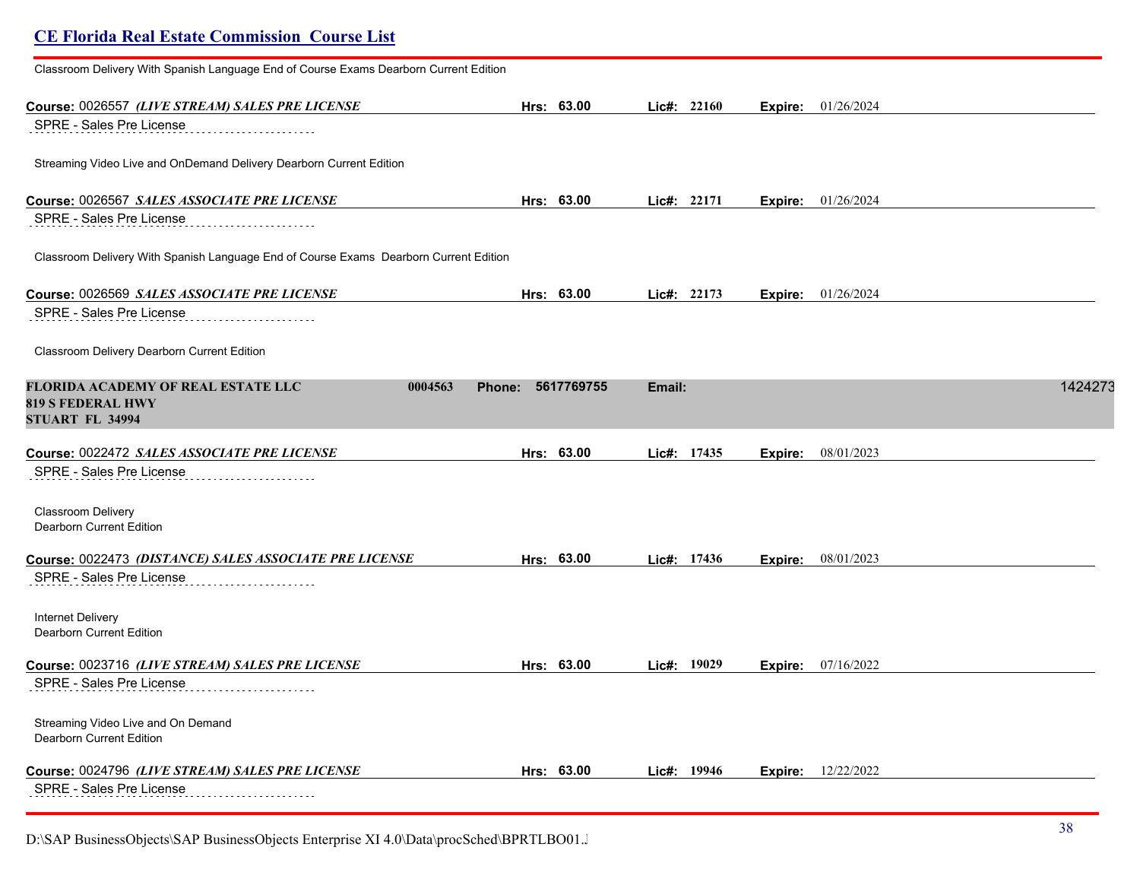| Classroom Delivery With Spanish Language End of Course Exams Dearborn Current Edition               |                             |             |                             |         |
|-----------------------------------------------------------------------------------------------------|-----------------------------|-------------|-----------------------------|---------|
| Course: 0026557 (LIVE STREAM) SALES PRE LICENSE                                                     | Hrs: 63.00                  | Lic#: 22160 | Expire: 01/26/2024          |         |
| SPRE - Sales Pre License                                                                            |                             |             |                             |         |
| Streaming Video Live and OnDemand Delivery Dearborn Current Edition                                 |                             |             |                             |         |
| Course: 0026567 SALES ASSOCIATE PRE LICENSE                                                         | Hrs: 63.00                  | Lic#: 22171 | <b>Expire:</b> $01/26/2024$ |         |
| SPRE - Sales Pre License                                                                            |                             |             |                             |         |
| Classroom Delivery With Spanish Language End of Course Exams Dearborn Current Edition               |                             |             |                             |         |
|                                                                                                     | Hrs: 63.00                  | Lic#: 22173 | Expire: 01/26/2024          |         |
| SPRE - Sales Pre License                                                                            |                             |             |                             |         |
| Classroom Delivery Dearborn Current Edition                                                         |                             |             |                             |         |
| FLORIDA ACADEMY OF REAL ESTATE LLC<br>0004563<br><b>819 S FEDERAL HWY</b><br><b>STUART FL 34994</b> | 5617769755<br><b>Phone:</b> | Email:      |                             | 1424273 |
| Course: 0022472 SALES ASSOCIATE PRE LICENSE                                                         | Hrs: 63.00                  | Lie#: 17435 | Expire: 08/01/2023          |         |
| SPRE - Sales Pre License                                                                            |                             |             |                             |         |
| Classroom Delivery<br>Dearborn Current Edition                                                      |                             |             |                             |         |
| Course: 0022473 (DISTANCE) SALES ASSOCIATE PRE LICENSE                                              | Hrs: 63.00                  | Lie#: 17436 | <b>Expire:</b> 08/01/2023   |         |
| SPRE - Sales Pre License                                                                            |                             |             |                             |         |
| Internet Delivery<br>Dearborn Current Edition                                                       |                             |             |                             |         |
| Course: 0023716 (LIVE STREAM) SALES PRE LICENSE                                                     | Hrs: 63.00                  | Lie#: 19029 | 07/16/2022<br>Expire:       |         |
| SPRE - Sales Pre License                                                                            |                             |             |                             |         |
| Streaming Video Live and On Demand<br>Dearborn Current Edition                                      |                             |             |                             |         |
| Course: 0024796 <i>(LIVE STREAM) SALES PRE LICENSE</i>                                              | Hrs: 63.00                  | Lie#: 19946 | 12/22/2022<br>Expire:       |         |
| SPRE - Sales Pre License                                                                            |                             |             |                             |         |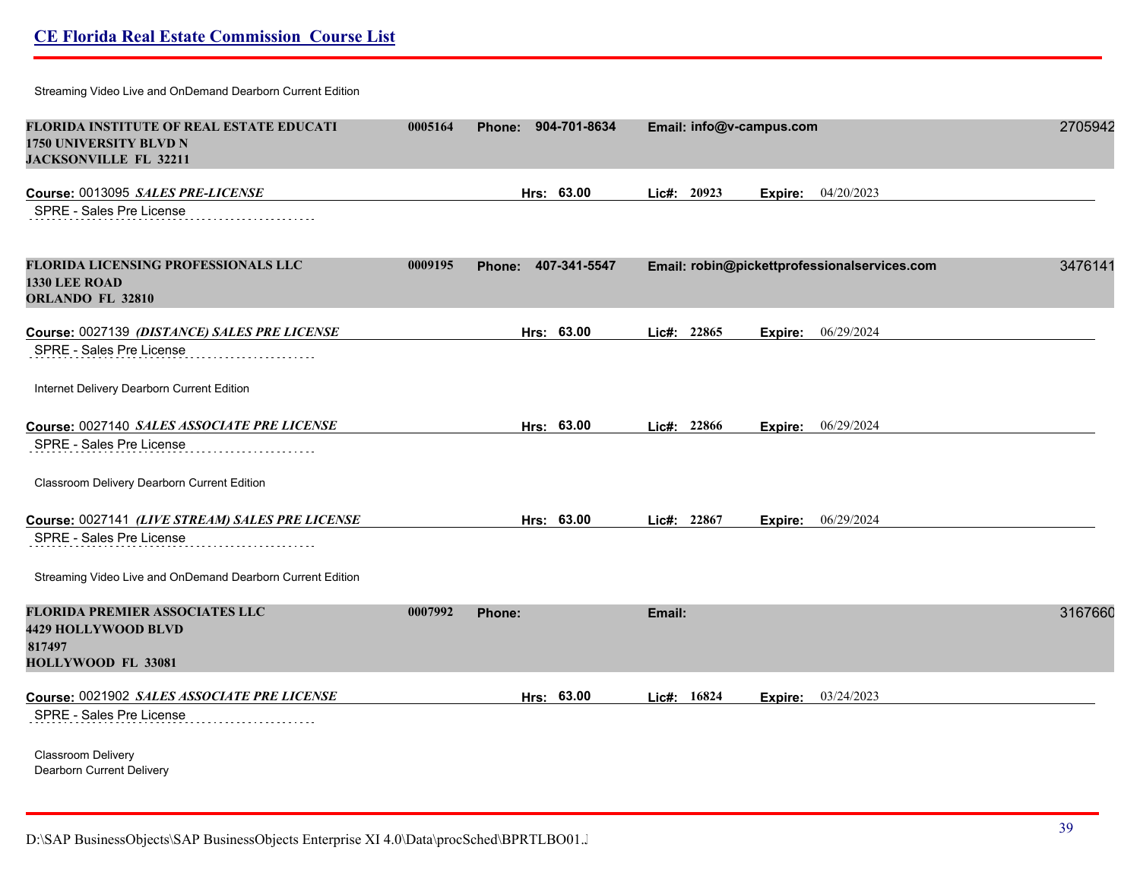Streaming Video Live and OnDemand Dearborn Current Edition

| FLORIDA INSTITUTE OF REAL ESTATE EDUCATI<br>1750 UNIVERSITY BLVD N<br><b>JACKSONVILLE FL 32211</b>  | 0005164 | 904-701-8634<br><b>Phone:</b> | Email: info@v-campus.com                     | 2705942 |
|-----------------------------------------------------------------------------------------------------|---------|-------------------------------|----------------------------------------------|---------|
| Course: 0013095 SALES PRE-LICENSE                                                                   |         | Hrs: 63.00                    | Lic#: 20923<br>04/20/2023<br>Expire:         |         |
| SPRE - Sales Pre License                                                                            |         |                               |                                              |         |
| <b>FLORIDA LICENSING PROFESSIONALS LLC</b><br>1330 LEE ROAD<br><b>ORLANDO FL 32810</b>              | 0009195 | 407-341-5547<br>Phone:        | Email: robin@pickettprofessionalservices.com | 3476141 |
| Course: 0027139 (DISTANCE) SALES PRE LICENSE                                                        |         | Hrs: 63.00                    | Lic#: 22865<br>06/29/2024<br>Expire:         |         |
| SPRE - Sales Pre License                                                                            |         |                               |                                              |         |
| Internet Delivery Dearborn Current Edition                                                          |         |                               |                                              |         |
| Course: 0027140 SALES ASSOCIATE PRE LICENSE                                                         |         | Hrs: 63.00                    | Lic#: 22866<br>06/29/2024<br>Expire:         |         |
| SPRE - Sales Pre License                                                                            |         |                               |                                              |         |
| Classroom Delivery Dearborn Current Edition                                                         |         |                               |                                              |         |
| Course: 0027141 (LIVE STREAM) SALES PRE LICENSE                                                     |         | Hrs: 63.00                    | Lic#: 22867<br>06/29/2024<br>Expire:         |         |
| SPRE - Sales Pre License                                                                            |         |                               |                                              |         |
| Streaming Video Live and OnDemand Dearborn Current Edition                                          |         |                               |                                              |         |
| <b>FLORIDA PREMIER ASSOCIATES LLC</b><br><b>4429 HOLLYWOOD BLVD</b><br>817497<br>HOLLYWOOD FL 33081 | 0007992 | Phone:                        | Email:                                       | 3167660 |
| Course: 0021902 SALES ASSOCIATE PRE LICENSE                                                         |         | Hrs: 63.00                    | Lic#: 16824<br>03/24/2023<br>Expire:         |         |
| SPRE - Sales Pre License<br>Classroom Delivery<br>Dearborn Current Delivery                         |         |                               |                                              |         |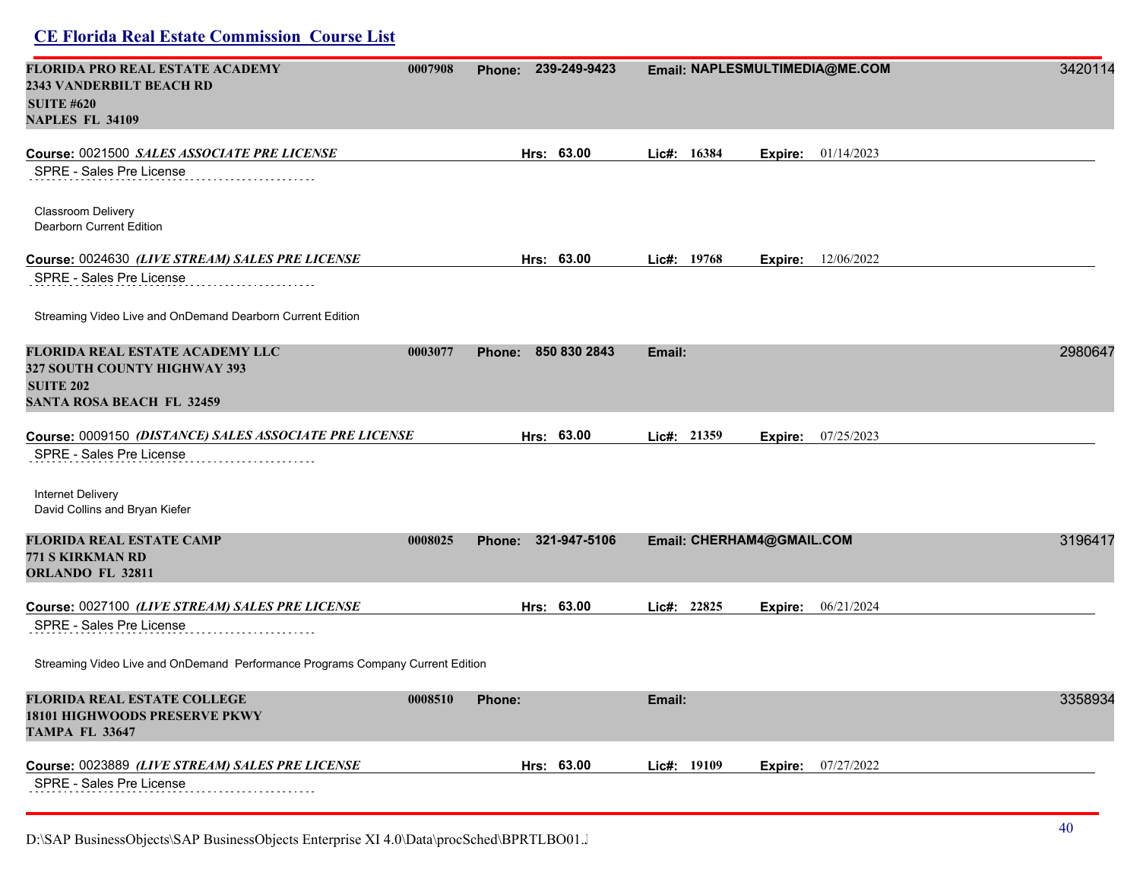| FLORIDA PRO REAL ESTATE ACADEMY<br><b>2343 VANDERBILT BEACH RD</b>                 | 0007908 | Phone: 239-249-9423 |             | Email: NAPLESMULTIMEDIA@ME.COM | 3420114 |
|------------------------------------------------------------------------------------|---------|---------------------|-------------|--------------------------------|---------|
| <b>SUITE #620</b><br><b>NAPLES FL 34109</b>                                        |         |                     |             |                                |         |
|                                                                                    |         |                     |             |                                |         |
| Course: 0021500 SALES ASSOCIATE PRE LICENSE<br>SPRE - Sales Pre License            |         | Hrs: 63.00          | Lic#: 16384 | <b>Expire:</b> $01/14/2023$    |         |
| Classroom Delivery<br>Dearborn Current Edition                                     |         |                     |             |                                |         |
| Course: 0024630 (LIVE STREAM) SALES PRE LICENSE                                    |         | Hrs: 63.00          | Lie#: 19768 | 12/06/2022<br>Expire:          |         |
| SPRE - Sales Pre License                                                           |         |                     |             |                                |         |
| Streaming Video Live and OnDemand Dearborn Current Edition                         |         |                     |             |                                |         |
| FLORIDA REAL ESTATE ACADEMY LLC                                                    | 0003077 | Phone: 850 830 2843 | Email:      |                                | 2980647 |
| <b>327 SOUTH COUNTY HIGHWAY 393</b>                                                |         |                     |             |                                |         |
| <b>SUITE 202</b><br>SANTA ROSA BEACH FL 32459                                      |         |                     |             |                                |         |
|                                                                                    |         |                     |             |                                |         |
| Course: 0009150 (DISTANCE) SALES ASSOCIATE PRE LICENSE<br>SPRE - Sales Pre License |         | Hrs: 63.00          | Lie#: 21359 | 07/25/2023<br>Expire:          |         |
|                                                                                    |         |                     |             |                                |         |
| Internet Delivery                                                                  |         |                     |             |                                |         |
| David Collins and Bryan Kiefer                                                     |         |                     |             |                                |         |
| FLORIDA REAL ESTATE CAMP                                                           | 0008025 | Phone: 321-947-5106 |             | Email: CHERHAM4@GMAIL.COM      | 3196417 |
| 771 S KIRKMAN RD<br><b>ORLANDO FL 32811</b>                                        |         |                     |             |                                |         |
| Course: 0027100 (LIVE STREAM) SALES PRE LICENSE                                    |         | Hrs: 63.00          | Lic#: 22825 | 06/21/2024<br>Expire:          |         |
| SPRE - Sales Pre License                                                           |         |                     |             |                                |         |
| Streaming Video Live and OnDemand Performance Programs Company Current Edition     |         |                     |             |                                |         |
| FLORIDA REAL ESTATE COLLEGE                                                        | 0008510 | <b>Phone:</b>       | Email:      |                                | 3358934 |
| <b>18101 HIGHWOODS PRESERVE PKWY</b><br><b>TAMPA FL 33647</b>                      |         |                     |             |                                |         |
| Course: 0023889 (LIVE STREAM) SALES PRE LICENSE                                    |         | Hrs: 63.00          | Lic#: 19109 | <b>Expire:</b> 07/27/2022      |         |
| SPRE - Sales Pre License                                                           |         |                     |             |                                |         |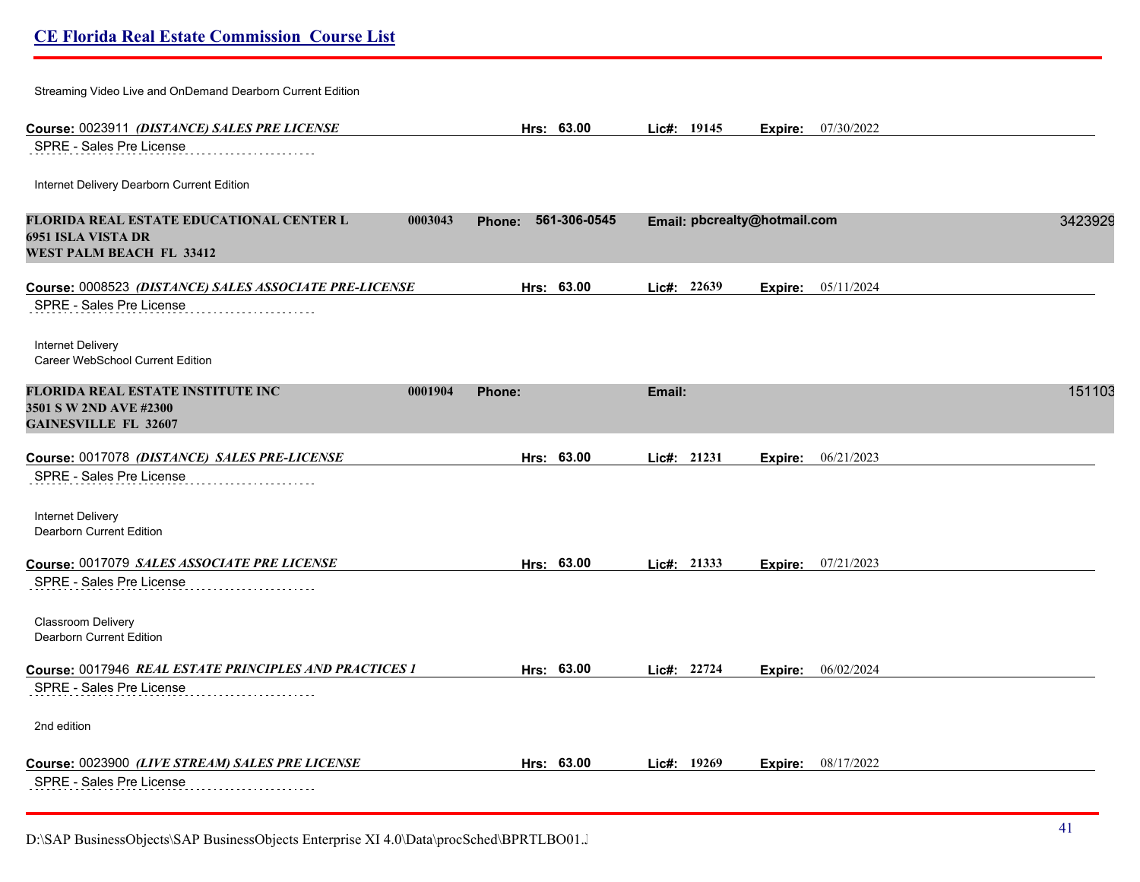| Streaming Video Live and OnDemand Dearborn Current Edition                                            |                        |                              |                           |         |
|-------------------------------------------------------------------------------------------------------|------------------------|------------------------------|---------------------------|---------|
| Course: 0023911 (DISTANCE) SALES PRE LICENSE                                                          | Hrs: 63.00             | Lic#: 19145                  | 07/30/2022<br>Expire:     |         |
| SPRE - Sales Pre License                                                                              |                        |                              |                           |         |
| Internet Delivery Dearborn Current Edition                                                            |                        |                              |                           |         |
| FLORIDA REAL ESTATE EDUCATIONAL CENTER L<br>0003043                                                   | 561-306-0545<br>Phone: | Email: pbcrealty@hotmail.com |                           | 3423929 |
| 6951 ISLA VISTA DR<br>WEST PALM BEACH FL 33412                                                        |                        |                              |                           |         |
| Course: 0008523 (DISTANCE) SALES ASSOCIATE PRE-LICENSE                                                | Hrs: 63.00             | $Lic\#: 22639$               | 05/11/2024<br>Expire:     |         |
| SPRE - Sales Pre License                                                                              |                        |                              |                           |         |
| Internet Delivery<br>Career WebSchool Current Edition                                                 |                        |                              |                           |         |
| FLORIDA REAL ESTATE INSTITUTE INC<br>0001904<br>3501 S W 2ND AVE #2300<br><b>GAINESVILLE FL 32607</b> | Phone:                 | Email:                       |                           | 151103  |
| Course: 0017078 (DISTANCE) SALES PRE-LICENSE                                                          | Hrs: 63.00             | Lic#: 21231                  | <b>Expire:</b> 06/21/2023 |         |
| SPRE - Sales Pre License                                                                              |                        |                              |                           |         |
| Internet Delivery<br>Dearborn Current Edition                                                         |                        |                              |                           |         |
| Course: 0017079 SALES ASSOCIATE PRE LICENSE                                                           | Hrs: 63.00             | Lic#: 21333                  | 07/21/2023                |         |
| SPRE - Sales Pre License                                                                              |                        |                              | Expire:                   |         |
| Classroom Delivery                                                                                    |                        |                              |                           |         |
| Dearborn Current Edition                                                                              |                        |                              |                           |         |
| Course: 0017946 REAL ESTATE PRINCIPLES AND PRACTICES 1<br>SPRE - Sales Pre License                    | Hrs: 63.00             | Lic#: 22724                  | <b>Expire:</b> 06/02/2024 |         |
| 2nd edition                                                                                           |                        |                              |                           |         |
| Course: 0023900 (LIVE STREAM) SALES PRE LICENSE                                                       | Hrs: 63.00             | Lic#: 19269                  | 08/17/2022<br>Expire:     |         |
| SPRE - Sales Pre License<br>.                                                                         |                        |                              |                           |         |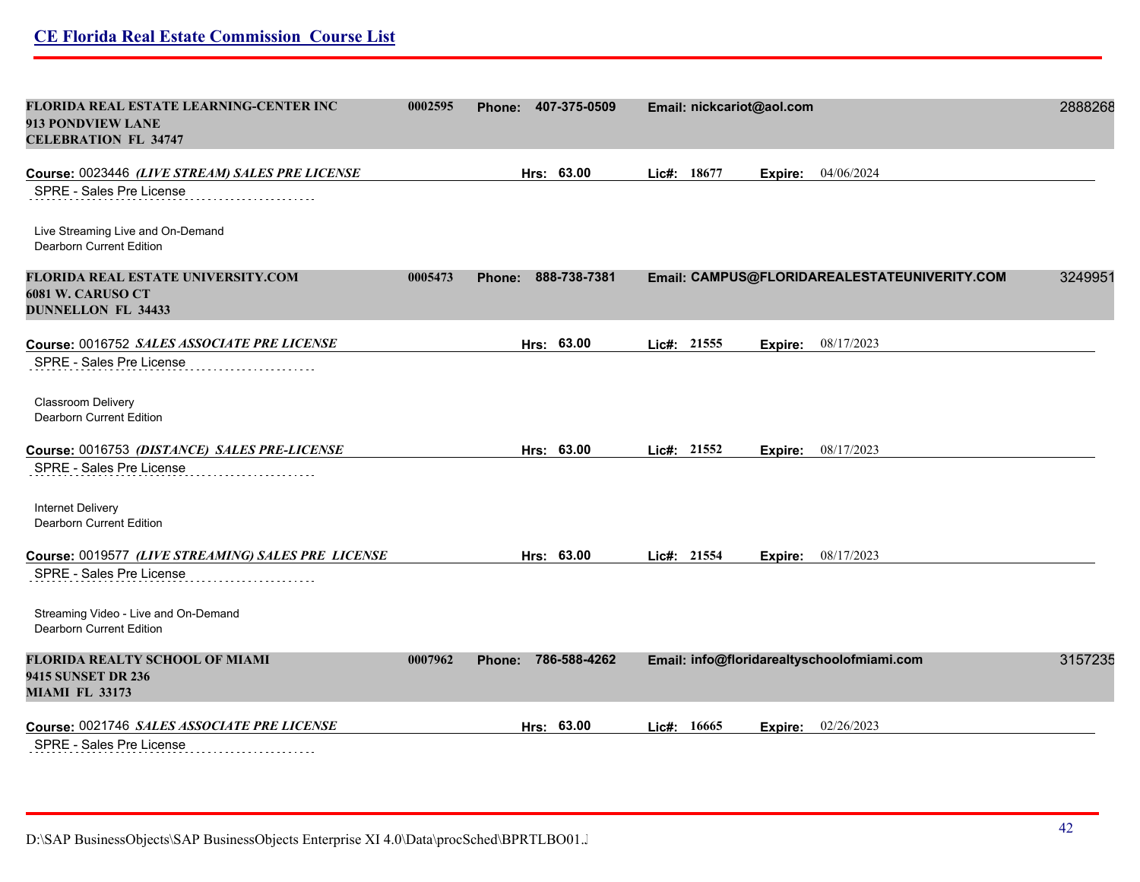| FLORIDA REAL ESTATE LEARNING-CENTER INC<br>913 PONDVIEW LANE<br><b>CELEBRATION FL 34747</b> | 0002595 | 407-375-0509<br><b>Phone:</b> | Email: nickcariot@aol.com                    | 2888268 |
|---------------------------------------------------------------------------------------------|---------|-------------------------------|----------------------------------------------|---------|
| Course: 0023446 (LIVE STREAM) SALES PRE LICENSE                                             |         | Hrs: 63.00                    | Lic#: 18677<br>04/06/2024<br>Expire:         |         |
| SPRE - Sales Pre License                                                                    |         |                               |                                              |         |
| Live Streaming Live and On-Demand<br>Dearborn Current Edition                               |         |                               |                                              |         |
| FLORIDA REAL ESTATE UNIVERSITY.COM                                                          | 0005473 | 888-738-7381<br><b>Phone:</b> | Email: CAMPUS@FLORIDAREALESTATEUNIVERITY.COM | 3249951 |
| 6081 W. CARUSO CT<br><b>DUNNELLON FL 34433</b>                                              |         |                               |                                              |         |
| Course: 0016752 SALES ASSOCIATE PRE LICENSE                                                 |         | Hrs: 63.00                    | Lic#: 21555<br>08/17/2023<br>Expire:         |         |
| SPRE - Sales Pre License                                                                    |         |                               |                                              |         |
| Classroom Delivery<br>Dearborn Current Edition                                              |         |                               |                                              |         |
| Course: 0016753 (DISTANCE) SALES PRE-LICENSE                                                |         | Hrs: 63.00                    | Lic#: 21552<br><b>Expire:</b> 08/17/2023     |         |
| SPRE - Sales Pre License                                                                    |         |                               |                                              |         |
| Internet Delivery<br><b>Dearborn Current Edition</b>                                        |         |                               |                                              |         |
| Course: 0019577 (LIVE STREAMING) SALES PRE LICENSE                                          |         | Hrs: 63.00                    | Lie#: 21554<br><b>Expire:</b> 08/17/2023     |         |
| SPRE - Sales Pre License                                                                    |         |                               |                                              |         |
| Streaming Video - Live and On-Demand<br><b>Dearborn Current Edition</b>                     |         |                               |                                              |         |
| FLORIDA REALTY SCHOOL OF MIAMI<br><b>9415 SUNSET DR 236</b><br><b>MIAMI FL 33173</b>        | 0007962 | 786-588-4262<br>Phone:        | Email: info@floridarealtyschoolofmiami.com   | 3157235 |
| Course: 0021746 SALES ASSOCIATE PRE LICENSE<br>SPRE - Sales Pre License                     |         | Hrs: 63.00                    | Lie#: 16665<br>02/26/2023<br>Expire:         |         |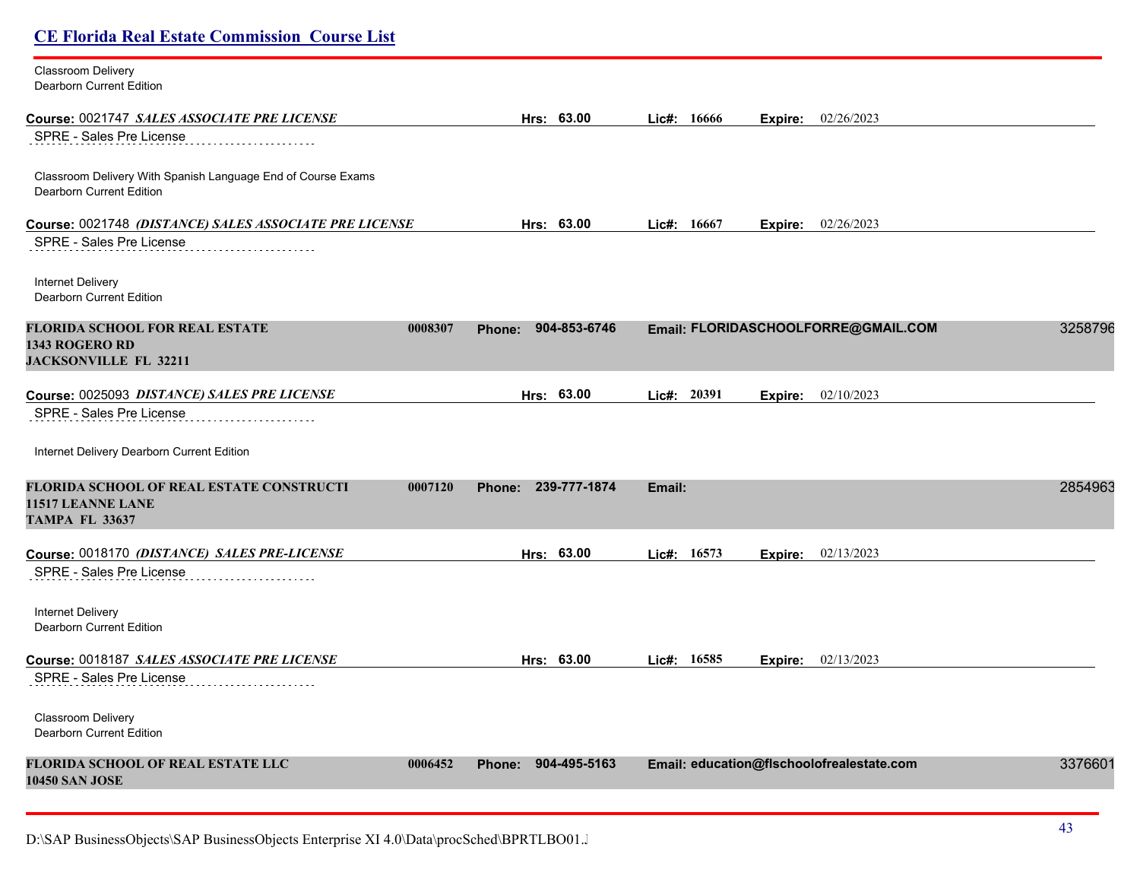| <b>CE Florida Real Estate Commission Course List</b>                                                            |                               |                                             |         |
|-----------------------------------------------------------------------------------------------------------------|-------------------------------|---------------------------------------------|---------|
| Classroom Delivery<br>Dearborn Current Edition                                                                  |                               |                                             |         |
| Course: 0021747 SALES ASSOCIATE PRE LICENSE                                                                     | Hrs: 63.00                    | Lic#: 16666<br>02/26/2023<br>Expire:        |         |
| SPRE - Sales Pre License                                                                                        |                               |                                             |         |
| Classroom Delivery With Spanish Language End of Course Exams<br><b>Dearborn Current Edition</b>                 |                               |                                             |         |
| Course: 0021748 (DISTANCE) SALES ASSOCIATE PRE LICENSE<br>SPRE - Sales Pre License                              | Hrs: 63.00                    | Lic#: 16667<br>02/26/2023<br>Expire:        |         |
| Internet Delivery<br><b>Dearborn Current Edition</b>                                                            |                               |                                             |         |
| <b>FLORIDA SCHOOL FOR REAL ESTATE</b><br>0008307<br>1343 ROGERO RD<br><b>JACKSONVILLE FL 32211</b>              | 904-853-6746<br><b>Phone:</b> | Email: FLORIDASCHOOLFORRE@GMAIL.COM         | 3258796 |
| Course: 0025093 DISTANCE) SALES PRE LICENSE                                                                     | Hrs: 63.00                    | Lic#: 20391<br>02/10/2023<br><b>Expire:</b> |         |
| SPRE - Sales Pre License                                                                                        |                               |                                             |         |
| Internet Delivery Dearborn Current Edition                                                                      |                               |                                             |         |
| <b>FLORIDA SCHOOL OF REAL ESTATE CONSTRUCTI</b><br>0007120<br><b>11517 LEANNE LANE</b><br><b>TAMPA FL 33637</b> | Phone: 239-777-1874           | Email:                                      | 2854963 |
| Course: 0018170 (DISTANCE) SALES PRE-LICENSE                                                                    | Hrs: 63.00                    | 02/13/2023<br>Lic#: 16573<br>Expire:        |         |
| SPRE - Sales Pre License                                                                                        |                               |                                             |         |
| Internet Delivery<br><b>Dearborn Current Edition</b>                                                            |                               |                                             |         |
| Course: 0018187 SALES ASSOCIATE PRE LICENSE                                                                     | Hrs: 63.00                    | Expire: 02/13/2023<br>Lic#: 16585           |         |
| SPRE - Sales Pre License                                                                                        |                               |                                             |         |
| Classroom Delivery<br>Dearborn Current Edition                                                                  |                               |                                             |         |
| <b>FLORIDA SCHOOL OF REAL ESTATE LLC</b><br>0006452<br><b>10450 SAN JOSE</b>                                    | Phone: 904-495-5163           | Email: education@flschoolofrealestate.com   | 3376601 |
|                                                                                                                 |                               |                                             |         |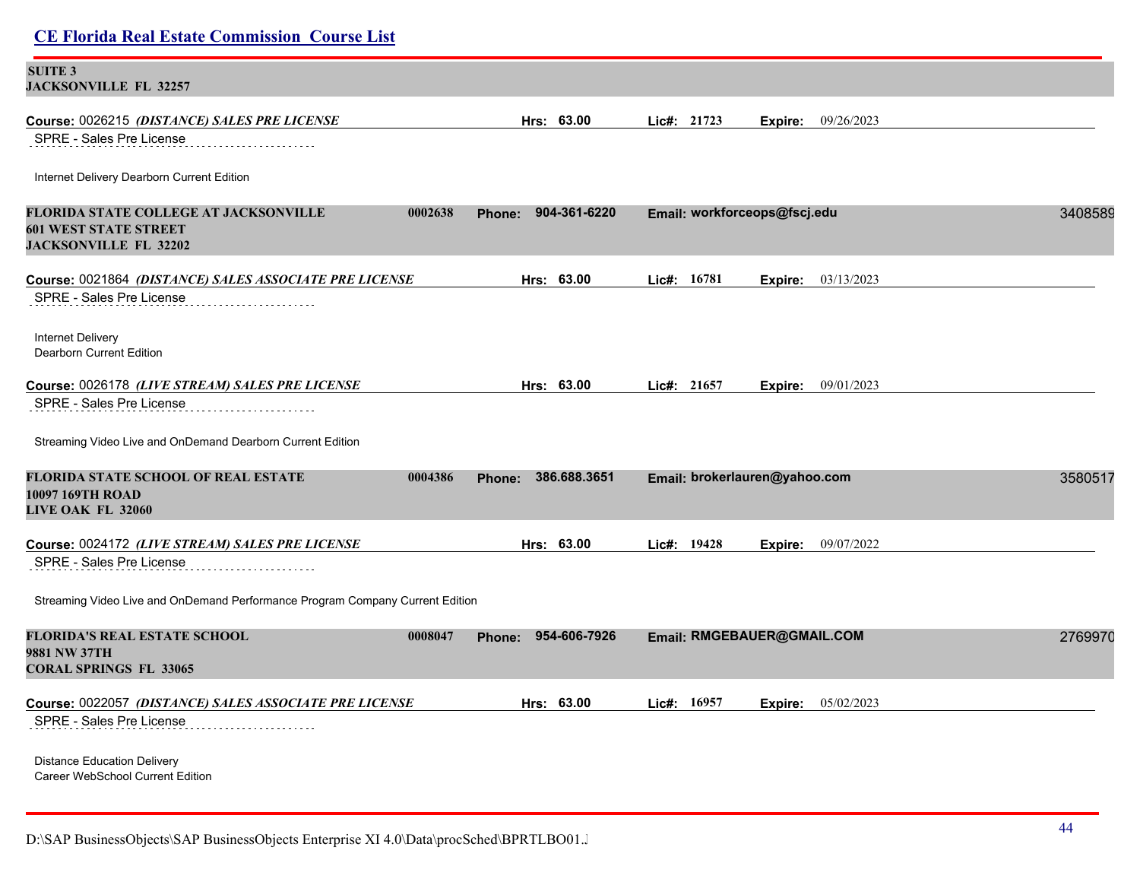| <b>CE Florida Real Estate Commission Course List</b>                                                         |                                   |                                          |         |
|--------------------------------------------------------------------------------------------------------------|-----------------------------------|------------------------------------------|---------|
| <b>SUITE 3</b><br><b>JACKSONVILLE FL 32257</b>                                                               |                                   |                                          |         |
| Course: 0026215 (DISTANCE) SALES PRE LICENSE                                                                 | Hrs: 63.00                        | Lic#: 21723<br>09/26/2023<br>Expire:     |         |
| SPRE - Sales Pre License                                                                                     |                                   |                                          |         |
| Internet Delivery Dearborn Current Edition                                                                   |                                   |                                          |         |
| <b>FLORIDA STATE COLLEGE AT JACKSONVILLE</b><br><b>601 WEST STATE STREET</b><br><b>JACKSONVILLE FL 32202</b> | 0002638<br>Phone: 904-361-6220    | Email: workforceops@fscj.edu             | 3408589 |
| Course: 0021864 (DISTANCE) SALES ASSOCIATE PRE LICENSE                                                       | Hrs: 63.00                        | Lic#: 16781<br>03/13/2023<br>Expire:     |         |
| SPRE - Sales Pre License                                                                                     |                                   |                                          |         |
| Internet Delivery<br><b>Dearborn Current Edition</b>                                                         |                                   |                                          |         |
| Course: 0026178 (LIVE STREAM) SALES PRE LICENSE                                                              | Hrs: 63.00                        | Lic#: 21657<br><b>Expire:</b> 09/01/2023 |         |
| SPRE - Sales Pre License                                                                                     |                                   |                                          |         |
| Streaming Video Live and OnDemand Dearborn Current Edition                                                   |                                   |                                          |         |
| FLORIDA STATE SCHOOL OF REAL ESTATE                                                                          | 0004386<br>386.688.3651<br>Phone: | Email: brokerlauren@yahoo.com            | 3580517 |
| 10097 169TH ROAD<br><b>LIVE OAK FL 32060</b>                                                                 |                                   |                                          |         |
| Course: 0024172 (LIVE STREAM) SALES PRE LICENSE                                                              | Hrs: 63.00                        | Lic#: 19428<br>09/07/2022<br>Expire:     |         |
| SPRE - Sales Pre License                                                                                     |                                   |                                          |         |
| Streaming Video Live and OnDemand Performance Program Company Current Edition                                |                                   |                                          |         |
| <b>FLORIDA'S REAL ESTATE SCHOOL</b><br>0008047                                                               | Phone: 954-606-7926               | Email: RMGEBAUER@GMAIL.COM               | 2769970 |
| 9881 NW 37TH<br>CORAL SPRINGS FL 33065                                                                       |                                   |                                          |         |
| Course: 0022057 (DISTANCE) SALES ASSOCIATE PRE LICENSE                                                       | Hrs: 63.00                        | Lic#: 16957<br>05/02/2023<br>Expire:     |         |
| SPRE - Sales Pre License                                                                                     |                                   |                                          |         |
| <b>Distance Education Delivery</b><br>Career WebSchool Current Edition                                       |                                   |                                          |         |
|                                                                                                              |                                   |                                          |         |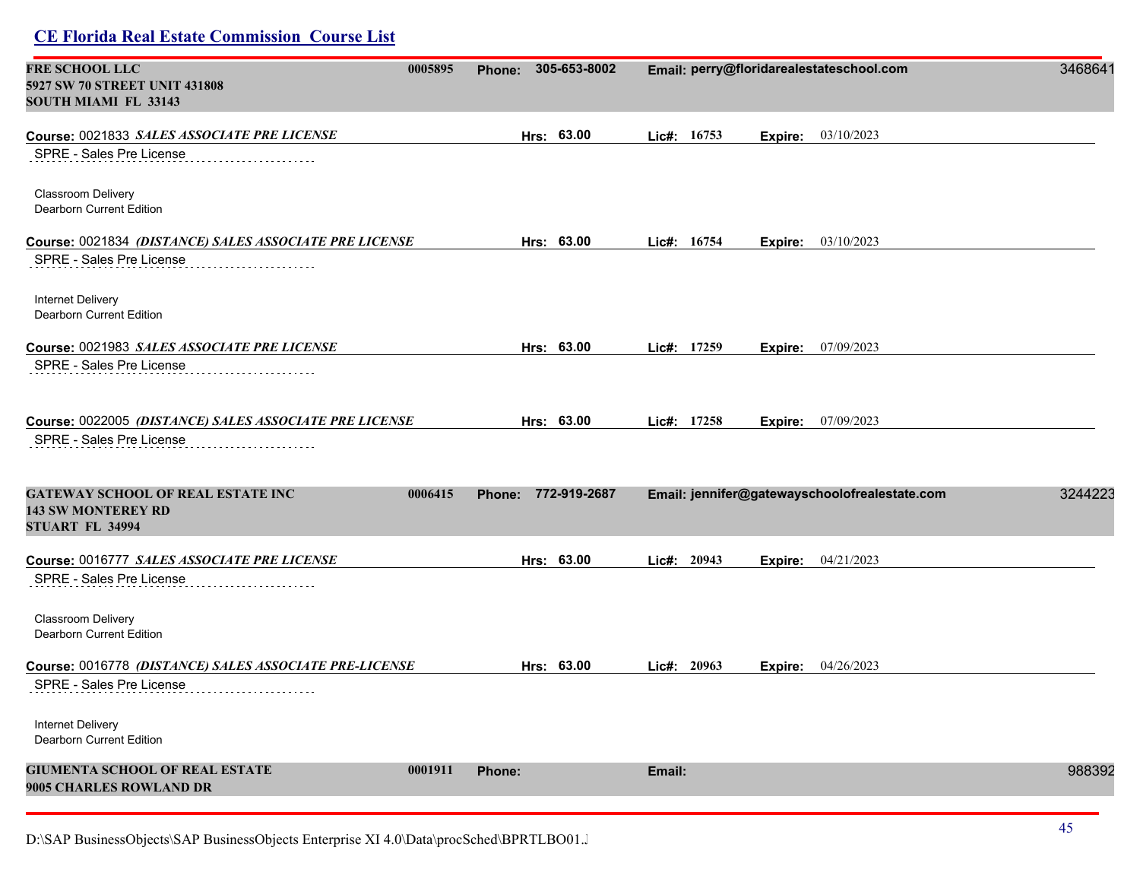| FRE SCHOOL LLC<br>5927 SW 70 STREET UNIT 431808<br><b>SOUTH MIAMI FL 33143</b>                  | 0005895 | 305-653-8002<br><b>Phone:</b> |                | Email: perry@floridarealestateschool.com      | 3468641 |
|-------------------------------------------------------------------------------------------------|---------|-------------------------------|----------------|-----------------------------------------------|---------|
| Course: 0021833 SALES ASSOCIATE PRE LICENSE<br>SPRE - Sales Pre License                         |         | Hrs: 63.00                    | Lic#: $16753$  | <b>Expire:</b> 03/10/2023                     |         |
| Classroom Delivery<br>Dearborn Current Edition                                                  |         |                               |                |                                               |         |
| Course: 0021834 (DISTANCE) SALES ASSOCIATE PRE LICENSE                                          |         | Hrs: 63.00                    | Lie#: 16754    | <b>Expire:</b> 03/10/2023                     |         |
| SPRE - Sales Pre License                                                                        |         |                               |                |                                               |         |
| Internet Delivery<br>Dearborn Current Edition                                                   |         |                               |                |                                               |         |
| Course: 0021983 SALES ASSOCIATE PRE LICENSE                                                     |         | Hrs: 63.00                    | Lic#: 17259    | <b>Expire:</b> $07/09/2023$                   |         |
| SPRE - Sales Pre License                                                                        |         |                               |                |                                               |         |
| Course: 0022005 (DISTANCE) SALES ASSOCIATE PRE LICENSE<br>SPRE - Sales Pre License              |         | Hrs: 63.00                    | Lic#: 17258    | 07/09/2023<br>Expire:                         |         |
| <b>GATEWAY SCHOOL OF REAL ESTATE INC</b><br><b>143 SW MONTEREY RD</b><br><b>STUART FL 34994</b> | 0006415 | Phone: 772-919-2687           |                | Email: jennifer@gatewayschoolofrealestate.com | 3244223 |
| Course: 0016777 SALES ASSOCIATE PRE LICENSE<br>SPRE - Sales Pre License                         |         | Hrs: 63.00                    | $Lic\#: 20943$ | 04/21/2023<br>Expire:                         |         |
| Classroom Delivery<br>Dearborn Current Edition                                                  |         |                               |                |                                               |         |
| Course: 0016778 <i>(DISTANCE) SALES ASSOCIATE PRE-LICENSE</i>                                   |         | Hrs: 63.00                    | Lic#: 20963    | <b>Expire:</b> $04/26/2023$                   |         |
| SPRE - Sales Pre License                                                                        |         |                               |                |                                               |         |
| <b>Internet Delivery</b><br>Dearborn Current Edition                                            |         |                               |                |                                               |         |
| GIUMENTA SCHOOL OF REAL ESTATE<br>9005 CHARLES ROWLAND DR                                       | 0001911 | <b>Phone:</b>                 | Email:         |                                               | 988392  |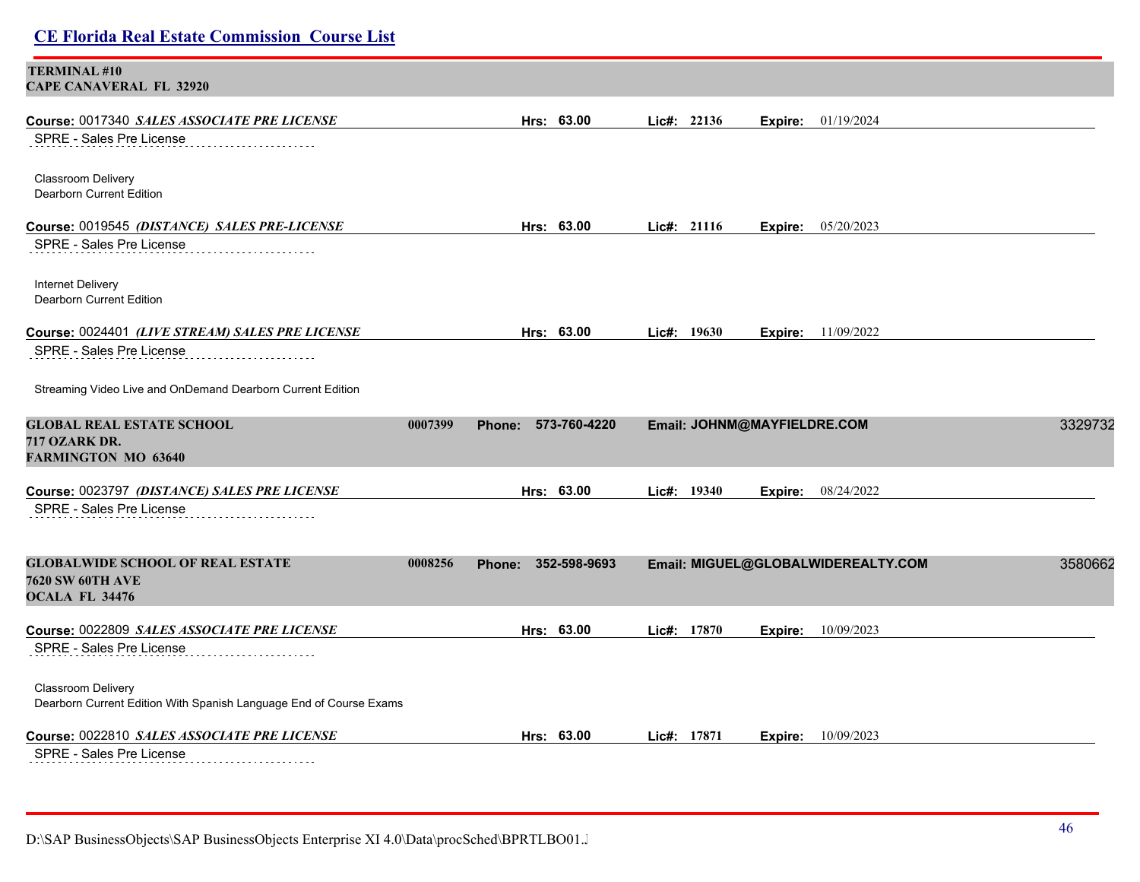| <b>TERMINAL #10</b><br><b>CAPE CANAVERAL FL 32920</b>                                           |         |                     |             |               |                             |                                    |         |
|-------------------------------------------------------------------------------------------------|---------|---------------------|-------------|---------------|-----------------------------|------------------------------------|---------|
| Course: 0017340 SALES ASSOCIATE PRE LICENSE                                                     |         | Hrs: 63.00          |             | Lic#: 22136   | Expire:                     | 01/19/2024                         |         |
| SPRE - Sales Pre License                                                                        |         |                     |             |               |                             |                                    |         |
| Classroom Delivery<br>Dearborn Current Edition                                                  |         |                     |             |               |                             |                                    |         |
| Course: 0019545 (DISTANCE) SALES PRE-LICENSE                                                    |         | Hrs: 63.00          |             | Lic#: $21116$ | Expire:                     | 05/20/2023                         |         |
| SPRE - Sales Pre License                                                                        |         |                     |             |               |                             |                                    |         |
| <b>Internet Delivery</b><br>Dearborn Current Edition                                            |         |                     |             |               |                             |                                    |         |
| Course: 0024401 (LIVE STREAM) SALES PRE LICENSE                                                 |         | Hrs: 63.00          |             | Lic#: $19630$ |                             | <b>Expire:</b> 11/09/2022          |         |
| SPRE - Sales Pre License                                                                        |         |                     |             |               |                             |                                    |         |
| Streaming Video Live and OnDemand Dearborn Current Edition                                      |         |                     |             |               |                             |                                    |         |
| <b>GLOBAL REAL ESTATE SCHOOL</b><br><b>717 OZARK DR.</b><br><b>FARMINGTON MO 63640</b>          | 0007399 | Phone: 573-760-4220 |             |               | Email: JOHNM@MAYFIELDRE.COM |                                    | 3329732 |
| Course: 0023797 (DISTANCE) SALES PRE LICENSE                                                    |         | Hrs: 63.00          |             | Lie#: 19340   | Expire:                     | 08/24/2022                         |         |
| SPRE - Sales Pre License                                                                        |         |                     |             |               |                             |                                    |         |
| <b>GLOBALWIDE SCHOOL OF REAL ESTATE</b><br><b>7620 SW 60TH AVE</b>                              | 0008256 | Phone: 352-598-9693 |             |               |                             | Email: MIGUEL@GLOBALWIDEREALTY.COM | 3580662 |
| OCALA FL 34476                                                                                  |         |                     |             |               |                             |                                    |         |
| Course: 0022809 SALES ASSOCIATE PRE LICENSE                                                     |         | Hrs: 63.00          |             | Lic#: 17870   | Expire:                     | 10/09/2023                         |         |
| SPRE - Sales Pre License                                                                        |         |                     |             |               |                             |                                    |         |
| <b>Classroom Delivery</b><br>Dearborn Current Edition With Spanish Language End of Course Exams |         |                     |             |               |                             |                                    |         |
| Course: 0022810 SALES ASSOCIATE PRE LICENSE<br>SPRE - Sales Pre License                         |         | Hrs: 63.00          | Lic#: 17871 |               |                             | <b>Expire:</b> 10/09/2023          |         |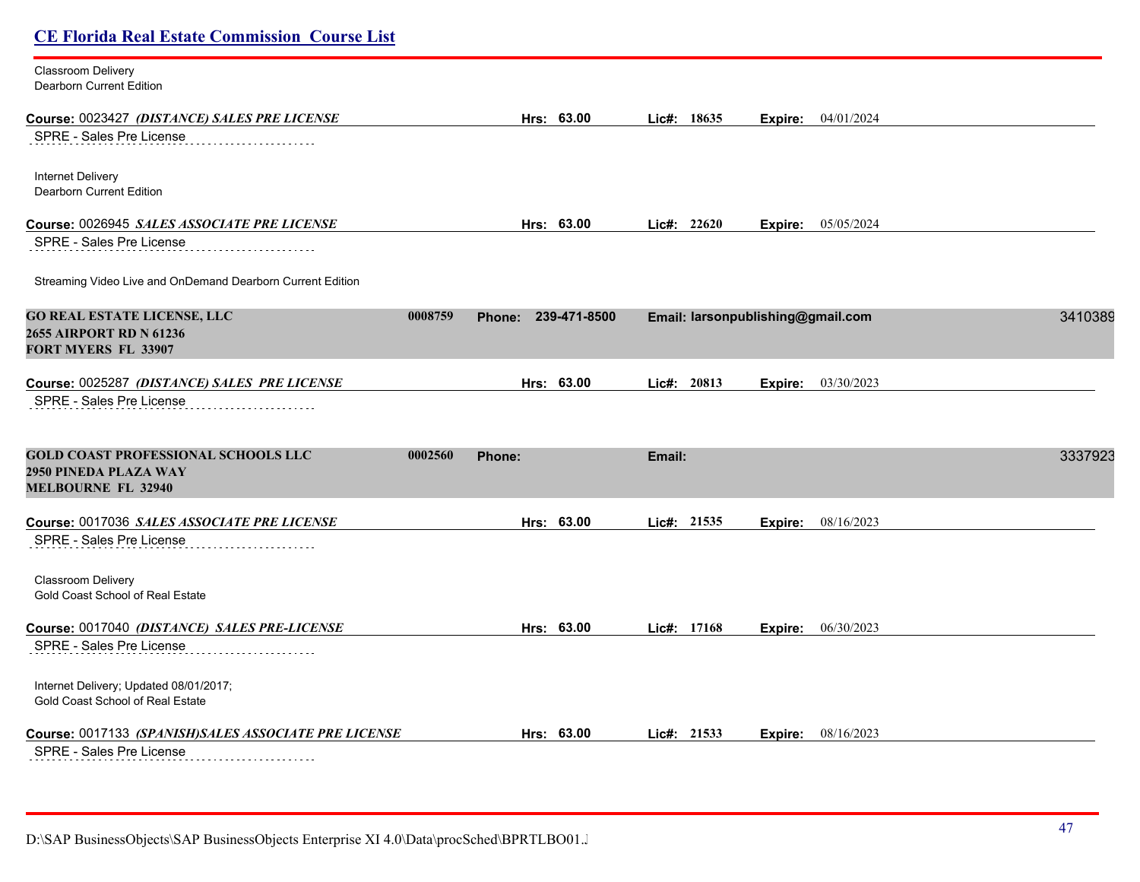| <b>CE Florida Real Estate Commission Course List</b>                                             |         |                     |               |         |                                   |         |
|--------------------------------------------------------------------------------------------------|---------|---------------------|---------------|---------|-----------------------------------|---------|
| Classroom Delivery<br>Dearborn Current Edition                                                   |         |                     |               |         |                                   |         |
| Course: 0023427 (DISTANCE) SALES PRE LICENSE                                                     |         | Hrs: 63.00          | Lic#: 18635   | Expire: | 04/01/2024                        |         |
| SPRE - Sales Pre License                                                                         |         |                     |               |         |                                   |         |
| <b>Internet Delivery</b><br>Dearborn Current Edition                                             |         |                     |               |         |                                   |         |
| Course: 0026945 SALES ASSOCIATE PRE LICENSE                                                      |         | Hrs: 63.00          | Lic#: $22620$ |         | <b>Expire:</b> 05/05/2024         |         |
| SPRE - Sales Pre License                                                                         |         |                     |               |         |                                   |         |
| Streaming Video Live and OnDemand Dearborn Current Edition                                       |         |                     |               |         |                                   |         |
| <b>GO REAL ESTATE LICENSE, LLC</b><br>2655 AIRPORT RD N 61236<br><b>FORT MYERS FL 33907</b>      | 0008759 | Phone: 239-471-8500 |               |         | Email: larsonpublishing@gmail.com | 3410389 |
| Course: 0025287 (DISTANCE) SALES PRE LICENSE<br>SPRE - Sales Pre License                         |         | Hrs: 63.00          | Lic#: 20813   | Expire: | 03/30/2023                        |         |
| <b>GOLD COAST PROFESSIONAL SCHOOLS LLC</b><br>2950 PINEDA PLAZA WAY<br><b>MELBOURNE FL 32940</b> | 0002560 | Phone:              | Email:        |         |                                   | 3337923 |
| Course: 0017036 SALES ASSOCIATE PRE LICENSE                                                      |         | Hrs: 63.00          | Lic#: 21535   | Expire: | 08/16/2023                        |         |
| SPRE - Sales Pre License                                                                         |         |                     |               |         |                                   |         |
| <b>Classroom Delivery</b><br>Gold Coast School of Real Estate                                    |         |                     |               |         |                                   |         |
| Course: 0017040 (DISTANCE) SALES PRE-LICENSE                                                     |         | Hrs: 63.00          | Lic#: $17168$ |         | <b>Expire:</b> 06/30/2023         |         |
| SPRE - Sales Pre License                                                                         |         |                     |               |         |                                   |         |
| Internet Delivery; Updated 08/01/2017;<br>Gold Coast School of Real Estate                       |         |                     |               |         |                                   |         |
| Course: 0017133 (SPANISH)SALES ASSOCIATE PRE LICENSE                                             |         | Hrs: 63.00          | Lic#: 21533   | Expire: | 08/16/2023                        |         |
| SPRE - Sales Pre License                                                                         |         |                     |               |         |                                   |         |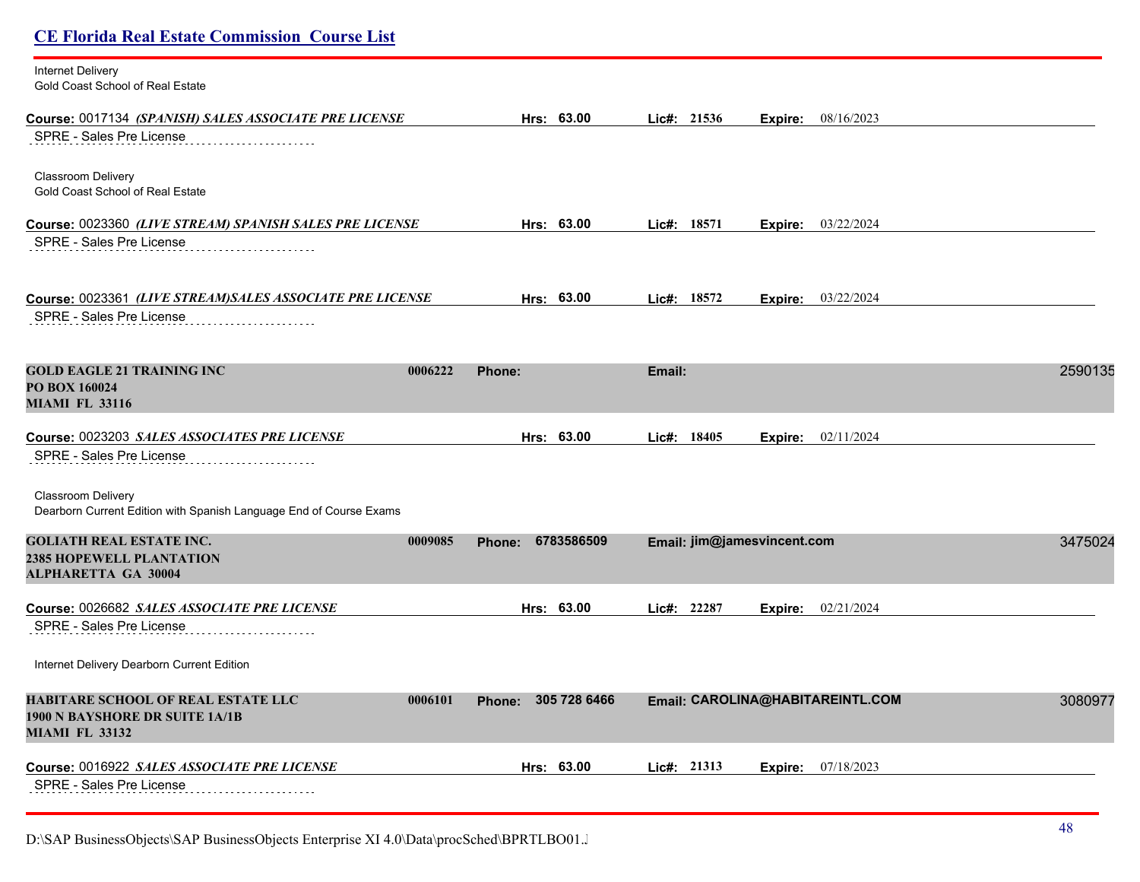| <b>CE Florida Real Estate Commission Course List</b>                                                     |                        |                             |                                  |         |
|----------------------------------------------------------------------------------------------------------|------------------------|-----------------------------|----------------------------------|---------|
| Internet Delivery<br>Gold Coast School of Real Estate                                                    |                        |                             |                                  |         |
| Course: 0017134 (SPANISH) SALES ASSOCIATE PRE LICENSE                                                    | Hrs: 63.00             | Lic#: $21536$               | 08/16/2023<br>Expire:            |         |
| SPRE - Sales Pre License                                                                                 |                        |                             |                                  |         |
| Classroom Delivery<br>Gold Coast School of Real Estate                                                   |                        |                             |                                  |         |
| Course: 0023360 (LIVE STREAM) SPANISH SALES PRE LICENSE                                                  | Hrs: 63.00             | Lic#: 18571                 | 03/22/2024<br>Expire:            |         |
| SPRE - Sales Pre License                                                                                 |                        |                             |                                  |         |
| Course: 0023361 (LIVE STREAM)SALES ASSOCIATE PRE LICENSE                                                 | Hrs: 63.00             | Lic#: 18572                 | 03/22/2024<br>Expire:            |         |
| SPRE - Sales Pre License                                                                                 |                        |                             |                                  |         |
| <b>GOLD EAGLE 21 TRAINING INC</b><br>0006222<br>PO BOX 160024<br><b>MIAMI FL 33116</b>                   | Phone:                 | Email:                      |                                  | 2590135 |
| Course: 0023203 SALES ASSOCIATES PRE LICENSE                                                             | Hrs: 63.00             | Lic#: 18405                 | 02/11/2024<br>Expire:            |         |
| SPRE - Sales Pre License                                                                                 |                        |                             |                                  |         |
| <b>Classroom Delivery</b><br>Dearborn Current Edition with Spanish Language End of Course Exams          |                        |                             |                                  |         |
| <b>GOLIATH REAL ESTATE INC.</b><br>0009085                                                               | Phone: 6783586509      | Email: jim@jamesvincent.com |                                  | 3475024 |
| <b>2385 HOPEWELL PLANTATION</b><br><b>ALPHARETTA GA 30004</b>                                            |                        |                             |                                  |         |
| Course: 0026682 SALES ASSOCIATE PRE LICENSE                                                              | Hrs: 63.00             | Lic#: 22287                 | 02/21/2024<br>Expire:            |         |
| SPRE - Sales Pre License                                                                                 |                        |                             |                                  |         |
| Internet Delivery Dearborn Current Edition                                                               |                        |                             |                                  |         |
| HABITARE SCHOOL OF REAL ESTATE LLC<br>0006101<br>1900 N BAYSHORE DR SUITE 1A/1B<br><b>MIAMI FL 33132</b> | 305 728 6466<br>Phone: |                             | Email: CAROLINA@HABITAREINTL.COM | 3080977 |
| Course: 0016922 SALES ASSOCIATE PRE LICENSE<br>SPRE - Sales Pre License                                  | Hrs: 63.00             | Lic#: 21313                 | 07/18/2023<br>Expire:            |         |

D:\SAP BusinessObjects\SAP BusinessObjects Enterprise XI 4.0\Data\procSched\BPRTLBO01.Jobserver2\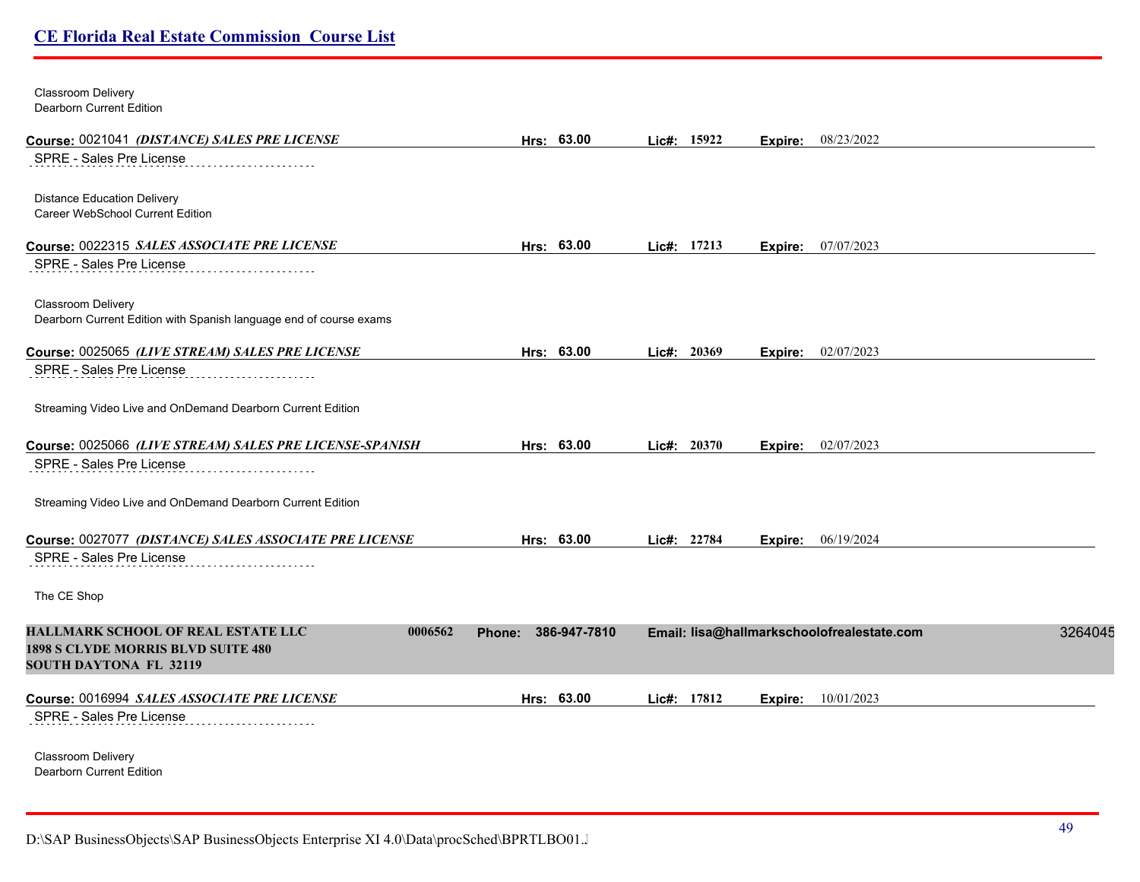| Classroom Delivery<br>Dearborn Current Edition                                                                              |                        |             |                                            |         |
|-----------------------------------------------------------------------------------------------------------------------------|------------------------|-------------|--------------------------------------------|---------|
| Course: 0021041 (DISTANCE) SALES PRE LICENSE                                                                                | Hrs: 63.00             | Lic#: 15922 | 08/23/2022<br>Expire:                      |         |
| SPRE - Sales Pre License                                                                                                    |                        |             |                                            |         |
| <b>Distance Education Delivery</b><br>Career WebSchool Current Edition                                                      |                        |             |                                            |         |
| Course: 0022315 SALES ASSOCIATE PRE LICENSE                                                                                 | Hrs: 63.00             | Lic#: 17213 | 07/07/2023<br>Expire:                      |         |
| SPRE - Sales Pre License                                                                                                    |                        |             |                                            |         |
| Classroom Delivery<br>Dearborn Current Edition with Spanish language end of course exams                                    |                        |             |                                            |         |
| Course: 0025065 (LIVE STREAM) SALES PRE LICENSE                                                                             | Hrs: 63.00             | Lie#: 20369 | 02/07/2023<br>Expire:                      |         |
| SPRE - Sales Pre License                                                                                                    |                        |             |                                            |         |
| Streaming Video Live and OnDemand Dearborn Current Edition                                                                  |                        |             |                                            |         |
| Course: 0025066 (LIVE STREAM) SALES PRE LICENSE-SPANISH                                                                     | Hrs: 63.00             | Lic#: 20370 | 02/07/2023<br>Expire:                      |         |
| SPRE - Sales Pre License                                                                                                    |                        |             |                                            |         |
| Streaming Video Live and OnDemand Dearborn Current Edition                                                                  |                        |             |                                            |         |
| Course: 0027077 (DISTANCE) SALES ASSOCIATE PRE LICENSE                                                                      | Hrs: 63.00             | Lic#: 22784 | 06/19/2024<br>Expire:                      |         |
| SPRE - Sales Pre License                                                                                                    |                        |             |                                            |         |
| The CE Shop                                                                                                                 |                        |             |                                            |         |
| <b>HALLMARK SCHOOL OF REAL ESTATE LLC</b><br>0006562<br>1898 S CLYDE MORRIS BLVD SUITE 480<br><b>SOUTH DAYTONA FL 32119</b> | 386-947-7810<br>Phone: |             | Email: lisa@hallmarkschoolofrealestate.com | 3264045 |
| Course: 0016994 SALES ASSOCIATE PRE LICENSE<br>SPRE - Sales Pre License                                                     | Hrs: 63.00             | Lic#: 17812 | 10/01/2023<br>Expire:                      |         |
| Classroom Delivery<br>Dearborn Current Edition                                                                              |                        |             |                                            |         |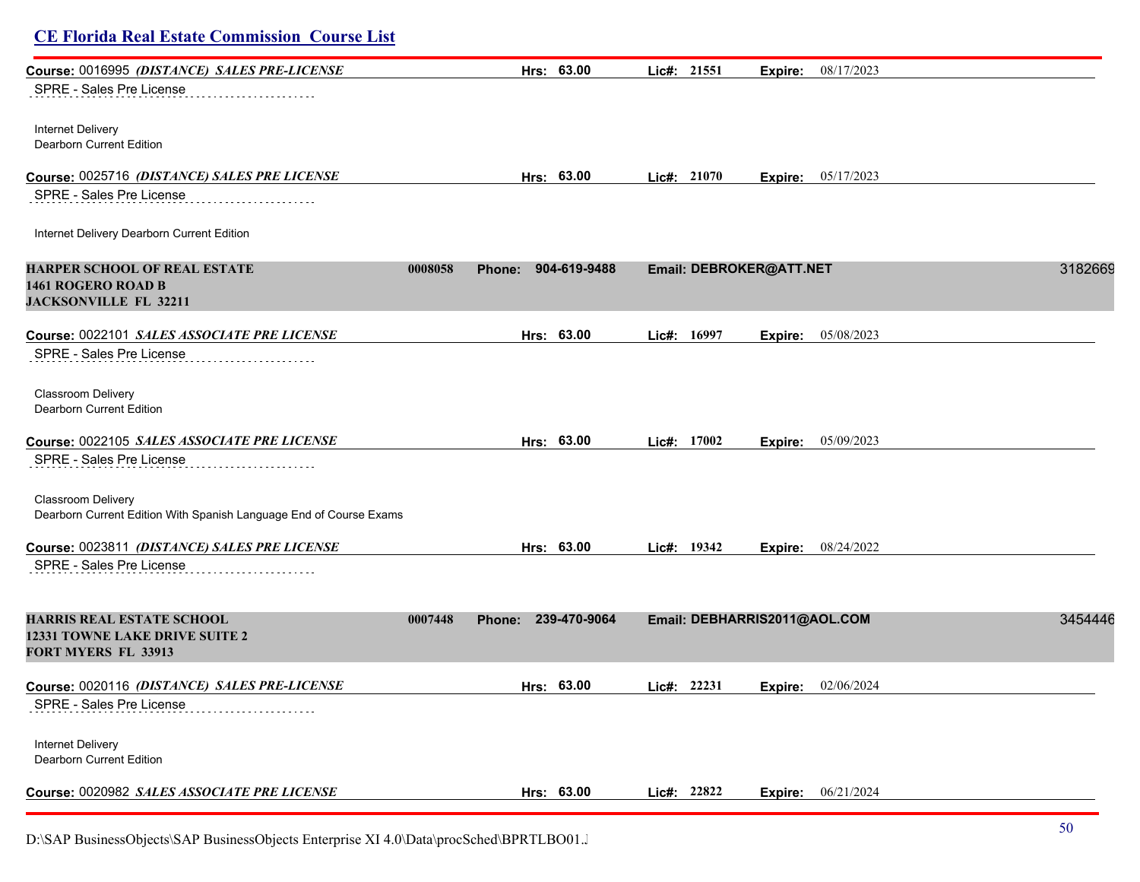| Course: 0016995 (DISTANCE) SALES PRE-LICENSE                                                     |         | Hrs: 63.00                    | Lic#: 21551             |         | Expire: 08/17/2023           |         |
|--------------------------------------------------------------------------------------------------|---------|-------------------------------|-------------------------|---------|------------------------------|---------|
| SPRE - Sales Pre License                                                                         |         |                               |                         |         |                              |         |
| Internet Delivery<br><b>Dearborn Current Edition</b>                                             |         |                               |                         |         |                              |         |
| Course: 0025716 (DISTANCE) SALES PRE LICENSE                                                     |         | Hrs: 63.00                    | Lic#: 21070             |         | <b>Expire:</b> 05/17/2023    |         |
| SPRE - Sales Pre License                                                                         |         |                               |                         |         |                              |         |
| Internet Delivery Dearborn Current Edition                                                       |         |                               |                         |         |                              |         |
| <b>HARPER SCHOOL OF REAL ESTATE</b>                                                              | 0008058 | 904-619-9488<br><b>Phone:</b> | Email: DEBROKER@ATT.NET |         |                              | 3182669 |
| <b>1461 ROGERO ROAD B</b><br><b>JACKSONVILLE FL 32211</b>                                        |         |                               |                         |         |                              |         |
| Course: 0022101 SALES ASSOCIATE PRE LICENSE                                                      |         | Hrs: 63.00                    | Lic#: 16997             | Expire: | 05/08/2023                   |         |
| SPRE - Sales Pre License                                                                         |         |                               |                         |         |                              |         |
| Classroom Delivery<br>Dearborn Current Edition                                                   |         |                               |                         |         |                              |         |
| Course: 0022105 SALES ASSOCIATE PRE LICENSE                                                      |         | Hrs: 63.00                    | Lic#: 17002             |         | Expire: 05/09/2023           |         |
| SPRE - Sales Pre License                                                                         |         |                               |                         |         |                              |         |
| Classroom Delivery<br>Dearborn Current Edition With Spanish Language End of Course Exams         |         |                               |                         |         |                              |         |
| Course: 0023811 (DISTANCE) SALES PRE LICENSE                                                     |         | Hrs: 63.00                    | Lic#: 19342             | Expire: | 08/24/2022                   |         |
| SPRE - Sales Pre License                                                                         |         |                               |                         |         |                              |         |
| <b>HARRIS REAL ESTATE SCHOOL</b><br>12331 TOWNE LAKE DRIVE SUITE 2<br><b>FORT MYERS FL 33913</b> | 0007448 | Phone: 239-470-9064           |                         |         | Email: DEBHARRIS2011@AOL.COM | 3454446 |
| Course: 0020116 (DISTANCE) SALES PRE-LICENSE                                                     |         | Hrs: 63.00                    | Lic#: 22231             |         | Expire: 02/06/2024           |         |
| SPRE - Sales Pre License                                                                         |         |                               |                         |         |                              |         |
| <b>Internet Delivery</b><br>Dearborn Current Edition                                             |         |                               |                         |         |                              |         |
| Course: 0020982 SALES ASSOCIATE PRE LICENSE                                                      |         | Hrs: 63.00                    | Lic#: 22822             | Expire: | 06/21/2024                   |         |
|                                                                                                  |         |                               |                         |         |                              |         |

D:\SAP BusinessObjects\SAP BusinessObjects Enterprise XI 4.0\Data\procSched\BPRTLBO01.Jobserver2\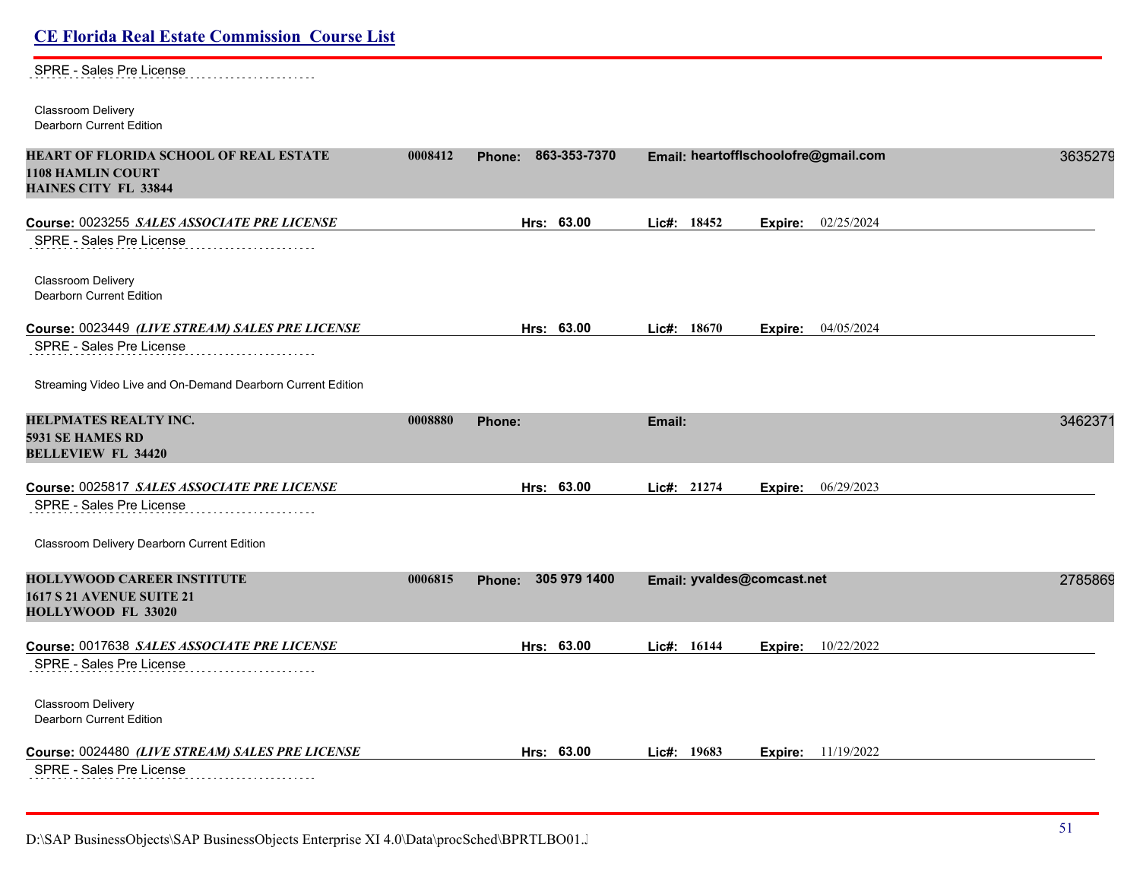| <b>CE Florida Real Estate Commission Course List</b>                                                     |         |                               |                            |                                      |         |
|----------------------------------------------------------------------------------------------------------|---------|-------------------------------|----------------------------|--------------------------------------|---------|
| SPRE - Sales Pre License                                                                                 |         |                               |                            |                                      |         |
| Classroom Delivery<br>Dearborn Current Edition                                                           |         |                               |                            |                                      |         |
| <b>HEART OF FLORIDA SCHOOL OF REAL ESTATE</b><br><b>1108 HAMLIN COURT</b><br><b>HAINES CITY FL 33844</b> | 0008412 | 863-353-7370<br><b>Phone:</b> |                            | Email: heartofflschoolofre@gmail.com | 3635279 |
| Course: 0023255 SALES ASSOCIATE PRE LICENSE                                                              |         | Hrs: 63.00                    | Lic#: 18452                | 02/25/2024<br>Expire:                |         |
| SPRE - Sales Pre License                                                                                 |         |                               |                            |                                      |         |
| Classroom Delivery<br>Dearborn Current Edition                                                           |         |                               |                            |                                      |         |
| Course: 0023449 (LIVE STREAM) SALES PRE LICENSE                                                          |         | Hrs: 63.00                    | Lic#: 18670                | <b>Expire:</b> 04/05/2024            |         |
| SPRE - Sales Pre License                                                                                 |         |                               |                            |                                      |         |
| Streaming Video Live and On-Demand Dearborn Current Edition                                              |         |                               |                            |                                      |         |
| HELPMATES REALTY INC.<br>5931 SE HAMES RD<br><b>BELLEVIEW FL 34420</b>                                   | 0008880 | <b>Phone:</b>                 | Email:                     |                                      | 3462371 |
| Course: 0025817 SALES ASSOCIATE PRE LICENSE<br>SPRE - Sales Pre License                                  |         | Hrs: 63.00                    | Lic#: 21274                | Expire: 06/29/2023                   |         |
| Classroom Delivery Dearborn Current Edition                                                              |         |                               |                            |                                      |         |
| <b>HOLLYWOOD CAREER INSTITUTE</b><br><b>1617 S 21 AVENUE SUITE 21</b><br>HOLLYWOOD FL 33020              | 0006815 | Phone: 305 979 1400           | Email: yvaldes@comcast.net |                                      | 2785869 |
| Course: 0017638 SALES ASSOCIATE PRE LICENSE                                                              |         | Hrs: 63.00                    | Lic#: 16144                | 10/22/2022<br>Expire:                |         |
| SPRE - Sales Pre License                                                                                 |         |                               |                            |                                      |         |
| Classroom Delivery<br>Dearborn Current Edition                                                           |         |                               |                            |                                      |         |
| Course: 0024480 (LIVE STREAM) SALES PRE LICENSE                                                          |         | Hrs: 63.00                    | Lic#: 19683                | <b>Expire:</b> 11/19/2022            |         |
| SPRE - Sales Pre License                                                                                 |         |                               |                            |                                      |         |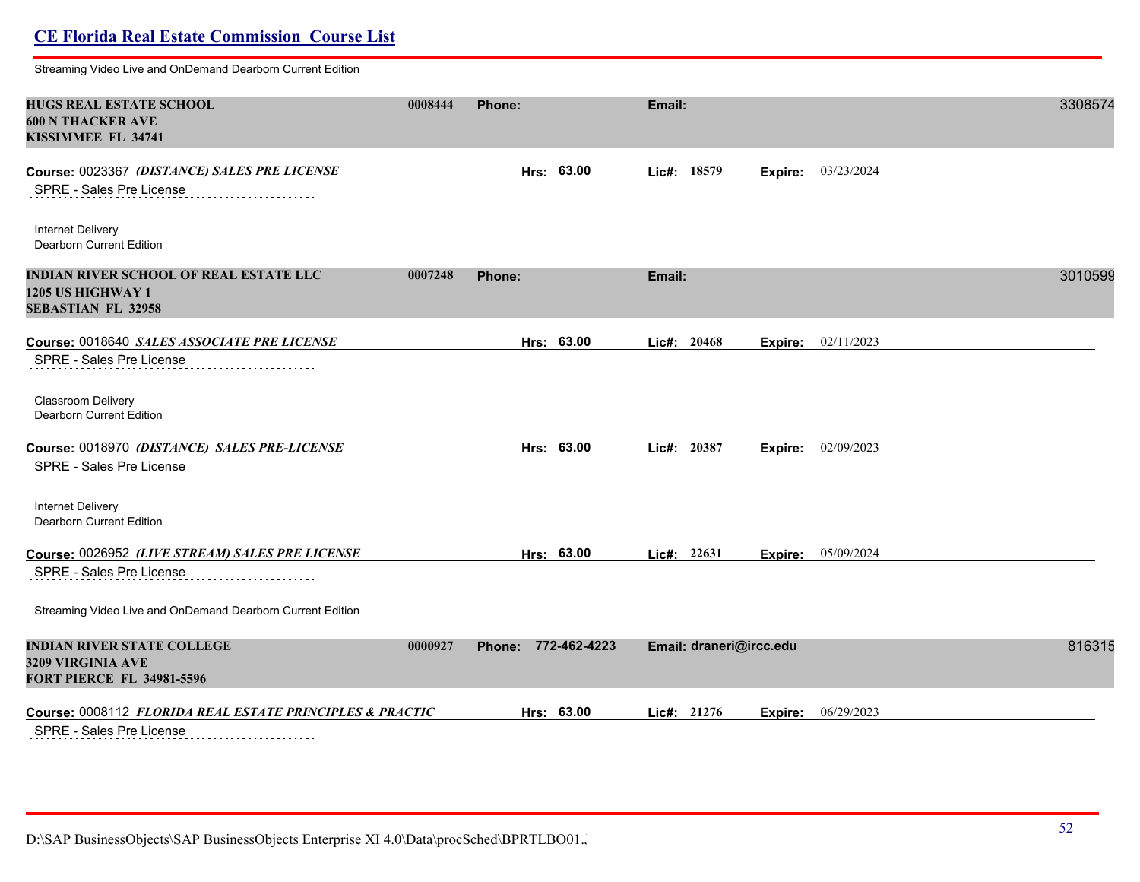| Streaming Video Live and OnDemand Dearborn Current Edition                                 |         |                     |                         |         |                    |         |
|--------------------------------------------------------------------------------------------|---------|---------------------|-------------------------|---------|--------------------|---------|
| <b>HUGS REAL ESTATE SCHOOL</b><br><b>600 N THACKER AVE</b><br>KISSIMMEE FL 34741           | 0008444 | <b>Phone:</b>       | Email:                  |         |                    | 3308574 |
| Course: 0023367 (DISTANCE) SALES PRE LICENSE<br>SPRE - Sales Pre License                   |         | Hrs: 63.00          | Lic#: 18579             | Expire: | 03/23/2024         |         |
| Internet Delivery<br>Dearborn Current Edition                                              |         |                     |                         |         |                    |         |
| INDIAN RIVER SCHOOL OF REAL ESTATE LLC<br>1205 US HIGHWAY 1<br><b>SEBASTIAN FL 32958</b>   | 0007248 | <b>Phone:</b>       | Email:                  |         |                    | 3010599 |
| Course: 0018640 SALES ASSOCIATE PRE LICENSE<br>SPRE - Sales Pre License                    |         | Hrs: 63.00          | Lic#: 20468             | Expire: | 02/11/2023         |         |
| Classroom Delivery<br>Dearborn Current Edition                                             |         |                     |                         |         |                    |         |
| Course: 0018970 (DISTANCE) SALES PRE-LICENSE                                               |         | Hrs: 63.00          | Lic#: 20387             | Expire: | 02/09/2023         |         |
| SPRE - Sales Pre License                                                                   |         |                     |                         |         |                    |         |
| Internet Delivery<br><b>Dearborn Current Edition</b>                                       |         |                     |                         |         |                    |         |
| Course: 0026952 <i>(LIVE STREAM) SALES PRE LICENSE</i>                                     |         | Hrs: 63.00          | Lic#: $22631$           |         | Expire: 05/09/2024 |         |
| SPRE - Sales Pre License                                                                   |         |                     |                         |         |                    |         |
| Streaming Video Live and OnDemand Dearborn Current Edition                                 |         |                     |                         |         |                    |         |
| INDIAN RIVER STATE COLLEGE<br><b>3209 VIRGINIA AVE</b><br><b>FORT PIERCE FL 34981-5596</b> | 0000927 | Phone: 772-462-4223 | Email: draneri@ircc.edu |         |                    | 816315  |
| Course: 0008112 FLORIDA REAL ESTATE PRINCIPLES & PRACTIC                                   |         | Hrs: 63.00          | Lic#: 21276             | Expire: | 06/29/2023         |         |
| CDDE Coloo Dro Liganoo                                                                     |         |                     |                         |         |                    |         |

SPRE - Sales Pre License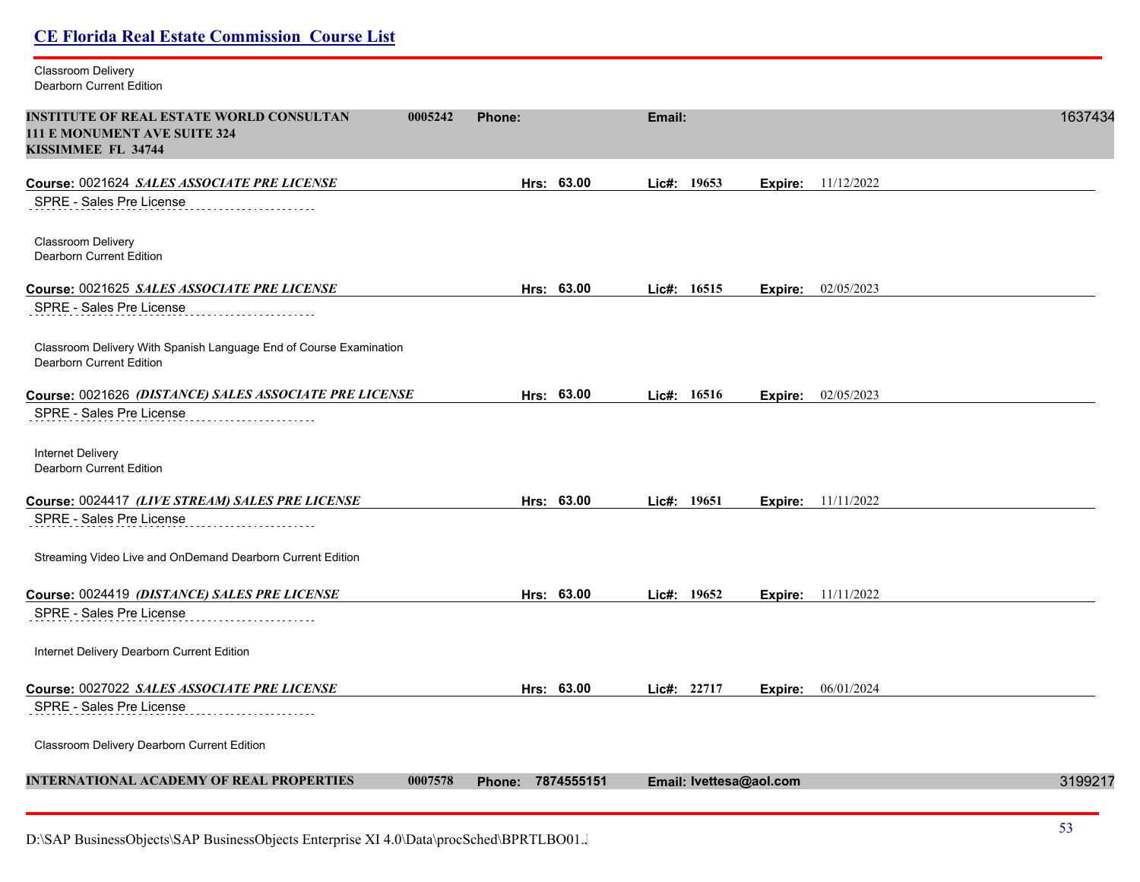| Classroom Delivery<br><b>Dearborn Current Edition</b>                                                                   |                   |                                            |         |
|-------------------------------------------------------------------------------------------------------------------------|-------------------|--------------------------------------------|---------|
| <b>INSTITUTE OF REAL ESTATE WORLD CONSULTAN</b><br>0005242<br><b>111 E MONUMENT AVE SUITE 324</b><br>KISSIMMEE FL 34744 | Phone:            | Email:                                     | 1637434 |
| Course: 0021624 SALES ASSOCIATE PRE LICENSE<br>SPRE - Sales Pre License                                                 | Hrs: 63.00        | Lic#: 19653<br>11/12/2022<br>Expire:       |         |
| Classroom Delivery<br><b>Dearborn Current Edition</b>                                                                   |                   |                                            |         |
| Course: 0021625 SALES ASSOCIATE PRE LICENSE<br>SPRE - Sales Pre License                                                 | Hrs: 63.00        | 02/05/2023<br>Lic#: 16515<br>Expire:       |         |
| Classroom Delivery With Spanish Language End of Course Examination<br>Dearborn Current Edition                          |                   |                                            |         |
| Course: 0021626 (DISTANCE) SALES ASSOCIATE PRE LICENSE<br>SPRE - Sales Pre License                                      | Hrs: 63.00        | <b>Expire:</b> 02/05/2023<br>Lic#: $16516$ |         |
| Internet Delivery<br>Dearborn Current Edition                                                                           |                   |                                            |         |
| Course: 0024417 (LIVE STREAM) SALES PRE LICENSE<br>SPRE - Sales Pre License                                             | Hrs: 63.00        | Lic#: 19651<br><b>Expire:</b> 11/11/2022   |         |
| Streaming Video Live and OnDemand Dearborn Current Edition                                                              |                   |                                            |         |
| Course: 0024419 (DISTANCE) SALES PRE LICENSE<br>SPRE - Sales Pre License                                                | Hrs: 63.00        | Lic#: 19652<br>11/11/2022<br>Expire:       |         |
| Internet Delivery Dearborn Current Edition                                                                              |                   |                                            |         |
| Course: 0027022 SALES ASSOCIATE PRE LICENSE<br>SPRE - Sales Pre License                                                 | Hrs: 63.00        | Lic#: 22717<br>Expire: 06/01/2024          |         |
| Classroom Delivery Dearborn Current Edition                                                                             |                   |                                            |         |
| <b>INTERNATIONAL ACADEMY OF REAL PROPERTIES</b><br>0007578                                                              | Phone: 7874555151 | Email: Ivettesa@aol.com                    | 3199217 |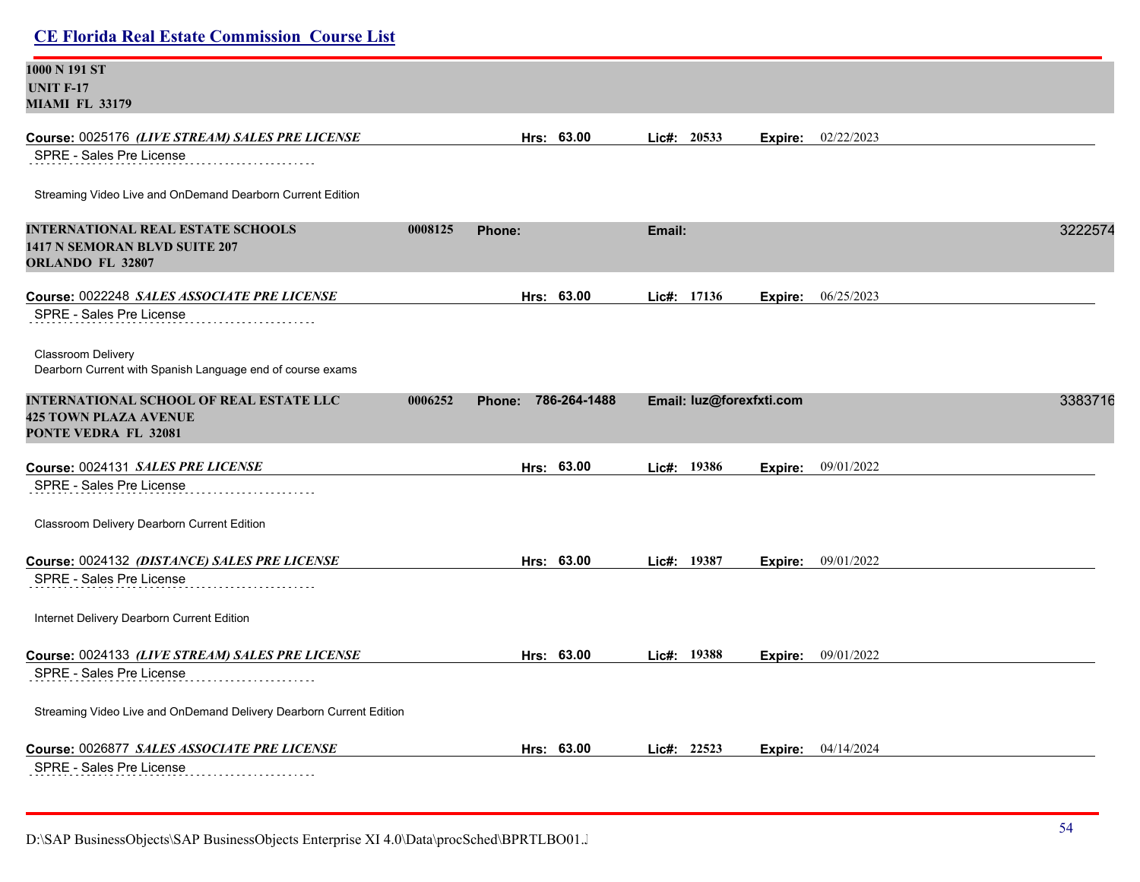| <b>CE Florida Real Estate Commission Course List</b>                                                          |         |                               |        |                          |         |                           |
|---------------------------------------------------------------------------------------------------------------|---------|-------------------------------|--------|--------------------------|---------|---------------------------|
| 1000 N 191 ST<br><b>UNIT F-17</b><br><b>MIAMI FL 33179</b>                                                    |         |                               |        |                          |         |                           |
| Course: 0025176 (LIVE STREAM) SALES PRE LICENSE<br>SPRE - Sales Pre License                                   |         | Hrs: 63.00                    |        | Lic#: 20533              | Expire: | 02/22/2023                |
| Streaming Video Live and OnDemand Dearborn Current Edition                                                    |         |                               |        |                          |         |                           |
| <b>INTERNATIONAL REAL ESTATE SCHOOLS</b><br>1417 N SEMORAN BLVD SUITE 207<br><b>ORLANDO FL 32807</b>          | 0008125 | <b>Phone:</b>                 | Email: |                          |         | 3222574                   |
| Course: 0022248 SALES ASSOCIATE PRE LICENSE                                                                   |         | Hrs: 63.00                    |        | Lic#: 17136              | Expire: | 06/25/2023                |
| SPRE - Sales Pre License                                                                                      |         |                               |        |                          |         |                           |
| Classroom Delivery<br>Dearborn Current with Spanish Language end of course exams                              |         |                               |        |                          |         |                           |
| <b>INTERNATIONAL SCHOOL OF REAL ESTATE LLC</b><br><b>425 TOWN PLAZA AVENUE</b><br><b>PONTE VEDRA FL 32081</b> | 0006252 | 786-264-1488<br><b>Phone:</b> |        | Email: luz@forexfxti.com |         | 3383716                   |
| Course: 0024131 SALES PRE LICENSE                                                                             |         | Hrs: 63.00                    |        | Lic#: 19386              | Expire: | 09/01/2022                |
| SPRE - Sales Pre License                                                                                      |         |                               |        |                          |         |                           |
| Classroom Delivery Dearborn Current Edition                                                                   |         |                               |        |                          |         |                           |
| Course: 0024132 (DISTANCE) SALES PRE LICENSE                                                                  |         | Hrs: 63.00                    |        | Lic#: 19387              |         | <b>Expire:</b> 09/01/2022 |
| SPRE - Sales Pre License                                                                                      |         |                               |        |                          |         |                           |
| Internet Delivery Dearborn Current Edition                                                                    |         |                               |        |                          |         |                           |
| Course: 0024133 <i>(LIVE STREAM) SALES PRE LICENSE</i>                                                        |         | Hrs: 63.00                    |        | Lic#: 19388              | Expire: | 09/01/2022                |
| SPRE - Sales Pre License                                                                                      |         |                               |        |                          |         |                           |
| Streaming Video Live and OnDemand Delivery Dearborn Current Edition                                           |         |                               |        |                          |         |                           |
| Course: 0026877 SALES ASSOCIATE PRE LICENSE                                                                   |         | Hrs: 63.00                    |        | Lic#: 22523              | Expire: | 04/14/2024                |
| SPRE - Sales Pre License                                                                                      |         |                               |        |                          |         |                           |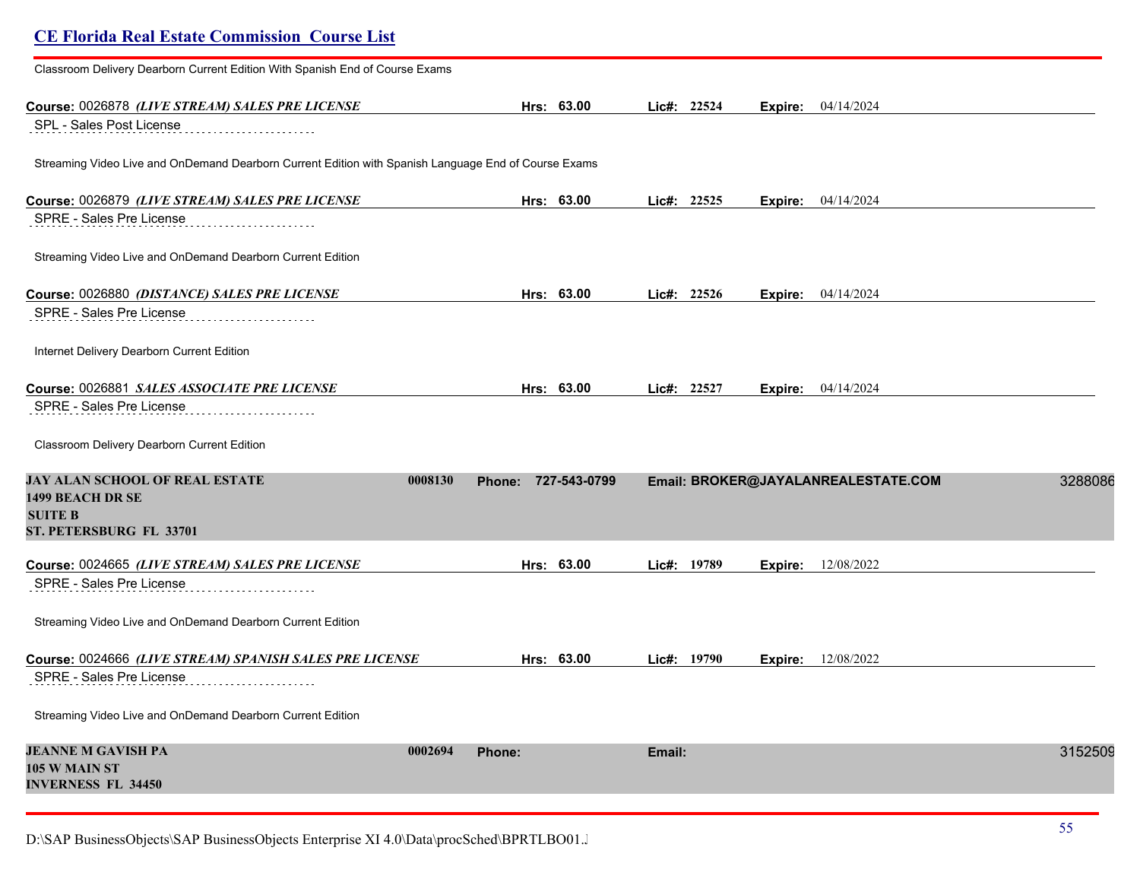# **CE Florida Real Estate Commission Course List** Classroom Delivery Dearborn Current Edition With Spanish End of Course Exams **Course:** 0026878 *(LIVE STREAM) SALES PRE LICENSE* **Hrs: 63.00 Lic#: 22524 Expire:** 04/14/2024 SPL - Sales Post License Streaming Video Live and OnDemand Dearborn Current Edition with Spanish Language End of Course Exams **Course:** 0026879 *(LIVE STREAM) SALES PRE LICENSE* **Hrs: 63.00 Lic#: 22525 Expire:** 04/14/2024 SPRE - Sales Pre License Streaming Video Live and OnDemand Dearborn Current Edition **Course:** 0026880 *(DISTANCE) SALES PRE LICENSE* **Hrs: 63.00 Lic#: 22526 Expire:** 04/14/2024 SPRE - Sales Pre License Internet Delivery Dearborn Current Edition **Course:** 0026881 *SALES ASSOCIATE PRE LICENSE* **Hrs: 63.00 Lic#: 22527 Expire:** 04/14/2024 SPRE - Sales Pre License Classroom Delivery Dearborn Current Edition **JAY ALAN SCHOOL OF REAL ESTATE 0008130 Phone: 727-543-0799 Email: BROKER@JAYALANREALESTATE.COM** 32880866 **1499 BEACH DR SE SUITE B ST. PETERSBURG FL 33701 Course:** 0024665 *(LIVE STREAM) SALES PRE LICENSE* **Hrs: 63.00 Lic#: 19789 Expire:** 12/08/2022 SPRE - Sales Pre License Streaming Video Live and OnDemand Dearborn Current Edition **Course:** 0024666 *(LIVE STREAM) SPANISH SALES PRE LICENSE* **Hrs: 63.00 Lic#: 19790 Expire:** 12/08/2022 SPRE - Sales Pre License Streaming Video Live and OnDemand Dearborn Current Edition **JEANNE M GAVISH PA 0002694 Phone: Email:** 31525090 **105 W MAIN ST INVERNESS FL 34450**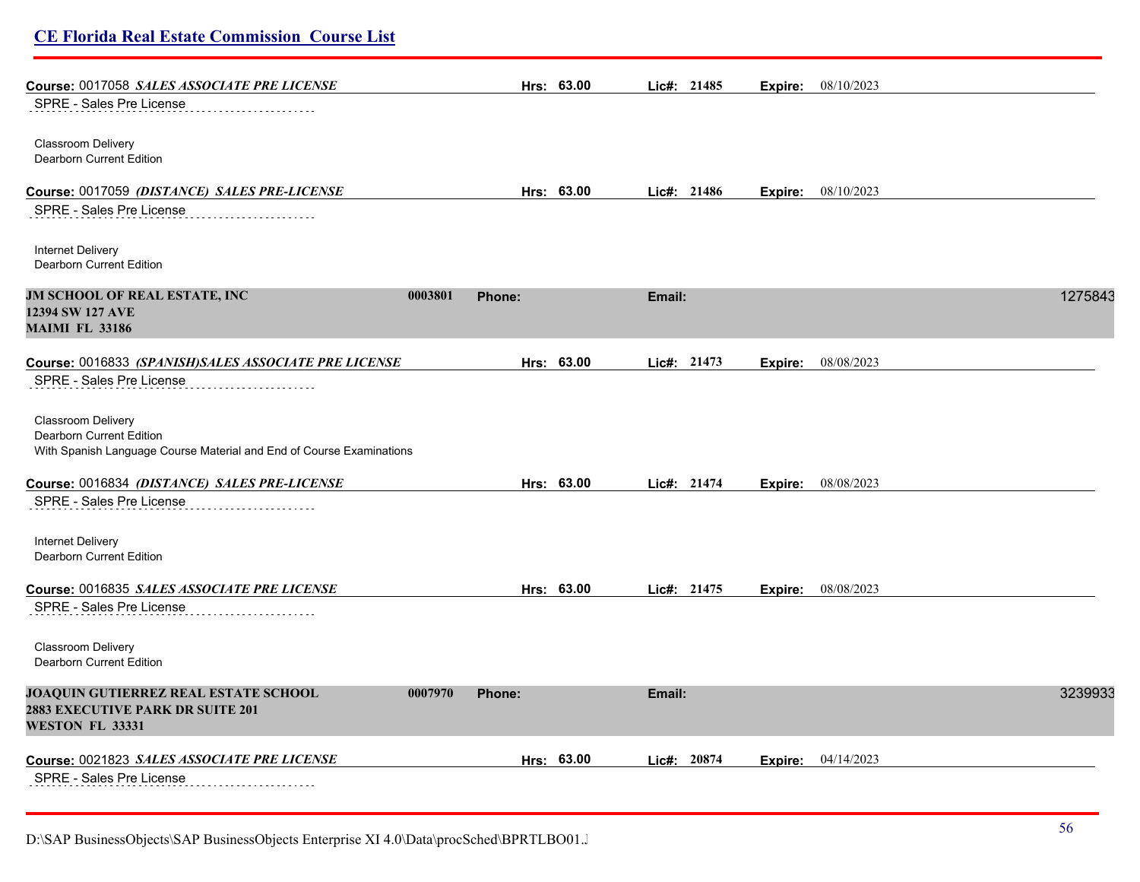| <b>CE Florida Real Estate Commission Course List</b>                                                                   |               |            |        |             |                |                    |         |
|------------------------------------------------------------------------------------------------------------------------|---------------|------------|--------|-------------|----------------|--------------------|---------|
| Course: 0017058 SALES ASSOCIATE PRE LICENSE                                                                            |               | Hrs: 63.00 |        | Lic#: 21485 | Expire:        | 08/10/2023         |         |
| SPRE - Sales Pre License                                                                                               |               |            |        |             |                |                    |         |
| Classroom Delivery<br>Dearborn Current Edition                                                                         |               |            |        |             |                |                    |         |
| Course: 0017059 (DISTANCE) SALES PRE-LICENSE                                                                           |               | Hrs: 63.00 |        | Lic#: 21486 | Expire:        | 08/10/2023         |         |
| SPRE - Sales Pre License                                                                                               |               |            |        |             |                |                    |         |
| Internet Delivery<br><b>Dearborn Current Edition</b>                                                                   |               |            |        |             |                |                    |         |
| JM SCHOOL OF REAL ESTATE, INC<br>0003801<br>12394 SW 127 AVE<br><b>MAIMI FL 33186</b>                                  | Phone:        |            | Email: |             |                |                    | 1275843 |
| Course: 0016833 (SPANISH)SALES ASSOCIATE PRE LICENSE<br>SPRE - Sales Pre License                                       |               | Hrs: 63.00 |        | Lic#: 21473 | Expire:        | 08/08/2023         |         |
| Classroom Delivery<br>Dearborn Current Edition<br>With Spanish Language Course Material and End of Course Examinations |               |            |        |             |                |                    |         |
| Course: 0016834 (DISTANCE) SALES PRE-LICENSE                                                                           |               | Hrs: 63.00 |        | Lic#: 21474 |                | Expire: 08/08/2023 |         |
| SPRE - Sales Pre License                                                                                               |               |            |        |             |                |                    |         |
| Internet Delivery<br>Dearborn Current Edition                                                                          |               |            |        |             |                |                    |         |
| Course: 0016835 SALES ASSOCIATE PRE LICENSE                                                                            |               | Hrs: 63.00 |        | Lic#: 21475 | Expire:        | 08/08/2023         |         |
| SPRE - Sales Pre License                                                                                               |               |            |        |             |                |                    |         |
| Classroom Delivery<br>Dearborn Current Edition                                                                         |               |            |        |             |                |                    |         |
| JOAQUIN GUTIERREZ REAL ESTATE SCHOOL<br>0007970<br>2883 EXECUTIVE PARK DR SUITE 201<br><b>WESTON FL 33331</b>          | <b>Phone:</b> |            | Email: |             |                |                    | 3239933 |
| Course: 0021823 SALES ASSOCIATE PRE LICENSE                                                                            |               | Hrs: 63.00 |        | Lic#: 20874 | <b>Expire:</b> | 04/14/2023         |         |
| SPRE - Sales Pre License                                                                                               |               |            |        |             |                |                    |         |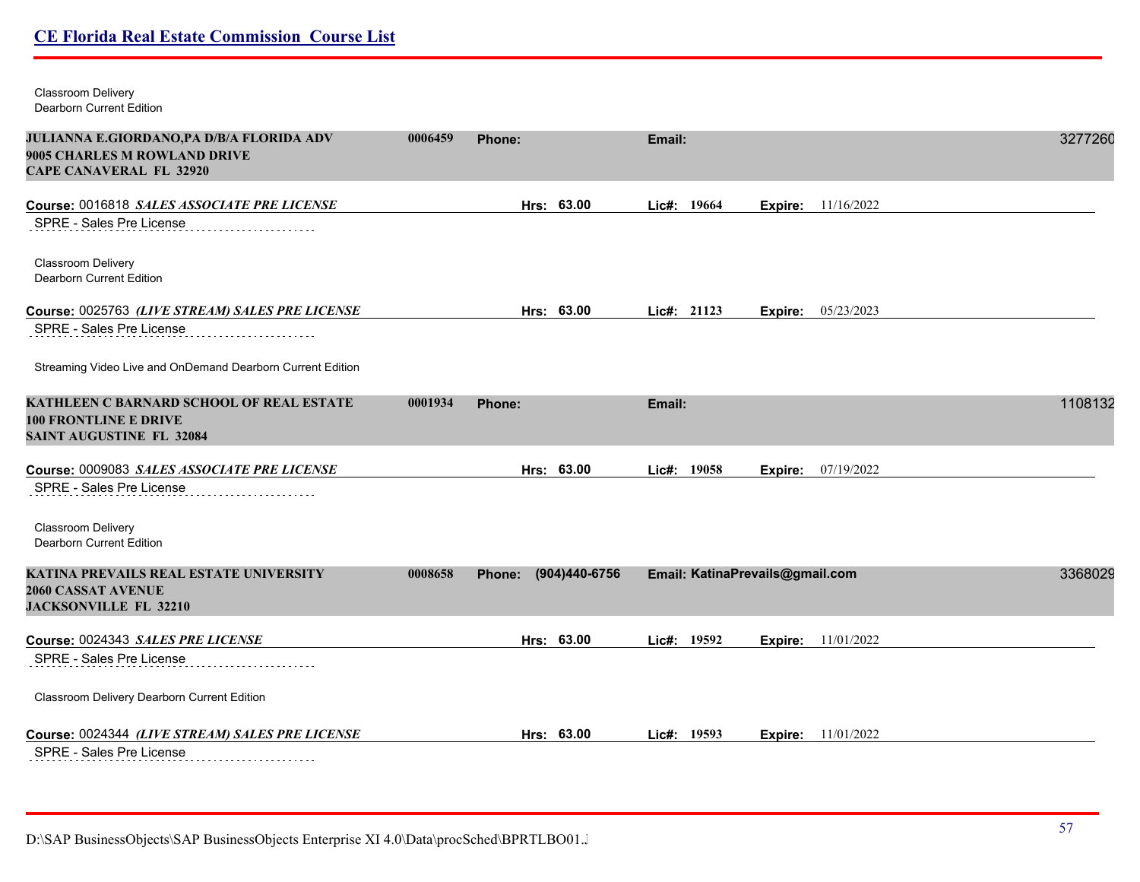Classroom Delivery Dearborn Current Edition

| JULIANNA E.GIORDANO, PA D/B/A FLORIDA ADV<br>9005 CHARLES M ROWLAND DRIVE<br><b>CAPE CANAVERAL FL 32920</b> | 0006459 | Phone:                  | Email:                          |                       | 3277260 |
|-------------------------------------------------------------------------------------------------------------|---------|-------------------------|---------------------------------|-----------------------|---------|
| Course: 0016818 SALES ASSOCIATE PRE LICENSE<br>SPRE - Sales Pre License                                     |         | Hrs: 63.00              | Lic#: 19664                     | 11/16/2022<br>Expire: |         |
| Classroom Delivery<br>Dearborn Current Edition                                                              |         |                         |                                 |                       |         |
| Course: 0025763 (LIVE STREAM) SALES PRE LICENSE<br>SPRE - Sales Pre License                                 |         | Hrs: 63.00              | Lic#: 21123                     | Expire: 05/23/2023    |         |
| Streaming Video Live and OnDemand Dearborn Current Edition                                                  |         |                         |                                 |                       |         |
| KATHLEEN C BARNARD SCHOOL OF REAL ESTATE<br><b>100 FRONTLINE E DRIVE</b><br><b>SAINT AUGUSTINE FL 32084</b> | 0001934 | Phone:                  | Email:                          |                       | 1108132 |
| Course: 0009083 SALES ASSOCIATE PRE LICENSE<br>SPRE - Sales Pre License                                     |         | Hrs: 63.00              | Lic#: 19058                     | 07/19/2022<br>Expire: |         |
| Classroom Delivery<br>Dearborn Current Edition                                                              |         |                         |                                 |                       |         |
| KATINA PREVAILS REAL ESTATE UNIVERSITY<br>2060 CASSAT AVENUE<br><b>JACKSONVILLE FL 32210</b>                | 0008658 | (904)440-6756<br>Phone: | Email: KatinaPrevails@gmail.com |                       | 3368029 |
| Course: 0024343 SALES PRE LICENSE                                                                           |         | Hrs: 63.00              | Lic#: 19592                     | 11/01/2022<br>Expire: |         |
| SPRE - Sales Pre License                                                                                    |         |                         |                                 |                       |         |
| Classroom Delivery Dearborn Current Edition                                                                 |         |                         |                                 |                       |         |
| Course: 0024344 (LIVE STREAM) SALES PRE LICENSE                                                             |         | Hrs: 63.00              | Lic#: 19593                     | 11/01/2022<br>Expire: |         |
| SPRE - Sales Pre License                                                                                    |         |                         |                                 |                       |         |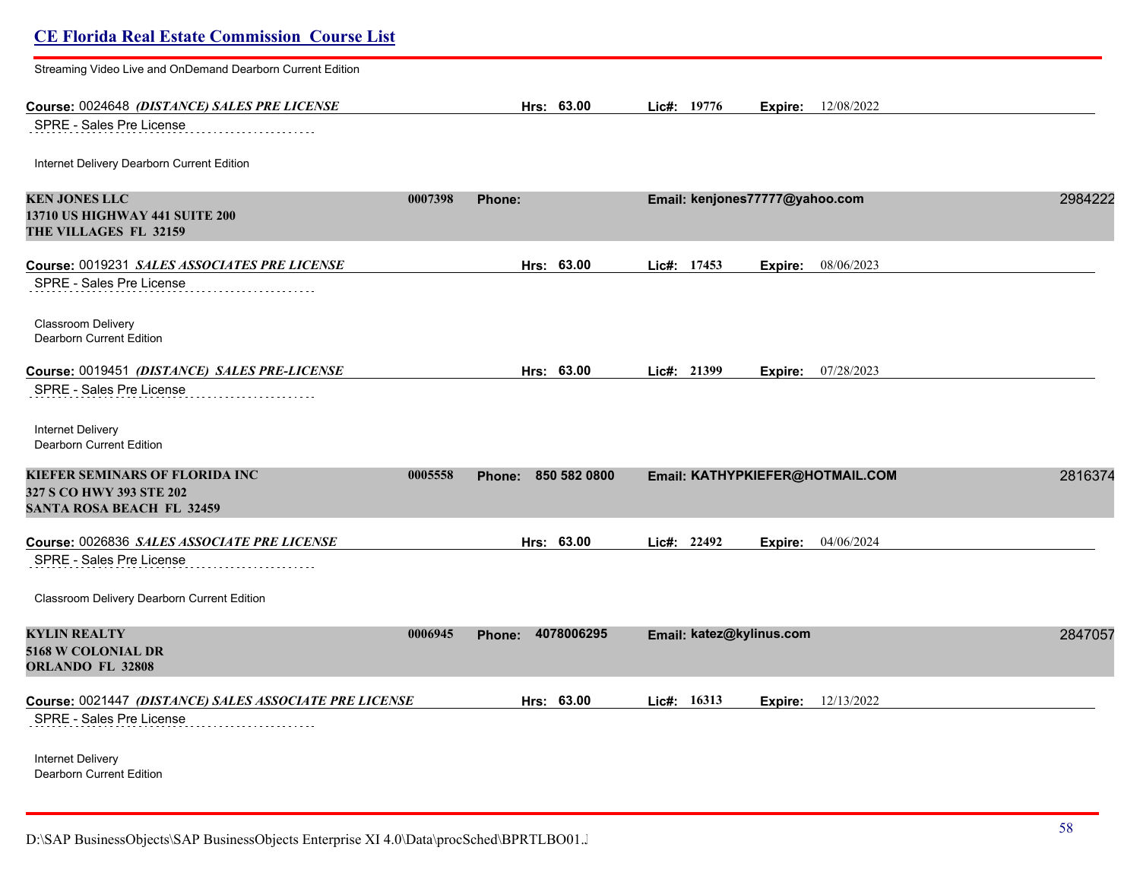# **CE Florida Real Estate Commission Course List** Streaming Video Live and OnDemand Dearborn Current Edition **Course:** 0024648 *(DISTANCE) SALES PRE LICENSE* **Hrs: 63.00 Lic#: 19776 Expire:** 12/08/2022 SPRE - Sales Pre License Internet Delivery Dearborn Current Edition **KEN JONES LLC 0007398 Phone: Email: kenjones77777@yahoo.com** 29842225 **13710 US HIGHWAY 441 SUITE 200 THE VILLAGES FL 32159 Course:** 0019231 *SALES ASSOCIATES PRE LICENSE* **Hrs: 63.00 Lic#: 17453 Expire:** 08/06/2023 SPRE - Sales Pre License Classroom Delivery Dearborn Current Edition **Course:** 0019451 *(DISTANCE) SALES PRE-LICENSE* **Hrs: 63.00 Lic#: 21399 Expire:** 07/28/2023 SPRE - Sales Pre License Internet Delivery Dearborn Current Edition **KIEFER SEMINARS OF FLORIDA INC 0005558 Phone: 850 582 0800 Email: KATHYPKIEFER@HOTMAIL.COM** 28163742 **327 S CO HWY 393 STE 202 SANTA ROSA BEACH FL 32459 Course:** 0026836 *SALES ASSOCIATE PRE LICENSE* **Hrs: 63.00 Lic#: 22492 Expire:** 04/06/2024 SPRE - Sales Pre License Classroom Delivery Dearborn Current Edition **KYLIN REALTY 0006945 Phone: 4078006295 Email: katez@kylinus.com** 28470574 **5168 W COLONIAL DR ORLANDO FL 32808 Course:** 0021447 *(DISTANCE) SALES ASSOCIATE PRE LICENSE* **Hrs: 63.00 Lic#: 16313 Expire:** 12/13/2022 SPRE - Sales Pre License Internet Delivery Dearborn Current Edition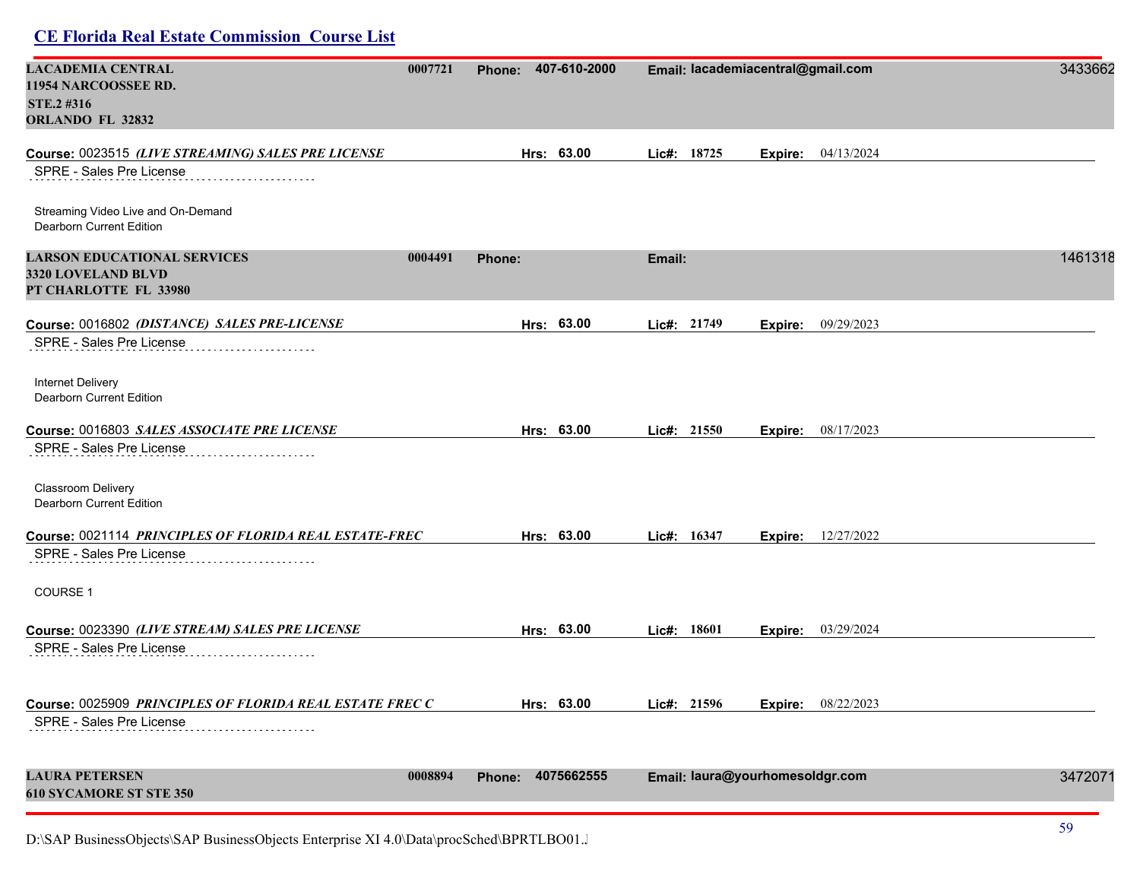| <b>LACADEMIA CENTRAL</b><br>11954 NARCOOSSEE RD.<br>STE.2 #316                    | 0007721 | Phone: 407-610-2000  |             | Email: lacademiacentral@gmail.com | 3433662 |
|-----------------------------------------------------------------------------------|---------|----------------------|-------------|-----------------------------------|---------|
| ORLANDO FL 32832                                                                  |         |                      |             |                                   |         |
| Course: 0023515 (LIVE STREAMING) SALES PRE LICENSE                                |         | Hrs: 63.00           | Lic#: 18725 | Expire: 04/13/2024                |         |
| SPRE - Sales Pre License                                                          |         |                      |             |                                   |         |
| Streaming Video Live and On-Demand<br>Dearborn Current Edition                    |         |                      |             |                                   |         |
| <b>LARSON EDUCATIONAL SERVICES</b><br>3320 LOVELAND BLVD<br>PT CHARLOTTE FL 33980 | 0004491 | Phone:               | Email:      |                                   | 1461318 |
| Course: 0016802 (DISTANCE) SALES PRE-LICENSE                                      |         | Hrs: 63.00           | Lic#: 21749 | 09/29/2023<br>Expire:             |         |
| SPRE - Sales Pre License                                                          |         |                      |             |                                   |         |
| Internet Delivery<br>Dearborn Current Edition                                     |         |                      |             |                                   |         |
| Course: 0016803 SALES ASSOCIATE PRE LICENSE                                       |         | Hrs: 63.00           | Lie#: 21550 | Expire: 08/17/2023                |         |
| SPRE - Sales Pre License                                                          |         |                      |             |                                   |         |
| Classroom Delivery<br>Dearborn Current Edition                                    |         |                      |             |                                   |         |
| Course: 0021114 PRINCIPLES OF FLORIDA REAL ESTATE-FREC                            |         | Hrs: 63.00           | Lic#: 16347 | <b>Expire:</b> 12/27/2022         |         |
| SPRE - Sales Pre License                                                          |         |                      |             |                                   |         |
| COURSE 1                                                                          |         |                      |             |                                   |         |
| Course: 0023390 (LIVE STREAM) SALES PRE LICENSE                                   |         | Hrs: 63.00           | Lic#: 18601 | Expire: 03/29/2024                |         |
| SPRE - Sales Pre License                                                          |         |                      |             |                                   |         |
| Course: 0025909 PRINCIPLES OF FLORIDA REAL ESTATE FREC C                          |         | Hrs: 63.00           |             |                                   |         |
| SPRE - Sales Pre License                                                          |         |                      |             | Lic#: 21596 Expire: 08/22/2023    |         |
| <b>LAURA PETERSEN</b><br><b>610 SYCAMORE ST STE 350</b>                           | 0008894 | 4075662555<br>Phone: |             | Email: laura@yourhomesoldgr.com   | 3472071 |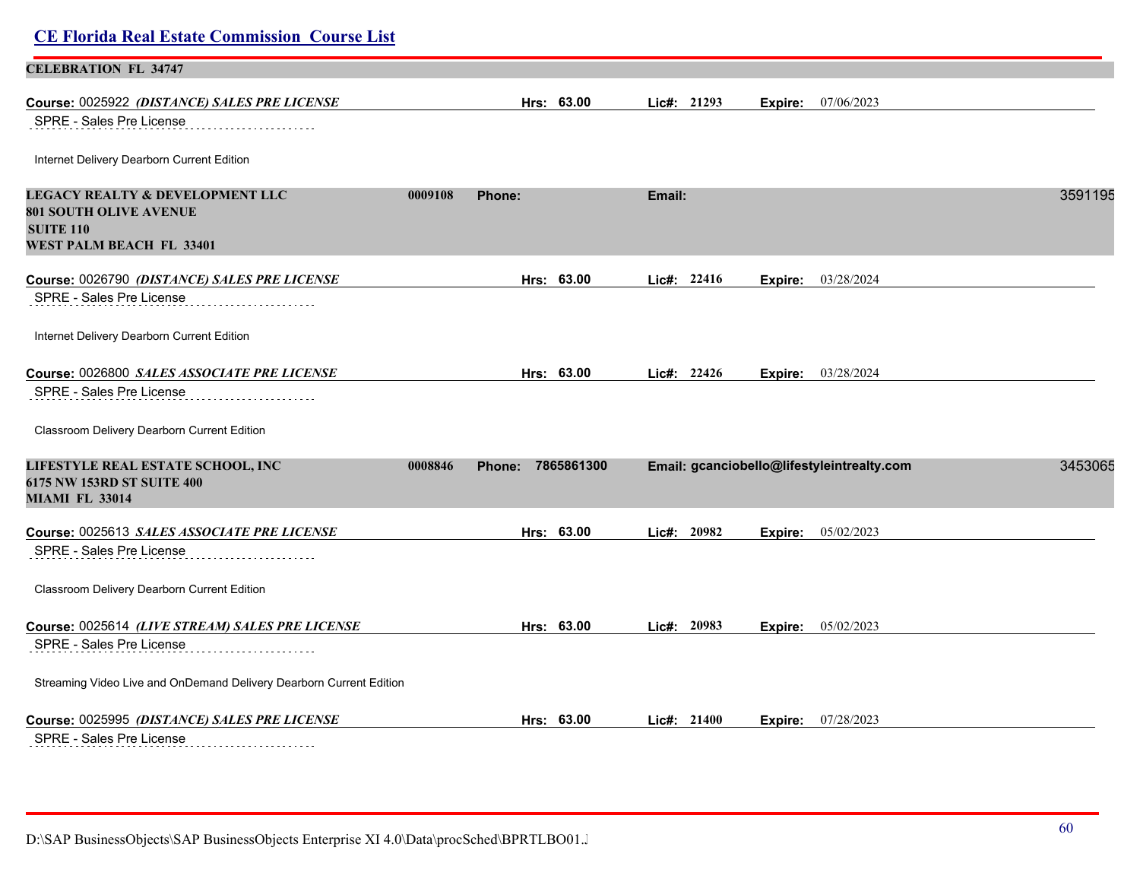| <b>CELEBRATION FL 34747</b>                                             |                          |            |        |             |         |                                            |         |
|-------------------------------------------------------------------------|--------------------------|------------|--------|-------------|---------|--------------------------------------------|---------|
| Course: 0025922 (DISTANCE) SALES PRE LICENSE                            |                          | Hrs: 63.00 |        | Lic#: 21293 | Expire: | 07/06/2023                                 |         |
| SPRE - Sales Pre License                                                |                          |            |        |             |         |                                            |         |
| Internet Delivery Dearborn Current Edition                              |                          |            |        |             |         |                                            |         |
|                                                                         |                          |            |        |             |         |                                            |         |
| <b>LEGACY REALTY &amp; DEVELOPMENT LLC</b>                              | 0009108<br>Phone:        |            | Email: |             |         |                                            | 3591195 |
| <b>801 SOUTH OLIVE AVENUE</b><br><b>SUITE 110</b>                       |                          |            |        |             |         |                                            |         |
| WEST PALM BEACH FL 33401                                                |                          |            |        |             |         |                                            |         |
| Course: 0026790 (DISTANCE) SALES PRE LICENSE                            |                          | Hrs: 63.00 |        | Lic#: 22416 | Expire: | 03/28/2024                                 |         |
| SPRE - Sales Pre License                                                |                          |            |        |             |         |                                            |         |
| Internet Delivery Dearborn Current Edition                              |                          |            |        |             |         |                                            |         |
|                                                                         |                          |            |        |             |         |                                            |         |
| Course: 0026800 SALES ASSOCIATE PRE LICENSE<br>SPRE - Sales Pre License |                          | Hrs: 63.00 |        | Lic#: 22426 | Expire: | 03/28/2024                                 |         |
|                                                                         |                          |            |        |             |         |                                            |         |
| Classroom Delivery Dearborn Current Edition                             |                          |            |        |             |         |                                            |         |
| LIFESTYLE REAL ESTATE SCHOOL, INC                                       | 0008846<br><b>Phone:</b> | 7865861300 |        |             |         | Email: gcanciobello@lifestyleintrealty.com | 3453065 |
| 6175 NW 153RD ST SUITE 400<br><b>MIAMI FL 33014</b>                     |                          |            |        |             |         |                                            |         |
| Course: 0025613 SALES ASSOCIATE PRE LICENSE                             |                          | Hrs: 63.00 |        | Lic#: 20982 | Expire: | 05/02/2023                                 |         |
| SPRE - Sales Pre License                                                |                          |            |        |             |         |                                            |         |
|                                                                         |                          |            |        |             |         |                                            |         |
| Classroom Delivery Dearborn Current Edition                             |                          |            |        |             |         |                                            |         |
| Course: 0025614 (LIVE STREAM) SALES PRE LICENSE                         |                          | Hrs: 63.00 |        | Lic#: 20983 |         | <b>Expire:</b> 05/02/2023                  |         |
| SPRE - Sales Pre License                                                |                          |            |        |             |         |                                            |         |
| Streaming Video Live and OnDemand Delivery Dearborn Current Edition     |                          |            |        |             |         |                                            |         |
| Course: 0025995 (DISTANCE) SALES PRE LICENSE                            |                          | Hrs: 63.00 |        | Lic#: 21400 | Expire: | 07/28/2023                                 |         |
| SPRE - Sales Pre License                                                |                          |            |        |             |         |                                            |         |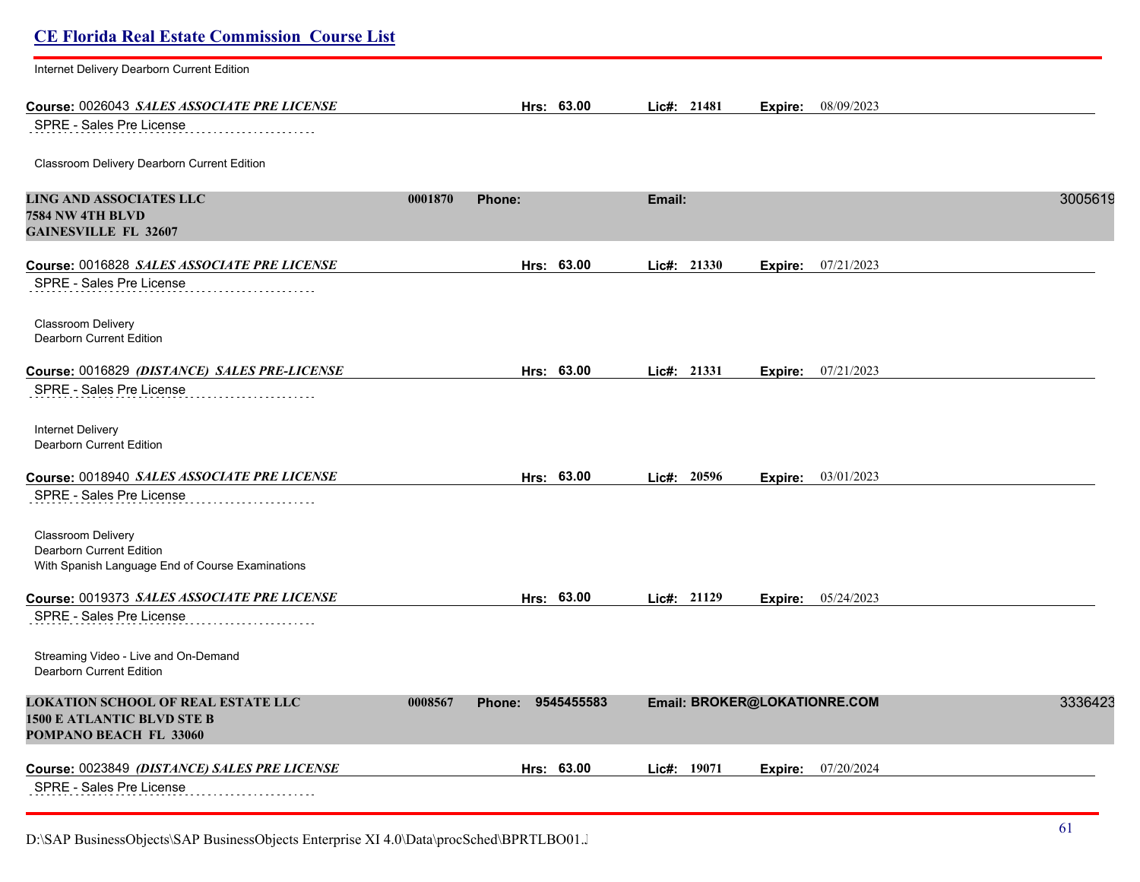# **CE Florida Real Estate Commission Course List** Internet Delivery Dearborn Current Edition **Course:** 0026043 *SALES ASSOCIATE PRE LICENSE* **Hrs: 63.00 Lic#: 21481 Expire:** 08/09/2023 SPRE - Sales Pre License Classroom Delivery Dearborn Current Edition **LING AND ASSOCIATES LLC 0001870 Phone: Email:** 30056190 **7584 NW 4TH BLVD GAINESVILLE FL 32607 Course:** 0016828 *SALES ASSOCIATE PRE LICENSE* **Hrs: 63.00 Lic#: 21330 Expire:** 07/21/2023 SPRE - Sales Pre License Classroom Delivery Dearborn Current Edition **Course:** 0016829 *(DISTANCE) SALES PRE-LICENSE* **Hrs: 63.00 Lic#: 21331 Expire:** 07/21/2023 SPRE - Sales Pre License Internet Delivery Dearborn Current Edition **Course:** 0018940 *SALES ASSOCIATE PRE LICENSE* **Hrs: 63.00 Lic#: 20596 Expire:** 03/01/2023 SPRE - Sales Pre License Classroom Delivery Dearborn Current Edition With Spanish Language End of Course Examinations **Course:** 0019373 *SALES ASSOCIATE PRE LICENSE* **Hrs: 63.00 Lic#: 21129 Expire:** 05/24/2023 SPRE - Sales Pre License Streaming Video - Live and On-Demand Dearborn Current Edition **LOKATION SCHOOL OF REAL ESTATE LLC 0008567 Phone: 9545455583 Email: BROKER@LOKATIONRE.COM** 33364235 **1500 E ATLANTIC BLVD STE B POMPANO BEACH FL 33060 Course:** 0023849 *(DISTANCE) SALES PRE LICENSE* **Hrs: 63.00 Lic#: 19071 Expire:** 07/20/2024 SPRE - Sales Pre License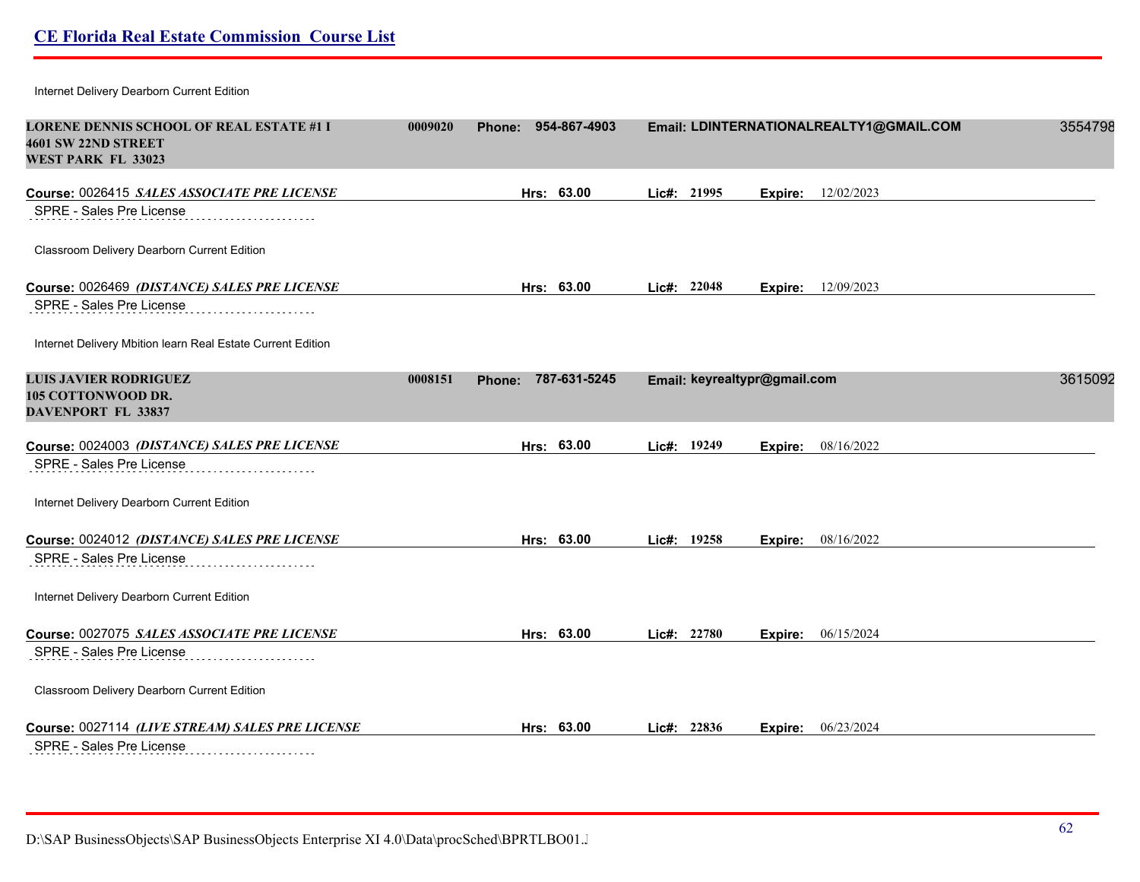Internet Delivery Dearborn Current Edition

| <b>LORENE DENNIS SCHOOL OF REAL ESTATE #1 I</b><br>4601 SW 22ND STREET<br><b>WEST PARK FL 33023</b> | 0009020 | Phone: 954-867-4903    |                              | Email: LDINTERNATIONALREALTY1@GMAIL.COM | 3554798 |
|-----------------------------------------------------------------------------------------------------|---------|------------------------|------------------------------|-----------------------------------------|---------|
| Course: 0026415 SALES ASSOCIATE PRE LICENSE                                                         |         | Hrs: 63.00             | Lic#: 21995                  | 12/02/2023<br>Expire:                   |         |
| SPRE - Sales Pre License                                                                            |         |                        |                              |                                         |         |
| Classroom Delivery Dearborn Current Edition                                                         |         |                        |                              |                                         |         |
| Course: 0026469 (DISTANCE) SALES PRE LICENSE                                                        |         | Hrs: 63.00             | Lic#: 22048                  | 12/09/2023<br>Expire:                   |         |
| SPRE - Sales Pre License                                                                            |         |                        |                              |                                         |         |
| Internet Delivery Mbition learn Real Estate Current Edition                                         |         |                        |                              |                                         |         |
| <b>LUIS JAVIER RODRIGUEZ</b>                                                                        | 0008151 | 787-631-5245<br>Phone: | Email: keyrealtypr@gmail.com |                                         | 3615092 |
| 105 COTTONWOOD DR.<br><b>DAVENPORT FL 33837</b>                                                     |         |                        |                              |                                         |         |
| Course: 0024003 (DISTANCE) SALES PRE LICENSE                                                        |         | Hrs: 63.00             | Lic#: 19249                  | 08/16/2022<br>Expire:                   |         |
| SPRE - Sales Pre License                                                                            |         |                        |                              |                                         |         |
| Internet Delivery Dearborn Current Edition                                                          |         |                        |                              |                                         |         |
| Course: 0024012 (DISTANCE) SALES PRE LICENSE                                                        |         | Hrs: 63.00             | Lic#: 19258                  | <b>Expire:</b> 08/16/2022               |         |
| SPRE - Sales Pre License                                                                            |         |                        |                              |                                         |         |
| Internet Delivery Dearborn Current Edition                                                          |         |                        |                              |                                         |         |
| Course: 0027075 SALES ASSOCIATE PRE LICENSE                                                         |         | Hrs: 63.00             | Lic#: 22780                  | <b>Expire:</b> 06/15/2024               |         |
| SPRE - Sales Pre License                                                                            |         |                        |                              |                                         |         |
| Classroom Delivery Dearborn Current Edition                                                         |         |                        |                              |                                         |         |
| Course: 0027114 (LIVE STREAM) SALES PRE LICENSE                                                     |         | Hrs: 63.00             | Lic#: 22836                  | 06/23/2024<br>Expire:                   |         |
| SPRE - Sales Pre License                                                                            |         |                        |                              |                                         |         |

D:\SAP BusinessObjects\SAP BusinessObjects Enterprise XI 4.0\Data\procSched\BPRTLBO01.J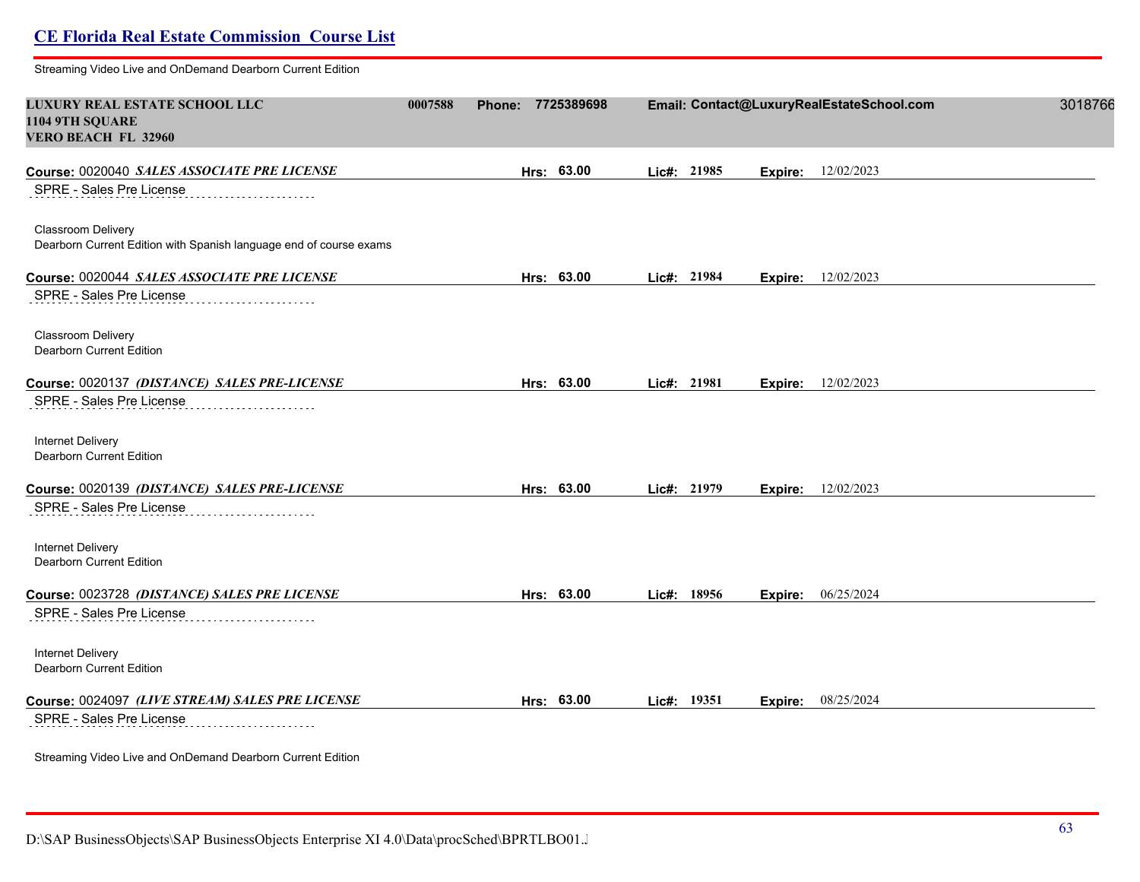Streaming Video Live and OnDemand Dearborn Current Edition

| <b>LUXURY REAL ESTATE SCHOOL LLC</b><br>1104 9TH SQUARE<br><b>VERO BEACH FL 32960</b>    | 0007588 | <b>Phone:</b> | 7725389698 |             |         | Email: Contact@LuxuryRealEstateSchool.com | 3018766 |
|------------------------------------------------------------------------------------------|---------|---------------|------------|-------------|---------|-------------------------------------------|---------|
| Course: 0020040 SALES ASSOCIATE PRE LICENSE                                              |         |               | Hrs: 63.00 | Lic#: 21985 | Expire: | 12/02/2023                                |         |
| SPRE - Sales Pre License                                                                 |         |               |            |             |         |                                           |         |
| Classroom Delivery<br>Dearborn Current Edition with Spanish language end of course exams |         |               |            |             |         |                                           |         |
| Course: 0020044 SALES ASSOCIATE PRE LICENSE                                              |         |               | Hrs: 63.00 | Lic#: 21984 | Expire: | 12/02/2023                                |         |
| SPRE - Sales Pre License                                                                 |         |               |            |             |         |                                           |         |
| Classroom Delivery<br>Dearborn Current Edition                                           |         |               |            |             |         |                                           |         |
| Course: 0020137 (DISTANCE) SALES PRE-LICENSE                                             |         |               | Hrs: 63.00 | Lic#: 21981 | Expire: | 12/02/2023                                |         |
| SPRE - Sales Pre License                                                                 |         |               |            |             |         |                                           |         |
| Internet Delivery<br>Dearborn Current Edition                                            |         |               |            |             |         |                                           |         |
| Course: 0020139 (DISTANCE) SALES PRE-LICENSE                                             |         |               | Hrs: 63.00 | Lic#: 21979 | Expire: | 12/02/2023                                |         |
| SPRE - Sales Pre License                                                                 |         |               |            |             |         |                                           |         |
| Internet Delivery<br>Dearborn Current Edition                                            |         |               |            |             |         |                                           |         |
| Course: 0023728 (DISTANCE) SALES PRE LICENSE                                             |         |               | Hrs: 63.00 | Lic#: 18956 | Expire: | 06/25/2024                                |         |
| SPRE - Sales Pre License                                                                 |         |               |            |             |         |                                           |         |
| Internet Delivery<br>Dearborn Current Edition                                            |         |               |            |             |         |                                           |         |
| Course: 0024097 (LIVE STREAM) SALES PRE LICENSE                                          |         |               | Hrs: 63.00 | Lic#: 19351 |         | Expire: 08/25/2024                        |         |
| SPRE - Sales Pre License                                                                 |         |               |            |             |         |                                           |         |

Streaming Video Live and OnDemand Dearborn Current Edition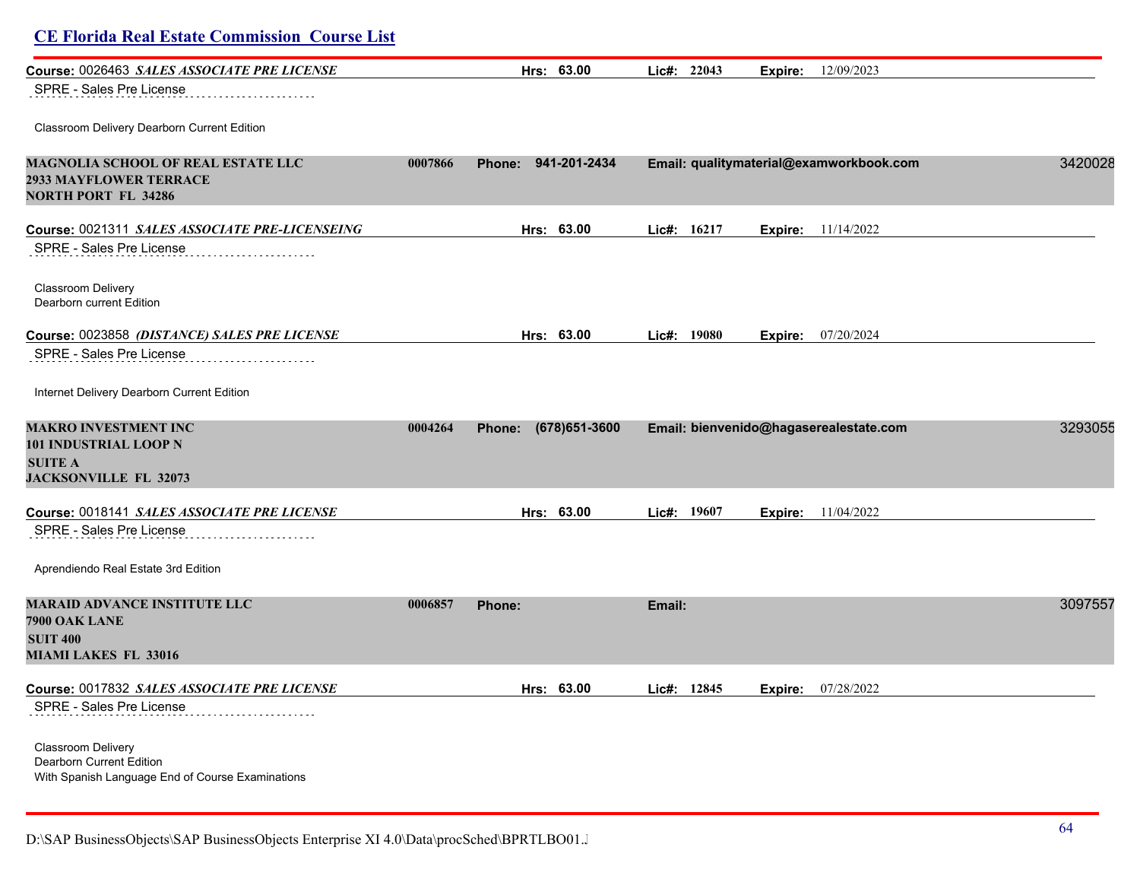| Course: 0026463 SALES ASSOCIATE PRE LICENSE                                                              |         | Hrs: 63.00                  | Lic#: 22043   | 12/09/2023<br>Expire:                   |         |
|----------------------------------------------------------------------------------------------------------|---------|-----------------------------|---------------|-----------------------------------------|---------|
| SPRE - Sales Pre License                                                                                 |         |                             |               |                                         |         |
| Classroom Delivery Dearborn Current Edition                                                              |         |                             |               |                                         |         |
| <b>MAGNOLIA SCHOOL OF REAL ESTATE LLC</b><br><b>2933 MAYFLOWER TERRACE</b><br><b>NORTH PORT FL 34286</b> | 0007866 | Phone: 941-201-2434         |               | Email: qualitymaterial@examworkbook.com | 3420028 |
| Course: 0021311 SALES ASSOCIATE PRE-LICENSEING                                                           |         | Hrs: 63.00                  | Lic#: $16217$ | <b>Expire:</b> 11/14/2022               |         |
| SPRE - Sales Pre License                                                                                 |         |                             |               |                                         |         |
| Classroom Delivery<br>Dearborn current Edition                                                           |         |                             |               |                                         |         |
| Course: 0023858 (DISTANCE) SALES PRE LICENSE                                                             |         | Hrs: 63.00                  | Lic#: 19080   | 07/20/2024<br>Expire:                   |         |
| SPRE - Sales Pre License                                                                                 |         |                             |               |                                         |         |
| Internet Delivery Dearborn Current Edition                                                               |         |                             |               |                                         |         |
| <b>MAKRO INVESTMENT INC</b><br>101 INDUSTRIAL LOOP N<br><b>SUITE A</b><br><b>JACKSONVILLE FL 32073</b>   | 0004264 | $(678)651 - 3600$<br>Phone: |               | Email: bienvenido@hagaserealestate.com  | 3293055 |
| Course: 0018141 SALES ASSOCIATE PRE LICENSE                                                              |         | Hrs: 63.00                  | Lic#: 19607   | 11/04/2022<br><b>Expire:</b>            |         |
| SPRE - Sales Pre License                                                                                 |         |                             |               |                                         |         |
| Aprendiendo Real Estate 3rd Edition                                                                      |         |                             |               |                                         |         |
| <b>MARAID ADVANCE INSTITUTE LLC</b><br>7900 OAK LANE<br><b>SUIT 400</b><br><b>MIAMI LAKES FL 33016</b>   | 0006857 | <b>Phone:</b>               | Email:        |                                         | 3097557 |
| Course: 0017832 SALES ASSOCIATE PRE LICENSE                                                              |         | Hrs: 63.00                  | Lic#: 12845   | 07/28/2022<br>Expire:                   |         |
| SPRE - Sales Pre License                                                                                 |         |                             |               |                                         |         |
| Classroom Delivery<br>Dearborn Current Edition<br>With Spanish Language End of Course Examinations       |         |                             |               |                                         |         |

D:\SAP BusinessObjects\SAP BusinessObjects Enterprise XI 4.0\Data\procSched\BPRTLBO01.Jobserver2\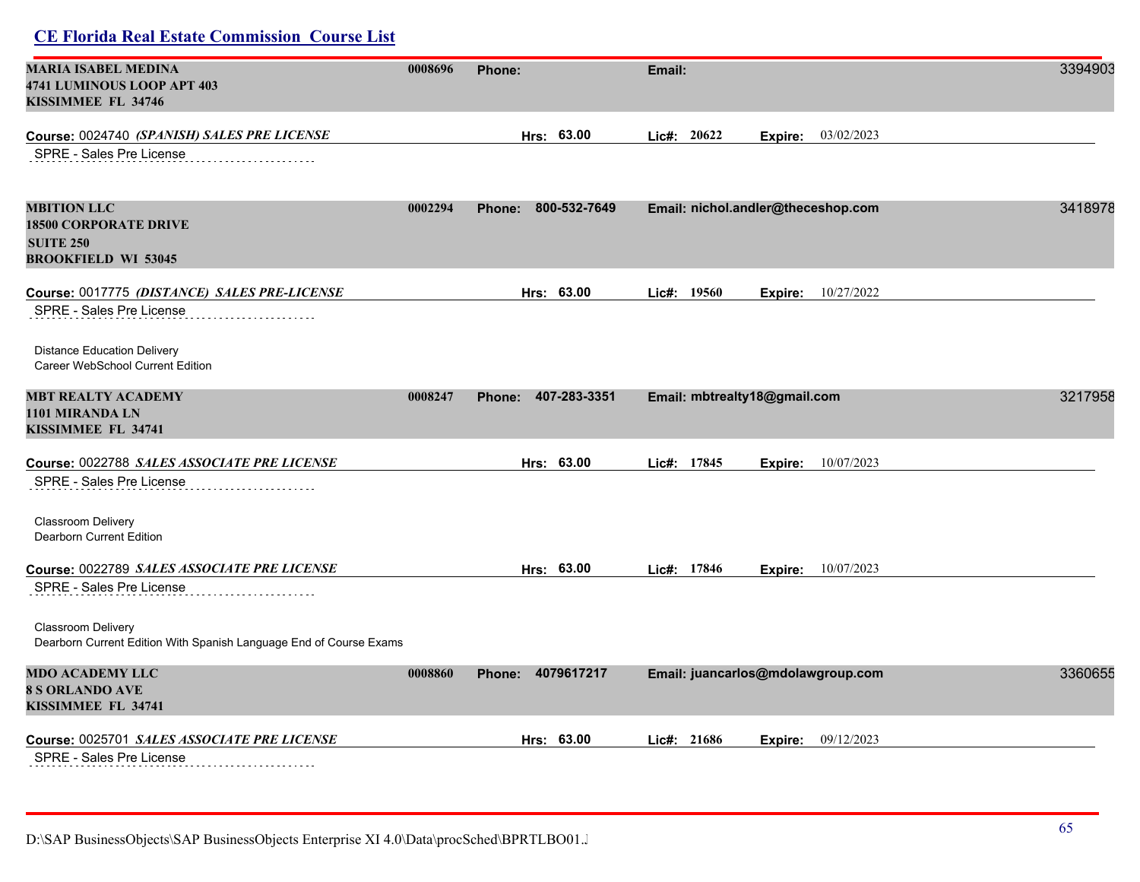| <b>MARIA ISABEL MEDINA</b><br>4741 LUMINOUS LOOP APT 403<br>KISSIMMEE FL 34746                                            | 0008696 | Phone:              | Email:                                     | 3394903 |
|---------------------------------------------------------------------------------------------------------------------------|---------|---------------------|--------------------------------------------|---------|
| Course: 0024740 (SPANISH) SALES PRE LICENSE<br>SPRE - Sales Pre License                                                   |         | Hrs: 63.00          | Lic#: 20622<br>03/02/2023<br>Expire:       |         |
| <b>MBITION LLC</b><br><b>18500 CORPORATE DRIVE</b><br><b>SUITE 250</b><br><b>BROOKFIELD WI 53045</b>                      | 0002294 | Phone: 800-532-7649 | Email: nichol.andler@theceshop.com         | 3418978 |
| Course: 0017775 (DISTANCE) SALES PRE-LICENSE<br>SPRE - Sales Pre License                                                  |         | Hrs: 63.00          | Lic#: 19560<br>10/27/2022<br>Expire:       |         |
| <b>Distance Education Delivery</b><br>Career WebSchool Current Edition                                                    |         |                     |                                            |         |
| <b>MBT REALTY ACADEMY</b><br>1101 MIRANDA LN<br><b>KISSIMMEE FL 34741</b>                                                 | 0008247 | Phone: 407-283-3351 | Email: mbtrealty18@gmail.com               | 3217958 |
| Course: 0022788 SALES ASSOCIATE PRE LICENSE<br>SPRE - Sales Pre License                                                   |         | Hrs: 63.00          | Lic#: 17845<br>10/07/2023<br>Expire:       |         |
| Classroom Delivery<br>Dearborn Current Edition<br>Course: 0022789 SALES ASSOCIATE PRE LICENSE<br>SPRE - Sales Pre License |         | Hrs: 63.00          | Lic#: $17846$<br><b>Expire:</b> 10/07/2023 |         |
| Classroom Delivery<br>Dearborn Current Edition With Spanish Language End of Course Exams                                  |         |                     |                                            |         |
| <b>MDO ACADEMY LLC</b><br><b>8 S ORLANDO AVE</b><br>KISSIMMEE FL 34741                                                    | 0008860 | Phone: 4079617217   | Email: juancarlos@mdolawgroup.com          | 3360655 |
| Course: 0025701 SALES ASSOCIATE PRE LICENSE<br>SPRE - Sales Pre License                                                   |         | Hrs: 63.00          | Lie#: 21686<br>Expire: 09/12/2023          |         |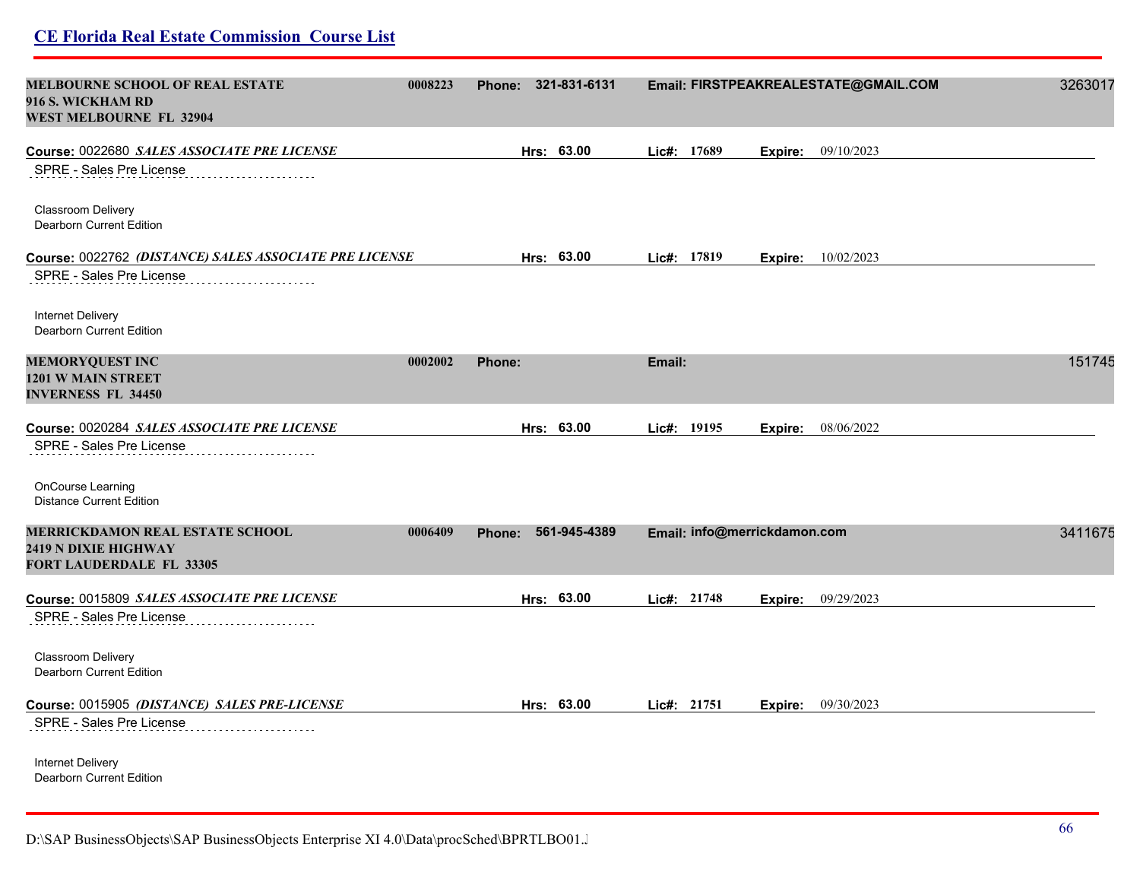| <b>MELBOURNE SCHOOL OF REAL ESTATE</b><br>916 S. WICKHAM RD<br><b>WEST MELBOURNE FL 32904</b> | 0008223 | Phone: 321-831-6131    |        |             |                              | Email: FIRSTPEAKREALESTATE@GMAIL.COM | 3263017 |
|-----------------------------------------------------------------------------------------------|---------|------------------------|--------|-------------|------------------------------|--------------------------------------|---------|
| Course: 0022680 SALES ASSOCIATE PRE LICENSE                                                   |         | Hrs: 63.00             |        | Lic#: 17689 | Expire:                      | 09/10/2023                           |         |
| SPRE - Sales Pre License                                                                      |         |                        |        |             |                              |                                      |         |
| Classroom Delivery<br>Dearborn Current Edition                                                |         |                        |        |             |                              |                                      |         |
| Course: 0022762 (DISTANCE) SALES ASSOCIATE PRE LICENSE                                        |         | Hrs: 63.00             |        | Lic#: 17819 | Expire:                      | 10/02/2023                           |         |
| SPRE - Sales Pre License                                                                      |         |                        |        |             |                              |                                      |         |
| <b>Internet Delivery</b><br>Dearborn Current Edition                                          |         |                        |        |             |                              |                                      |         |
| <b>MEMORYQUEST INC</b><br><b>1201 W MAIN STREET</b><br><b>INVERNESS FL 34450</b>              | 0002002 | <b>Phone:</b>          | Email: |             |                              |                                      | 151745  |
| Course: 0020284 SALES ASSOCIATE PRE LICENSE                                                   |         | Hrs: 63.00             |        | Lic#: 19195 | Expire:                      | 08/06/2022                           |         |
| SPRE - Sales Pre License                                                                      |         |                        |        |             |                              |                                      |         |
| OnCourse Learning<br><b>Distance Current Edition</b>                                          |         |                        |        |             |                              |                                      |         |
| MERRICKDAMON REAL ESTATE SCHOOL<br>2419 N DIXIE HIGHWAY<br><b>FORT LAUDERDALE FL 33305</b>    | 0006409 | 561-945-4389<br>Phone: |        |             | Email: info@merrickdamon.com |                                      | 3411675 |
| Course: 0015809 SALES ASSOCIATE PRE LICENSE                                                   |         | Hrs: 63.00             |        | Lic#: 21748 | Expire:                      | 09/29/2023                           |         |
| SPRE - Sales Pre License                                                                      |         |                        |        |             |                              |                                      |         |
| Classroom Delivery<br>Dearborn Current Edition                                                |         |                        |        |             |                              |                                      |         |
| Course: 0015905 (DISTANCE) SALES PRE-LICENSE                                                  |         | Hrs: 63.00             |        | Lic#: 21751 |                              | <b>Expire:</b> 09/30/2023            |         |
| SPRE - Sales Pre License                                                                      |         |                        |        |             |                              |                                      |         |
| <b>Internet Delivery</b><br>Dearborn Current Edition                                          |         |                        |        |             |                              |                                      |         |

D:\SAP BusinessObjects\SAP BusinessObjects Enterprise XI 4.0\Data\procSched\BPRTLBO01.Jobserver2\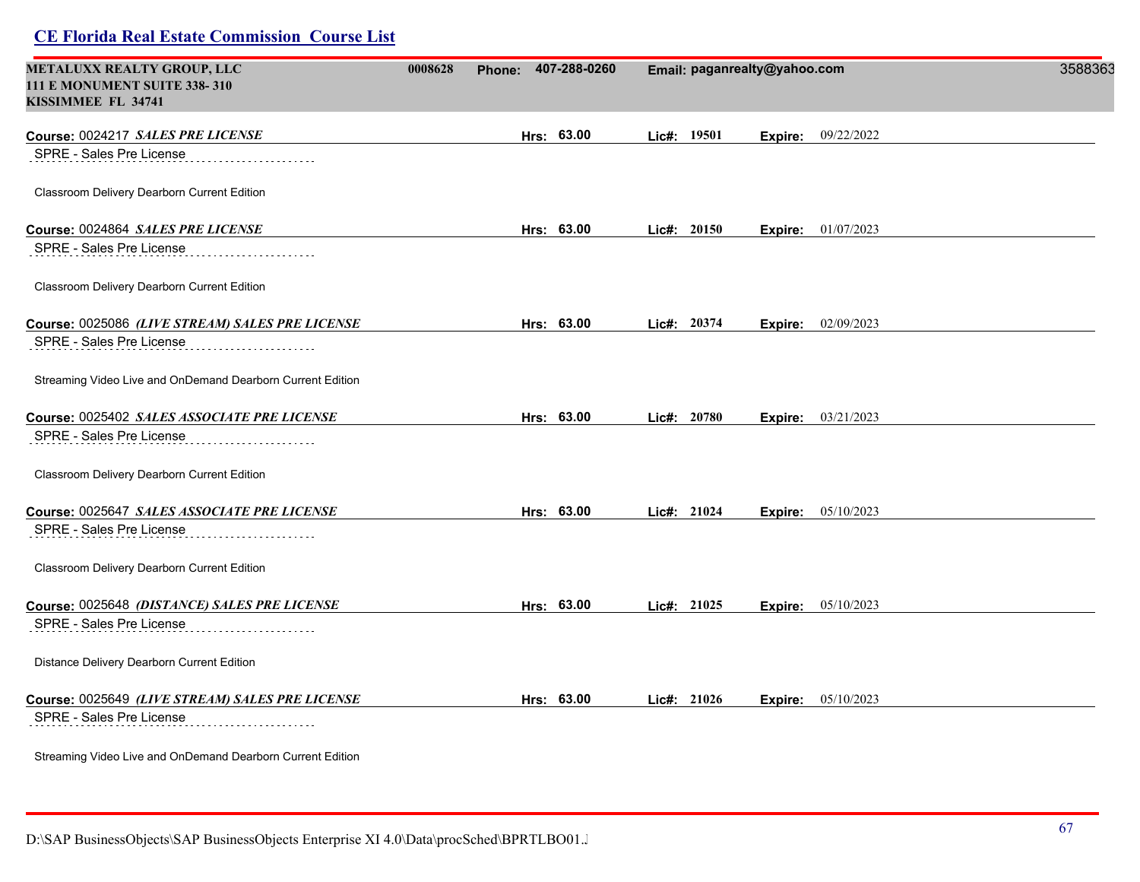| METALUXX REALTY GROUP, LLC<br><b>111 E MONUMENT SUITE 338-310</b><br>KISSIMMEE FL 34741 | 0008628 | 407-288-0260<br><b>Phone:</b> | Email: paganrealty@yahoo.com | 3588363                   |  |
|-----------------------------------------------------------------------------------------|---------|-------------------------------|------------------------------|---------------------------|--|
| Course: 0024217 SALES PRE LICENSE                                                       |         | Hrs: 63.00                    | Lic#: 19501                  | 09/22/2022<br>Expire:     |  |
| SPRE - Sales Pre License                                                                |         |                               |                              |                           |  |
| Classroom Delivery Dearborn Current Edition                                             |         |                               |                              |                           |  |
| Course: 0024864 SALES PRE LICENSE                                                       |         | Hrs: 63.00                    | Lic#: 20150                  | Expire: 01/07/2023        |  |
| SPRE - Sales Pre License                                                                |         |                               |                              |                           |  |
| Classroom Delivery Dearborn Current Edition                                             |         |                               |                              |                           |  |
| Course: 0025086 (LIVE STREAM) SALES PRE LICENSE                                         |         | Hrs: 63.00                    | Lic#: 20374                  | 02/09/2023<br>Expire:     |  |
| SPRE - Sales Pre License                                                                |         |                               |                              |                           |  |
| Streaming Video Live and OnDemand Dearborn Current Edition                              |         |                               |                              |                           |  |
| Course: 0025402 SALES ASSOCIATE PRE LICENSE                                             |         | Hrs: 63.00                    | Lic#: 20780                  | 03/21/2023<br>Expire:     |  |
| SPRE - Sales Pre License                                                                |         |                               |                              |                           |  |
| Classroom Delivery Dearborn Current Edition                                             |         |                               |                              |                           |  |
| Course: 0025647 SALES ASSOCIATE PRE LICENSE                                             |         | Hrs: 63.00                    | Lic#: 21024                  | 05/10/2023<br>Expire:     |  |
| SPRE - Sales Pre License                                                                |         |                               |                              |                           |  |
| Classroom Delivery Dearborn Current Edition                                             |         |                               |                              |                           |  |
| Course: 0025648 (DISTANCE) SALES PRE LICENSE                                            |         | Hrs: 63.00                    | Lic#: $21025$                | 05/10/2023<br>Expire:     |  |
| SPRE - Sales Pre License                                                                |         |                               |                              |                           |  |
| Distance Delivery Dearborn Current Edition                                              |         |                               |                              |                           |  |
| Course: 0025649 (LIVE STREAM) SALES PRE LICENSE                                         |         | Hrs: 63.00                    | Lic#: $21026$                | <b>Expire:</b> 05/10/2023 |  |
| SPRE - Sales Pre License                                                                |         |                               |                              |                           |  |
|                                                                                         |         |                               |                              |                           |  |

Streaming Video Live and OnDemand Dearborn Current Edition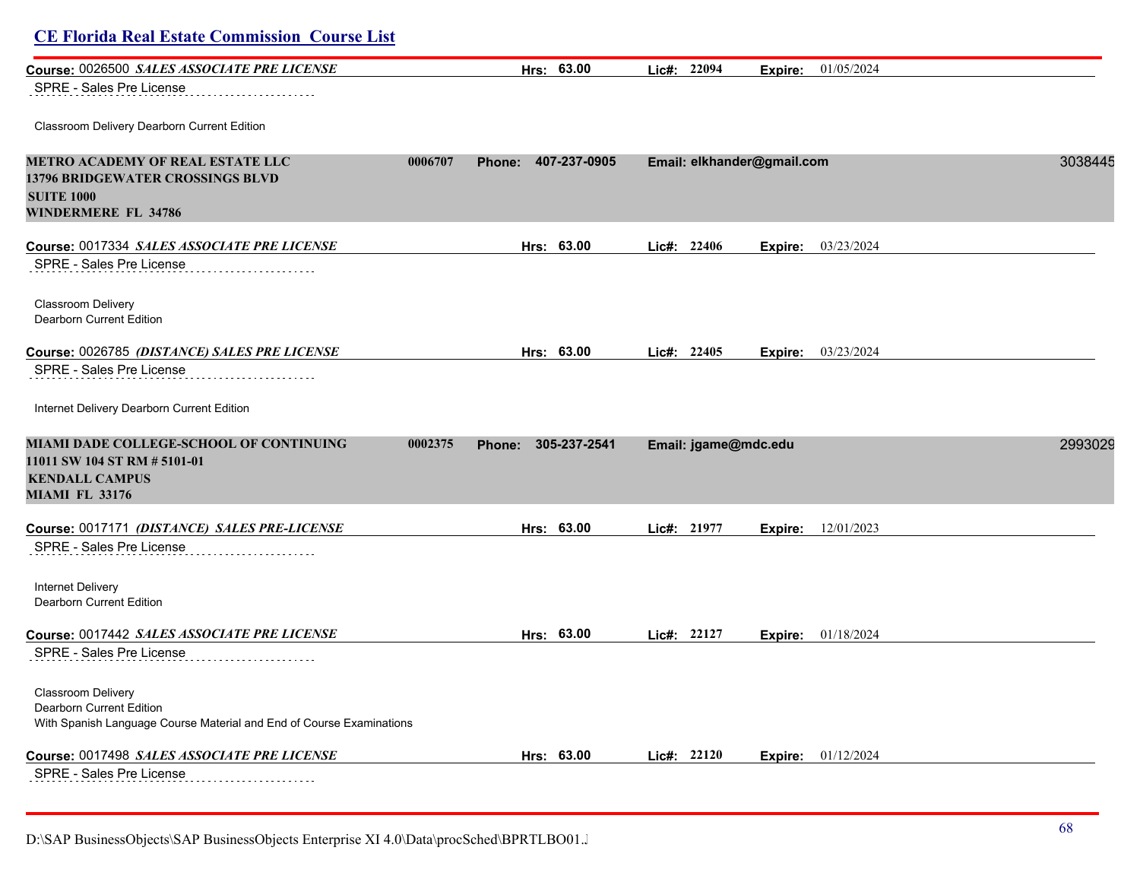# **CE Florida Real Estate Commission Course List Course:** 0026500 *SALES ASSOCIATE PRE LICENSE* **Hrs: 63.00 Lic#: 22094 Expire:** 01/05/2024 SPRE - Sales Pre License Classroom Delivery Dearborn Current Edition **METRO ACADEMY OF REAL ESTATE LLC 0006707 Phone: 407-237-0905 Email: elkhander@gmail.com** 30384452 **13796 BRIDGEWATER CROSSINGS BLVD SUITE 1000 WINDERMERE FL 34786 Course:** 0017334 *SALES ASSOCIATE PRE LICENSE* **Hrs: 63.00 Lic#: 22406 Expire:** 03/23/2024 SPRE - Sales Pre License Classroom Delivery Dearborn Current Edition **Course:** 0026785 *(DISTANCE) SALES PRE LICENSE* **Hrs: 63.00 Lic#: 22405 Expire:** 03/23/2024 SPRE - Sales Pre License Internet Delivery Dearborn Current Edition **MIAMI DADE COLLEGE-SCHOOL OF CONTINUING 0002375 Phone: 305-237-2541 Email: jgame@mdc.edu** 29930291 **11011 SW 104 ST RM # 5101-01 KENDALL CAMPUS MIAMI FL 33176 Course:** 0017171 *(DISTANCE) SALES PRE-LICENSE* **Hrs: 63.00 Lic#: 21977 Expire:** 12/01/2023 SPRE - Sales Pre License Internet Delivery Dearborn Current Edition **Course:** 0017442 *SALES ASSOCIATE PRE LICENSE* **Hrs: 63.00 Lic#: 22127 Expire:** 01/18/2024 SPRE - Sales Pre License Classroom Delivery Dearborn Current Edition With Spanish Language Course Material and End of Course Examinations **Course:** 0017498 *SALES ASSOCIATE PRE LICENSE* **Hrs: 63.00 Lic#: 22120 Expire:** 01/12/2024 SPRE - Sales Pre License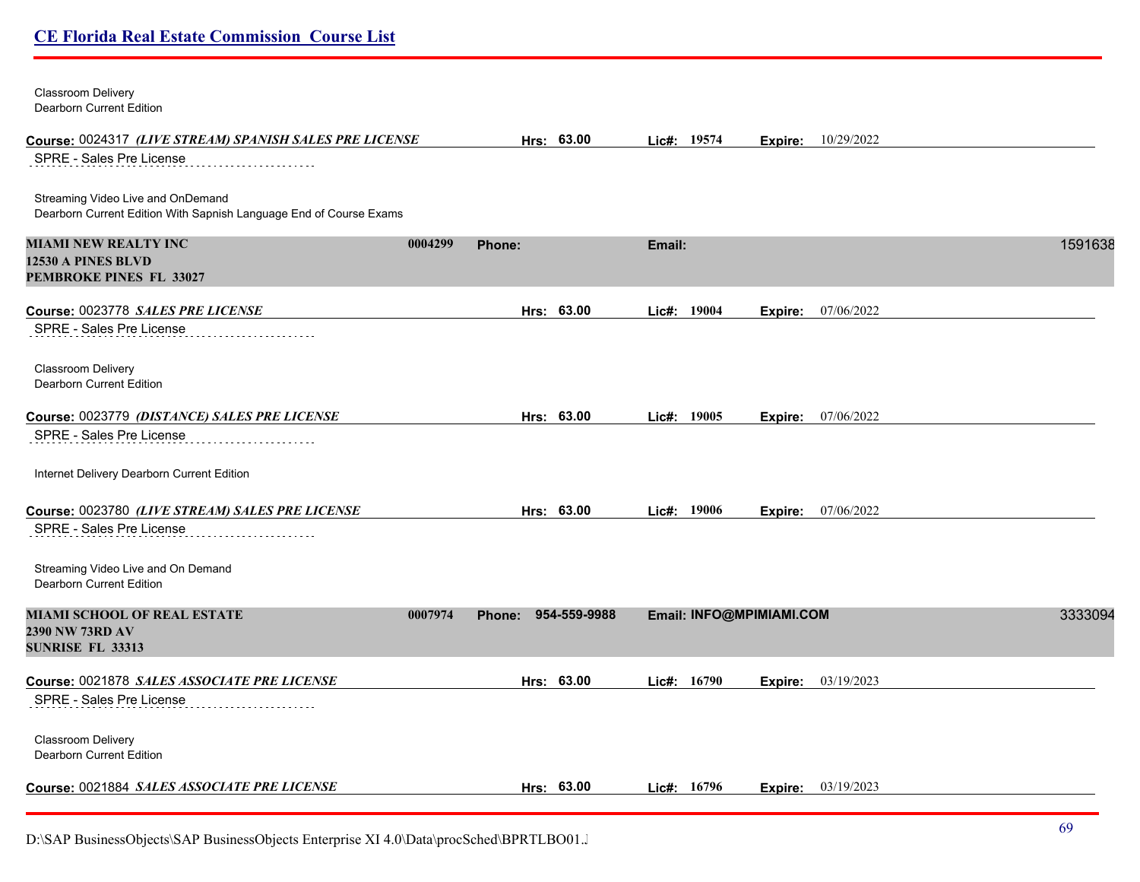| 0004299 | <b>Phone:</b>                                           |                                        |                                                                                     |                               |                                                                                                                              | 1591638 |
|---------|---------------------------------------------------------|----------------------------------------|-------------------------------------------------------------------------------------|-------------------------------|------------------------------------------------------------------------------------------------------------------------------|---------|
|         |                                                         |                                        |                                                                                     |                               |                                                                                                                              |         |
|         |                                                         |                                        |                                                                                     |                               |                                                                                                                              |         |
|         |                                                         |                                        |                                                                                     |                               |                                                                                                                              |         |
|         | Hrs: 63.00                                              |                                        |                                                                                     |                               |                                                                                                                              |         |
|         |                                                         |                                        |                                                                                     |                               |                                                                                                                              |         |
|         |                                                         |                                        |                                                                                     |                               |                                                                                                                              |         |
|         |                                                         |                                        |                                                                                     |                               |                                                                                                                              |         |
|         |                                                         |                                        |                                                                                     |                               |                                                                                                                              |         |
|         |                                                         |                                        |                                                                                     |                               |                                                                                                                              |         |
| 0007974 | Phone: 954-559-9988                                     |                                        |                                                                                     |                               |                                                                                                                              | 3333094 |
|         | Hrs: 63.00                                              |                                        |                                                                                     |                               |                                                                                                                              |         |
|         |                                                         |                                        |                                                                                     |                               |                                                                                                                              |         |
|         |                                                         |                                        |                                                                                     |                               |                                                                                                                              |         |
|         |                                                         |                                        |                                                                                     |                               |                                                                                                                              |         |
|         | Course: 0024317 (LIVE STREAM) SPANISH SALES PRE LICENSE | Hrs: 63.00<br>Hrs: 63.00<br>Hrs: 63.00 | Lic#: $19574$<br>Email:<br>Lic#: 19004<br>Lic#: 19005<br>Lic#: 19006<br>Lic#: 16790 | Expire:<br>Expire:<br>Expire: | 10/29/2022<br>07/06/2022<br><b>Expire:</b> 07/06/2022<br>07/06/2022<br>Email: INFO@MPIMIAMI.COM<br><b>Expire:</b> 03/19/2023 |         |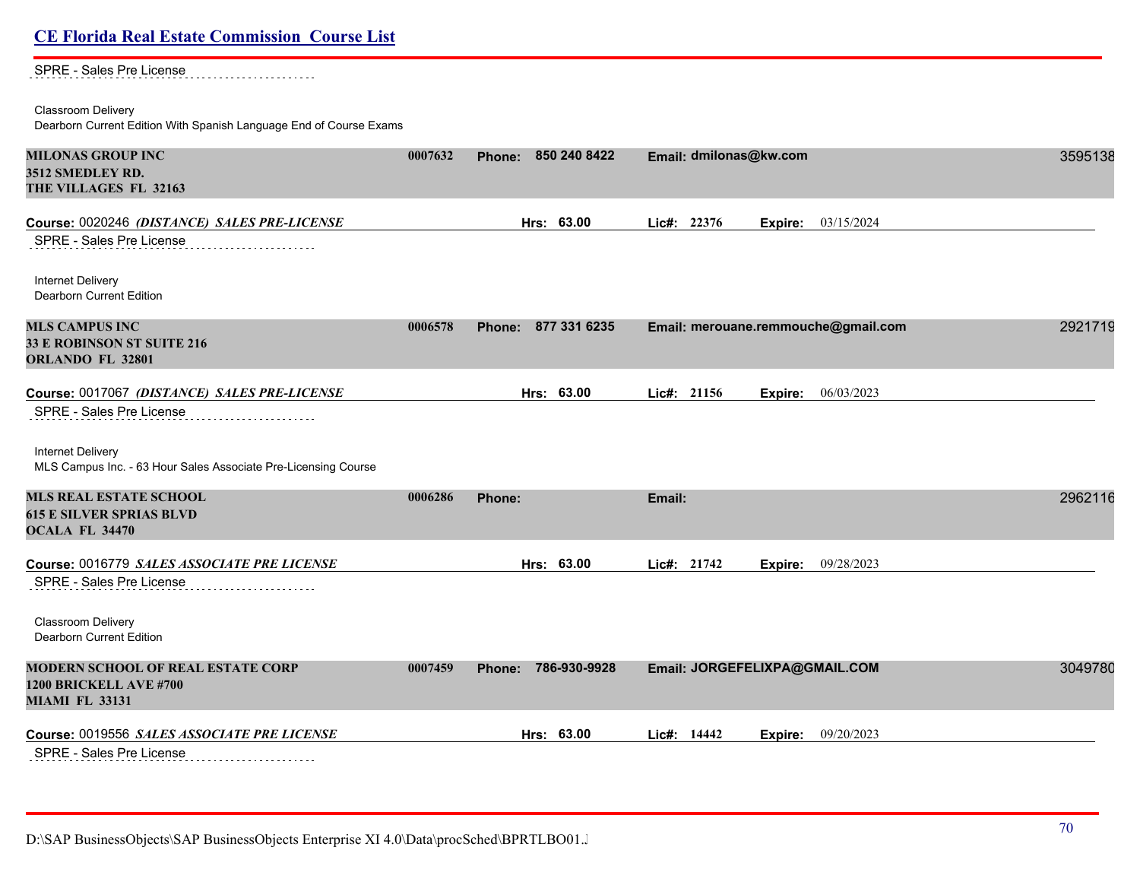SPRE - Sales Pre License . . . . . . . . . . . . . . . . . .

Classroom Delivery Dearborn Current Edition With Spanish Language End of Course Exams

| <b>MILONAS GROUP INC</b><br>3512 SMEDLEY RD.<br>THE VILLAGES FL 32163                       | 0007632 | Phone: 850 240 8422    | Email: dmilonas@kw.com                   | 3595138 |
|---------------------------------------------------------------------------------------------|---------|------------------------|------------------------------------------|---------|
| Course: 0020246 (DISTANCE) SALES PRE-LICENSE<br>SPRE - Sales Pre License                    |         | Hrs: 63.00             | Lic#: 22376<br><b>Expire:</b> 03/15/2024 |         |
| <b>Internet Delivery</b><br>Dearborn Current Edition                                        |         |                        |                                          |         |
| <b>MLS CAMPUS INC</b><br><b>33 E ROBINSON ST SUITE 216</b><br><b>ORLANDO FL 32801</b>       | 0006578 | 877 331 6235<br>Phone: | Email: merouane.remmouche@gmail.com      | 2921719 |
| Course: 0017067 (DISTANCE) SALES PRE-LICENSE                                                |         | Hrs: 63.00             | Lie#: 21156<br>06/03/2023<br>Expire:     |         |
| SPRE - Sales Pre License                                                                    |         |                        |                                          |         |
| Internet Delivery<br>MLS Campus Inc. - 63 Hour Sales Associate Pre-Licensing Course         |         |                        |                                          |         |
| <b>MLS REAL ESTATE SCHOOL</b><br><b>615 E SILVER SPRIAS BLVD</b><br><b>OCALA FL 34470</b>   | 0006286 | Phone:                 | Email:                                   | 2962116 |
| Course: 0016779 SALES ASSOCIATE PRE LICENSE                                                 |         | Hrs: 63.00             | Lic#: 21742<br>09/28/2023<br>Expire:     |         |
| SPRE - Sales Pre License                                                                    |         |                        |                                          |         |
| Classroom Delivery<br><b>Dearborn Current Edition</b>                                       |         |                        |                                          |         |
| <b>MODERN SCHOOL OF REAL ESTATE CORP</b><br>1200 BRICKELL AVE #700<br><b>MIAMI FL 33131</b> | 0007459 | 786-930-9928<br>Phone: | Email: JORGEFELIXPA@GMAIL.COM            | 3049780 |
| Course: 0019556 SALES ASSOCIATE PRE LICENSE                                                 |         | Hrs: 63.00             | 09/20/2023<br>Lie#: 14442<br>Expire:     |         |
| SPRE - Sales Pre License                                                                    |         |                        |                                          |         |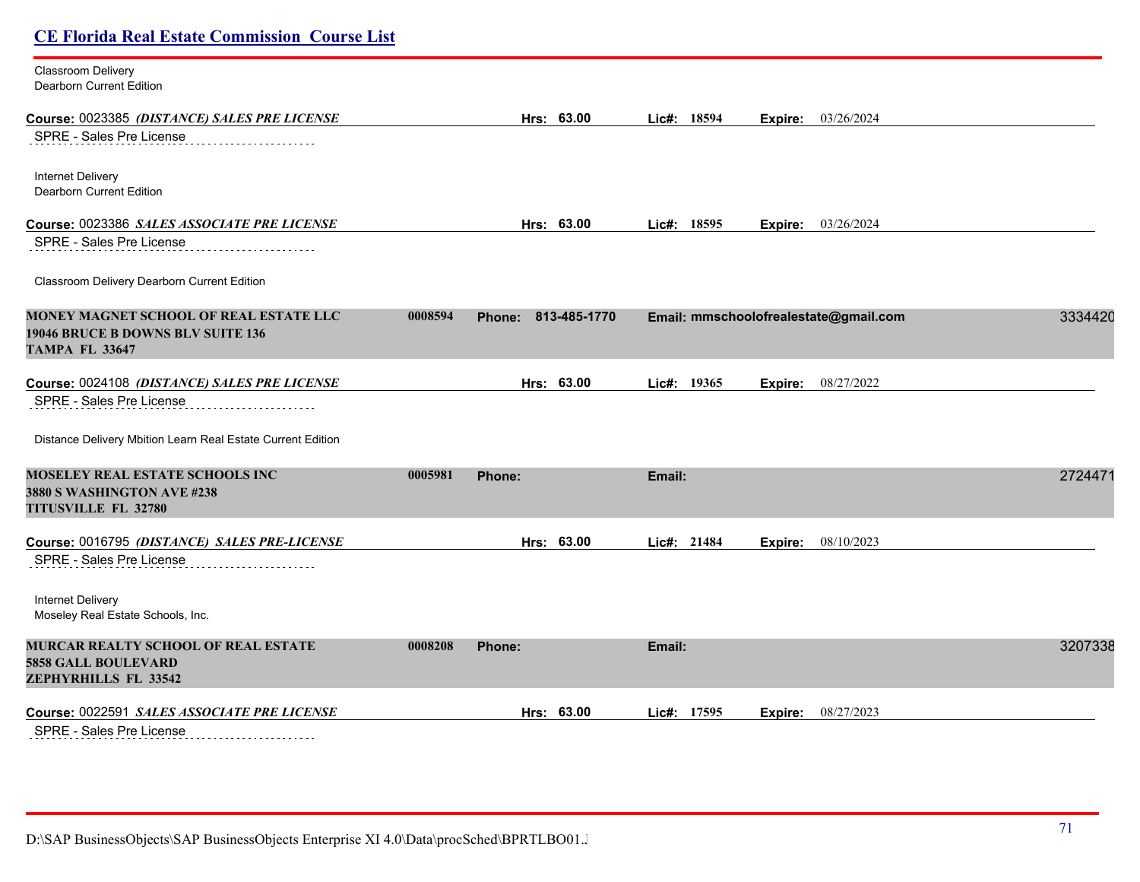| <b>CE Florida Real Estate Commission Course List</b>                                                    |         |                        |             |                                       |         |
|---------------------------------------------------------------------------------------------------------|---------|------------------------|-------------|---------------------------------------|---------|
| Classroom Delivery<br>Dearborn Current Edition                                                          |         |                        |             |                                       |         |
| Course: 0023385 (DISTANCE) SALES PRE LICENSE<br>SPRE - Sales Pre License                                |         | Hrs: 63.00             | Lic#: 18594 | <b>Expire:</b> 03/26/2024             |         |
| Internet Delivery<br>Dearborn Current Edition                                                           |         |                        |             |                                       |         |
| Course: 0023386 SALES ASSOCIATE PRE LICENSE<br>SPRE - Sales Pre License                                 |         | Hrs: 63.00             | Lic#: 18595 | 03/26/2024<br>Expire:                 |         |
| Classroom Delivery Dearborn Current Edition                                                             |         |                        |             |                                       |         |
| MONEY MAGNET SCHOOL OF REAL ESTATE LLC<br>19046 BRUCE B DOWNS BLV SUITE 136<br><b>TAMPA FL 33647</b>    | 0008594 | 813-485-1770<br>Phone: |             | Email: mmschoolofrealestate@gmail.com | 3334420 |
| Course: 0024108 (DISTANCE) SALES PRE LICENSE<br>SPRE - Sales Pre License                                |         | Hrs: 63.00             | Lic#: 19365 | Expire: 08/27/2022                    |         |
| Distance Delivery Mbition Learn Real Estate Current Edition                                             |         |                        |             |                                       |         |
| <b>MOSELEY REAL ESTATE SCHOOLS INC</b><br>3880 S WASHINGTON AVE #238<br><b>TITUSVILLE FL 32780</b>      | 0005981 | <b>Phone:</b>          | Email:      |                                       | 2724471 |
| Course: 0016795 (DISTANCE) SALES PRE-LICENSE                                                            |         | Hrs: 63.00             | Lic#: 21484 | 08/10/2023<br>Expire:                 |         |
| SPRE - Sales Pre License<br><b>Internet Delivery</b>                                                    |         |                        |             |                                       |         |
| Moseley Real Estate Schools, Inc.                                                                       |         |                        |             |                                       |         |
| <b>MURCAR REALTY SCHOOL OF REAL ESTATE</b><br><b>5858 GALL BOULEVARD</b><br><b>ZEPHYRHILLS FL 33542</b> | 0008208 | <b>Phone:</b>          | Email:      |                                       | 3207338 |
| Course: 0022591 SALES ASSOCIATE PRE LICENSE<br>SPRE - Sales Pre License                                 |         | Hrs: 63.00             | Lic#: 17595 | 08/27/2023<br>Expire:                 |         |

<u>SPRE - Sales Pre License Press, Press, Press, Press, Press, Press, Press, Press, Press, Press, Press, Press, P</u>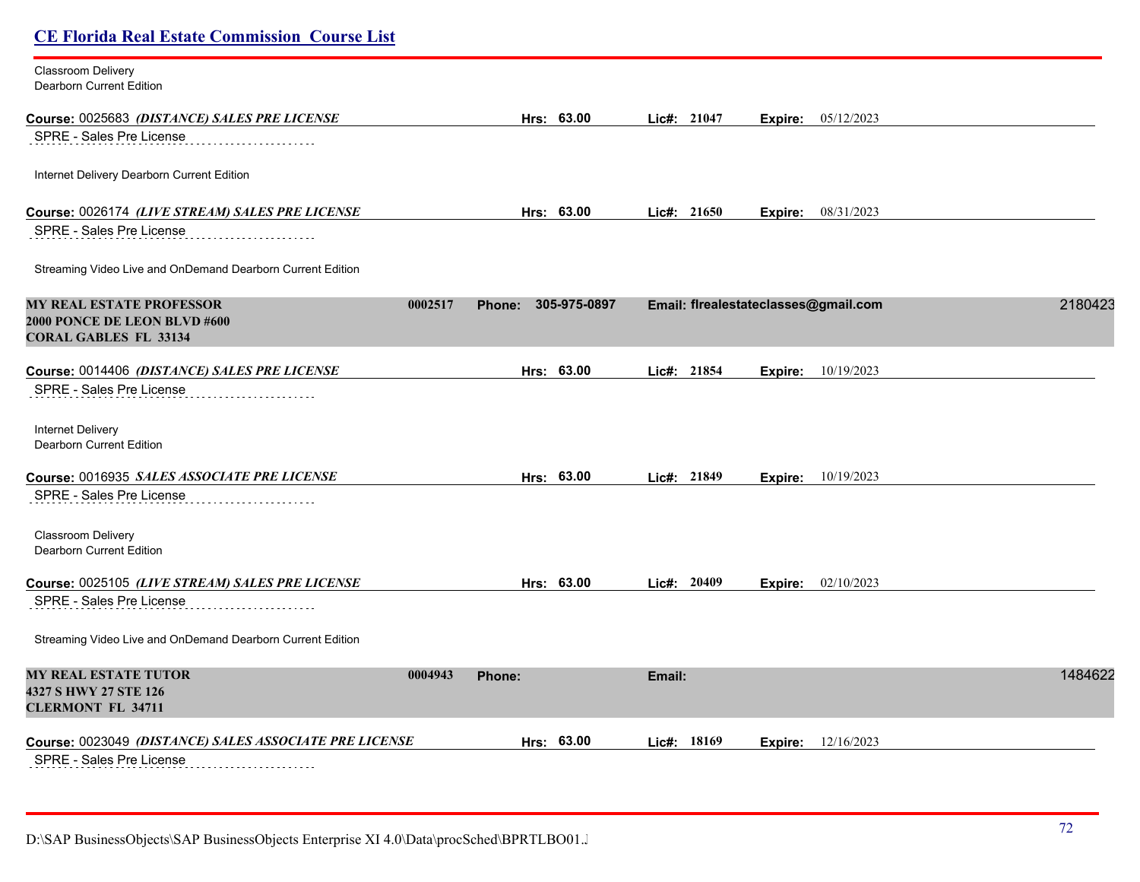# **CE Florida Real Estate Commission Course List** Classroom Delivery Dearborn Current Edition **Course:** 0025683 *(DISTANCE) SALES PRE LICENSE* **Hrs: 63.00 Lic#: 21047 Expire:** 05/12/2023 SPRE - Sales Pre License Internet Delivery Dearborn Current Edition **Course:** 0026174 *(LIVE STREAM) SALES PRE LICENSE* **Hrs: 63.00 Lic#: 21650 Expire:** 08/31/2023 SPRE - Sales Pre License Streaming Video Live and OnDemand Dearborn Current Edition **MY REAL ESTATE PROFESSOR 0002517 Phone: 305-975-0897 Email: flrealestateclasses@gmail.com** 21804238 **2000 PONCE DE LEON BLVD #600 CORAL GABLES FL 33134 Course:** 0014406 *(DISTANCE) SALES PRE LICENSE* **Hrs: 63.00 Lic#: 21854 Expire:** 10/19/2023 SPRE - Sales Pre License Internet Delivery Dearborn Current Edition **Course:** 0016935 *SALES ASSOCIATE PRE LICENSE* **Hrs: 63.00 Lic#: 21849 Expire:** 10/19/2023 SPRE - Sales Pre License Classroom Delivery Dearborn Current Edition **Course:** 0025105 *(LIVE STREAM) SALES PRE LICENSE* **Hrs: 63.00 Lic#: 20409 Expire:** 02/10/2023 SPRE - Sales Pre License Streaming Video Live and OnDemand Dearborn Current Edition **MY REAL ESTATE TUTOR 0004943 Phone: Email:** 14846221 **4327 S HWY 27 STE 126 CLERMONT FL 34711 Course:** 0023049 *(DISTANCE) SALES ASSOCIATE PRE LICENSE* **Hrs: 63.00 Lic#: 18169 Expire:** 12/16/2023 SPRE - Sales Pre License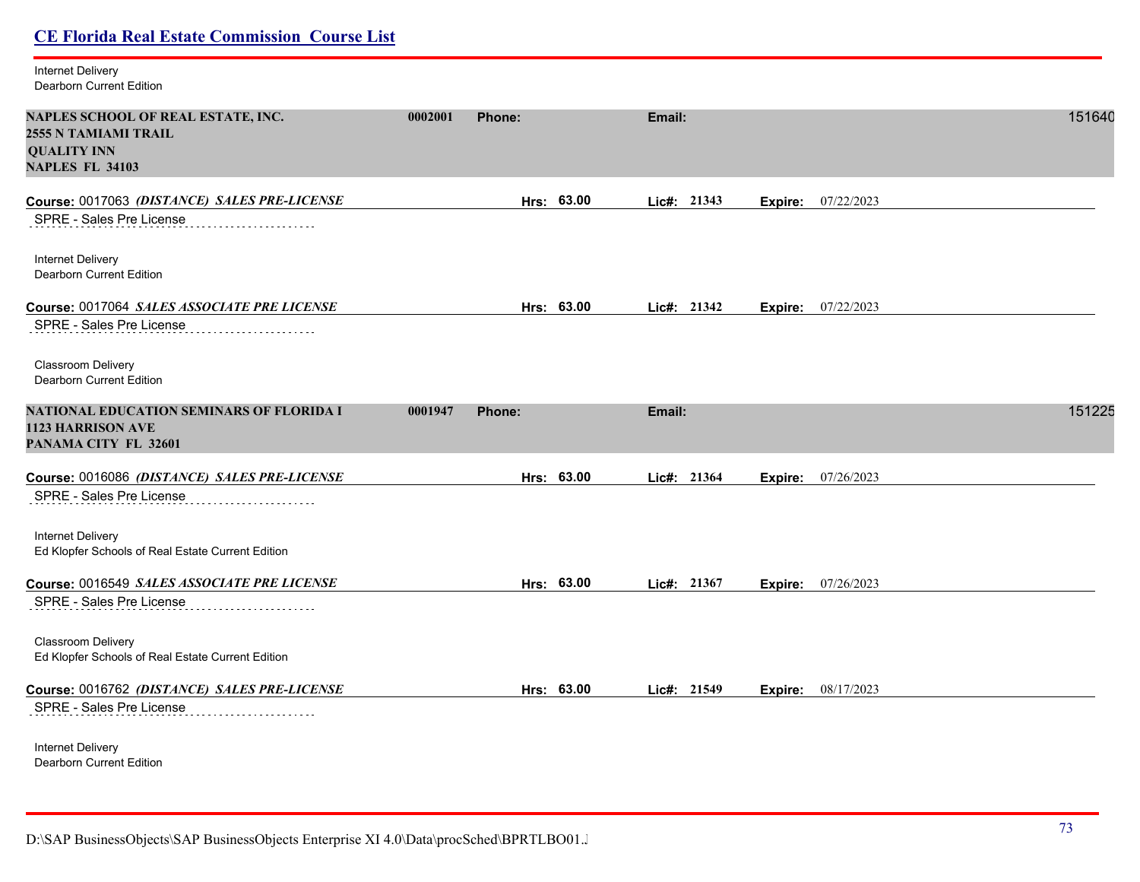| <b>Internet Delivery</b><br><b>Dearborn Current Edition</b>                                                |         |               |            |               |         |                    |        |
|------------------------------------------------------------------------------------------------------------|---------|---------------|------------|---------------|---------|--------------------|--------|
| NAPLES SCHOOL OF REAL ESTATE, INC.<br>2555 N TAMIAMI TRAIL<br><b>QUALITY INN</b><br><b>NAPLES FL 34103</b> | 0002001 | <b>Phone:</b> |            | Email:        |         |                    | 151640 |
| Course: 0017063 (DISTANCE) SALES PRE-LICENSE                                                               |         |               | Hrs: 63.00 | Lic#: 21343   | Expire: | 07/22/2023         |        |
| SPRE - Sales Pre License                                                                                   |         |               |            |               |         |                    |        |
| <b>Internet Delivery</b><br>Dearborn Current Edition                                                       |         |               |            |               |         |                    |        |
| Course: 0017064 SALES ASSOCIATE PRE LICENSE                                                                |         |               | Hrs: 63.00 | Lic#: 21342   |         | Expire: 07/22/2023 |        |
| SPRE - Sales Pre License                                                                                   |         |               |            |               |         |                    |        |
| Classroom Delivery<br>Dearborn Current Edition                                                             |         |               |            |               |         |                    |        |
| NATIONAL EDUCATION SEMINARS OF FLORIDA I<br><b>1123 HARRISON AVE</b><br>PANAMA CITY FL 32601               | 0001947 | <b>Phone:</b> |            | Email:        |         |                    | 151225 |
| Course: 0016086 (DISTANCE) SALES PRE-LICENSE                                                               |         |               | Hrs: 63.00 | Lic#: 21364   | Expire: | 07/26/2023         |        |
| SPRE - Sales Pre License                                                                                   |         |               |            |               |         |                    |        |
| Internet Delivery<br>Ed Klopfer Schools of Real Estate Current Edition                                     |         |               |            |               |         |                    |        |
| Course: 0016549 SALES ASSOCIATE PRE LICENSE                                                                |         |               | Hrs: 63.00 | Lic#: $21367$ |         | Expire: 07/26/2023 |        |
| SPRE - Sales Pre License                                                                                   |         |               |            |               |         |                    |        |
| <b>Classroom Delivery</b><br>Ed Klopfer Schools of Real Estate Current Edition                             |         |               |            |               |         |                    |        |
| Course: 0016762 (DISTANCE) SALES PRE-LICENSE                                                               |         |               | Hrs: 63.00 | Lic#: $21549$ |         | Expire: 08/17/2023 |        |
| SPRE - Sales Pre License                                                                                   |         |               |            |               |         |                    |        |
| Internet Delivery<br>Dearborn Current Edition                                                              |         |               |            |               |         |                    |        |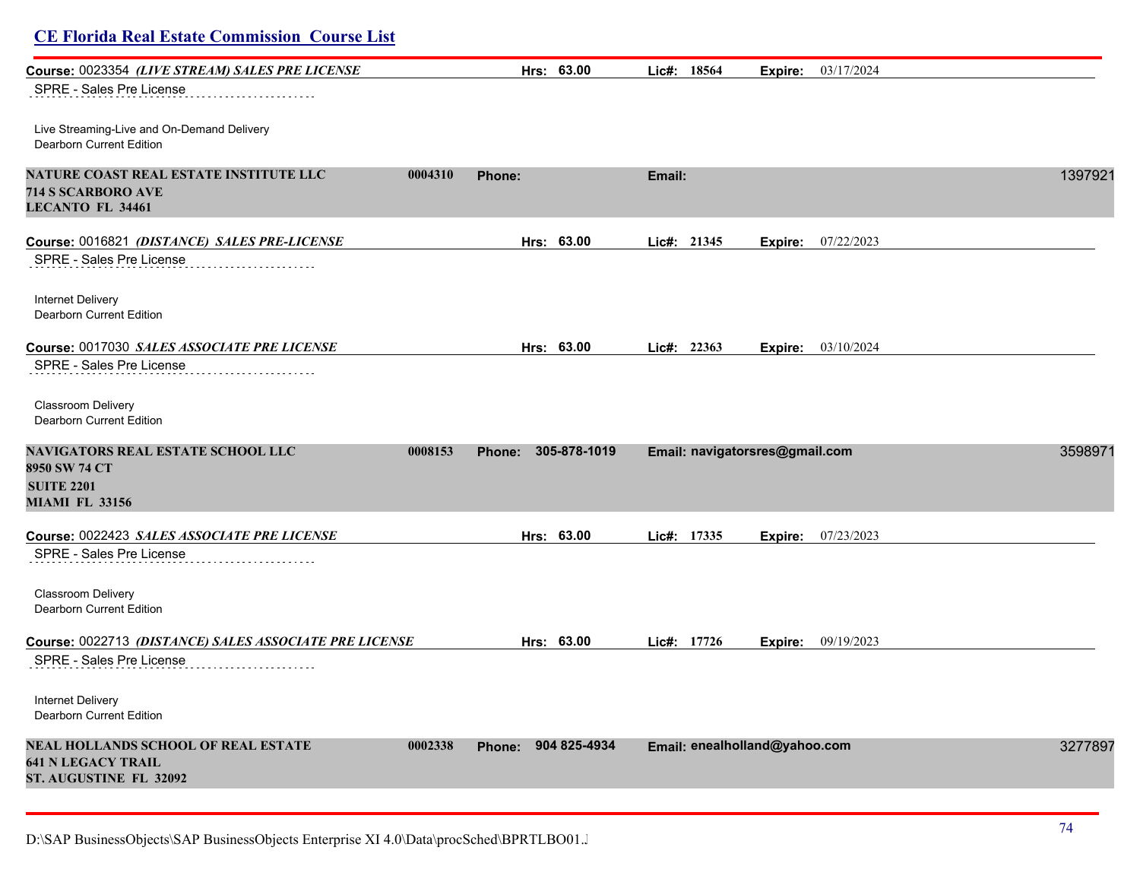### **CE Florida Real Estate Commission Course List Course:** 0023354 *(LIVE STREAM) SALES PRE LICENSE* **Hrs: 63.00 Lic#: 18564 Expire:** 03/17/2024 SPRE - Sales Pre License Live Streaming-Live and On-Demand Delivery Dearborn Current Edition **NATURE COAST REAL ESTATE INSTITUTE LLC 0004310 Phone: Email:** 13979210 **714 S SCARBORO AVE LECANTO FL 34461 Course:** 0016821 *(DISTANCE) SALES PRE-LICENSE* **Hrs: 63.00 Lic#: 21345 Expire:** 07/22/2023 SPRE - Sales Pre License Internet Delivery Dearborn Current Edition **Course:** 0017030 *SALES ASSOCIATE PRE LICENSE* **Hrs: 63.00 Lic#: 22363 Expire:** 03/10/2024 SPRE - Sales Pre License Classroom Delivery Dearborn Current Edition **NAVIGATORS REAL ESTATE SCHOOL LLC 0008153 Phone: 305-878-1019 Email: navigatorsres@gmail.com** 35989715 **8950 SW 74 CT SUITE 2201 MIAMI FL 33156 Course:** 0022423 *SALES ASSOCIATE PRE LICENSE* **Hrs: 63.00 Lic#: 17335 Expire:** 07/23/2023 SPRE - Sales Pre License Classroom Delivery Dearborn Current Edition **Course:** 0022713 *(DISTANCE) SALES ASSOCIATE PRE LICENSE* **Hrs: 63.00 Lic#: 17726 Expire:** 09/19/2023 SPRE - Sales Pre License Internet Delivery Dearborn Current Edition **NEAL HOLLANDS SCHOOL OF REAL ESTATE 0002338 Phone: 904 825-4934 Email: enealholland@yahoo.com** 32778978 **641 N LEGACY TRAIL ST. AUGUSTINE FL 32092**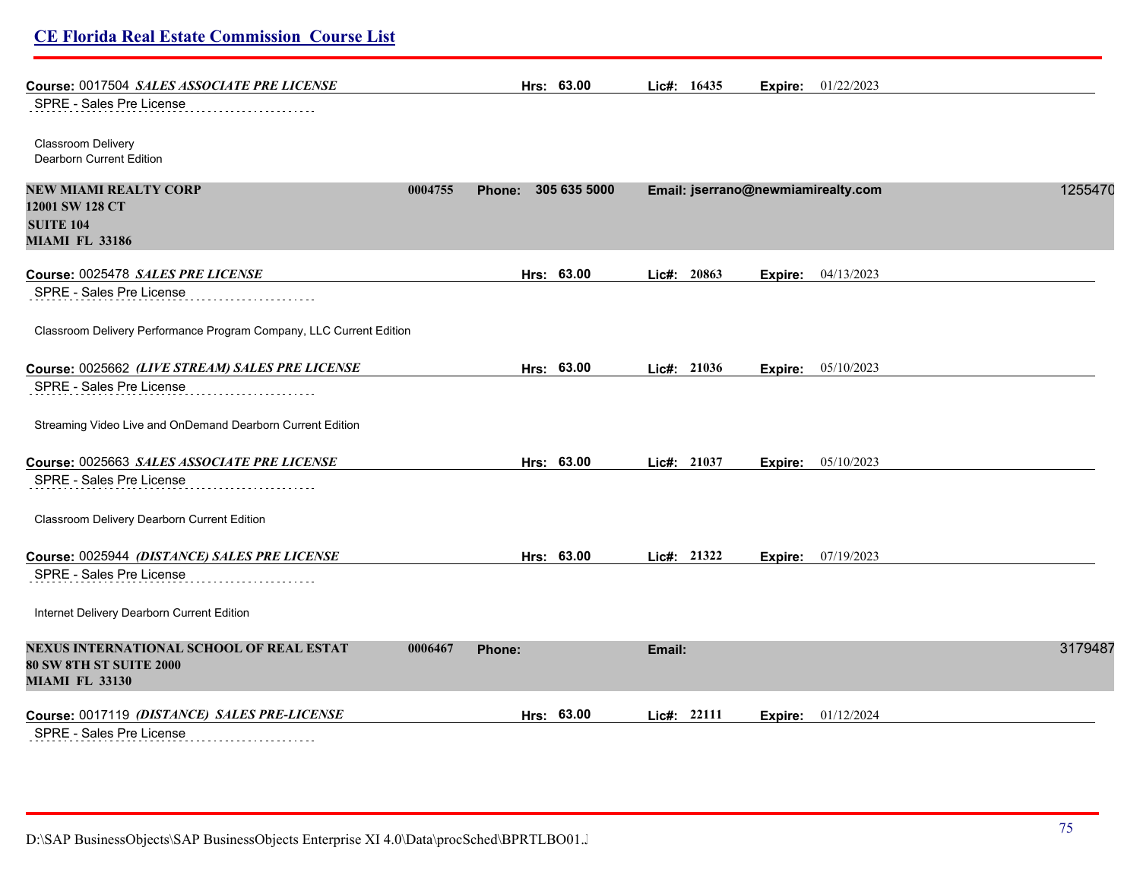| <b>CE Florida Real Estate Commission Course List</b>                |         |                     |            |             |             |                                    |         |
|---------------------------------------------------------------------|---------|---------------------|------------|-------------|-------------|------------------------------------|---------|
| Course: 0017504 SALES ASSOCIATE PRE LICENSE                         |         |                     | Hrs: 63.00 | Lic#: 16435 |             | <b>Expire:</b> 01/22/2023          |         |
| SPRE - Sales Pre License                                            |         |                     |            |             |             |                                    |         |
| Classroom Delivery<br>Dearborn Current Edition                      |         |                     |            |             |             |                                    |         |
| NEW MIAMI REALTY CORP                                               | 0004755 | Phone: 305 635 5000 |            |             |             | Email: jserrano@newmiamirealty.com | 1255470 |
| 12001 SW 128 CT                                                     |         |                     |            |             |             |                                    |         |
| <b>SUITE 104</b><br><b>MIAMI FL 33186</b>                           |         |                     |            |             |             |                                    |         |
| Course: 0025478 SALES PRE LICENSE                                   |         |                     | Hrs: 63.00 |             | Lic#: 20863 | <b>Expire:</b> 04/13/2023          |         |
| SPRE - Sales Pre License                                            |         |                     |            |             |             |                                    |         |
| Classroom Delivery Performance Program Company, LLC Current Edition |         |                     |            |             |             |                                    |         |
| Course: 0025662 (LIVE STREAM) SALES PRE LICENSE                     |         |                     | Hrs: 63.00 |             | Lic#: 21036 | <b>Expire:</b> 05/10/2023          |         |
| SPRE - Sales Pre License                                            |         |                     |            |             |             |                                    |         |
| Streaming Video Live and OnDemand Dearborn Current Edition          |         |                     |            |             |             |                                    |         |
| Course: 0025663 <i>SALES ASSOCIATE PRE LICENSE</i>                  |         |                     | Hrs: 63.00 |             | Lic#: 21037 | <b>Expire:</b> 05/10/2023          |         |
| SPRE - Sales Pre License                                            |         |                     |            |             |             |                                    |         |
| Classroom Delivery Dearborn Current Edition                         |         |                     |            |             |             |                                    |         |
| Course: 0025944 (DISTANCE) SALES PRE LICENSE                        |         |                     | Hrs: 63.00 |             | Lic#: 21322 | <b>Expire:</b> $07/19/2023$        |         |
| SPRE - Sales Pre License                                            |         |                     |            |             |             |                                    |         |
| Internet Delivery Dearborn Current Edition                          |         |                     |            |             |             |                                    |         |
| NEXUS INTERNATIONAL SCHOOL OF REAL ESTAT                            | 0006467 | <b>Phone:</b>       |            | Email:      |             |                                    | 3179487 |
| <b>80 SW 8TH ST SUITE 2000</b><br><b>MIAMI FL 33130</b>             |         |                     |            |             |             |                                    |         |
| Course: 0017119 (DISTANCE) SALES PRE-LICENSE                        |         |                     | Hrs: 63.00 |             | Lie#: 22111 | Expire: 01/12/2024                 |         |
| SPRE - Sales Pre License                                            |         |                     |            |             |             |                                    |         |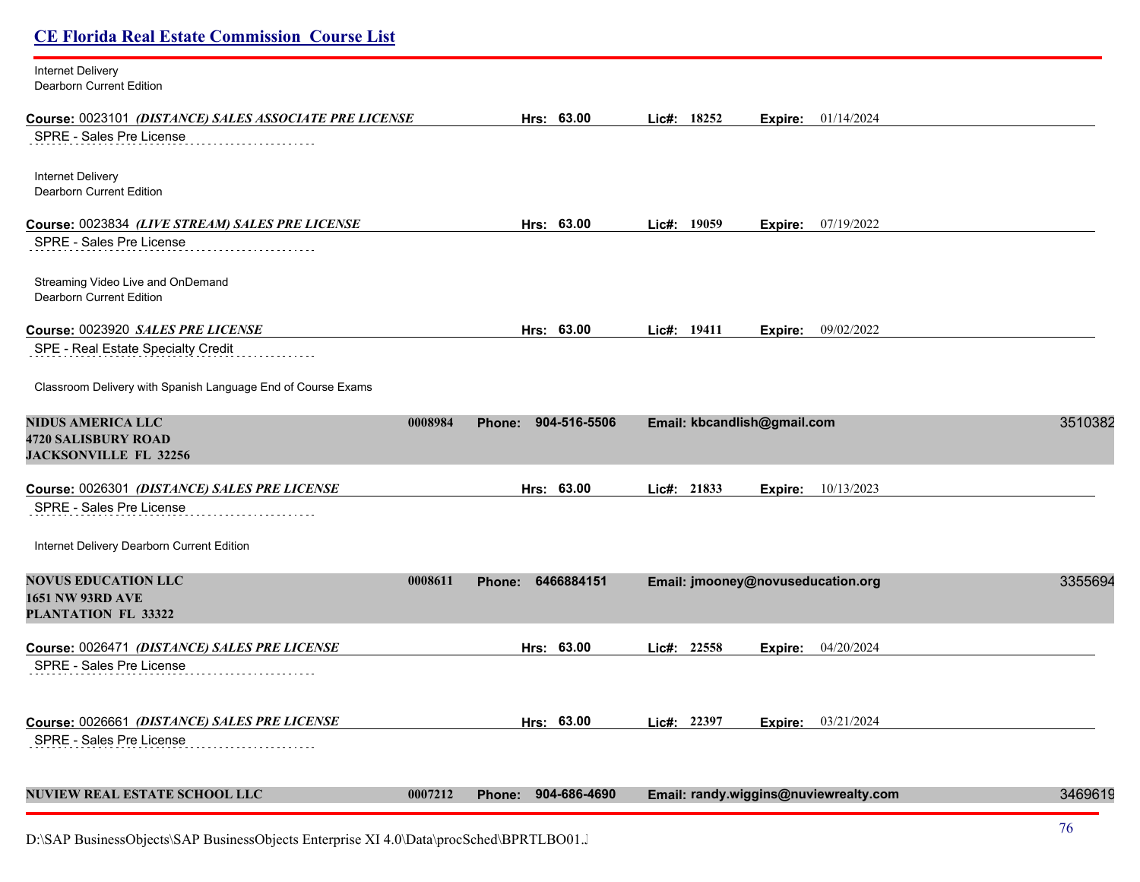| <b>CE Florida Real Estate Commission Course List</b>                                   |                          |                     |               |                             |                                       |         |
|----------------------------------------------------------------------------------------|--------------------------|---------------------|---------------|-----------------------------|---------------------------------------|---------|
| Internet Delivery<br>Dearborn Current Edition                                          |                          |                     |               |                             |                                       |         |
| Course: 0023101 (DISTANCE) SALES ASSOCIATE PRE LICENSE                                 |                          | Hrs: 63.00          | Lic#: 18252   | Expire:                     | 01/14/2024                            |         |
| SPRE - Sales Pre License                                                               |                          |                     |               |                             |                                       |         |
| Internet Delivery<br>Dearborn Current Edition                                          |                          |                     |               |                             |                                       |         |
| Course: 0023834 (LIVE STREAM) SALES PRE LICENSE<br>SPRE - Sales Pre License            |                          | Hrs: 63.00          | Lic#: $19059$ |                             | <b>Expire:</b> 07/19/2022             |         |
| Streaming Video Live and OnDemand<br>Dearborn Current Edition                          |                          |                     |               |                             |                                       |         |
| Course: 0023920 SALES PRE LICENSE                                                      |                          | Hrs: 63.00          | Lic#: $19411$ | Expire:                     | 09/02/2022                            |         |
| SPE - Real Estate Specialty Credit                                                     |                          |                     |               |                             |                                       |         |
| Classroom Delivery with Spanish Language End of Course Exams                           |                          |                     |               |                             |                                       |         |
| <b>NIDUS AMERICA LLC</b><br><b>4720 SALISBURY ROAD</b><br><b>JACKSONVILLE FL 32256</b> | 0008984<br>Phone:        | 904-516-5506        |               | Email: kbcandlish@gmail.com |                                       | 3510382 |
| Course: 0026301 (DISTANCE) SALES PRE LICENSE<br>SPRE - Sales Pre License               |                          | Hrs: 63.00          | Lic#: 21833   | Expire:                     | 10/13/2023                            |         |
| Internet Delivery Dearborn Current Edition                                             |                          |                     |               |                             |                                       |         |
| <b>NOVUS EDUCATION LLC</b><br><b>1651 NW 93RD AVE</b><br>PLANTATION FL 33322           | 0008611<br><b>Phone:</b> | 6466884151          |               |                             | Email: jmooney@novuseducation.org     | 3355694 |
| Course: 0026471 (DISTANCE) SALES PRE LICENSE                                           |                          | Hrs: 63.00          | Lic#: 22558   | Expire:                     | 04/20/2024                            |         |
| SPRE - Sales Pre License                                                               |                          |                     |               |                             |                                       |         |
| Course: 0026661 (DISTANCE) SALES PRE LICENSE<br>SPRE - Sales Pre License               |                          | Hrs: 63.00          | Lic#: 22397   |                             | <b>Expire:</b> 03/21/2024             |         |
| <b>NUVIEW REAL ESTATE SCHOOL LLC</b>                                                   | 0007212                  | Phone: 904-686-4690 |               |                             | Email: randy.wiggins@nuviewrealty.com | 3469619 |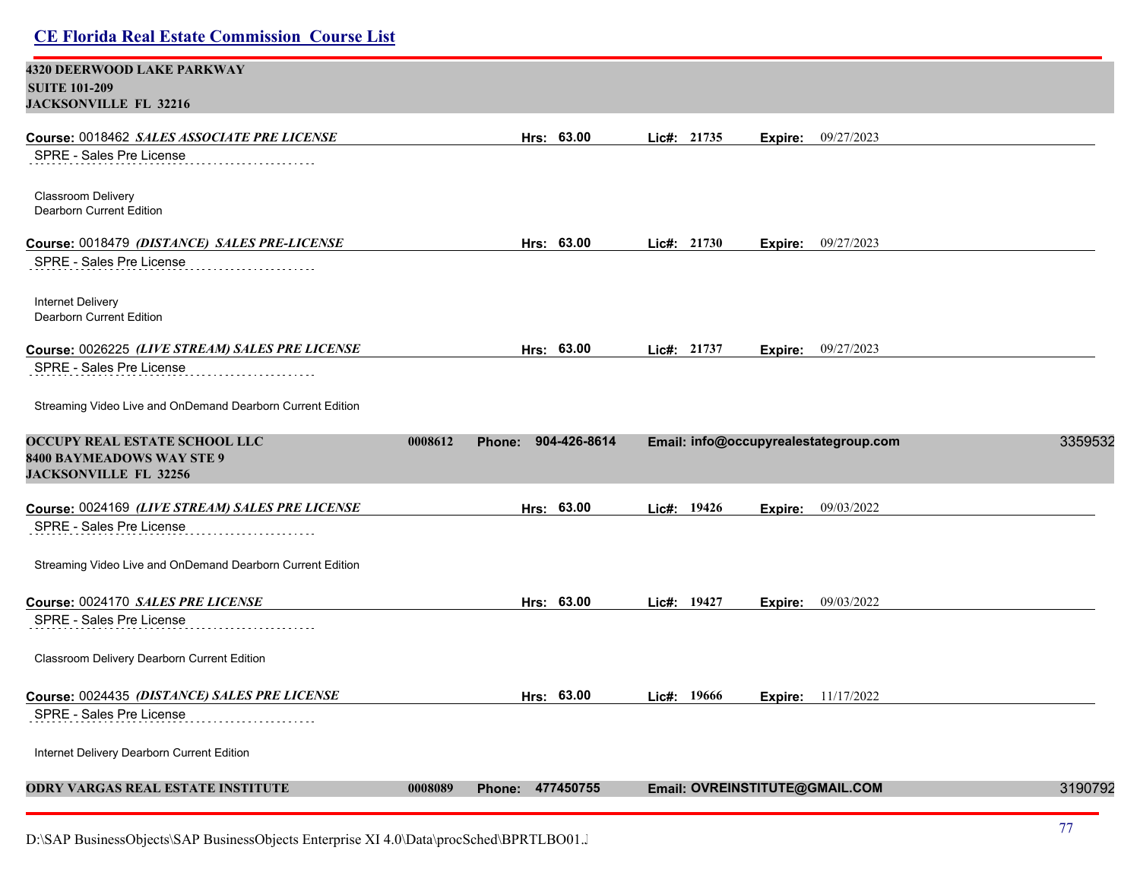|                                                                                                   | <b>CE Florida Real Estate Commission Course List</b> |                                          |         |
|---------------------------------------------------------------------------------------------------|------------------------------------------------------|------------------------------------------|---------|
| <b>4320 DEERWOOD LAKE PARKWAY</b><br><b>SUITE 101-209</b><br><b>JACKSONVILLE FL 32216</b>         |                                                      |                                          |         |
| Course: 0018462 SALES ASSOCIATE PRE LICENSE                                                       | Hrs: 63.00                                           | Lic#: 21735<br>09/27/2023<br>Expire:     |         |
| SPRE - Sales Pre License                                                                          |                                                      |                                          |         |
| Classroom Delivery<br>Dearborn Current Edition                                                    |                                                      |                                          |         |
| Course: 0018479 (DISTANCE) SALES PRE-LICENSE                                                      | Hrs: 63.00                                           | Lic#: $21730$<br>09/27/2023<br>Expire:   |         |
| SPRE - Sales Pre License                                                                          |                                                      |                                          |         |
| Internet Delivery<br><b>Dearborn Current Edition</b>                                              |                                                      |                                          |         |
| Course: 0026225 (LIVE STREAM) SALES PRE LICENSE                                                   | Hrs: 63.00                                           | Lic#: 21737<br>09/27/2023<br>Expire:     |         |
| SPRE - Sales Pre License                                                                          |                                                      |                                          |         |
| Streaming Video Live and OnDemand Dearborn Current Edition                                        |                                                      |                                          |         |
| <b>OCCUPY REAL ESTATE SCHOOL LLC</b><br>8400 BAYMEADOWS WAY STE 9<br><b>JACKSONVILLE FL 32256</b> | Phone: 904-426-8614<br>0008612                       | Email: info@occupyrealestategroup.com    | 3359532 |
|                                                                                                   |                                                      |                                          |         |
|                                                                                                   |                                                      |                                          |         |
| Course: 0024169 (LIVE STREAM) SALES PRE LICENSE<br>SPRE - Sales Pre License                       | Hrs: 63.00                                           | Lic#: 19426<br>09/03/2022<br>Expire:     |         |
| Streaming Video Live and OnDemand Dearborn Current Edition                                        |                                                      |                                          |         |
| Course: 0024170 SALES PRE LICENSE                                                                 | Hrs: 63.00                                           | Lic#: 19427<br>09/03/2022<br>Expire:     |         |
| SPRE - Sales Pre License                                                                          |                                                      |                                          |         |
| Classroom Delivery Dearborn Current Edition                                                       |                                                      |                                          |         |
| Course: 0024435 (DISTANCE) SALES PRE LICENSE                                                      | Hrs: 63.00                                           | Lic#: 19666<br><b>Expire:</b> 11/17/2022 |         |
| SPRE - Sales Pre License                                                                          |                                                      |                                          |         |
| Internet Delivery Dearborn Current Edition                                                        |                                                      |                                          |         |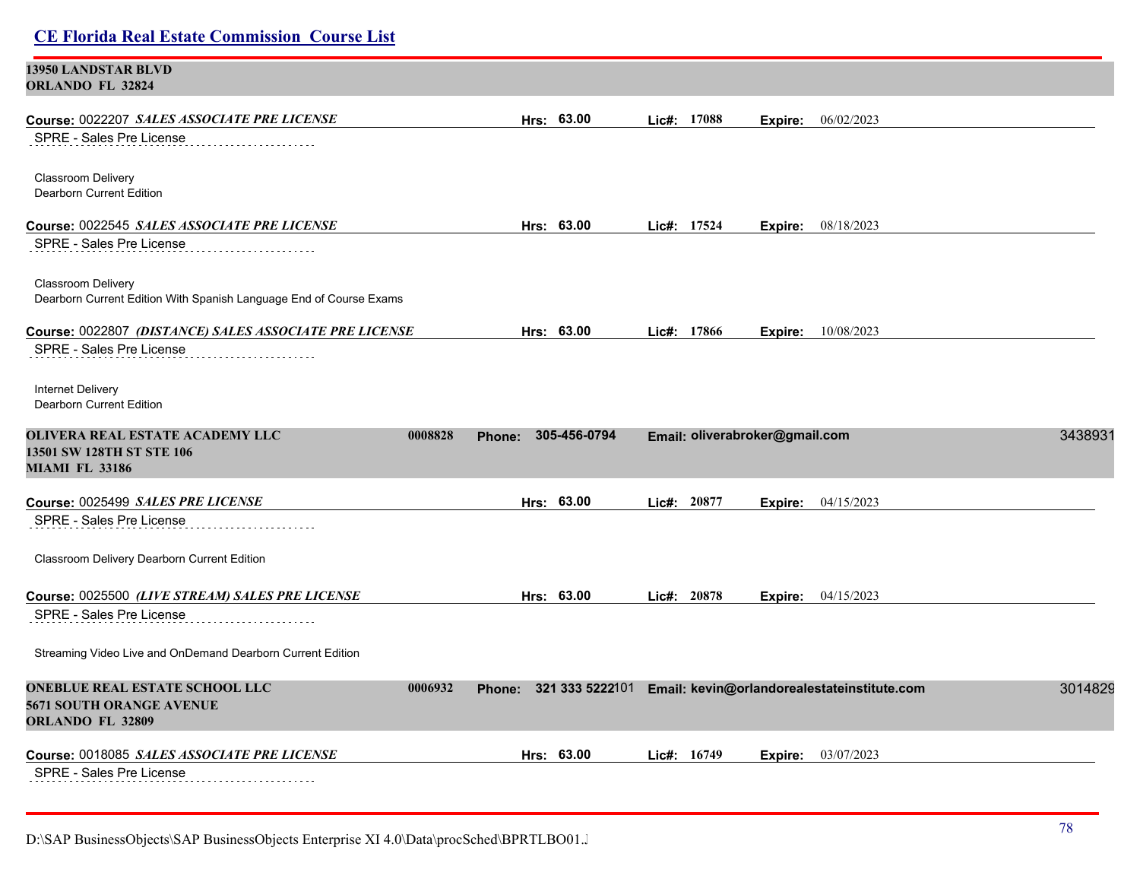## **CE Florida Real Estate Commission Course List 13950 LANDSTAR BLVD ORLANDO FL 32824 Course:** 0022207 *SALES ASSOCIATE PRE LICENSE* **Hrs: 63.00 Lic#: 17088 Expire:** 06/02/2023 SPRE - Sales Pre License Classroom Delivery Dearborn Current Edition **Course:** 0022545 *SALES ASSOCIATE PRE LICENSE* **Hrs: 63.00 Lic#: 17524 Expire:** 08/18/2023 SPRE - Sales Pre License Classroom Delivery Dearborn Current Edition With Spanish Language End of Course Exams **Course:** 0022807 *(DISTANCE) SALES ASSOCIATE PRE LICENSE* **Hrs: 63.00 Lic#: 17866 Expire:** 10/08/2023 SPRE - Sales Pre License Internet Delivery Dearborn Current Edition **OLIVERA REAL ESTATE ACADEMY LLC 0008828 Phone: 305-456-0794 Email: oliverabroker@gmail.com** 34389313 **13501 SW 128TH ST STE 106 MIAMI FL 33186 Course:** 0025499 *SALES PRE LICENSE* **Hrs: 63.00 Lic#: 20877 Expire:** 04/15/2023 SPRE - Sales Pre License Classroom Delivery Dearborn Current Edition **Course:** 0025500 *(LIVE STREAM) SALES PRE LICENSE* **Hrs: 63.00 Lic#: 20878 Expire:** 04/15/2023 SPRE - Sales Pre License Streaming Video Live and OnDemand Dearborn Current Edition **ONEBLUE REAL ESTATE SCHOOL LLC 0006932 Phone: 321 333 5222**101 **Email: kevin@orlandorealestateinstitute.com** 30148299 **5671 SOUTH ORANGE AVENUE ORLANDO FL 32809 Course:** 0018085 *SALES ASSOCIATE PRE LICENSE* **Hrs: 63.00 Lic#: 16749 Expire:** 03/07/2023 SPRE - Sales Pre License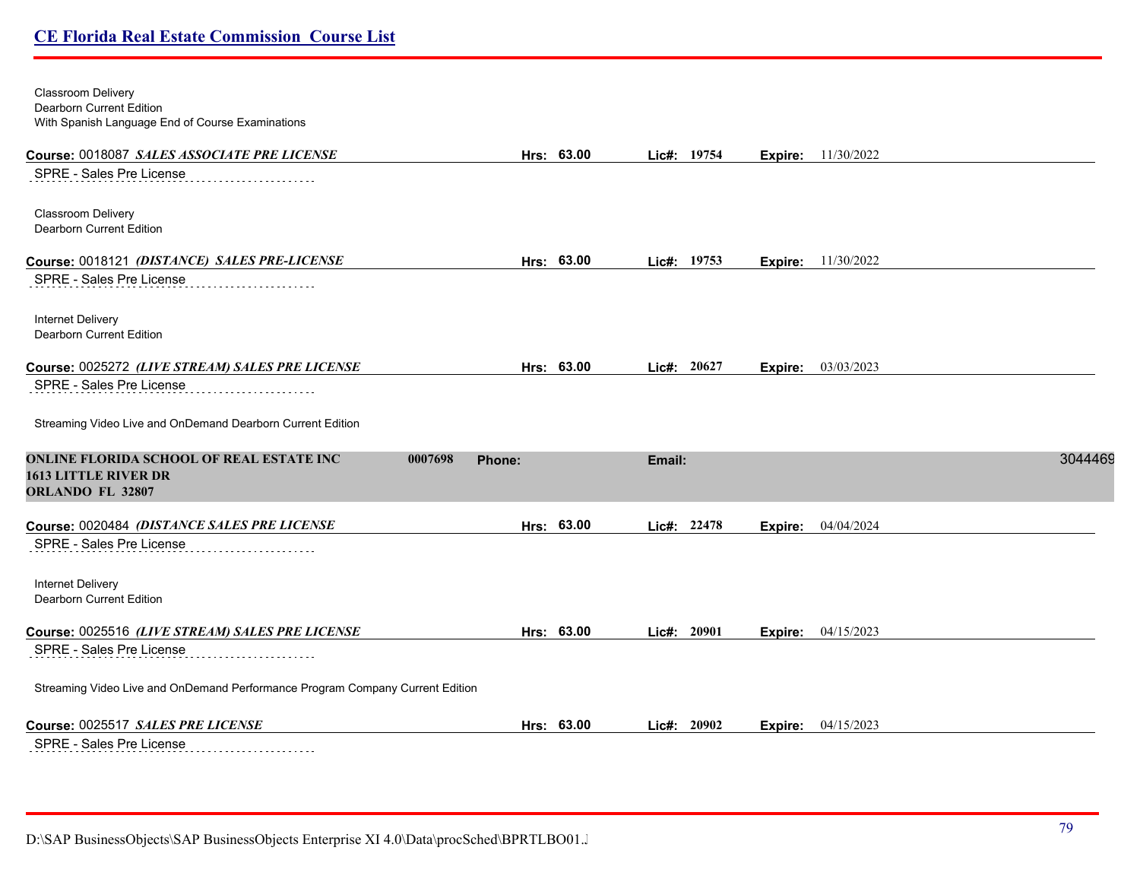| Classroom Delivery<br>Dearborn Current Edition                                                                |        |            |        |             |         |                           |         |
|---------------------------------------------------------------------------------------------------------------|--------|------------|--------|-------------|---------|---------------------------|---------|
| With Spanish Language End of Course Examinations                                                              |        |            |        |             |         |                           |         |
| Course: 0018087 SALES ASSOCIATE PRE LICENSE                                                                   |        | Hrs: 63.00 |        | Lic#: 19754 | Expire: | 11/30/2022                |         |
| SPRE - Sales Pre License                                                                                      |        |            |        |             |         |                           |         |
| Classroom Delivery<br>Dearborn Current Edition                                                                |        |            |        |             |         |                           |         |
| Course: 0018121 (DISTANCE) SALES PRE-LICENSE                                                                  |        | Hrs: 63.00 |        | Lic#: 19753 |         | <b>Expire:</b> 11/30/2022 |         |
| SPRE - Sales Pre License                                                                                      |        |            |        |             |         |                           |         |
| Internet Delivery<br>Dearborn Current Edition                                                                 |        |            |        |             |         |                           |         |
| Course: 0025272 (LIVE STREAM) SALES PRE LICENSE                                                               |        | Hrs: 63.00 |        | Lic#: 20627 | Expire: | 03/03/2023                |         |
| SPRE - Sales Pre License                                                                                      |        |            |        |             |         |                           |         |
| Streaming Video Live and OnDemand Dearborn Current Edition                                                    |        |            |        |             |         |                           |         |
| <b>ONLINE FLORIDA SCHOOL OF REAL ESTATE INC</b><br>0007698<br><b>1613 LITTLE RIVER DR</b><br>ORLANDO FL 32807 | Phone: |            | Email: |             |         |                           | 3044469 |
| Course: 0020484 (DISTANCE SALES PRE LICENSE                                                                   |        | Hrs: 63.00 |        | Lic#: 22478 | Expire: | 04/04/2024                |         |
| SPRE - Sales Pre License                                                                                      |        |            |        |             |         |                           |         |
| Internet Delivery<br>Dearborn Current Edition                                                                 |        |            |        |             |         |                           |         |
| Course: 0025516 (LIVE STREAM) SALES PRE LICENSE                                                               |        | Hrs: 63.00 |        | Lie#: 20901 |         | Expire: 04/15/2023        |         |
| SPRE - Sales Pre License                                                                                      |        |            |        |             |         |                           |         |
| Streaming Video Live and OnDemand Performance Program Company Current Edition                                 |        |            |        |             |         |                           |         |
| Course: 0025517 SALES PRE LICENSE                                                                             |        | Hrs: 63.00 |        | Lic#: 20902 | Expire: | 04/15/2023                |         |
| SPRE - Sales Pre License                                                                                      |        |            |        |             |         |                           |         |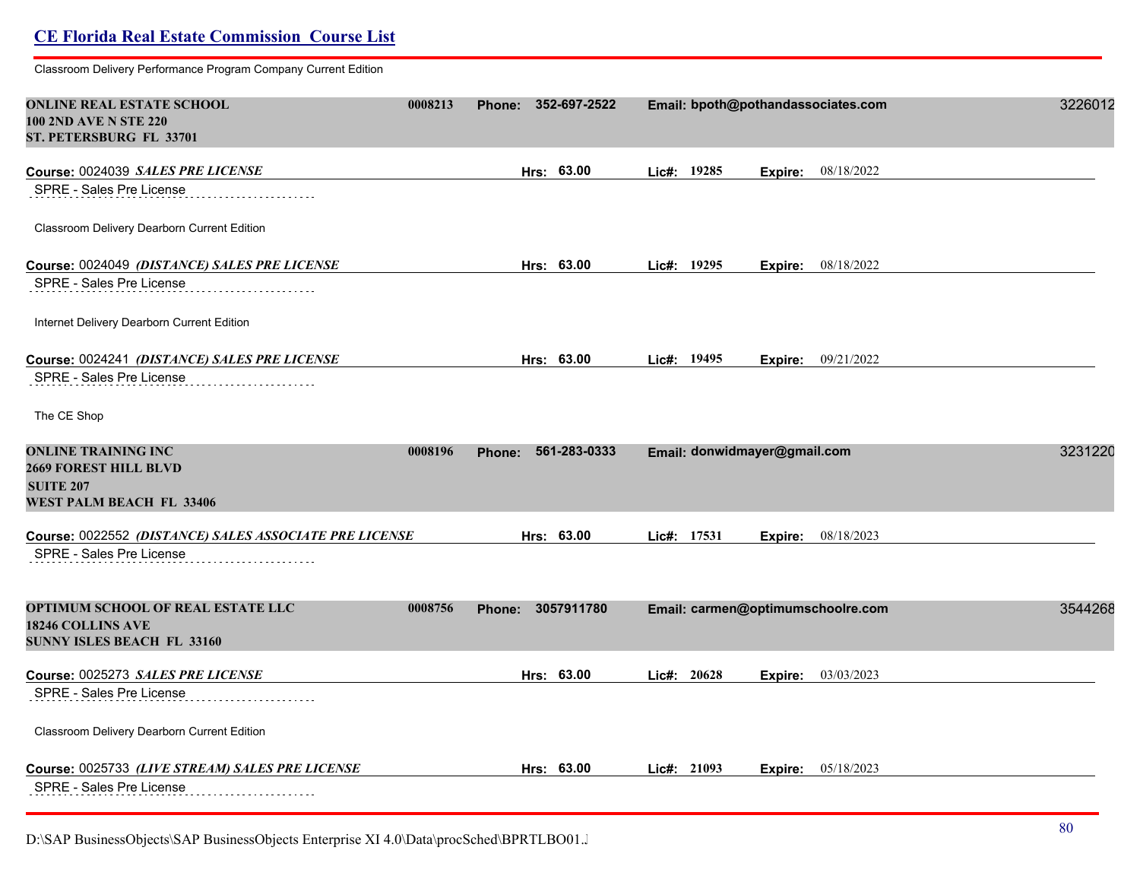Classroom Delivery Performance Program Company Current Edition

| <b>ONLINE REAL ESTATE SCHOOL</b><br><b>100 2ND AVE N STE 220</b><br>ST. PETERSBURG FL 33701                | 0008213 | Phone: 352-697-2522    |             | Email: bpoth@pothandassociates.com | 3226012 |
|------------------------------------------------------------------------------------------------------------|---------|------------------------|-------------|------------------------------------|---------|
| Course: 0024039 SALES PRE LICENSE                                                                          |         | Hrs: 63.00             | Lic#: 19285 | 08/18/2022<br>Expire:              |         |
| SPRE - Sales Pre License                                                                                   |         |                        |             |                                    |         |
| Classroom Delivery Dearborn Current Edition                                                                |         |                        |             |                                    |         |
| Course: 0024049 (DISTANCE) SALES PRE LICENSE                                                               |         | Hrs: 63.00             | Lie#: 19295 | Expire: 08/18/2022                 |         |
| SPRE - Sales Pre License                                                                                   |         |                        |             |                                    |         |
| Internet Delivery Dearborn Current Edition                                                                 |         |                        |             |                                    |         |
| Course: 0024241 (DISTANCE) SALES PRE LICENSE                                                               |         | Hrs: 63.00             | Lic#: 19495 | 09/21/2022<br>Expire:              |         |
| SPRE - Sales Pre License                                                                                   |         |                        |             |                                    |         |
| The CE Shop                                                                                                |         |                        |             |                                    |         |
| <b>ONLINE TRAINING INC</b><br><b>2669 FOREST HILL BLVD</b><br><b>SUITE 207</b><br>WEST PALM BEACH FL 33406 | 0008196 | 561-283-0333<br>Phone: |             | Email: donwidmayer@gmail.com       | 3231220 |
| Course: 0022552 (DISTANCE) SALES ASSOCIATE PRE LICENSE                                                     |         | Hrs: 63.00             | Lic#: 17531 | 08/18/2023<br>Expire:              |         |
| SPRE - Sales Pre License                                                                                   |         |                        |             |                                    |         |
| <b>OPTIMUM SCHOOL OF REAL ESTATE LLC</b><br><b>18246 COLLINS AVE</b><br>SUNNY ISLES BEACH FL 33160         | 0008756 | 3057911780<br>Phone:   |             | Email: carmen@optimumschoolre.com  | 3544268 |
| Course: 0025273 SALES PRE LICENSE                                                                          |         | Hrs: 63.00             | Lic#: 20628 | <b>Expire:</b> 03/03/2023          |         |
| SPRE - Sales Pre License                                                                                   |         |                        |             |                                    |         |
| Classroom Delivery Dearborn Current Edition                                                                |         |                        |             |                                    |         |
| Course: 0025733 (LIVE STREAM) SALES PRE LICENSE                                                            |         | Hrs: 63.00             | Lic#: 21093 | <b>Expire:</b> 05/18/2023          |         |
| SPRE - Sales Pre License<br>.                                                                              |         |                        |             |                                    |         |

D:\SAP BusinessObjects\SAP BusinessObjects Enterprise XI 4.0\Data\procSched\BPRTLBO01.J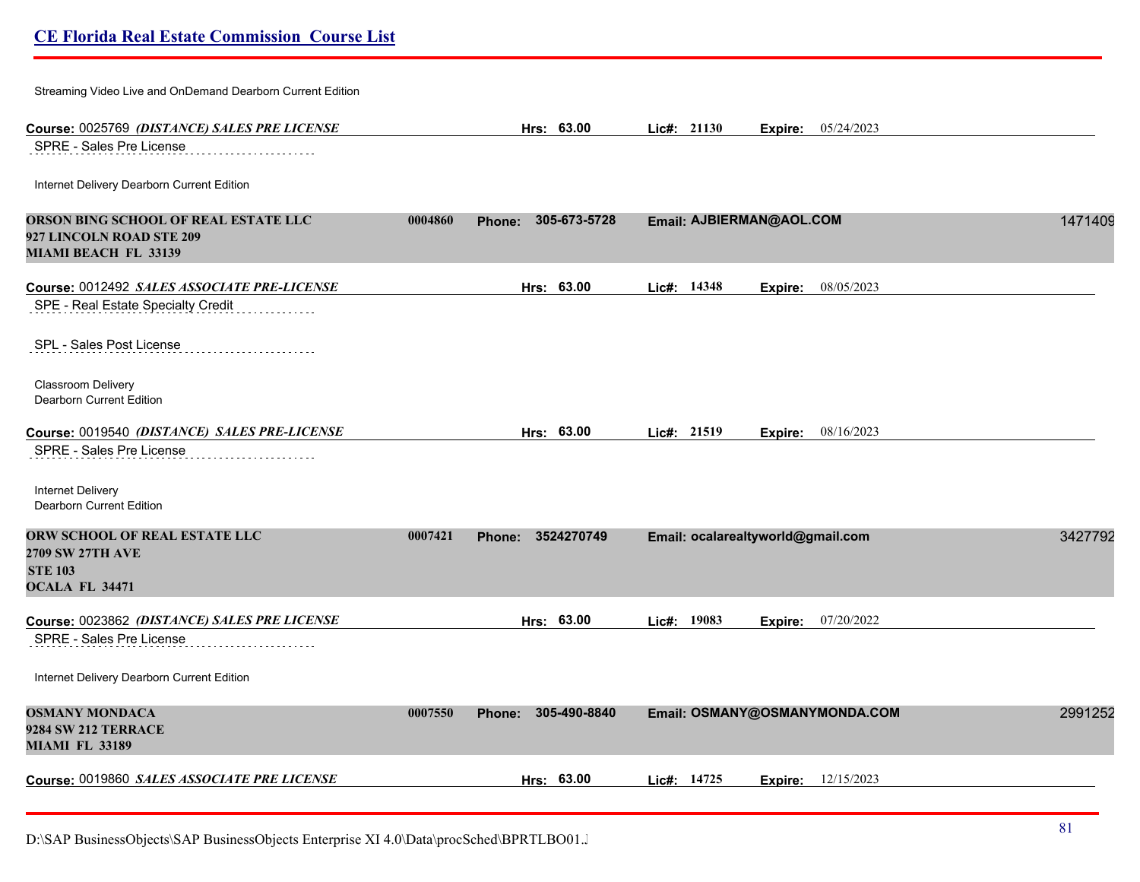| Streaming Video Live and OnDemand Dearborn Current Edition                                      |         |                               |             |                                   |         |
|-------------------------------------------------------------------------------------------------|---------|-------------------------------|-------------|-----------------------------------|---------|
| Course: 0025769 (DISTANCE) SALES PRE LICENSE                                                    |         | Hrs: 63.00                    | Lic#: 21130 | <b>Expire:</b> 05/24/2023         |         |
| SPRE - Sales Pre License                                                                        |         |                               |             |                                   |         |
| Internet Delivery Dearborn Current Edition                                                      |         |                               |             |                                   |         |
| ORSON BING SCHOOL OF REAL ESTATE LLC<br>927 LINCOLN ROAD STE 209<br><b>MIAMI BEACH FL 33139</b> | 0004860 | Phone: 305-673-5728           |             | Email: AJBIERMAN@AOL.COM          | 1471409 |
| Course: 0012492 SALES ASSOCIATE PRE-LICENSE<br>SPE - Real Estate Specialty Credit               |         | Hrs: 63.00                    | Lic#: 14348 | 08/05/2023<br>Expire:             |         |
| SPL - Sales Post License                                                                        |         |                               |             |                                   |         |
| Classroom Delivery<br><b>Dearborn Current Edition</b>                                           |         |                               |             |                                   |         |
| Course: 0019540 <i>(DISTANCE) SALES PRE-LICENSE</i>                                             |         | Hrs: 63.00                    | Lie#: 21519 | Expire: 08/16/2023                |         |
| SPRE - Sales Pre License                                                                        |         |                               |             |                                   |         |
| <b>Internet Delivery</b><br>Dearborn Current Edition                                            |         |                               |             |                                   |         |
| ORW SCHOOL OF REAL ESTATE LLC                                                                   | 0007421 | Phone: 3524270749             |             | Email: ocalarealtyworld@gmail.com | 3427792 |
| <b>2709 SW 27TH AVE</b><br><b>STE 103</b><br>OCALA FL 34471                                     |         |                               |             |                                   |         |
| Course: 0023862 (DISTANCE) SALES PRE LICENSE<br>SPRE - Sales Pre License                        |         | Hrs: 63.00                    | Lic#: 19083 | 07/20/2022<br>Expire:             |         |
| Internet Delivery Dearborn Current Edition                                                      |         |                               |             |                                   |         |
| <b>OSMANY MONDACA</b><br><b>9284 SW 212 TERRACE</b><br><b>MIAMI FL 33189</b>                    | 0007550 | 305-490-8840<br><b>Phone:</b> |             | Email: OSMANY@OSMANYMONDA.COM     | 2991252 |
| Course: 0019860 SALES ASSOCIATE PRE LICENSE                                                     |         | Hrs: 63.00                    | Lic#: 14725 | <b>Expire:</b> 12/15/2023         |         |
|                                                                                                 |         |                               |             |                                   |         |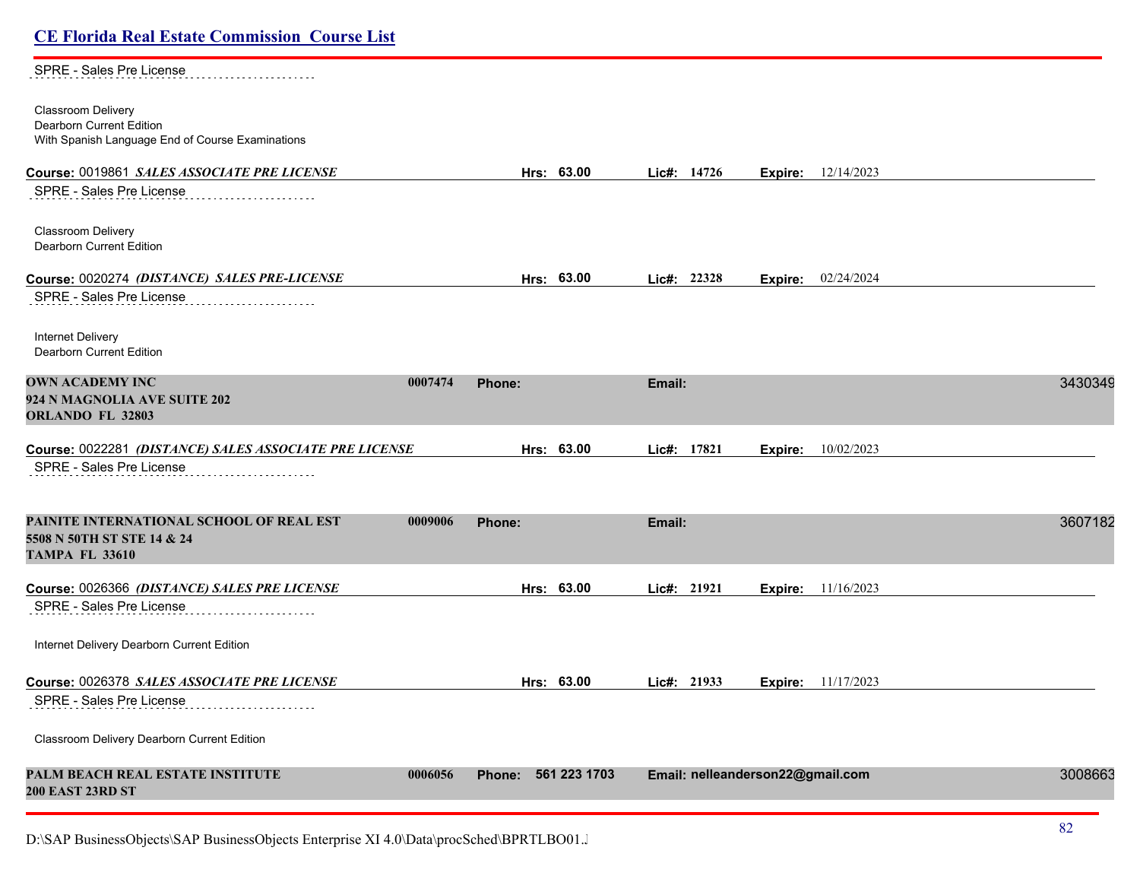| <b>CE Florida Real Estate Commission Course List</b>                                               |         |                     |             |                                  |         |
|----------------------------------------------------------------------------------------------------|---------|---------------------|-------------|----------------------------------|---------|
| SPRE - Sales Pre License                                                                           |         |                     |             |                                  |         |
| Classroom Delivery<br>Dearborn Current Edition<br>With Spanish Language End of Course Examinations |         |                     |             |                                  |         |
| Course: 0019861 SALES ASSOCIATE PRE LICENSE                                                        |         | Hrs: 63.00          | Lic#: 14726 | 12/14/2023<br>Expire:            |         |
| SPRE - Sales Pre License                                                                           |         |                     |             |                                  |         |
| Classroom Delivery<br>Dearborn Current Edition                                                     |         |                     |             |                                  |         |
| Course: 0020274 (DISTANCE) SALES PRE-LICENSE                                                       |         | Hrs: 63.00          | Lic#: 22328 | 02/24/2024<br>Expire:            |         |
| SPRE - Sales Pre License                                                                           |         |                     |             |                                  |         |
| <b>Internet Delivery</b><br><b>Dearborn Current Edition</b>                                        |         |                     |             |                                  |         |
| <b>OWN ACADEMY INC</b><br>924 N MAGNOLIA AVE SUITE 202<br>ORLANDO FL 32803                         | 0007474 | Phone:              | Email:      |                                  | 3430349 |
| Course: 0022281 (DISTANCE) SALES ASSOCIATE PRE LICENSE                                             |         | Hrs: 63.00          | Lic#: 17821 | 10/02/2023<br>Expire:            |         |
| SPRE - Sales Pre License                                                                           |         |                     |             |                                  |         |
| PAINITE INTERNATIONAL SCHOOL OF REAL EST<br>5508 N 50TH ST STE 14 & 24<br><b>TAMPA FL 33610</b>    | 0009006 | <b>Phone:</b>       | Email:      |                                  | 3607182 |
| Course: 0026366 (DISTANCE) SALES PRE LICENSE                                                       |         | Hrs: 63.00          | Lic#: 21921 | 11/16/2023<br>Expire:            |         |
| SPRE - Sales Pre License                                                                           |         |                     |             |                                  |         |
| Internet Delivery Dearborn Current Edition                                                         |         |                     |             |                                  |         |
| Course: 0026378 SALES ASSOCIATE PRE LICENSE                                                        |         | Hrs: 63.00          | Lic#: 21933 | 11/17/2023<br>Expire:            |         |
| SPRE - Sales Pre License                                                                           |         |                     |             |                                  |         |
| Classroom Delivery Dearborn Current Edition                                                        |         |                     |             |                                  |         |
| PALM BEACH REAL ESTATE INSTITUTE<br><b>200 EAST 23RD ST</b>                                        | 0006056 | Phone: 561 223 1703 |             | Email: nelleanderson22@gmail.com | 3008663 |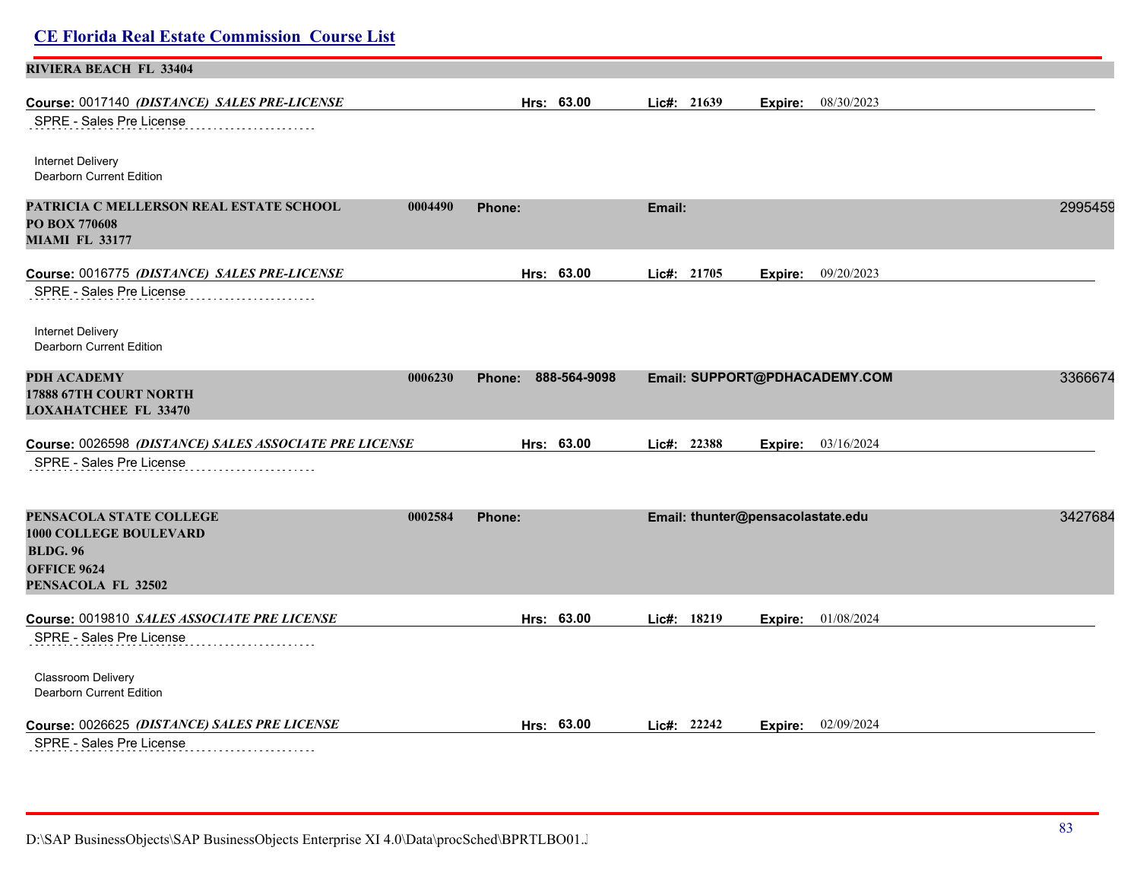| RIVIERA BEACH FL 33404                                                                       |                     |                                      |         |
|----------------------------------------------------------------------------------------------|---------------------|--------------------------------------|---------|
| Course: 0017140 (DISTANCE) SALES PRE-LICENSE                                                 | Hrs: 63.00          | Lic#: 21639<br>08/30/2023<br>Expire: |         |
| SPRE - Sales Pre License                                                                     |                     |                                      |         |
| Internet Delivery<br>Dearborn Current Edition                                                |                     |                                      |         |
| PATRICIA C MELLERSON REAL ESTATE SCHOOL<br>0004490<br>PO BOX 770608<br><b>MIAMI FL 33177</b> | Phone:              | Email:                               | 2995459 |
| Course: 0016775 (DISTANCE) SALES PRE-LICENSE                                                 | Hrs: 63.00          | Lic#: 21705<br>09/20/2023<br>Expire: |         |
| SPRE - Sales Pre License                                                                     |                     |                                      |         |
| Internet Delivery<br>Dearborn Current Edition                                                |                     |                                      |         |
| <b>PDH ACADEMY</b><br>0006230<br>17888 67TH COURT NORTH<br><b>LOXAHATCHEE FL 33470</b>       | Phone: 888-564-9098 | Email: SUPPORT@PDHACADEMY.COM        | 3366674 |
| Course: 0026598 (DISTANCE) SALES ASSOCIATE PRE LICENSE                                       | Hrs: 63.00          | Lic#: 22388<br>03/16/2024<br>Expire: |         |
| SPRE - Sales Pre License                                                                     |                     |                                      |         |
| PENSACOLA STATE COLLEGE<br>0002584                                                           | Phone:              | Email: thunter@pensacolastate.edu    | 3427684 |
| <b>1000 COLLEGE BOULEVARD</b>                                                                |                     |                                      |         |
| <b>BLDG. 96</b><br><b>OFFICE 9624</b>                                                        |                     |                                      |         |
| PENSACOLA FL 32502                                                                           |                     |                                      |         |
| Course: 0019810 SALES ASSOCIATE PRE LICENSE                                                  | Hrs: 63.00          | 01/08/2024<br>Lic#: 18219<br>Expire: |         |
| SPRE - Sales Pre License                                                                     |                     |                                      |         |
| Classroom Delivery<br>Dearborn Current Edition                                               |                     |                                      |         |
| Course: 0026625 (DISTANCE) SALES PRE LICENSE                                                 | Hrs: 63.00          | Lic#: 22242<br>02/09/2024<br>Expire: |         |
| SPRE - Sales Pre License<br>.                                                                |                     |                                      |         |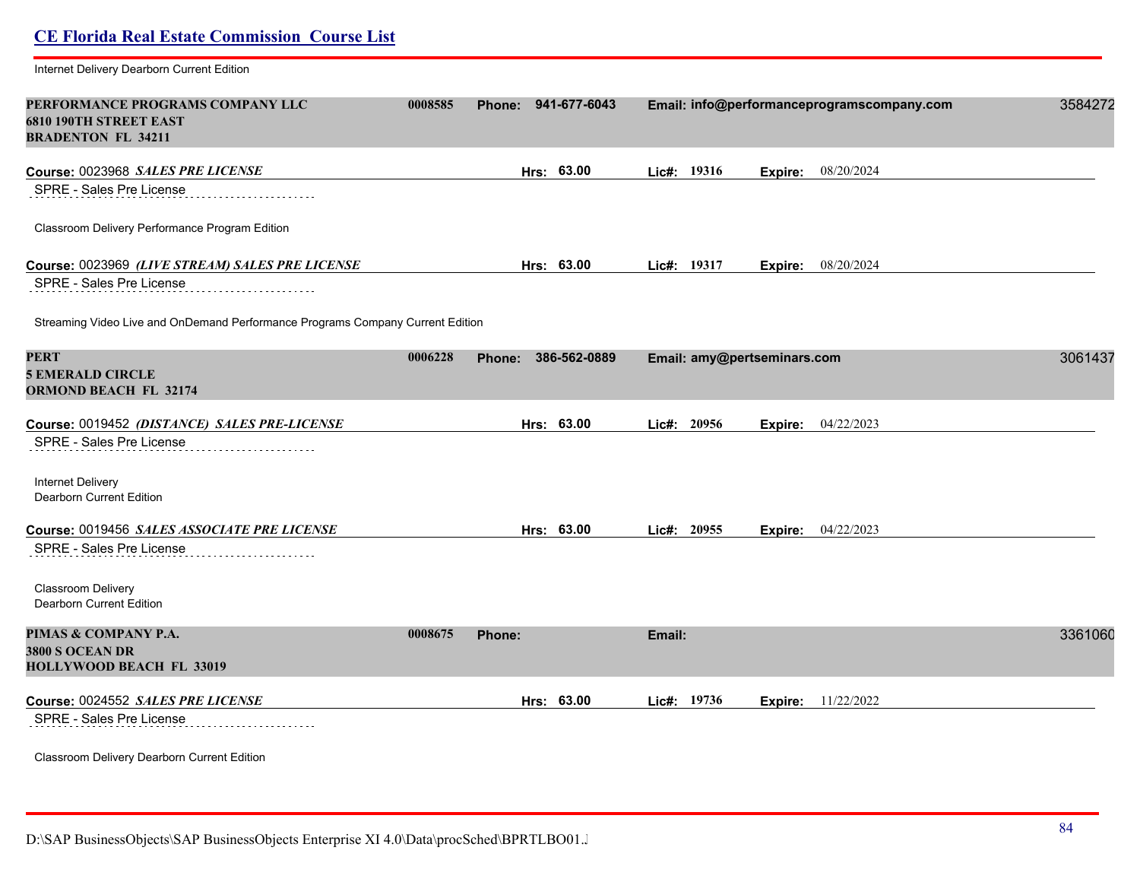| <b>CE Florida Real Estate Commission Course List</b>                                           |         |                     |                                            |         |
|------------------------------------------------------------------------------------------------|---------|---------------------|--------------------------------------------|---------|
| Internet Delivery Dearborn Current Edition                                                     |         |                     |                                            |         |
| PERFORMANCE PROGRAMS COMPANY LLC<br><b>6810 190TH STREET EAST</b><br><b>BRADENTON FL 34211</b> | 0008585 | Phone: 941-677-6043 | Email: info@performanceprogramscompany.com | 3584272 |
| Course: 0023968 SALES PRE LICENSE                                                              |         | Hrs: 63.00          | Lic#: 19316<br>08/20/2024<br>Expire:       |         |
| SPRE - Sales Pre License                                                                       |         |                     |                                            |         |
| Classroom Delivery Performance Program Edition                                                 |         |                     |                                            |         |
| Course: 0023969 (LIVE STREAM) SALES PRE LICENSE                                                |         | Hrs: 63.00          | Lic#: 19317<br>08/20/2024<br>Expire:       |         |
| SPRE - Sales Pre License                                                                       |         |                     |                                            |         |
| Streaming Video Live and OnDemand Performance Programs Company Current Edition                 |         |                     |                                            |         |
| <b>PERT</b><br><b>5 EMERALD CIRCLE</b><br><b>ORMOND BEACH FL 32174</b>                         | 0006228 | Phone: 386-562-0889 | Email: amy@pertseminars.com                | 3061437 |
| Course: 0019452 (DISTANCE) SALES PRE-LICENSE                                                   |         | Hrs: 63.00          | Lic#: 20956<br>04/22/2023<br>Expire:       |         |
| SPRE - Sales Pre License                                                                       |         |                     |                                            |         |
| <b>Internet Delivery</b><br>Dearborn Current Edition                                           |         |                     |                                            |         |
| Course: 0019456 SALES ASSOCIATE PRE LICENSE                                                    |         | Hrs: 63.00          | Lic#: 20955<br>Expire: 04/22/2023          |         |
| SPRE - Sales Pre License                                                                       |         |                     |                                            |         |
| Classroom Delivery<br>Dearborn Current Edition                                                 |         |                     |                                            |         |
| PIMAS & COMPANY P.A.                                                                           | 0008675 | Phone:              | Email:                                     | 3361060 |
| <b>3800 S OCEAN DR</b><br><b>HOLLYWOOD BEACH FL 33019</b>                                      |         |                     |                                            |         |
| Course: 0024552 SALES PRE LICENSE                                                              |         | Hrs: 63.00          | Lic#: 19736<br>11/22/2022<br>Expire:       |         |
| SPRE - Sales Pre License                                                                       |         |                     |                                            |         |
| Classroom Delivery Dearborn Current Edition                                                    |         |                     |                                            |         |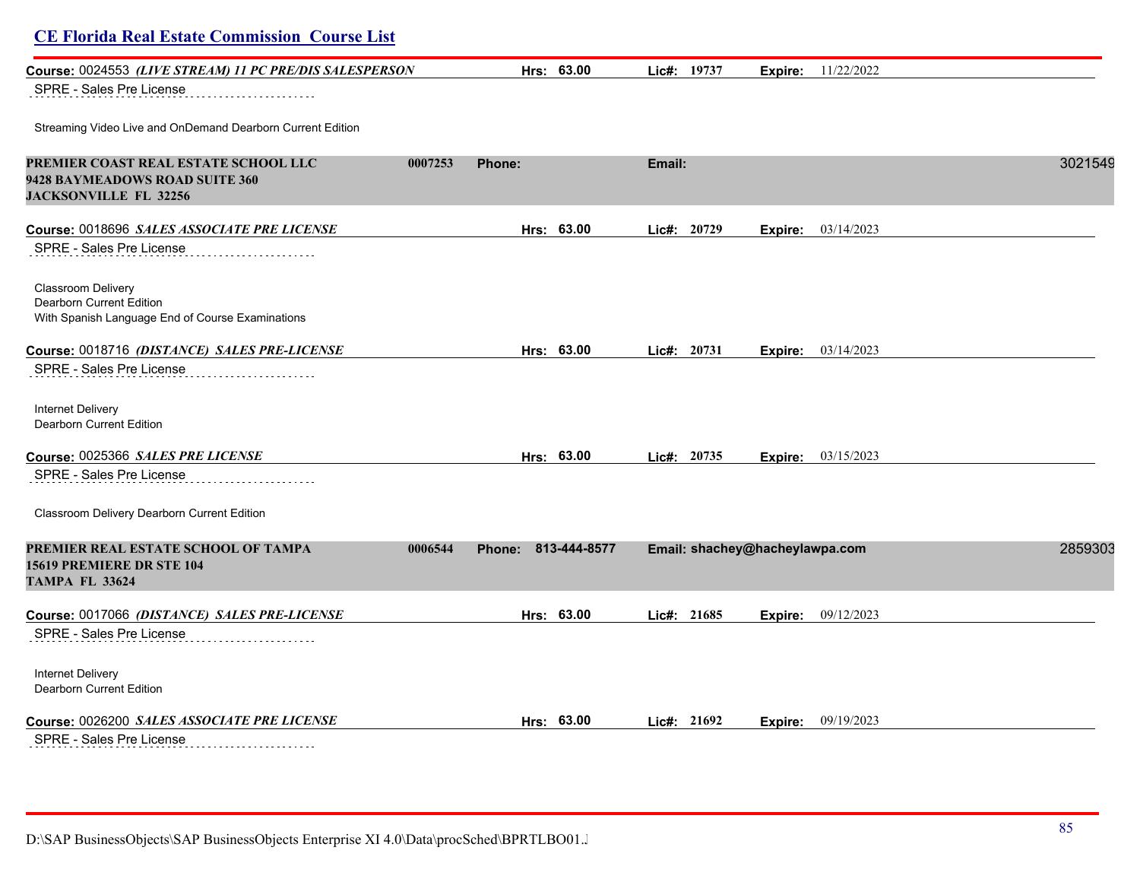| <b>CE Florida Real Estate Commission Course List</b>                                                             |         |                     |        |               |                                |                           |         |
|------------------------------------------------------------------------------------------------------------------|---------|---------------------|--------|---------------|--------------------------------|---------------------------|---------|
| Course: 0024553 (LIVE STREAM) 11 PC PRE/DIS SALESPERSON                                                          |         | Hrs: 63.00          |        | Lic#: 19737   | Expire:                        | 11/22/2022                |         |
| SPRE - Sales Pre License                                                                                         |         |                     |        |               |                                |                           |         |
| Streaming Video Live and OnDemand Dearborn Current Edition                                                       |         |                     |        |               |                                |                           |         |
| PREMIER COAST REAL ESTATE SCHOOL LLC<br>9428 BAYMEADOWS ROAD SUITE 360<br><b>JACKSONVILLE FL 32256</b>           | 0007253 | <b>Phone:</b>       | Email: |               |                                |                           | 3021549 |
| Course: 0018696 SALES ASSOCIATE PRE LICENSE                                                                      |         | Hrs: 63.00          |        | Lic#: 20729   | Expire:                        | 03/14/2023                |         |
| SPRE - Sales Pre License                                                                                         |         |                     |        |               |                                |                           |         |
| <b>Classroom Delivery</b><br><b>Dearborn Current Edition</b><br>With Spanish Language End of Course Examinations |         |                     |        |               |                                |                           |         |
| Course: 0018716 (DISTANCE) SALES PRE-LICENSE                                                                     |         | Hrs: 63.00          |        | Lic#: $20731$ |                                | <b>Expire:</b> 03/14/2023 |         |
| SPRE - Sales Pre License                                                                                         |         |                     |        |               |                                |                           |         |
| <b>Internet Delivery</b><br><b>Dearborn Current Edition</b>                                                      |         |                     |        |               |                                |                           |         |
| Course: 0025366 SALES PRE LICENSE                                                                                |         | Hrs: 63.00          |        | Lic#: 20735   | Expire:                        | 03/15/2023                |         |
| SPRE - Sales Pre License                                                                                         |         |                     |        |               |                                |                           |         |
| Classroom Delivery Dearborn Current Edition                                                                      |         |                     |        |               |                                |                           |         |
| PREMIER REAL ESTATE SCHOOL OF TAMPA<br>15619 PREMIERE DR STE 104<br><b>TAMPA FL 33624</b>                        | 0006544 | Phone: 813-444-8577 |        |               | Email: shachey@hacheylawpa.com |                           | 2859303 |
| Course: 0017066 (DISTANCE) SALES PRE-LICENSE                                                                     |         | Hrs: 63.00          |        | Lic#: $21685$ | Expire:                        | 09/12/2023                |         |
| SPRE - Sales Pre License                                                                                         |         |                     |        |               |                                |                           |         |
| Internet Delivery<br>Dearborn Current Edition                                                                    |         |                     |        |               |                                |                           |         |
| Course: 0026200 SALES ASSOCIATE PRE LICENSE                                                                      |         | Hrs: 63.00          |        | Lie#: 21692   | Expire:                        | 09/19/2023                |         |
| <b>SPRE - Sales Pre License</b>                                                                                  |         |                     |        |               |                                |                           |         |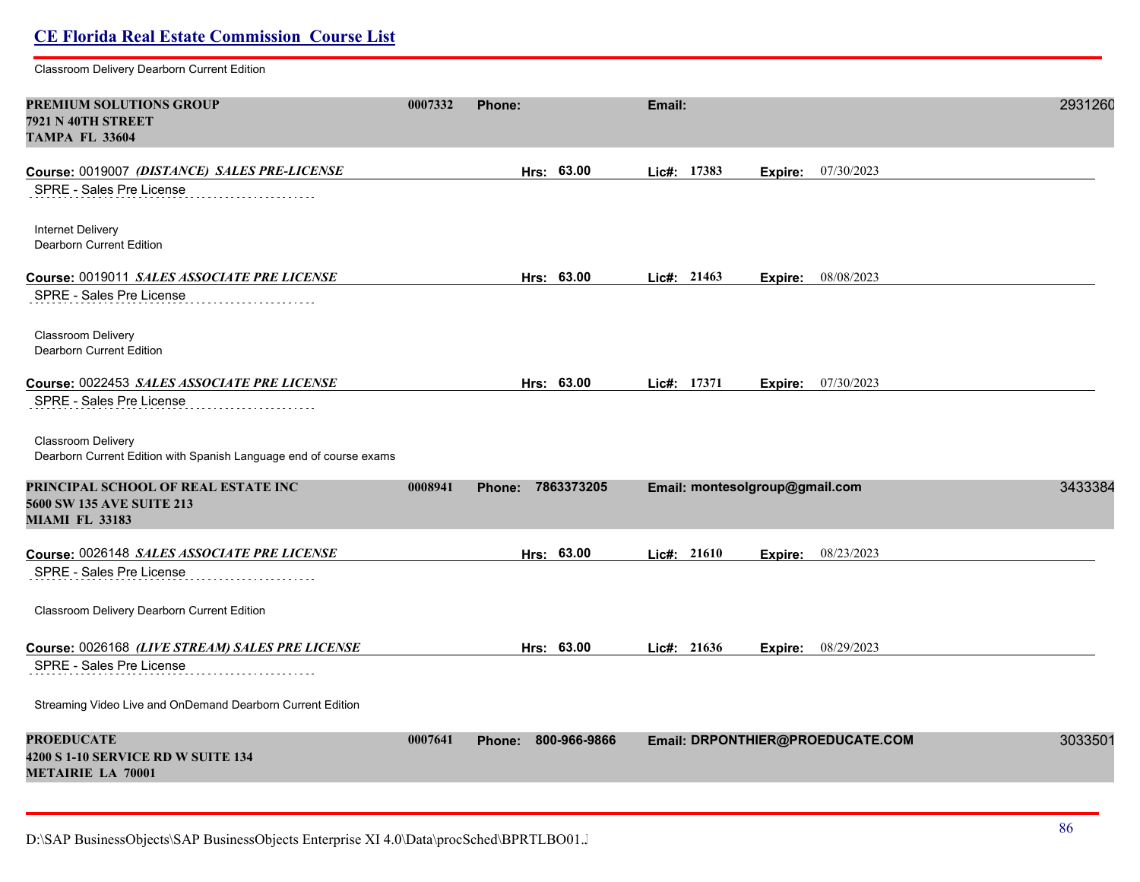| Classroom Delivery Dearborn Current Edition                                               |         |                     |                                      |         |
|-------------------------------------------------------------------------------------------|---------|---------------------|--------------------------------------|---------|
| PREMIUM SOLUTIONS GROUP<br>7921 N 40TH STREET<br><b>TAMPA FL 33604</b>                    | 0007332 | Phone:              | Email:                               | 2931260 |
| Course: 0019007 (DISTANCE) SALES PRE-LICENSE<br>SPRE - Sales Pre License                  |         | Hrs: 63.00          | Lic#: 17383<br>Expire: 07/30/2023    |         |
| Internet Delivery<br>Dearborn Current Edition                                             |         |                     |                                      |         |
| Course: 0019011 SALES ASSOCIATE PRE LICENSE<br>SPRE - Sales Pre License                   |         | Hrs: 63.00          | Lie#: 21463<br>Expire: 08/08/2023    |         |
| Classroom Delivery<br>Dearborn Current Edition                                            |         |                     |                                      |         |
| Course: 0022453 SALES ASSOCIATE PRE LICENSE<br>SPRE - Sales Pre License                   |         | Hrs: 63.00          | Lic#: 17371<br>Expire: 07/30/2023    |         |
| Classroom Delivery<br>Dearborn Current Edition with Spanish Language end of course exams  |         |                     |                                      |         |
| PRINCIPAL SCHOOL OF REAL ESTATE INC<br>5600 SW 135 AVE SUITE 213<br><b>MIAMI FL 33183</b> | 0008941 | Phone: 7863373205   | Email: montesolgroup@gmail.com       | 3433384 |
| Course: 0026148 SALES ASSOCIATE PRE LICENSE<br><b>SPRE - Sales Pre License</b>            |         | Hrs: 63.00          | 08/23/2023<br>Lic#: 21610<br>Expire: |         |
| Classroom Delivery Dearborn Current Edition                                               |         |                     |                                      |         |
| Course: 0026168 (LIVE STREAM) SALES PRE LICENSE<br>SPRE - Sales Pre License               |         | Hrs: 63.00          | Lie#: 21636<br>08/29/2023<br>Expire: |         |
| Streaming Video Live and OnDemand Dearborn Current Edition                                |         |                     |                                      |         |
| <b>PROEDUCATE</b><br>4200 S 1-10 SERVICE RD W SUITE 134<br>METAIRIE LA 70001              | 0007641 | Phone: 800-966-9866 | Email: DRPONTHIER@PROEDUCATE.COM     | 3033501 |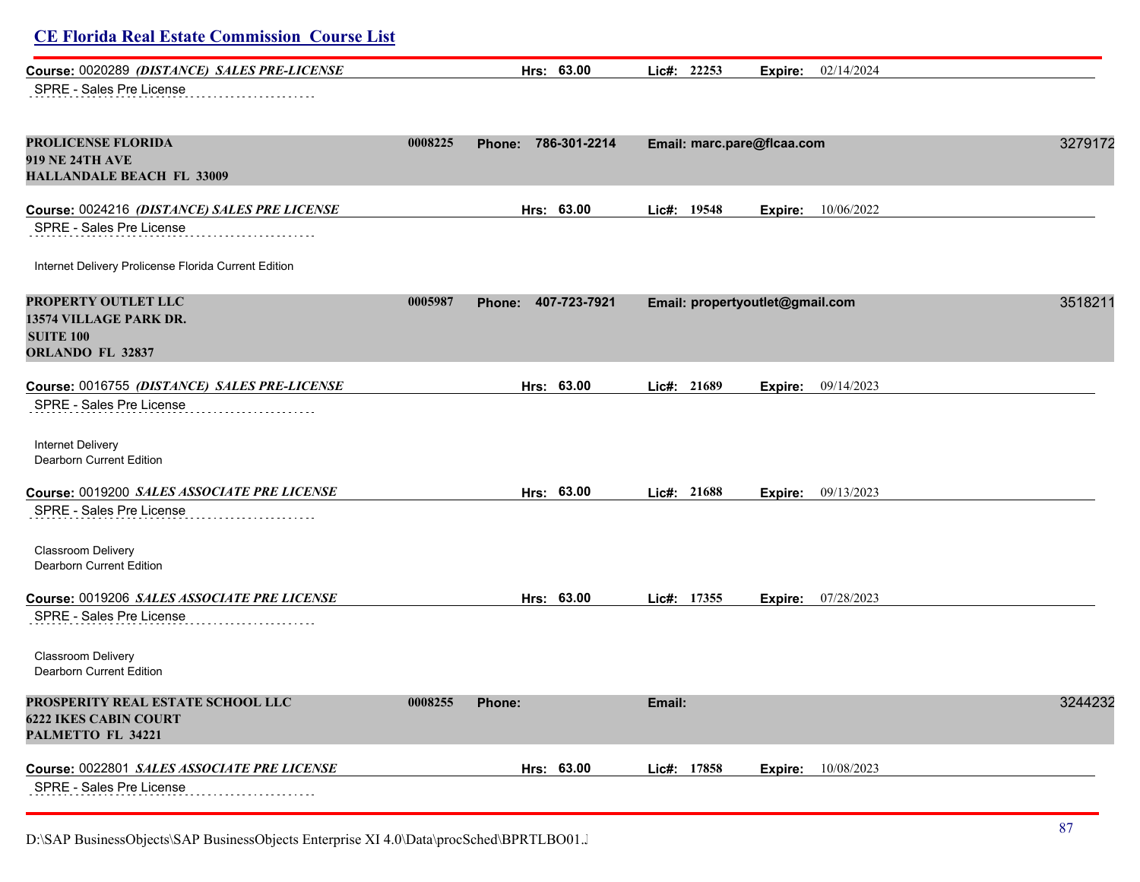| Course: 0020289 (DISTANCE) SALES PRE-LICENSE                                            |         | Hrs: 63.00                    |        | Lic#: 22253 | Expire:                         | 02/14/2024 |         |
|-----------------------------------------------------------------------------------------|---------|-------------------------------|--------|-------------|---------------------------------|------------|---------|
| SPRE - Sales Pre License                                                                |         |                               |        |             |                                 |            |         |
| <b>PROLICENSE FLORIDA</b><br><b>919 NE 24TH AVE</b><br><b>HALLANDALE BEACH FL 33009</b> | 0008225 | 786-301-2214<br><b>Phone:</b> |        |             | Email: marc.pare@flcaa.com      |            | 3279172 |
| Course: 0024216 (DISTANCE) SALES PRE LICENSE<br>SPRE - Sales Pre License                |         | Hrs: 63.00                    |        | Lic#: 19548 | Expire:                         | 10/06/2022 |         |
| Internet Delivery Prolicense Florida Current Edition                                    |         |                               |        |             |                                 |            |         |
| PROPERTY OUTLET LLC<br>13574 VILLAGE PARK DR.<br><b>SUITE 100</b><br>ORLANDO FL 32837   | 0005987 | Phone: 407-723-7921           |        |             | Email: propertyoutlet@gmail.com |            | 3518211 |
| Course: 0016755 (DISTANCE) SALES PRE-LICENSE<br>SPRE - Sales Pre License                |         | Hrs: 63.00                    |        | Lic#: 21689 | Expire:                         | 09/14/2023 |         |
| Internet Delivery<br><b>Dearborn Current Edition</b>                                    |         |                               |        |             |                                 |            |         |
| Course: 0019200 SALES ASSOCIATE PRE LICENSE<br>SPRE - Sales Pre License                 |         | Hrs: 63.00                    |        | Lic#: 21688 | Expire:                         | 09/13/2023 |         |
| Classroom Delivery<br>Dearborn Current Edition                                          |         |                               |        |             |                                 |            |         |
| Course: 0019206 SALES ASSOCIATE PRE LICENSE<br>SPRE - Sales Pre License                 |         | Hrs: 63.00                    |        | Lic#: 17355 | Expire:                         | 07/28/2023 |         |
| Classroom Delivery<br>Dearborn Current Edition                                          |         |                               |        |             |                                 |            |         |
| PROSPERITY REAL ESTATE SCHOOL LLC<br><b>6222 IKES CABIN COURT</b><br>PALMETTO FL 34221  | 0008255 | <b>Phone:</b>                 | Email: |             |                                 |            | 3244232 |
| Course: 0022801 SALES ASSOCIATE PRE LICENSE                                             |         | Hrs: 63.00                    |        | Lic#: 17858 | Expire:                         | 10/08/2023 |         |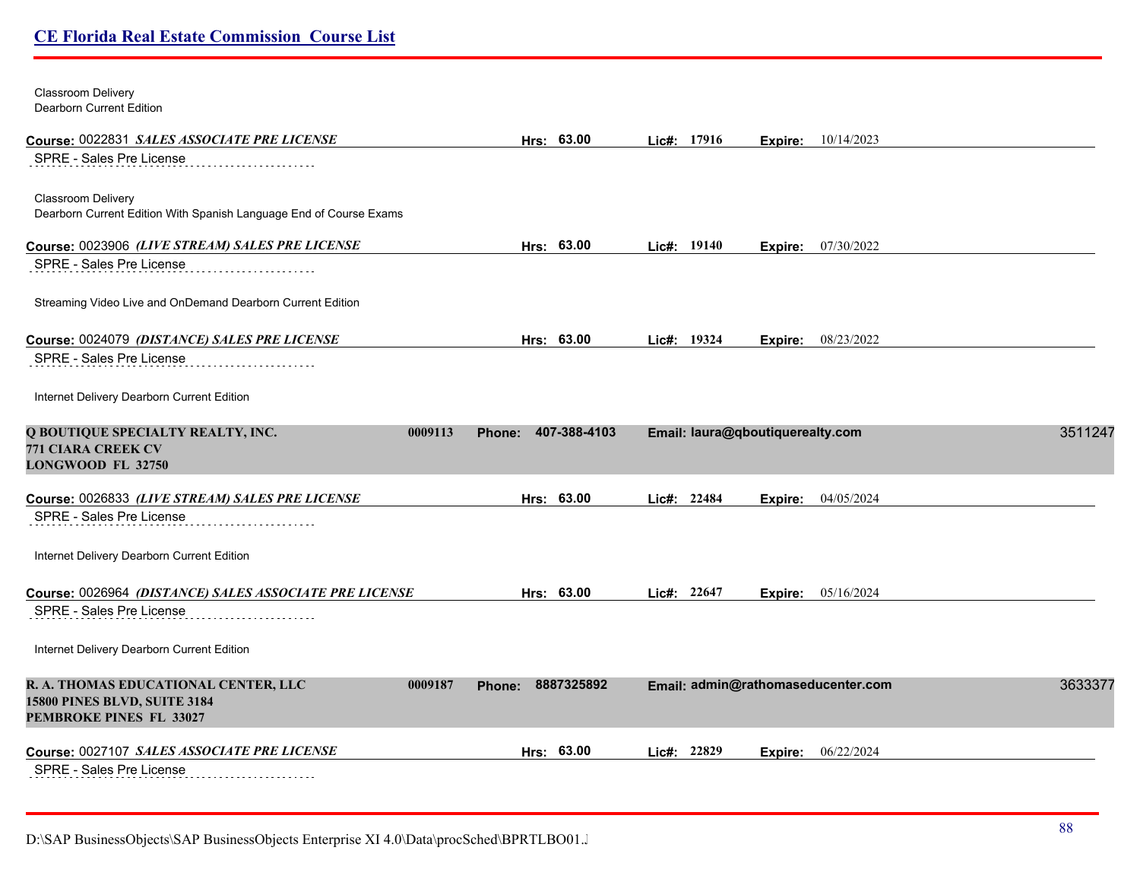Classroom Delivery Dearborn Current Edition **Course:** 0022831 *SALES ASSOCIATE PRE LICENSE* **Hrs: 63.00 Lic#: 17916 Expire:** 10/14/2023 SPRE - Sales Pre License Classroom Delivery Dearborn Current Edition With Spanish Language End of Course Exams **Course:** 0023906 *(LIVE STREAM) SALES PRE LICENSE* **Hrs: 63.00 Lic#: 19140 Expire:** 07/30/2022 SPRE - Sales Pre License Streaming Video Live and OnDemand Dearborn Current Edition **Course:** 0024079 *(DISTANCE) SALES PRE LICENSE* **Hrs: 63.00 Lic#: 19324 Expire:** 08/23/2022 SPRE - Sales Pre License Internet Delivery Dearborn Current Edition **Q BOUTIQUE SPECIALTY REALTY, INC. 0009113 Phone: 407-388-4103 Email: laura@qboutiquerealty.com** 35112476 **771 CIARA CREEK CV LONGWOOD FL 32750 Course:** 0026833 *(LIVE STREAM) SALES PRE LICENSE* **Hrs: 63.00 Lic#: 22484 Expire:** 04/05/2024 SPRE - Sales Pre License Internet Delivery Dearborn Current Edition **Course:** 0026964 *(DISTANCE) SALES ASSOCIATE PRE LICENSE* **Hrs: 63.00 Lic#: 22647 Expire:** 05/16/2024 SPRE - Sales Pre License Internet Delivery Dearborn Current Edition **R. A. THOMAS EDUCATIONAL CENTER, LLC 0009187 Phone: 8887325892 Email: admin@rathomaseducenter.com** 36333777 **15800 PINES BLVD, SUITE 3184 PEMBROKE PINES FL 33027 Course:** 0027107 *SALES ASSOCIATE PRE LICENSE* **Hrs: 63.00 Lic#: 22829 Expire:** 06/22/2024 SPRE - Sales Pre License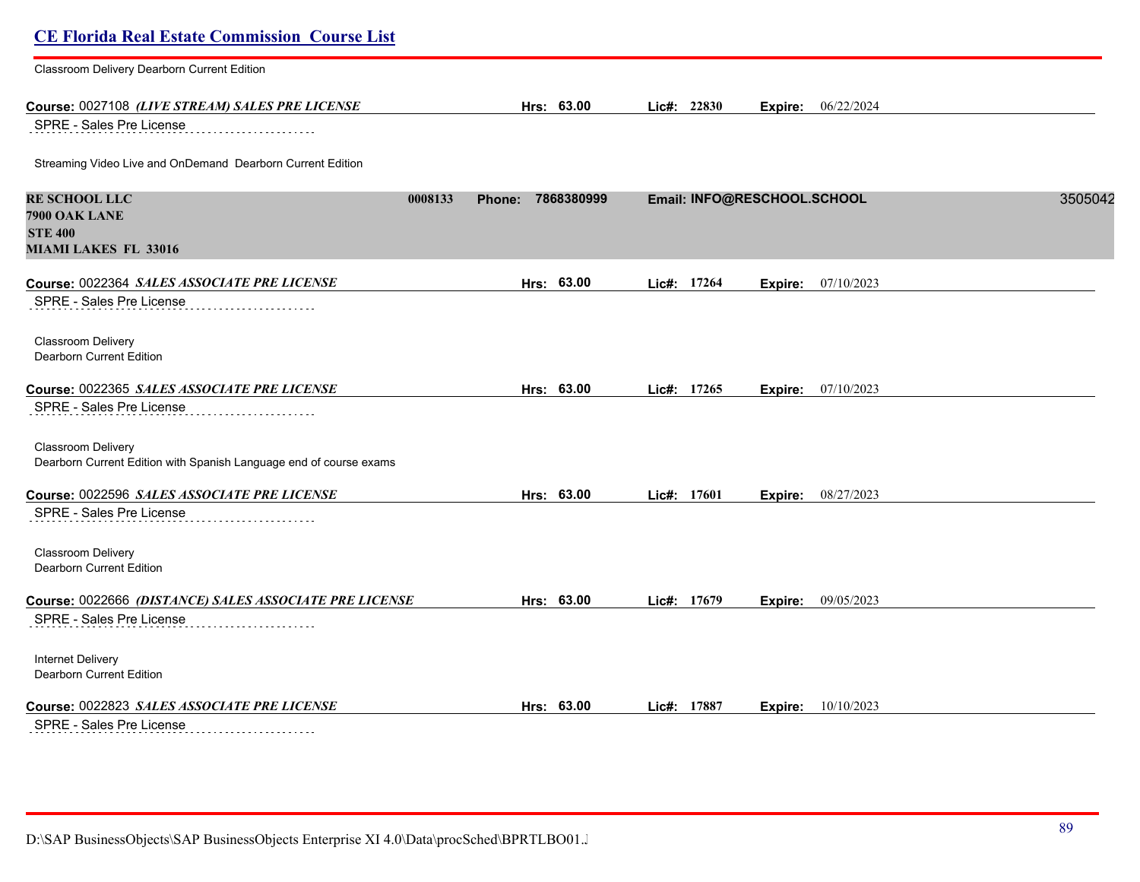| <b>CE Florida Real Estate Commission Course List</b>                                            |                      |                |                             |         |
|-------------------------------------------------------------------------------------------------|----------------------|----------------|-----------------------------|---------|
| Classroom Delivery Dearborn Current Edition                                                     |                      |                |                             |         |
| Course: 0027108 (LIVE STREAM) SALES PRE LICENSE                                                 | Hrs: 63.00           | $Lic\#: 22830$ | 06/22/2024<br>Expire:       |         |
| SPRE - Sales Pre License                                                                        |                      |                |                             |         |
| Streaming Video Live and OnDemand Dearborn Current Edition                                      |                      |                |                             |         |
| <b>RE SCHOOL LLC</b><br>0008133                                                                 | 7868380999<br>Phone: |                | Email: INFO@RESCHOOL.SCHOOL | 3505042 |
| 7900 OAK LANE<br><b>STE 400</b>                                                                 |                      |                |                             |         |
| <b>MIAMI LAKES FL 33016</b>                                                                     |                      |                |                             |         |
| Course: 0022364 SALES ASSOCIATE PRE LICENSE                                                     | Hrs: 63.00           | Lic#: 17264    | 07/10/2023<br>Expire:       |         |
| SPRE - Sales Pre License                                                                        |                      |                |                             |         |
| Classroom Delivery<br>Dearborn Current Edition                                                  |                      |                |                             |         |
| Course: 0022365 SALES ASSOCIATE PRE LICENSE                                                     | Hrs: 63.00           | Lic#: 17265    | 07/10/2023<br>Expire:       |         |
| SPRE - Sales Pre License                                                                        |                      |                |                             |         |
| <b>Classroom Delivery</b><br>Dearborn Current Edition with Spanish Language end of course exams |                      |                |                             |         |
| Course: 0022596 SALES ASSOCIATE PRE LICENSE                                                     | Hrs: 63.00           | Lic#: 17601    | 08/27/2023<br>Expire:       |         |
| SPRE - Sales Pre License                                                                        |                      |                |                             |         |
| Classroom Delivery<br>Dearborn Current Edition                                                  |                      |                |                             |         |
| Course: 0022666 (DISTANCE) SALES ASSOCIATE PRE LICENSE                                          | Hrs: 63.00           | Lic#: 17679    | <b>Expire:</b> 09/05/2023   |         |
| SPRE - Sales Pre License                                                                        |                      |                |                             |         |
| Internet Delivery<br>Dearborn Current Edition                                                   |                      |                |                             |         |
| Course: 0022823 SALES ASSOCIATE PRE LICENSE                                                     | Hrs: 63.00           | Lic#: 17887    | <b>Expire:</b> 10/10/2023   |         |
| CDDE Colog Dro Liganos                                                                          |                      |                |                             |         |

SPRE - Sales Pre License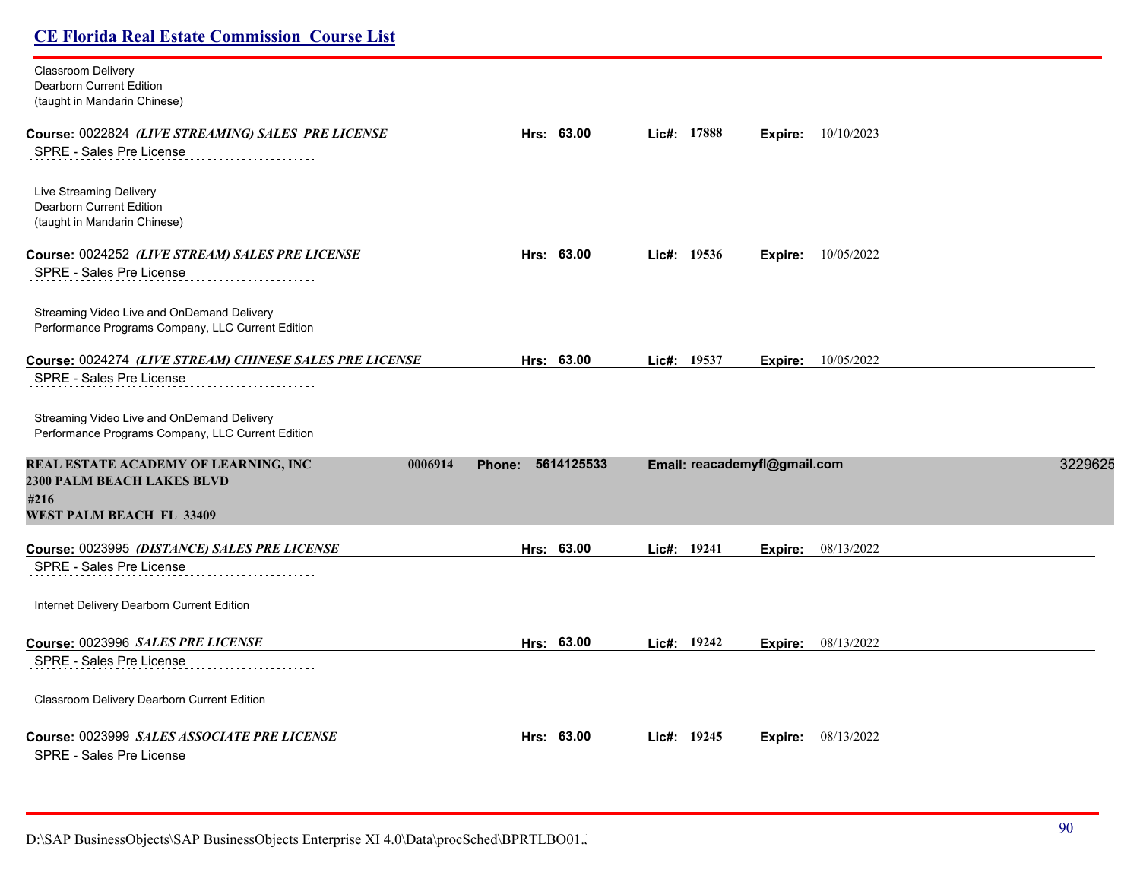| <b>Classroom Delivery</b>    |
|------------------------------|
| Dearborn Current Edition     |
| (taught in Mandarin Chinese) |

| Course: 0022824 (LIVE STREAMING) SALES PRE LICENSE                                              | Hrs: 63.00        | Lic#: 17888   | 10/10/2023<br>Expire:        |         |
|-------------------------------------------------------------------------------------------------|-------------------|---------------|------------------------------|---------|
| SPRE - Sales Pre License                                                                        |                   |               |                              |         |
| Live Streaming Delivery<br><b>Dearborn Current Edition</b><br>(taught in Mandarin Chinese)      |                   |               |                              |         |
| Course: 0024252 (LIVE STREAM) SALES PRE LICENSE                                                 | Hrs: 63.00        | Lic#: $19536$ | 10/05/2022<br>Expire:        |         |
| SPRE - Sales Pre License                                                                        |                   |               |                              |         |
| Streaming Video Live and OnDemand Delivery<br>Performance Programs Company, LLC Current Edition |                   |               |                              |         |
| Course: 0024274 (LIVE STREAM) CHINESE SALES PRE LICENSE                                         | Hrs: 63.00        | Lic#: 19537   | 10/05/2022<br>Expire:        |         |
| SPRE - Sales Pre License                                                                        |                   |               |                              |         |
| Streaming Video Live and OnDemand Delivery<br>Performance Programs Company, LLC Current Edition |                   |               |                              |         |
|                                                                                                 |                   |               |                              |         |
| REAL ESTATE ACADEMY OF LEARNING, INC<br>0006914                                                 | Phone: 5614125533 |               | Email: reacademyfl@gmail.com | 3229625 |
| <b>2300 PALM BEACH LAKES BLVD</b>                                                               |                   |               |                              |         |
| #216<br><b>WEST PALM BEACH FL 33409</b>                                                         |                   |               |                              |         |
|                                                                                                 |                   |               |                              |         |
| Course: 0023995 (DISTANCE) SALES PRE LICENSE<br>SPRE - Sales Pre License                        | Hrs: 63.00        | Lic#: 19241   | 08/13/2022<br>Expire:        |         |
| Internet Delivery Dearborn Current Edition                                                      |                   |               |                              |         |
| Course: 0023996 SALES PRE LICENSE                                                               | Hrs: 63.00        |               | 08/13/2022<br>Expire:        |         |
| SPRE - Sales Pre License                                                                        |                   | Lic#: 19242   |                              |         |
| Classroom Delivery Dearborn Current Edition                                                     |                   |               |                              |         |
| Course: 0023999 SALES ASSOCIATE PRE LICENSE                                                     | Hrs: 63.00        | Lic#: 19245   | 08/13/2022<br>Expire:        |         |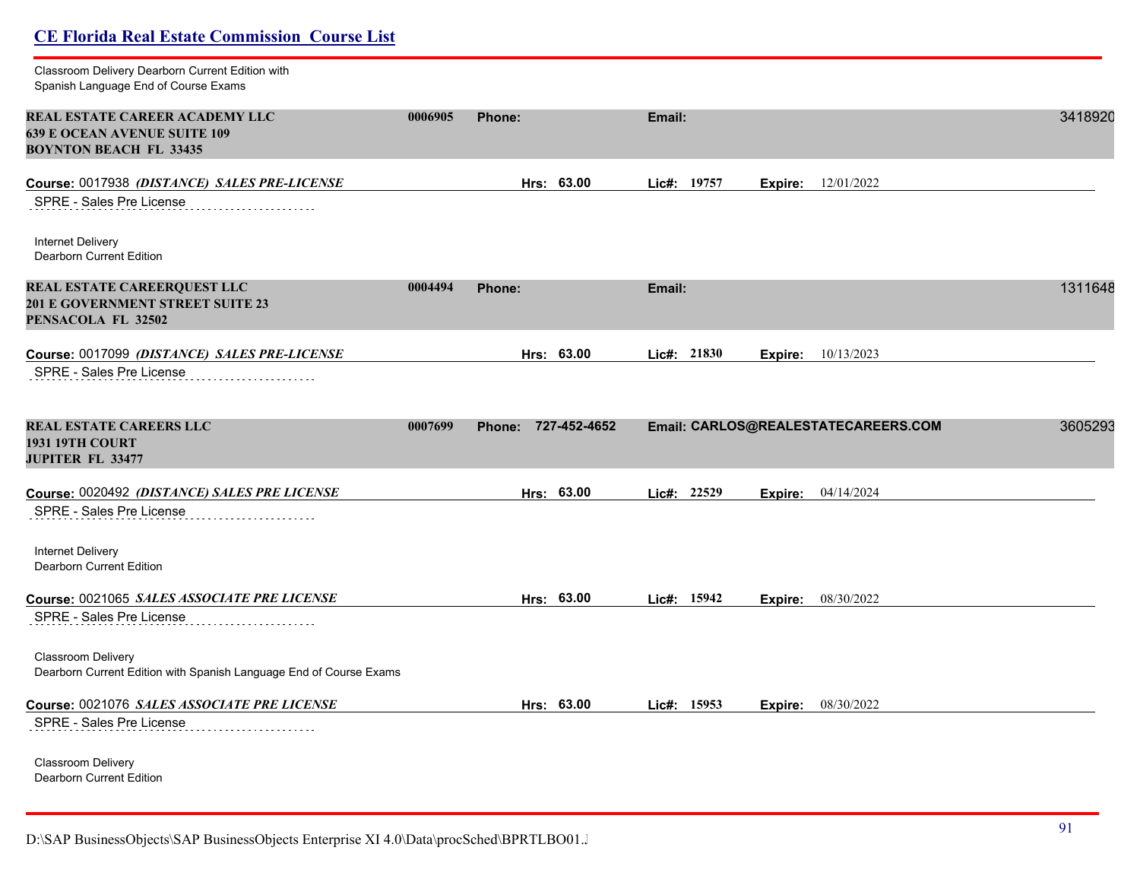### **CE Florida Real Estate Commission Course List** Classroom Delivery Dearborn Current Edition with Spanish Language End of Course Exams **REAL ESTATE CAREER ACADEMY LLC 0006905 Phone: Email:** 34189207 **639 E OCEAN AVENUE SUITE 109 BOYNTON BEACH FL 33435 Course:** 0017938 *(DISTANCE) SALES PRE-LICENSE* **Hrs: 63.00 Lic#: 19757 Expire:** 12/01/2022 SPRE - Sales Pre License . . . . . . . . . . . . . . . . . . Internet Delivery Dearborn Current Edition **REAL ESTATE CAREERQUEST LLC 0004494 Phone: Email:** 13116480 **201 E GOVERNMENT STREET SUITE 23 PENSACOLA FL 32502 Course:** 0017099 *(DISTANCE) SALES PRE-LICENSE* **Hrs: 63.00 Lic#: 21830 Expire:** 10/13/2023 SPRE - Sales Pre License **REAL ESTATE CAREERS LLC 0007699 Phone: 727-452-4652 Email: CARLOS@REALESTATECAREERS.COM** 36052930 **1931 19TH COURT JUPITER FL 33477 Course:** 0020492 *(DISTANCE) SALES PRE LICENSE* **Hrs: 63.00 Lic#: 22529 Expire:** 04/14/2024 SPRE - Sales Pre License Internet Delivery Dearborn Current Edition **Course:** 0021065 *SALES ASSOCIATE PRE LICENSE* **Hrs: 63.00 Lic#: 15942 Expire:** 08/30/2022 SPRE - Sales Pre License Classroom Delivery Dearborn Current Edition with Spanish Language End of Course Exams **Course:** 0021076 *SALES ASSOCIATE PRE LICENSE* **Hrs: 63.00 Lic#: 15953 Expire:** 08/30/2022 SPRE - Sales Pre License Classroom Delivery Dearborn Current Edition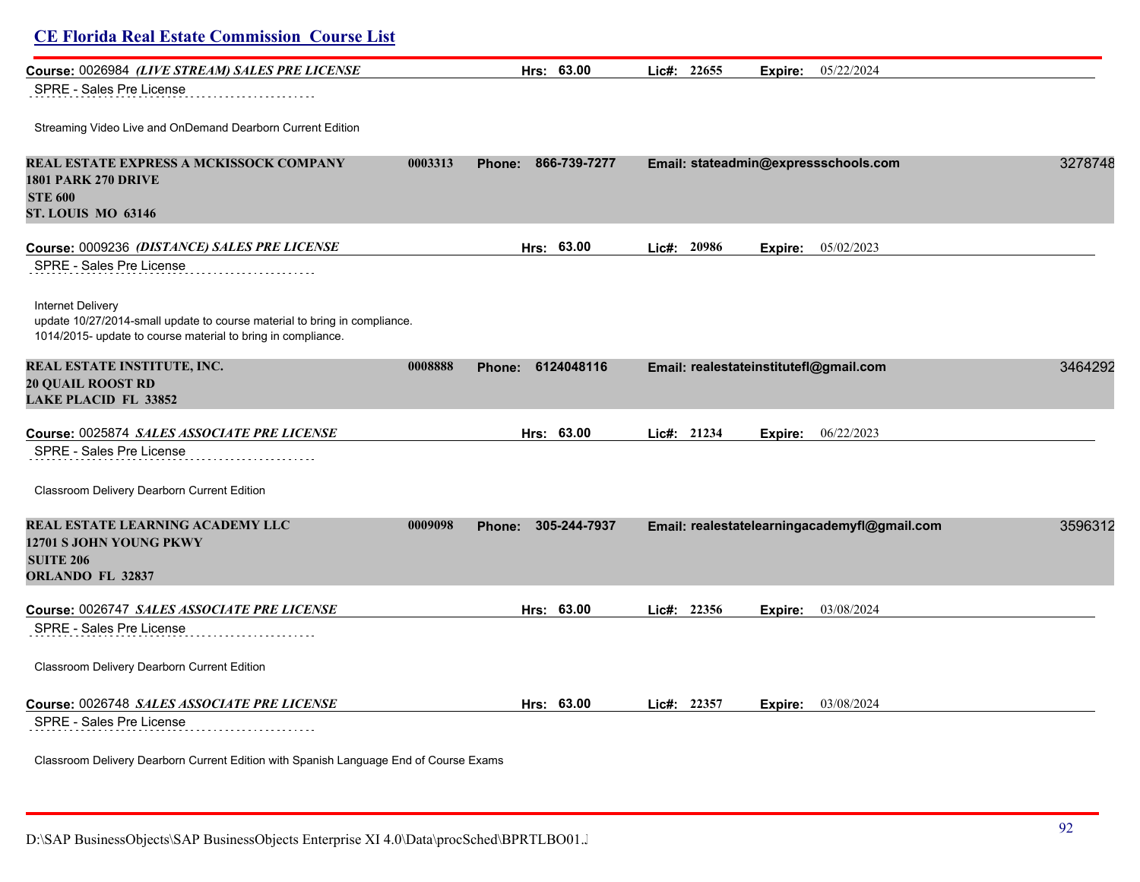| <b>CE Florida Real Estate Commission Course List</b>                                                                                                                  |         |                               |             |         |                                              |         |
|-----------------------------------------------------------------------------------------------------------------------------------------------------------------------|---------|-------------------------------|-------------|---------|----------------------------------------------|---------|
| Course: 0026984 (LIVE STREAM) SALES PRE LICENSE<br>SPRE - Sales Pre License                                                                                           |         | Hrs: 63.00                    | Lic#: 22655 | Expire: | 05/22/2024                                   |         |
| Streaming Video Live and OnDemand Dearborn Current Edition                                                                                                            |         |                               |             |         |                                              |         |
| REAL ESTATE EXPRESS A MCKISSOCK COMPANY<br><b>1801 PARK 270 DRIVE</b><br><b>STE 600</b><br>ST. LOUIS MO 63146                                                         | 0003313 | 866-739-7277<br>Phone:        |             |         | Email: stateadmin@expressschools.com         | 3278748 |
| Course: 0009236 (DISTANCE) SALES PRE LICENSE                                                                                                                          |         | Hrs: 63.00                    | Lic#: 20986 |         | Expire: 05/02/2023                           |         |
| SPRE - Sales Pre License                                                                                                                                              |         |                               |             |         |                                              |         |
| <b>Internet Delivery</b><br>update 10/27/2014-small update to course material to bring in compliance.<br>1014/2015- update to course material to bring in compliance. |         |                               |             |         |                                              |         |
| REAL ESTATE INSTITUTE, INC.<br><b>20 QUAIL ROOST RD</b><br><b>LAKE PLACID FL 33852</b>                                                                                | 0008888 | 6124048116<br>Phone:          |             |         | Email: realestateinstitutefl@gmail.com       | 3464292 |
| Course: 0025874 SALES ASSOCIATE PRE LICENSE                                                                                                                           |         | Hrs: 63.00                    | Lic#: 21234 | Expire: | 06/22/2023                                   |         |
| SPRE - Sales Pre License<br>Classroom Delivery Dearborn Current Edition                                                                                               |         |                               |             |         |                                              |         |
| REAL ESTATE LEARNING ACADEMY LLC<br>12701 S JOHN YOUNG PKWY<br><b>SUITE 206</b><br><b>ORLANDO FL 32837</b>                                                            | 0009098 | 305-244-7937<br><b>Phone:</b> |             |         | Email: realestatelearningacademyfl@gmail.com | 3596312 |
| Course: 0026747 SALES ASSOCIATE PRE LICENSE                                                                                                                           |         | Hrs: 63.00                    | Lic#: 22356 | Expire: | 03/08/2024                                   |         |
| SPRE - Sales Pre License                                                                                                                                              |         |                               |             |         |                                              |         |
| Classroom Delivery Dearborn Current Edition                                                                                                                           |         |                               |             |         |                                              |         |
| Course: 0026748 SALES ASSOCIATE PRE LICENSE                                                                                                                           |         | Hrs: 63.00                    | Lic#: 22357 | Expire: | 03/08/2024                                   |         |
| SPRE - Sales Pre License                                                                                                                                              |         |                               |             |         |                                              |         |

Classroom Delivery Dearborn Current Edition with Spanish Language End of Course Exams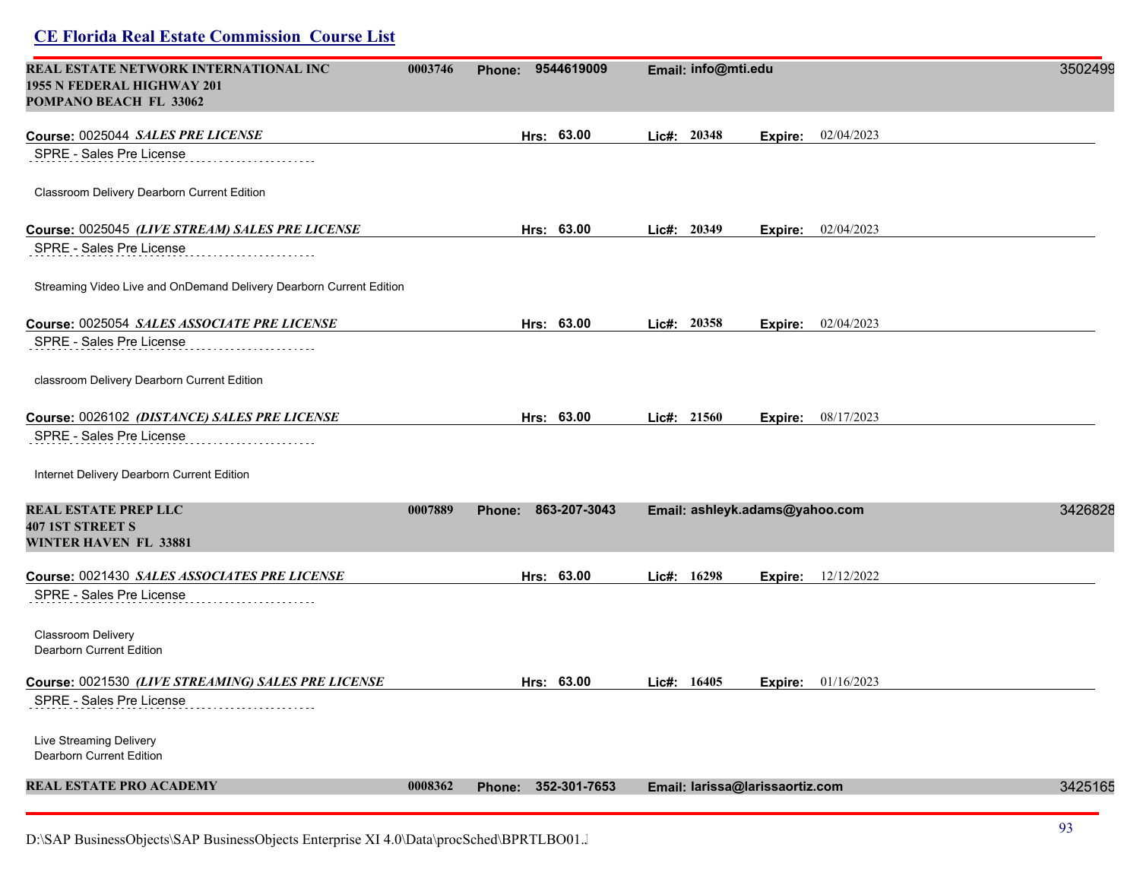# **CE Florida Real Estate Commission Course List REAL ESTATE NETWORK INTERNATIONAL INC 0003746 Phone: 9544619009 Email: info@mti.edu** 35024992 **1955 N FEDERAL HIGHWAY 201 POMPANO BEACH FL 33062 Course:** 0025044 *SALES PRE LICENSE* **Hrs: 63.00 Lic#: 20348 Expire:** 02/04/2023 SPRE - Sales Pre License Classroom Delivery Dearborn Current Edition **Course:** 0025045 *(LIVE STREAM) SALES PRE LICENSE* **Hrs: 63.00 Lic#: 20349 Expire:** 02/04/2023 SPRE - Sales Pre License . . . . . . . . . . . . . . . . . Streaming Video Live and OnDemand Delivery Dearborn Current Edition **Course:** 0025054 *SALES ASSOCIATE PRE LICENSE* **Hrs: 63.00 Lic#: 20358 Expire:** 02/04/2023 SPRE - Sales Pre License classroom Delivery Dearborn Current Edition **Course:** 0026102 *(DISTANCE) SALES PRE LICENSE* **Hrs: 63.00 Lic#: 21560 Expire:** 08/17/2023 SPRE - Sales Pre License Internet Delivery Dearborn Current Edition **REAL ESTATE PREP LLC 0007889 Phone: 863-207-3043 Email: ashleyk.adams@yahoo.com** 34268283 **407 1ST STREET S WINTER HAVEN FL 33881 Course:** 0021430 *SALES ASSOCIATES PRE LICENSE* **Hrs: 63.00 Lic#: 16298 Expire:** 12/12/2022 SPRE - Sales Pre License Classroom Delivery Dearborn Current Edition **Course:** 0021530 *(LIVE STREAMING) SALES PRE LICENSE* **Hrs: 63.00 Lic#: 16405 Expire:** 01/16/2023 SPRE - Sales Pre License Live Streaming Delivery Dearborn Current Edition **REAL ESTATE PRO ACADEMY 0008362 Phone: 352-301-7653 Email: larissa@larissaortiz.com** 34251652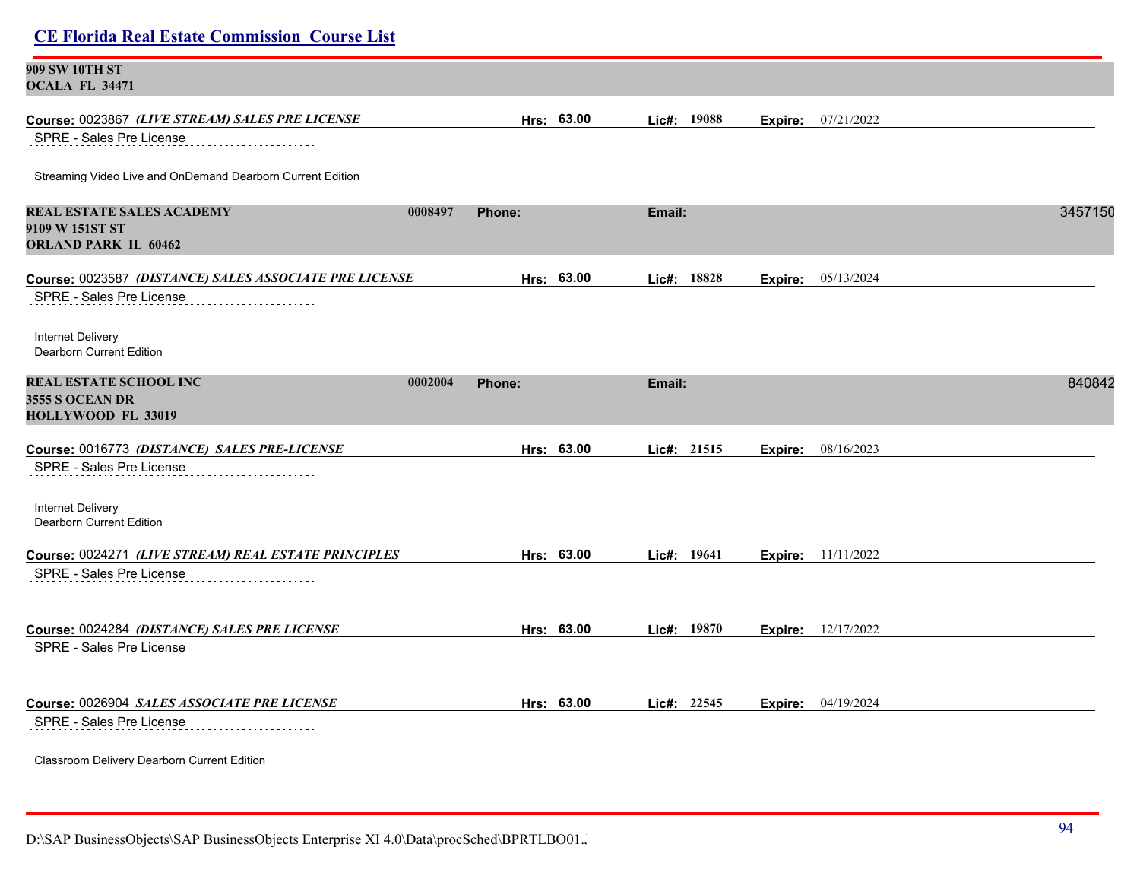| <b>CE Florida Real Estate Commission Course List</b>                               |                   |            |             |                             |         |
|------------------------------------------------------------------------------------|-------------------|------------|-------------|-----------------------------|---------|
| 909 SW 10TH ST<br>OCALA FL 34471                                                   |                   |            |             |                             |         |
| Course: 0023867 (LIVE STREAM) SALES PRE LICENSE<br>SPRE - Sales Pre License        |                   | Hrs: 63.00 | Lic#: 19088 | <b>Expire:</b> 07/21/2022   |         |
| Streaming Video Live and OnDemand Dearborn Current Edition                         |                   |            |             |                             |         |
| <b>REAL ESTATE SALES ACADEMY</b><br>9109 W 151ST ST<br><b>ORLAND PARK IL 60462</b> | 0008497<br>Phone: |            | Email:      |                             | 3457150 |
| Course: 0023587 (DISTANCE) SALES ASSOCIATE PRE LICENSE<br>SPRE - Sales Pre License |                   | Hrs: 63.00 | Lic#: 18828 | <b>Expire:</b> 05/13/2024   |         |
| Internet Delivery<br>Dearborn Current Edition                                      |                   |            |             |                             |         |
| <b>REAL ESTATE SCHOOL INC</b><br><b>3555 S OCEAN DR</b><br>HOLLYWOOD FL 33019      | 0002004<br>Phone: |            | Email:      |                             | 840842  |
| Course: 0016773 (DISTANCE) SALES PRE-LICENSE<br>SPRE - Sales Pre License           |                   | Hrs: 63.00 | Lic#: 21515 | 08/16/2023<br>Expire:       |         |
| Internet Delivery<br>Dearborn Current Edition                                      |                   |            |             |                             |         |
| Course: 0024271 (LIVE STREAM) REAL ESTATE PRINCIPLES<br>SPRE - Sales Pre License   |                   | Hrs: 63.00 | Lie#: 19641 | <b>Expire:</b> $11/11/2022$ |         |
| Course: 0024284 (DISTANCE) SALES PRE LICENSE<br>SPRE - Sales Pre License           |                   | Hrs: 63.00 | Lic#: 19870 | <b>Expire:</b> 12/17/2022   |         |
| Course: 0026904 SALES ASSOCIATE PRE LICENSE<br>SPRE - Sales Pre License            |                   | Hrs: 63.00 | Lic#: 22545 | 04/19/2024<br>Expire:       |         |
| Classroom Delivery Dearborn Current Edition                                        |                   |            |             |                             |         |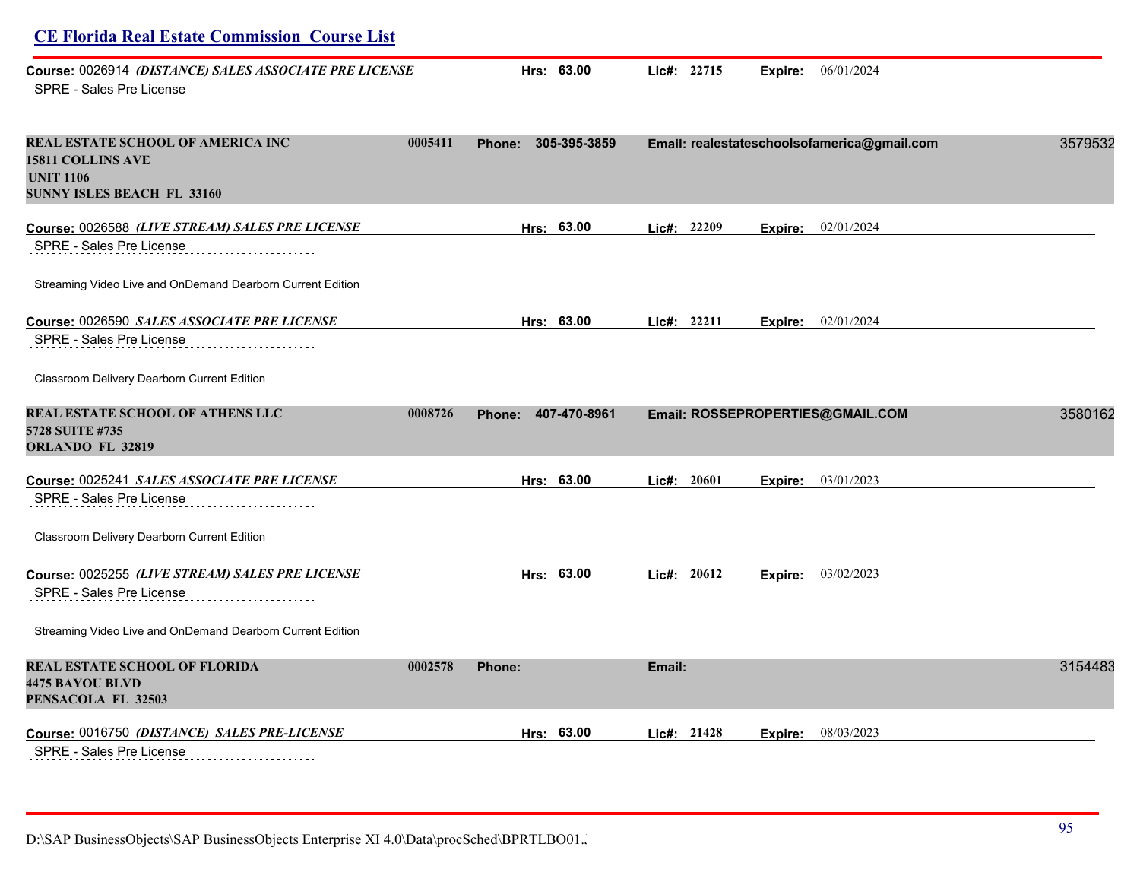# **CE Florida Real Estate Commission Course List Course:** 0026914 *(DISTANCE) SALES ASSOCIATE PRE LICENSE* **Hrs: 63.00 Lic#: 22715 Expire:** 06/01/2024 SPRE - Sales Pre License **REAL ESTATE SCHOOL OF AMERICA INC 0005411 Phone: 305-395-3859 Email: realestateschoolsofamerica@gmail.com** 35795323 **15811 COLLINS AVE UNIT 1106 SUNNY ISLES BEACH FL 33160 Course:** 0026588 *(LIVE STREAM) SALES PRE LICENSE* **Hrs: 63.00 Lic#: 22209 Expire:** 02/01/2024 SPRE - Sales Pre License Streaming Video Live and OnDemand Dearborn Current Edition **Course:** 0026590 *SALES ASSOCIATE PRE LICENSE* **Hrs: 63.00 Lic#: 22211 Expire:** 02/01/2024 SPRE - Sales Pre License Classroom Delivery Dearborn Current Edition **REAL ESTATE SCHOOL OF ATHENS LLC 0008726 Phone: 407-470-8961 Email: ROSSEPROPERTIES@GMAIL.COM** 35801628 **5728 SUITE #735 ORLANDO FL 32819 Course:** 0025241 *SALES ASSOCIATE PRE LICENSE* **Hrs: 63.00 Lic#: 20601 Expire:** 03/01/2023 SPRE - Sales Pre License Classroom Delivery Dearborn Current Edition **Course:** 0025255 *(LIVE STREAM) SALES PRE LICENSE* **Hrs: 63.00 Lic#: 20612 Expire:** 03/02/2023 SPRE - Sales Pre License Streaming Video Live and OnDemand Dearborn Current Edition **REAL ESTATE SCHOOL OF FLORIDA 0002578 Phone: Email:** 31544834 **4475 BAYOU BLVD PENSACOLA FL 32503 Course:** 0016750 *(DISTANCE) SALES PRE-LICENSE* **Hrs: 63.00 Lic#: 21428 Expire:** 08/03/2023 SPRE - Sales Pre License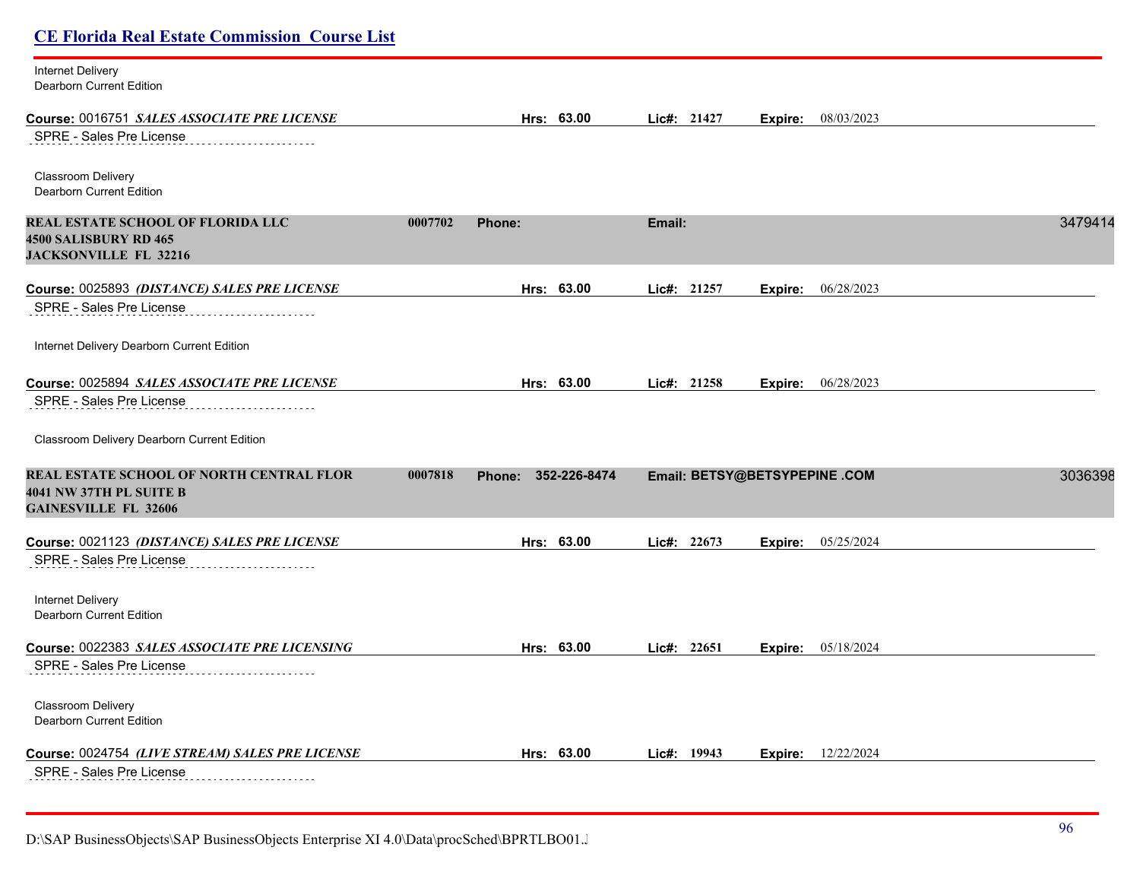| <b>CE Florida Real Estate Commission Course List</b>                                               |         |                        |             |                               |         |
|----------------------------------------------------------------------------------------------------|---------|------------------------|-------------|-------------------------------|---------|
| Internet Delivery<br>Dearborn Current Edition                                                      |         |                        |             |                               |         |
| Course: 0016751 SALES ASSOCIATE PRE LICENSE                                                        |         | Hrs: 63.00             | Lic#: 21427 | 08/03/2023<br>Expire:         |         |
| SPRE - Sales Pre License                                                                           |         |                        |             |                               |         |
| Classroom Delivery<br><b>Dearborn Current Edition</b>                                              |         |                        |             |                               |         |
| REAL ESTATE SCHOOL OF FLORIDA LLC                                                                  | 0007702 | <b>Phone:</b>          | Email:      |                               | 3479414 |
| 4500 SALISBURY RD 465                                                                              |         |                        |             |                               |         |
| <b>JACKSONVILLE FL 32216</b>                                                                       |         |                        |             |                               |         |
| Course: 0025893 (DISTANCE) SALES PRE LICENSE                                                       |         | 63.00<br>Hrs:          | Lic#: 21257 | 06/28/2023<br>Expire:         |         |
| SPRE - Sales Pre License                                                                           |         |                        |             |                               |         |
| Internet Delivery Dearborn Current Edition                                                         |         |                        |             |                               |         |
| Course: 0025894 SALES ASSOCIATE PRE LICENSE                                                        |         | Hrs: 63.00             | Lie#: 21258 | 06/28/2023<br>Expire:         |         |
| SPRE - Sales Pre License                                                                           |         |                        |             |                               |         |
| Classroom Delivery Dearborn Current Edition                                                        |         |                        |             |                               |         |
| REAL ESTATE SCHOOL OF NORTH CENTRAL FLOR<br>4041 NW 37TH PL SUITE B<br><b>GAINESVILLE FL 32606</b> | 0007818 | 352-226-8474<br>Phone: |             | Email: BETSY@BETSYPEPINE .COM | 3036398 |
| Course: 0021123 (DISTANCE) SALES PRE LICENSE                                                       |         | Hrs: 63.00             | Lic#: 22673 | 05/25/2024<br>Expire:         |         |
| SPRE - Sales Pre License                                                                           |         |                        |             |                               |         |
| Internet Delivery<br>Dearborn Current Edition                                                      |         |                        |             |                               |         |
| Course: 0022383 SALES ASSOCIATE PRE LICENSING                                                      |         | 63.00<br>Hrs:          | Lic#: 22651 | 05/18/2024<br>Expire:         |         |
| SPRE - Sales Pre License                                                                           |         |                        |             |                               |         |
| Classroom Delivery<br><b>Dearborn Current Edition</b>                                              |         |                        |             |                               |         |
| Course: 0024754 (LIVE STREAM) SALES PRE LICENSE                                                    |         | Hrs: 63.00             | Lic#: 19943 | 12/22/2024<br>Expire:         |         |
| SPRE - Sales Pre License                                                                           |         |                        |             |                               |         |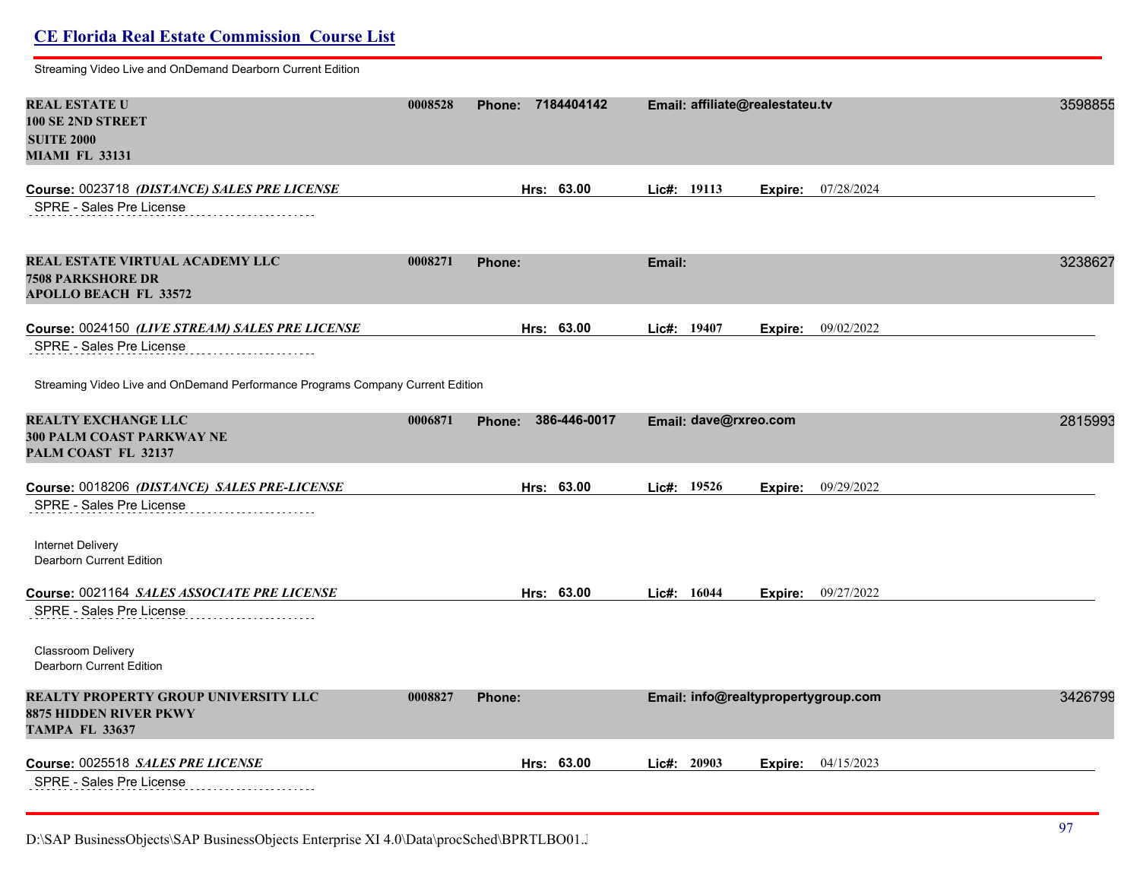Streaming Video Live and OnDemand Dearborn Current Edition

| <b>REAL ESTATE U</b><br><b>100 SE 2ND STREET</b><br><b>SUITE 2000</b><br><b>MIAMI FL 33131</b>                                                              | 0008528 | Phone: 7184404142      | Email: affiliate@realestateu.tv          | 3598855 |
|-------------------------------------------------------------------------------------------------------------------------------------------------------------|---------|------------------------|------------------------------------------|---------|
| Course: 0023718 (DISTANCE) SALES PRE LICENSE<br>SPRE - Sales Pre License                                                                                    |         | Hrs: 63.00             | Lic#: 19113<br>07/28/2024<br>Expire:     |         |
| <b>REAL ESTATE VIRTUAL ACADEMY LLC</b><br><b>7508 PARKSHORE DR</b><br><b>APOLLO BEACH FL 33572</b>                                                          | 0008271 | Phone:                 | Email:                                   | 3238627 |
| Course: 0024150 (LIVE STREAM) SALES PRE LICENSE<br>SPRE - Sales Pre License                                                                                 |         | Hrs: 63.00             | Lic#: 19407<br><b>Expire:</b> 09/02/2022 |         |
| Streaming Video Live and OnDemand Performance Programs Company Current Edition                                                                              |         |                        |                                          |         |
| <b>REALTY EXCHANGE LLC</b><br><b>300 PALM COAST PARKWAY NE</b><br>PALM COAST FL 32137                                                                       | 0006871 | 386-446-0017<br>Phone: | Email: dave@rxreo.com                    | 2815993 |
| Course: 0018206 (DISTANCE) SALES PRE-LICENSE                                                                                                                |         | Hrs: 63.00             | Lie#: 19526<br>09/29/2022<br>Expire:     |         |
| SPRE - Sales Pre License<br><b>Internet Delivery</b><br>Dearborn Current Edition<br>Course: 0021164 SALES ASSOCIATE PRE LICENSE<br>SPRE - Sales Pre License |         | Hrs: 63.00             | Lic#: 16044<br><b>Expire:</b> 09/27/2022 |         |
| <b>Classroom Delivery</b><br>Dearborn Current Edition                                                                                                       |         |                        |                                          |         |
| REALTY PROPERTY GROUP UNIVERSITY LLC<br><b>8875 HIDDEN RIVER PKWY</b><br><b>TAMPA FL 33637</b>                                                              | 0008827 | Phone:                 | Email: info@realtypropertygroup.com      | 3426799 |
| Course: 0025518 SALES PRE LICENSE<br>SPRE - Sales Pre License                                                                                               |         | Hrs: 63.00             | Lic#: 20903<br>Expire: 04/15/2023        |         |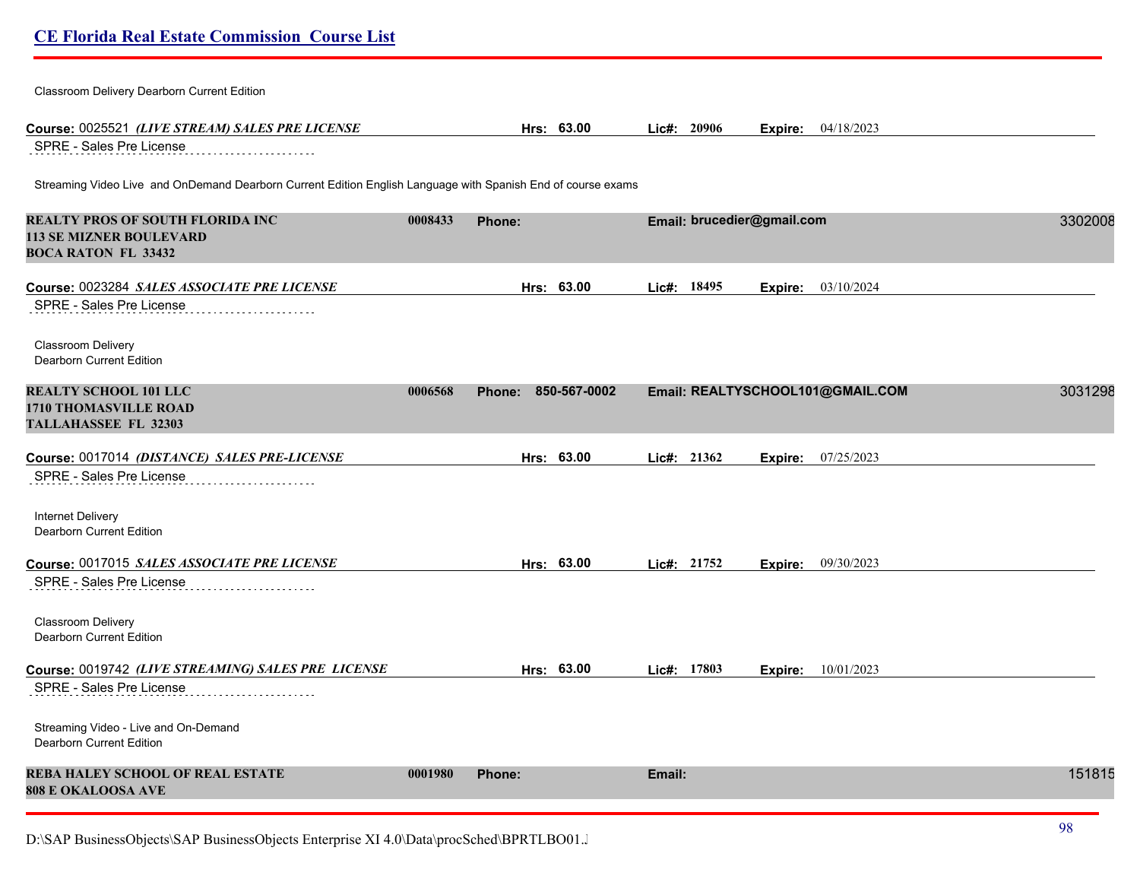| Classroom Delivery Dearborn Current Edition                                                                  |         |                        |                            |                                  |         |
|--------------------------------------------------------------------------------------------------------------|---------|------------------------|----------------------------|----------------------------------|---------|
| Course: 0025521 (LIVE STREAM) SALES PRE LICENSE                                                              |         | Hrs: 63.00             | Lic#: 20906                | <b>Expire:</b> $04/18/2023$      |         |
| SPRE - Sales Pre License                                                                                     |         |                        |                            |                                  |         |
| Streaming Video Live and OnDemand Dearborn Current Edition English Language with Spanish End of course exams |         |                        |                            |                                  |         |
| <b>REALTY PROS OF SOUTH FLORIDA INC</b><br><b>113 SE MIZNER BOULEVARD</b><br><b>BOCA RATON FL 33432</b>      | 0008433 | <b>Phone:</b>          | Email: brucedier@gmail.com |                                  | 3302008 |
| Course: 0023284 SALES ASSOCIATE PRE LICENSE                                                                  |         | Hrs: 63.00             | Lic#: 18495                | Expire: 03/10/2024               |         |
| SPRE - Sales Pre License                                                                                     |         |                        |                            |                                  |         |
| <b>Classroom Delivery</b><br>Dearborn Current Edition                                                        |         |                        |                            |                                  |         |
| <b>REALTY SCHOOL 101 LLC</b><br><b>1710 THOMASVILLE ROAD</b><br>TALLAHASSEE FL 32303                         | 0006568 | 850-567-0002<br>Phone: |                            | Email: REALTYSCHOOL101@GMAIL.COM | 3031298 |
| Course: 0017014 (DISTANCE) SALES PRE-LICENSE<br>SPRE - Sales Pre License                                     |         | Hrs: 63.00             | Lic#: 21362                | 07/25/2023<br>Expire:            |         |
| <b>Internet Delivery</b><br>Dearborn Current Edition                                                         |         |                        |                            |                                  |         |
| Course: 0017015 SALES ASSOCIATE PRE LICENSE                                                                  |         | Hrs: 63.00             | Lic#: 21752                | <b>Expire:</b> $09/30/2023$      |         |
| SPRE - Sales Pre License                                                                                     |         |                        |                            |                                  |         |
| Classroom Delivery<br>Dearborn Current Edition                                                               |         |                        |                            |                                  |         |
| Course: 0019742 <i>(LIVE STREAMING) SALES PRE  LICENSE</i>                                                   |         | Hrs: 63.00             | Lic#: 17803                | <b>Expire:</b> 10/01/2023        |         |
| SPRE - Sales Pre License                                                                                     |         |                        |                            |                                  |         |
| Streaming Video - Live and On-Demand<br>Dearborn Current Edition                                             |         |                        |                            |                                  |         |
| REBA HALEY SCHOOL OF REAL ESTATE                                                                             | 0001980 | Phone:                 | Email:                     |                                  | 151815  |
| <b>808 E OKALOOSA AVE</b>                                                                                    |         |                        |                            |                                  |         |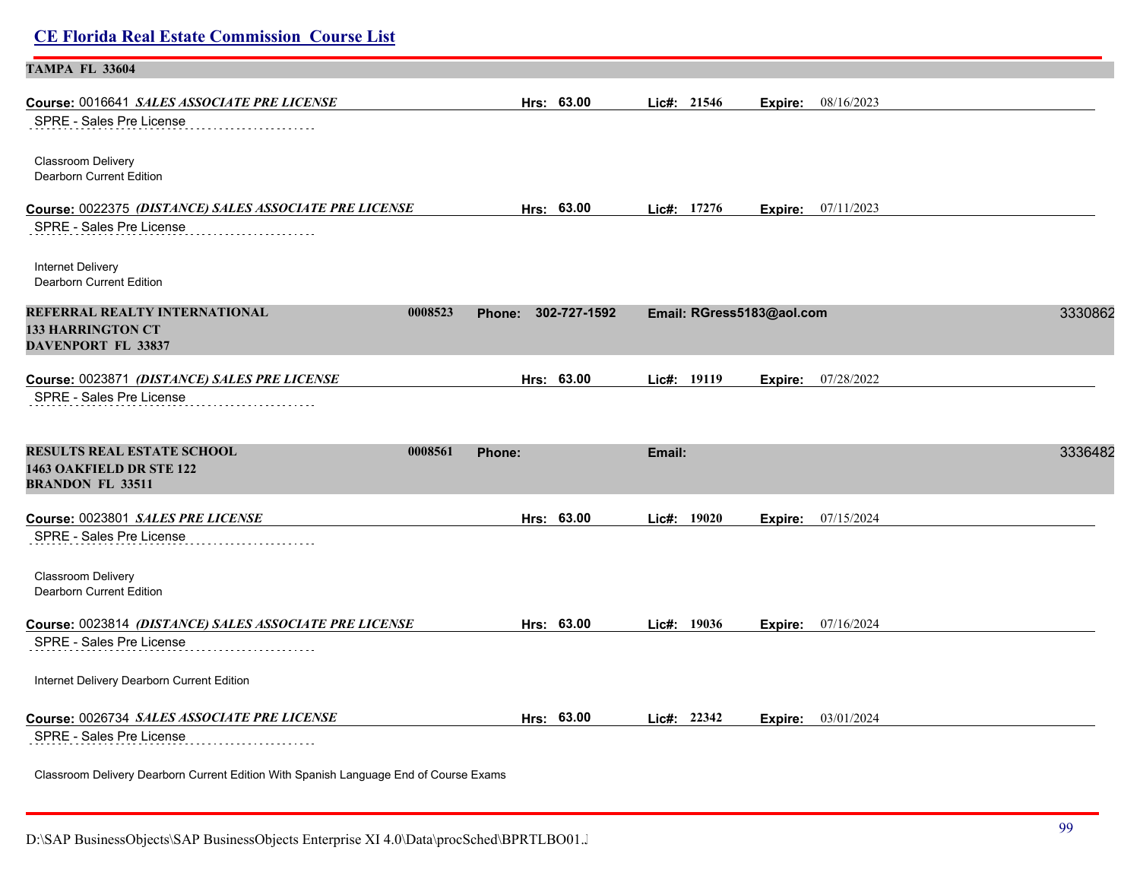| <b>CE Florida Real Estate Commission Course List</b>                                         |                        |                           |                             |         |
|----------------------------------------------------------------------------------------------|------------------------|---------------------------|-----------------------------|---------|
| <b>TAMPA FL 33604</b>                                                                        |                        |                           |                             |         |
| Course: 0016641 SALES ASSOCIATE PRE LICENSE<br>SPRE - Sales Pre License                      | Hrs: 63.00             | Lic#: 21546               | 08/16/2023<br>Expire:       |         |
| Classroom Delivery<br>Dearborn Current Edition                                               |                        |                           |                             |         |
| Course: 0022375 (DISTANCE) SALES ASSOCIATE PRE LICENSE                                       | Hrs: 63.00             | Lic#: 17276               | <b>Expire:</b> 07/11/2023   |         |
| SPRE - Sales Pre License                                                                     |                        |                           |                             |         |
| <b>Internet Delivery</b><br>Dearborn Current Edition                                         |                        |                           |                             |         |
| REFERRAL REALTY INTERNATIONAL<br>0008523<br><b>133 HARRINGTON CT</b><br>DAVENPORT FL 33837   | 302-727-1592<br>Phone: | Email: RGress5183@aol.com |                             | 3330862 |
| Course: 0023871 (DISTANCE) SALES PRE LICENSE<br>SPRE - Sales Pre License                     | Hrs: 63.00             | Lic#: 19119               | Expire: 07/28/2022          |         |
| RESULTS REAL ESTATE SCHOOL<br>0008561<br>1463 OAKFIELD DR STE 122<br><b>BRANDON FL 33511</b> | Phone:                 | Email:                    |                             | 3336482 |
| Course: 0023801 SALES PRE LICENSE                                                            | Hrs: 63.00             | Lic#: 19020               | 07/15/2024<br>Expire:       |         |
| SPRE - Sales Pre License                                                                     |                        |                           |                             |         |
| Classroom Delivery<br>Dearborn Current Edition                                               |                        |                           |                             |         |
| Course: 0023814 (DISTANCE) SALES ASSOCIATE PRE LICENSE<br>SPRE - Sales Pre License           | Hrs: 63.00             | Lic#: 19036               | <b>Expire:</b> $07/16/2024$ |         |
| Internet Delivery Dearborn Current Edition                                                   |                        |                           |                             |         |
| Course: 0026734 SALES ASSOCIATE PRE LICENSE<br>SPRE - Sales Pre License                      | Hrs: 63.00             | $Lic\#: 22342$            | 03/01/2024<br>Expire:       |         |
|                                                                                              |                        |                           |                             |         |

Classroom Delivery Dearborn Current Edition With Spanish Language End of Course Exams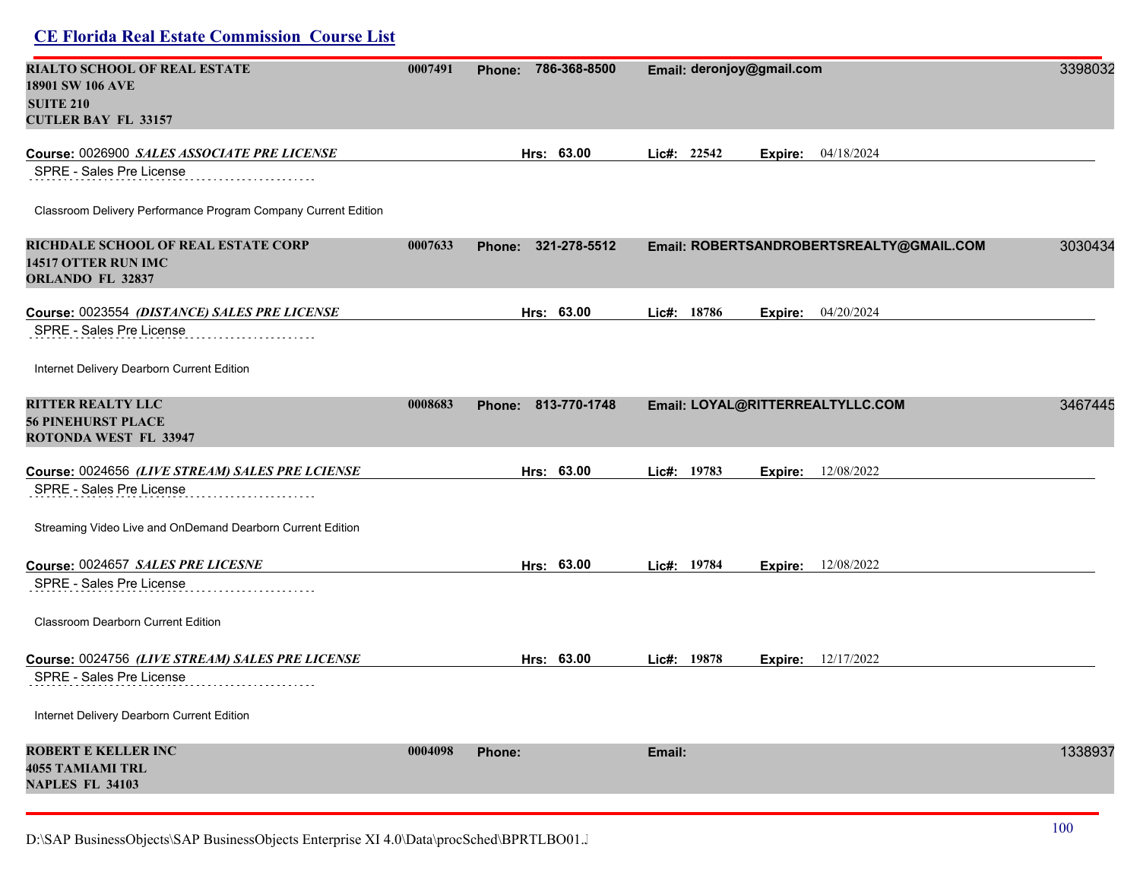| RIALTO SCHOOL OF REAL ESTATE<br>18901 SW 106 AVE<br><b>SUITE 210</b>                         | 0007491 | 786-368-8500<br><b>Phone:</b> | Email: deronjoy@gmail.com                | 3398032 |
|----------------------------------------------------------------------------------------------|---------|-------------------------------|------------------------------------------|---------|
| <b>CUTLER BAY FL 33157</b>                                                                   |         |                               |                                          |         |
| Course: 0026900 SALES ASSOCIATE PRE LICENSE                                                  |         | Hrs: 63.00                    | $Lic\#: 22542$<br>Expire: 04/18/2024     |         |
| SPRE - Sales Pre License                                                                     |         |                               |                                          |         |
| Classroom Delivery Performance Program Company Current Edition                               |         |                               |                                          |         |
| RICHDALE SCHOOL OF REAL ESTATE CORP<br><b>14517 OTTER RUN IMC</b><br><b>ORLANDO FL 32837</b> | 0007633 | 321-278-5512<br>Phone:        | Email: ROBERTSANDROBERTSREALTY@GMAIL.COM | 3030434 |
| Course: 0023554 <i>(DISTANCE) SALES PRE LICENSE</i>                                          |         | Hrs: 63.00                    | Lic#: 18786<br>Expire: 04/20/2024        |         |
| SPRE - Sales Pre License                                                                     |         |                               |                                          |         |
| Internet Delivery Dearborn Current Edition                                                   |         |                               |                                          |         |
| <b>RITTER REALTY LLC</b><br><b>56 PINEHURST PLACE</b><br>ROTONDA WEST FL 33947               | 0008683 | Phone: 813-770-1748           | Email: LOYAL@RITTERREALTYLLC.COM         | 3467445 |
| Course: 0024656 <i>(LIVE STREAM) SALES PRE LCIENSE</i>                                       |         | Hrs: 63.00                    | Lic#: 19783<br>12/08/2022<br>Expire:     |         |
| SPRE - Sales Pre License                                                                     |         |                               |                                          |         |
| Streaming Video Live and OnDemand Dearborn Current Edition                                   |         |                               |                                          |         |
| Course: 0024657 SALES PRE LICESNE                                                            |         | Hrs: 63.00                    | Lic#: 19784<br><b>Expire:</b> 12/08/2022 |         |
| SPRE - Sales Pre License                                                                     |         |                               |                                          |         |
| Classroom Dearborn Current Edition                                                           |         |                               |                                          |         |
| Course: 0024756 (LIVE STREAM) SALES PRE LICENSE                                              |         | Hrs: 63.00                    | Lie#: 19878<br>12/17/2022<br>Expire:     |         |
| SPRE - Sales Pre License                                                                     |         |                               |                                          |         |
| Internet Delivery Dearborn Current Edition                                                   |         |                               |                                          |         |
| ROBERT E KELLER INC<br>4055 TAMIAMI TRL<br><b>NAPLES FL 34103</b>                            | 0004098 | <b>Phone:</b>                 | Email:                                   | 1338937 |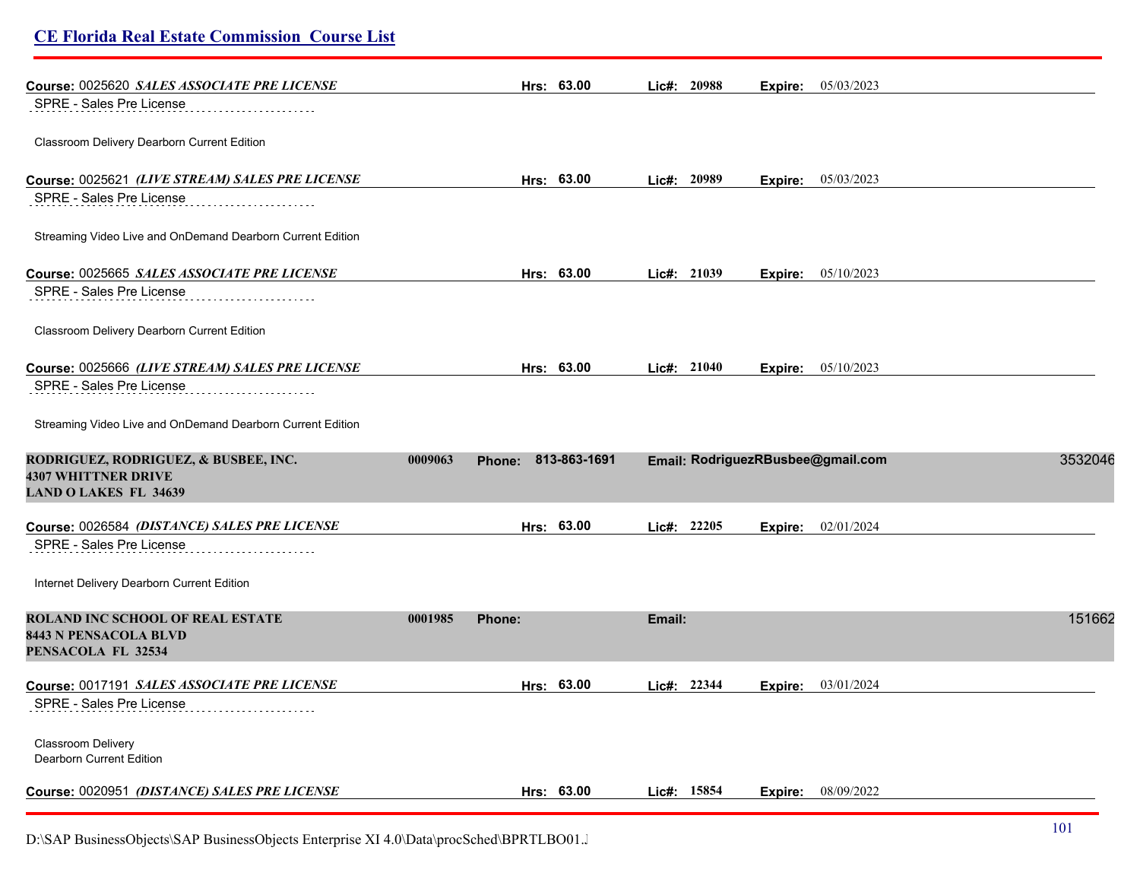| <b>CE Florida Real Estate Commission Course List</b>               |         |                        |        |             |         |                                   |         |
|--------------------------------------------------------------------|---------|------------------------|--------|-------------|---------|-----------------------------------|---------|
| Course: 0025620 SALES ASSOCIATE PRE LICENSE                        |         | Hrs: 63.00             |        | Lic#: 20988 | Expire: | 05/03/2023                        |         |
| <b>SPRE - Sales Pre License</b>                                    |         |                        |        |             |         |                                   |         |
| Classroom Delivery Dearborn Current Edition                        |         |                        |        |             |         |                                   |         |
| Course: 0025621 (LIVE STREAM) SALES PRE LICENSE                    |         | Hrs: 63.00             |        | Lic#: 20989 |         | <b>Expire:</b> 05/03/2023         |         |
| SPRE - Sales Pre License                                           |         |                        |        |             |         |                                   |         |
| Streaming Video Live and OnDemand Dearborn Current Edition         |         |                        |        |             |         |                                   |         |
| Course: 0025665 SALES ASSOCIATE PRE LICENSE                        |         | Hrs: 63.00             |        | Lic#: 21039 | Expire: | 05/10/2023                        |         |
| SPRE - Sales Pre License                                           |         |                        |        |             |         |                                   |         |
| Classroom Delivery Dearborn Current Edition                        |         |                        |        |             |         |                                   |         |
| Course: 0025666 (LIVE STREAM) SALES PRE LICENSE                    |         | Hrs: 63.00             |        | Lic#: 21040 |         | <b>Expire:</b> 05/10/2023         |         |
| SPRE - Sales Pre License                                           |         |                        |        |             |         |                                   |         |
| Streaming Video Live and OnDemand Dearborn Current Edition         |         |                        |        |             |         |                                   |         |
| RODRIGUEZ, RODRIGUEZ, & BUSBEE, INC.<br><b>4307 WHITTNER DRIVE</b> | 0009063 | 813-863-1691<br>Phone: |        |             |         | Email: RodriguezRBusbee@gmail.com | 3532046 |
| <b>LAND O LAKES FL 34639</b>                                       |         |                        |        |             |         |                                   |         |
| Course: 0026584 (DISTANCE) SALES PRE LICENSE                       |         | Hrs: 63.00             |        | Lic#: 22205 | Expire: | 02/01/2024                        |         |
| SPRE - Sales Pre License                                           |         |                        |        |             |         |                                   |         |
| Internet Delivery Dearborn Current Edition                         |         |                        |        |             |         |                                   |         |
| ROLAND INC SCHOOL OF REAL ESTATE                                   | 0001985 | <b>Phone:</b>          | Email: |             |         |                                   | 151662  |
| 8443 N PENSACOLA BLVD<br>PENSACOLA FL 32534                        |         |                        |        |             |         |                                   |         |
|                                                                    |         |                        |        |             |         |                                   |         |
| Course: 0017191 SALES ASSOCIATE PRE LICENSE                        |         | Hrs: 63.00             |        | Lic#: 22344 | Expire: | 03/01/2024                        |         |
| SPRE - Sales Pre License                                           |         |                        |        |             |         |                                   |         |
| Classroom Delivery<br>Dearborn Current Edition                     |         |                        |        |             |         |                                   |         |
| Course: 0020951 (DISTANCE) SALES PRE LICENSE                       |         | Hrs: 63.00             |        | Lic#: 15854 |         | <b>Expire:</b> 08/09/2022         |         |
|                                                                    |         |                        |        |             |         |                                   |         |

D:\SAP BusinessObjects\SAP BusinessObjects Enterprise XI 4.0\Data\procSched\BPRTLBO01.Jobserver2\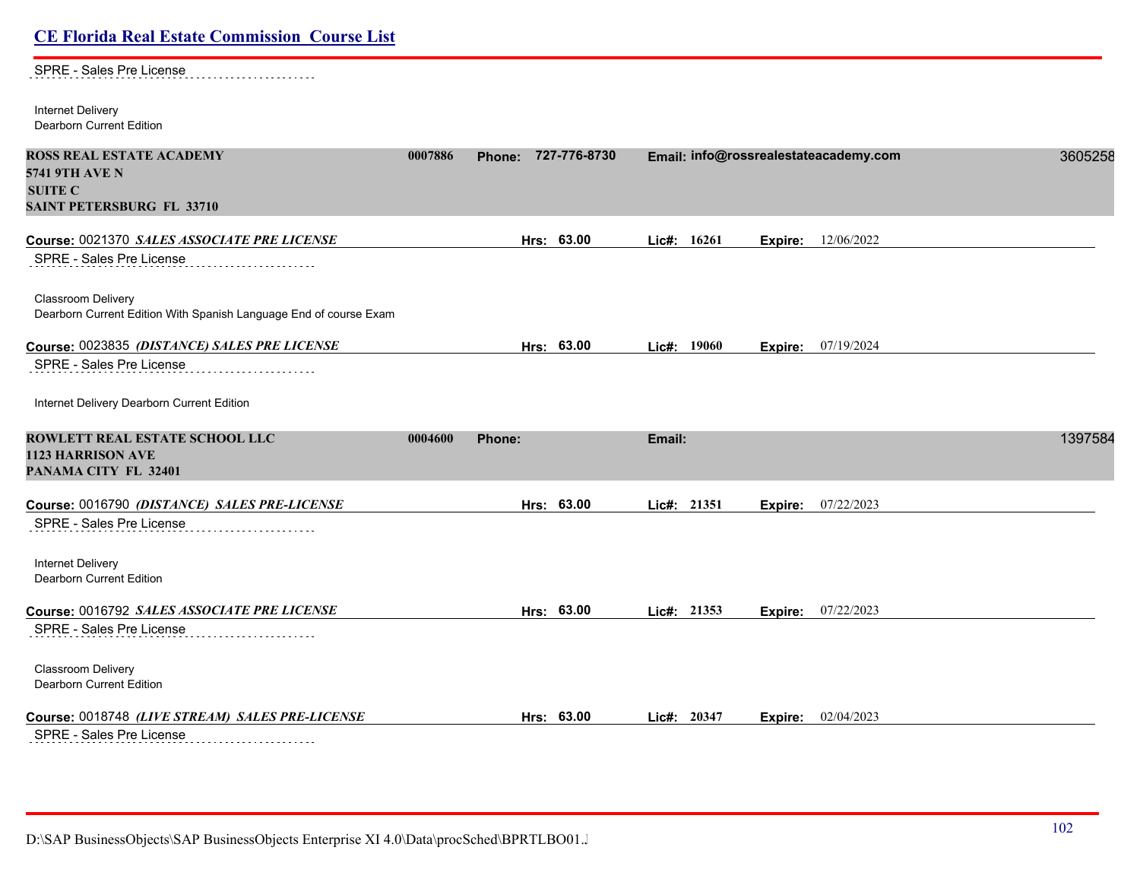SPRE - Sales Pre License . . . . . . . . . . . . . . . . . .

| Internet Delivery<br>Dearborn Current Edition                                                                  |         |                        |             |                                       |         |
|----------------------------------------------------------------------------------------------------------------|---------|------------------------|-------------|---------------------------------------|---------|
| <b>ROSS REAL ESTATE ACADEMY</b><br><b>5741 9TH AVE N</b><br><b>SUITE C</b><br><b>SAINT PETERSBURG FL 33710</b> | 0007886 | 727-776-8730<br>Phone: |             | Email: info@rossrealestateacademy.com | 3605258 |
| Course: 0021370 SALES ASSOCIATE PRE LICENSE                                                                    |         | Hrs: 63.00             | Lic#: 16261 | 12/06/2022<br>Expire:                 |         |
| SPRE - Sales Pre License                                                                                       |         |                        |             |                                       |         |
| Classroom Delivery<br>Dearborn Current Edition With Spanish Language End of course Exam                        |         |                        |             |                                       |         |
| Course: 0023835 (DISTANCE) SALES PRE LICENSE                                                                   |         | Hrs: 63.00             | Lic#: 19060 | 07/19/2024<br>Expire:                 |         |
| SPRE - Sales Pre License                                                                                       |         |                        |             |                                       |         |
| Internet Delivery Dearborn Current Edition                                                                     |         |                        |             |                                       |         |
| ROWLETT REAL ESTATE SCHOOL LLC<br><b>1123 HARRISON AVE</b><br>PANAMA CITY FL 32401                             | 0004600 | Phone:                 | Email:      |                                       | 1397584 |
| Course: 0016790 (DISTANCE) SALES PRE-LICENSE<br>SPRE - Sales Pre License                                       |         | Hrs: 63.00             | Lic#: 21351 | 07/22/2023<br>Expire:                 |         |
| Internet Delivery<br>Dearborn Current Edition                                                                  |         |                        |             |                                       |         |
| Course: 0016792 SALES ASSOCIATE PRE LICENSE                                                                    |         | Hrs: 63.00             | Lic#: 21353 | Expire: 07/22/2023                    |         |
| <b>SPRE - Sales Pre License</b>                                                                                |         |                        |             |                                       |         |
| Classroom Delivery<br>Dearborn Current Edition                                                                 |         |                        |             |                                       |         |
| Course: 0018748 (LIVE STREAM) SALES PRE-LICENSE                                                                |         | Hrs: 63.00             | Lic#: 20347 | 02/04/2023<br>Expire:                 |         |
| SPRE - Sales Pre License                                                                                       |         |                        |             |                                       |         |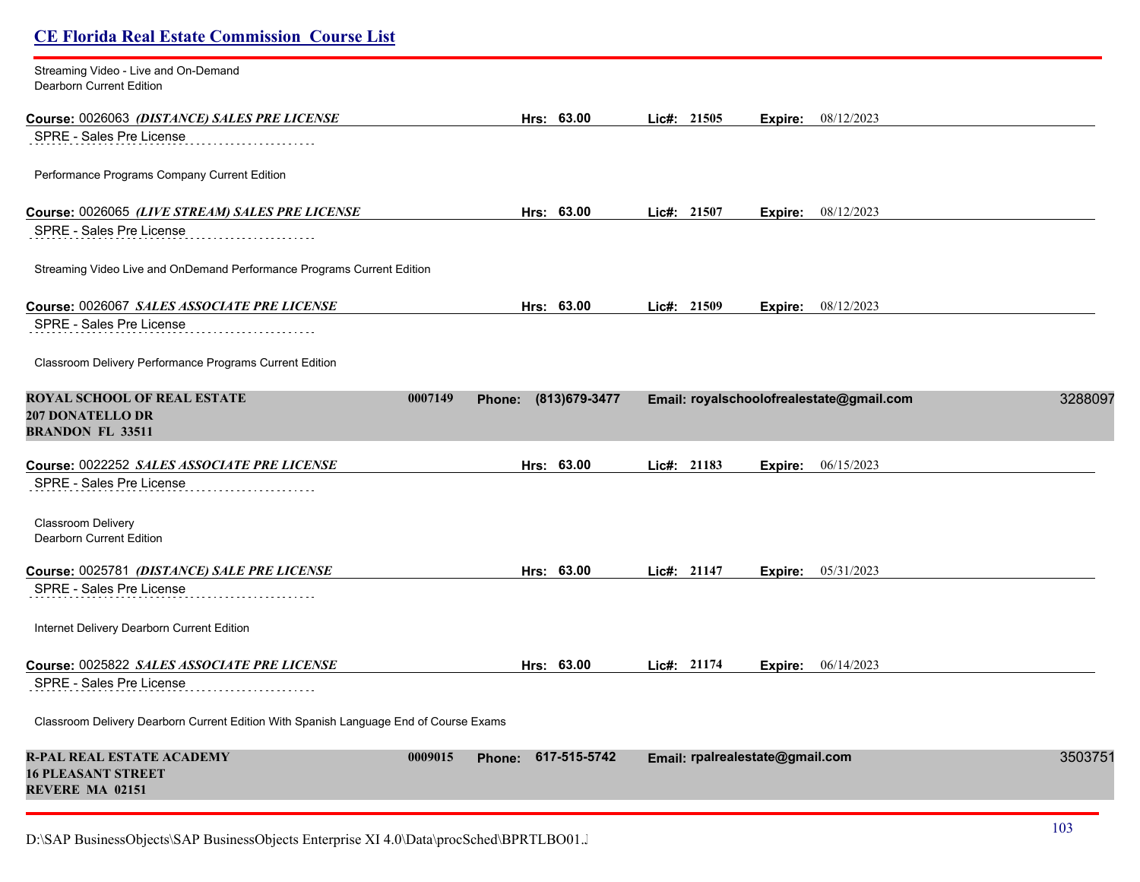# **CE Florida Real Estate Commission Course List** Streaming Video - Live and On-Demand Dearborn Current Edition **Course:** 0026063 *(DISTANCE) SALES PRE LICENSE* **Hrs: 63.00 Lic#: 21505 Expire:** 08/12/2023 SPRE - Sales Pre License Performance Programs Company Current Edition **Course:** 0026065 *(LIVE STREAM) SALES PRE LICENSE* **Hrs: 63.00 Lic#: 21507 Expire:** 08/12/2023 SPRE - Sales Pre License Streaming Video Live and OnDemand Performance Programs Current Edition **Course:** 0026067 *SALES ASSOCIATE PRE LICENSE* **Hrs: 63.00 Lic#: 21509 Expire:** 08/12/2023 SPRE - Sales Pre License Classroom Delivery Performance Programs Current Edition **ROYAL SCHOOL OF REAL ESTATE 0007149 Phone: (813)679-3477 Email: royalschoolofrealestate@gmail.com** 32880978 **207 DONATELLO DR BRANDON FL 33511 Course:** 0022252 *SALES ASSOCIATE PRE LICENSE* **Hrs: 63.00 Lic#: 21183 Expire:** 06/15/2023 SPRE - Sales Pre License Classroom Delivery Dearborn Current Edition **Course:** 0025781 *(DISTANCE) SALE PRE LICENSE* **Hrs: 63.00 Lic#: 21147 Expire:** 05/31/2023 SPRE - Sales Pre License Internet Delivery Dearborn Current Edition **Course:** 0025822 *SALES ASSOCIATE PRE LICENSE* **Hrs: 63.00 Lic#: 21174 Expire:** 06/14/2023 SPRE - Sales Pre License Classroom Delivery Dearborn Current Edition With Spanish Language End of Course Exams **R-PAL REAL ESTATE ACADEMY 0009015 Phone: 617-515-5742 Email: rpalrealestate@gmail.com** 35037518 **16 PLEASANT STREET REVERE MA 02151**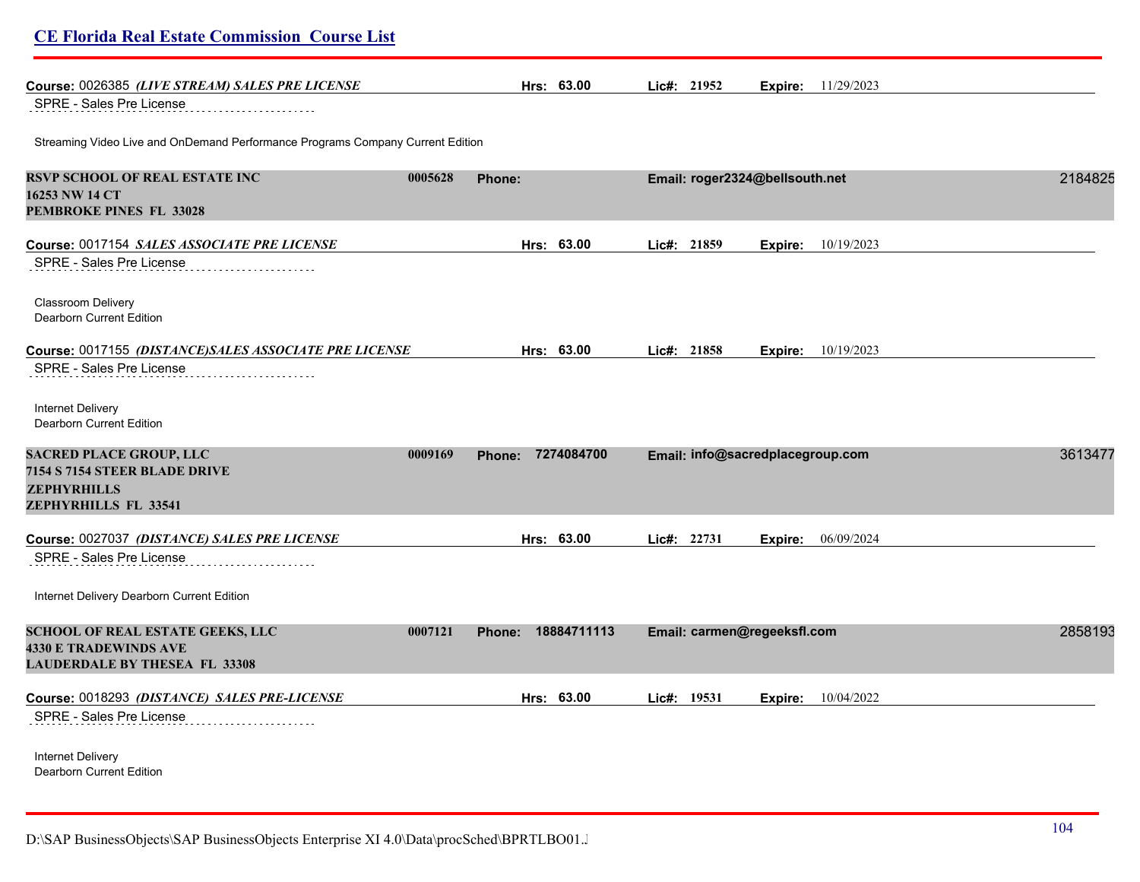| <b>CE Florida Real Estate Commission Course List</b>                           |         |                    |             |             |                                  |            |         |
|--------------------------------------------------------------------------------|---------|--------------------|-------------|-------------|----------------------------------|------------|---------|
| Course: 0026385 (LIVE STREAM) SALES PRE LICENSE                                |         | Hrs: 63.00         |             | Lic#: 21952 | Expire:                          | 11/29/2023 |         |
| SPRE - Sales Pre License                                                       |         |                    |             |             |                                  |            |         |
| Streaming Video Live and OnDemand Performance Programs Company Current Edition |         |                    |             |             |                                  |            |         |
| RSVP SCHOOL OF REAL ESTATE INC<br>16253 NW 14 CT<br>PEMBROKE PINES FL 33028    | 0005628 | Phone:             |             |             | Email: roger2324@bellsouth.net   |            | 2184825 |
| Course: 0017154 SALES ASSOCIATE PRE LICENSE                                    |         | Hrs: 63.00         |             | Lic#: 21859 | Expire:                          | 10/19/2023 |         |
| SPRE - Sales Pre License<br>.                                                  |         |                    |             |             |                                  |            |         |
| Classroom Delivery<br><b>Dearborn Current Edition</b>                          |         |                    |             |             |                                  |            |         |
| Course: 0017155 (DISTANCE)SALES ASSOCIATE PRE LICENSE                          |         | Hrs: 63.00         |             | Lic#: 21858 | Expire:                          | 10/19/2023 |         |
| SPRE - Sales Pre License                                                       |         |                    |             |             |                                  |            |         |
| Internet Delivery<br><b>Dearborn Current Edition</b>                           |         |                    |             |             |                                  |            |         |
| <b>SACRED PLACE GROUP, LLC</b><br>7154 S 7154 STEER BLADE DRIVE                | 0009169 | Phone: 7274084700  |             |             | Email: info@sacredplacegroup.com |            | 3613477 |
| <b>ZEPHYRHILLS</b><br>ZEPHYRHILLS FL 33541                                     |         |                    |             |             |                                  |            |         |
| Course: 0027037 (DISTANCE) SALES PRE LICENSE                                   |         | Hrs: 63.00         | Lic#: 22731 |             | Expire:                          | 06/09/2024 |         |
| SPRE - Sales Pre License                                                       |         |                    |             |             |                                  |            |         |
| Internet Delivery Dearborn Current Edition                                     |         |                    |             |             |                                  |            |         |
| <b>SCHOOL OF REAL ESTATE GEEKS, LLC</b>                                        | 0007121 | Phone: 18884711113 |             |             | Email: carmen@regeeksfl.com      |            | 2858193 |
| <b>4330 E TRADEWINDS AVE</b><br><b>LAUDERDALE BY THESEA FL 33308</b>           |         |                    |             |             |                                  |            |         |
| Course: 0018293 (DISTANCE) SALES PRE-LICENSE                                   |         | Hrs: 63.00         |             | Lic#: 19531 | Expire:                          | 10/04/2022 |         |
| SPRE - Sales Pre License                                                       |         |                    |             |             |                                  |            |         |
| Internet Delivery<br>Dearborn Current Edition                                  |         |                    |             |             |                                  |            |         |
|                                                                                |         |                    |             |             |                                  |            |         |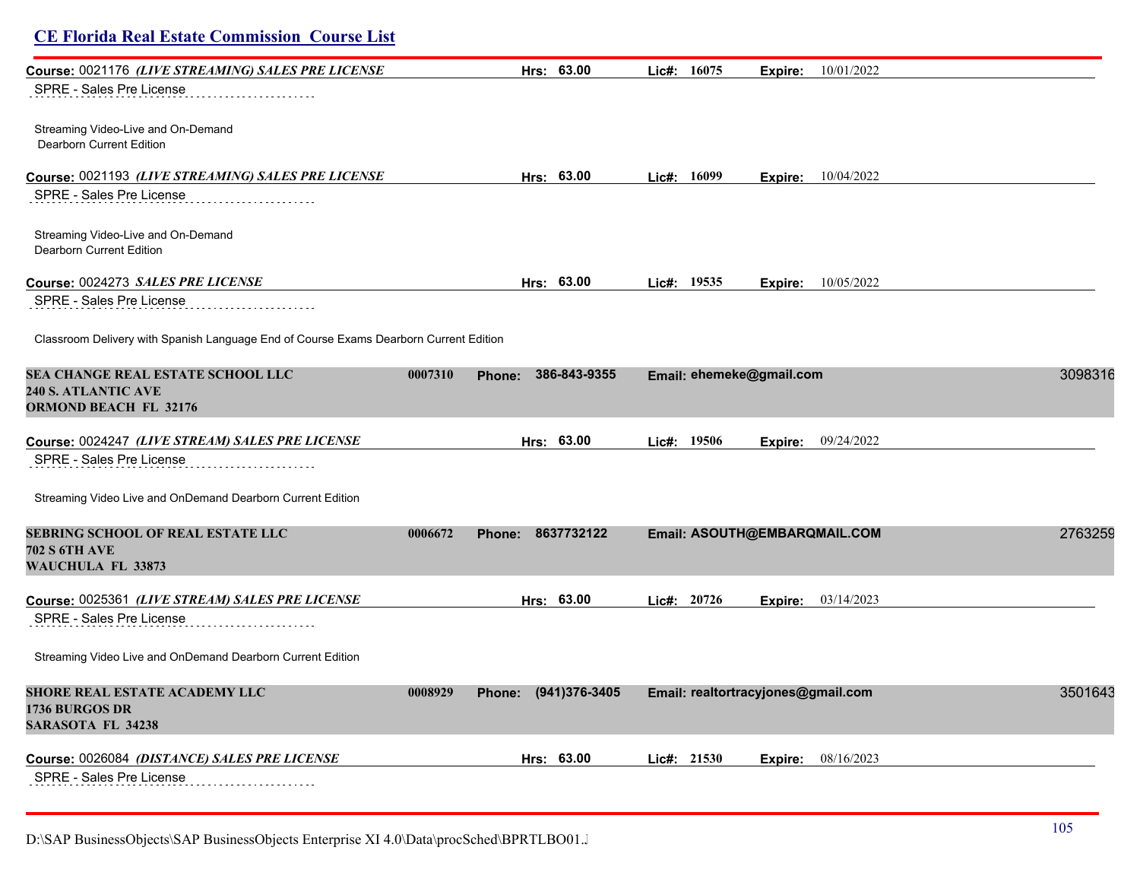| Course: 0021176 (LIVE STREAMING) SALES PRE LICENSE<br>SPRE - Sales Pre License           |         | Hrs: 63.00             | Lic#: 16075 | Expire:                            | 10/01/2022                   |         |
|------------------------------------------------------------------------------------------|---------|------------------------|-------------|------------------------------------|------------------------------|---------|
|                                                                                          |         |                        |             |                                    |                              |         |
| Streaming Video-Live and On-Demand<br>Dearborn Current Edition                           |         |                        |             |                                    |                              |         |
| Course: 0021193 (LIVE STREAMING) SALES PRE LICENSE                                       |         | Hrs: 63.00             | Lie#: 16099 | Expire:                            | 10/04/2022                   |         |
| SPRE - Sales Pre License                                                                 |         |                        |             |                                    |                              |         |
| Streaming Video-Live and On-Demand<br>Dearborn Current Edition                           |         |                        |             |                                    |                              |         |
| Course: 0024273 <i>SALES PRE LICENSE</i>                                                 |         | Hrs: 63.00             | Lic#: 19535 | Expire:                            | 10/05/2022                   |         |
| SPRE - Sales Pre License                                                                 |         |                        |             |                                    |                              |         |
| Classroom Delivery with Spanish Language End of Course Exams Dearborn Current Edition    |         |                        |             |                                    |                              |         |
| SEA CHANGE REAL ESTATE SCHOOL LLC<br>240 S. ATLANTIC AVE<br><b>ORMOND BEACH FL 32176</b> | 0007310 | 386-843-9355<br>Phone: |             | Email: ehemeke@gmail.com           |                              | 3098316 |
| Course: 0024247 <i>(LIVE STREAM) SALES PRE LICENSE</i><br>SPRE - Sales Pre License       |         | Hrs: 63.00             | Lie#: 19506 |                                    | Expire: 09/24/2022           |         |
| Streaming Video Live and OnDemand Dearborn Current Edition                               |         |                        |             |                                    |                              |         |
| SEBRING SCHOOL OF REAL ESTATE LLC<br><b>702 S 6TH AVE</b><br>WAUCHULA FL 33873           | 0006672 | Phone: 8637732122      |             |                                    | Email: ASOUTH@EMBARQMAIL.COM | 2763259 |
| Course: 0025361 (LIVE STREAM) SALES PRE LICENSE                                          |         | Hrs: 63.00             | Lie#: 20726 |                                    | Expire: 03/14/2023           |         |
| SPRE - Sales Pre License                                                                 |         |                        |             |                                    |                              |         |
| Streaming Video Live and OnDemand Dearborn Current Edition                               |         |                        |             |                                    |                              |         |
| <b>SHORE REAL ESTATE ACADEMY LLC</b>                                                     | 0008929 | Phone: (941)376-3405   |             | Email: realtortracyjones@gmail.com |                              | 3501643 |
| 1736 BURGOS DR<br><b>SARASOTA FL 34238</b>                                               |         |                        |             |                                    |                              |         |
| Course: 0026084 (DISTANCE) SALES PRE LICENSE                                             |         | Hrs: 63.00             | Lie#: 21530 |                                    | Expire: 08/16/2023           |         |
| SPRE - Sales Pre License                                                                 |         |                        |             |                                    |                              |         |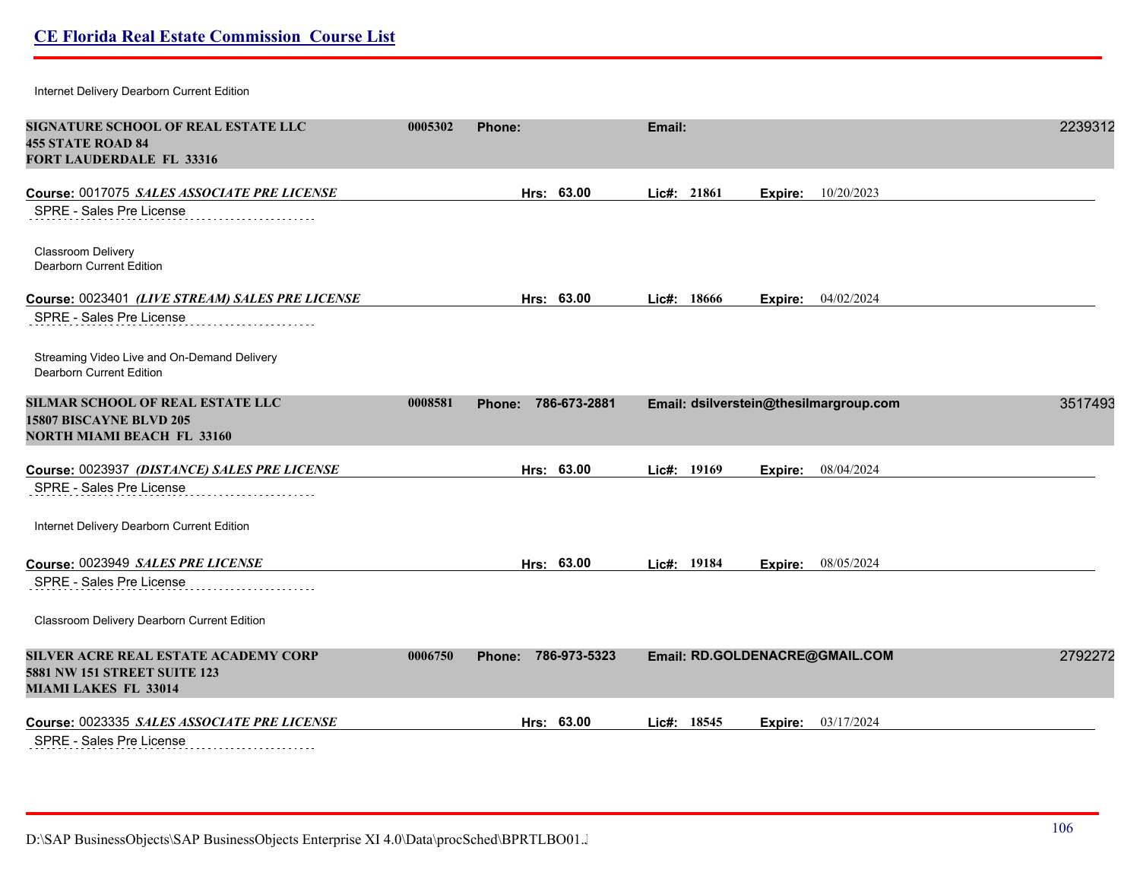Internet Delivery Dearborn Current Edition

| SIGNATURE SCHOOL OF REAL ESTATE LLC<br><b>455 STATE ROAD 84</b><br><b>FORT LAUDERDALE FL 33316</b>         | 0005302 | Phone:                 | Email:                                   | 2239312 |
|------------------------------------------------------------------------------------------------------------|---------|------------------------|------------------------------------------|---------|
| Course: 0017075 SALES ASSOCIATE PRE LICENSE<br>SPRE - Sales Pre License                                    |         | Hrs: 63.00             | Lic#: 21861<br>10/20/2023<br>Expire:     |         |
| Classroom Delivery<br>Dearborn Current Edition                                                             |         |                        |                                          |         |
| Course: 0023401 (LIVE STREAM) SALES PRE LICENSE<br>SPRE - Sales Pre License                                |         | Hrs: 63.00             | Lic#: 18666<br>Expire: 04/02/2024        |         |
| Streaming Video Live and On-Demand Delivery<br><b>Dearborn Current Edition</b>                             |         |                        |                                          |         |
| SILMAR SCHOOL OF REAL ESTATE LLC<br>15807 BISCAYNE BLVD 205<br><b>NORTH MIAMI BEACH FL 33160</b>           | 0008581 | 786-673-2881<br>Phone: | Email: dsilverstein@thesilmargroup.com   | 3517493 |
| Course: 0023937 (DISTANCE) SALES PRE LICENSE<br>SPRE - Sales Pre License                                   |         | Hrs: 63.00             | Lic#: 19169<br>08/04/2024<br>Expire:     |         |
| Internet Delivery Dearborn Current Edition                                                                 |         |                        |                                          |         |
| Course: 0023949 SALES PRE LICENSE<br>SPRE - Sales Pre License                                              |         | Hrs: 63.00             | Lic#: 19184<br><b>Expire:</b> 08/05/2024 |         |
| Classroom Delivery Dearborn Current Edition                                                                |         |                        |                                          |         |
| SILVER ACRE REAL ESTATE ACADEMY CORP<br><b>5881 NW 151 STREET SUITE 123</b><br><b>MIAMI LAKES FL 33014</b> | 0006750 | 786-973-5323<br>Phone: | Email: RD.GOLDENACRE@GMAIL.COM           | 2792272 |
| Course: 0023335 SALES ASSOCIATE PRE LICENSE<br>SPRE - Sales Pre License                                    |         | Hrs: 63.00             | Lic#: 18545<br>03/17/2024<br>Expire:     |         |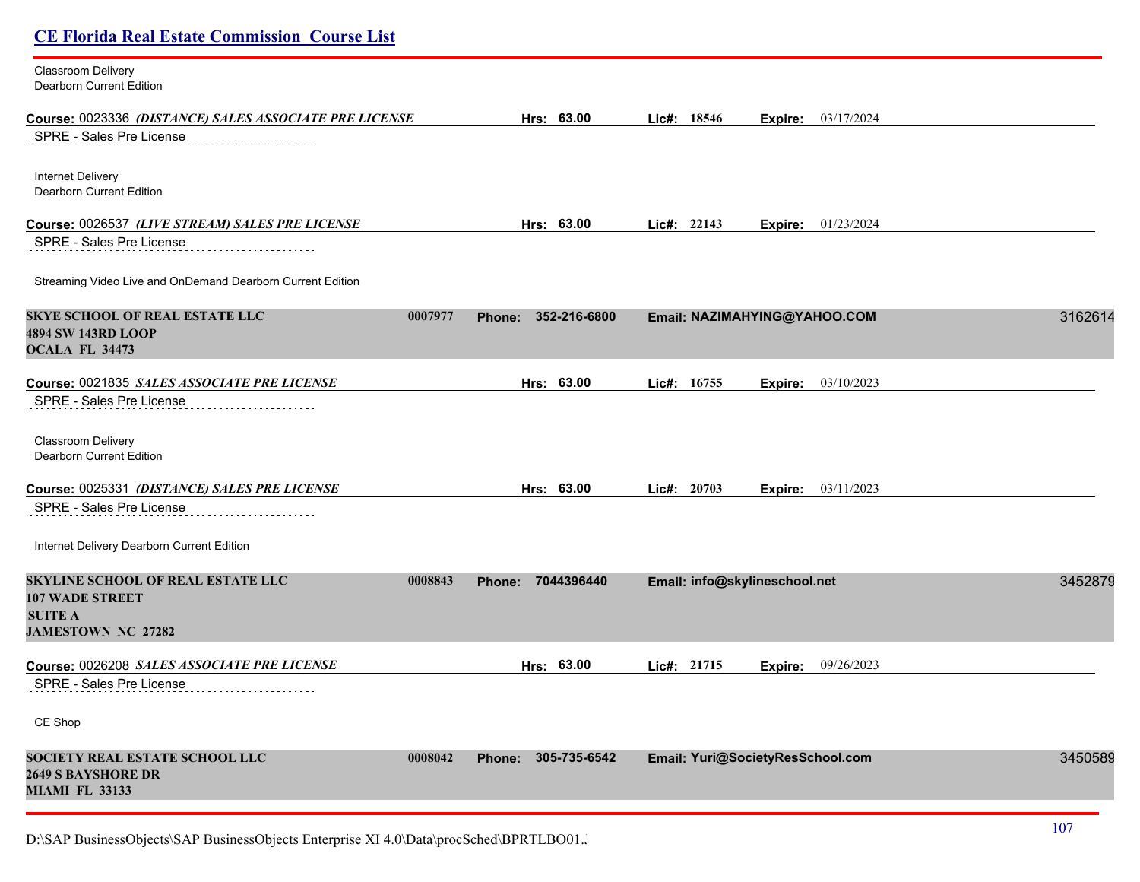| <b>CE Florida Real Estate Commission Course List</b>                                                   |                             |                               |                                  |         |
|--------------------------------------------------------------------------------------------------------|-----------------------------|-------------------------------|----------------------------------|---------|
| Classroom Delivery<br>Dearborn Current Edition                                                         |                             |                               |                                  |         |
| Course: 0023336 (DISTANCE) SALES ASSOCIATE PRE LICENSE                                                 | Hrs: 63.00                  | Lic#: 18546                   | 03/17/2024<br>Expire:            |         |
| SPRE - Sales Pre License                                                                               |                             |                               |                                  |         |
| Internet Delivery<br>Dearborn Current Edition                                                          |                             |                               |                                  |         |
| Course: 0026537 (LIVE STREAM) SALES PRE LICENSE<br>SPRE - Sales Pre License                            | Hrs: 63.00                  | Lic#: 22143                   | 01/23/2024<br>Expire:            |         |
| Streaming Video Live and OnDemand Dearborn Current Edition                                             |                             |                               |                                  |         |
| <b>SKYE SCHOOL OF REAL ESTATE LLC</b><br>0007977<br><b>4894 SW 143RD LOOP</b><br>OCALA FL 34473        | 352-216-6800<br>Phone:      |                               | Email: NAZIMAHYING@YAHOO.COM     | 3162614 |
| Course: 0021835 SALES ASSOCIATE PRE LICENSE                                                            | Hrs: 63.00                  | Lic#: 16755                   | 03/10/2023<br>Expire:            |         |
| SPRE - Sales Pre License                                                                               |                             |                               |                                  |         |
| Classroom Delivery<br>Dearborn Current Edition                                                         |                             |                               |                                  |         |
| Course: 0025331 (DISTANCE) SALES PRE LICENSE                                                           | Hrs: 63.00                  | Lic#: 20703                   | 03/11/2023<br>Expire:            |         |
| SPRE - Sales Pre License                                                                               |                             |                               |                                  |         |
| Internet Delivery Dearborn Current Edition                                                             |                             |                               |                                  |         |
| SKYLINE SCHOOL OF REAL ESTATE LLC<br>0008843<br><b>107 WADE STREET</b>                                 | 7044396440<br><b>Phone:</b> | Email: info@skylineschool.net |                                  | 3452879 |
| <b>SUITE A</b><br><b>JAMESTOWN NC 27282</b>                                                            |                             |                               |                                  |         |
| Course: 0026208 SALES ASSOCIATE PRE LICENSE<br>SPRE - Sales Pre License                                | Hrs: 63.00                  | Lic#: 21715                   | 09/26/2023<br>Expire:            |         |
| CE Shop                                                                                                |                             |                               |                                  |         |
| <b>SOCIETY REAL ESTATE SCHOOL LLC</b><br>0008042<br><b>2649 S BAYSHORE DR</b><br><b>MIAMI FL 33133</b> | Phone: 305-735-6542         |                               | Email: Yuri@SocietyResSchool.com | 3450589 |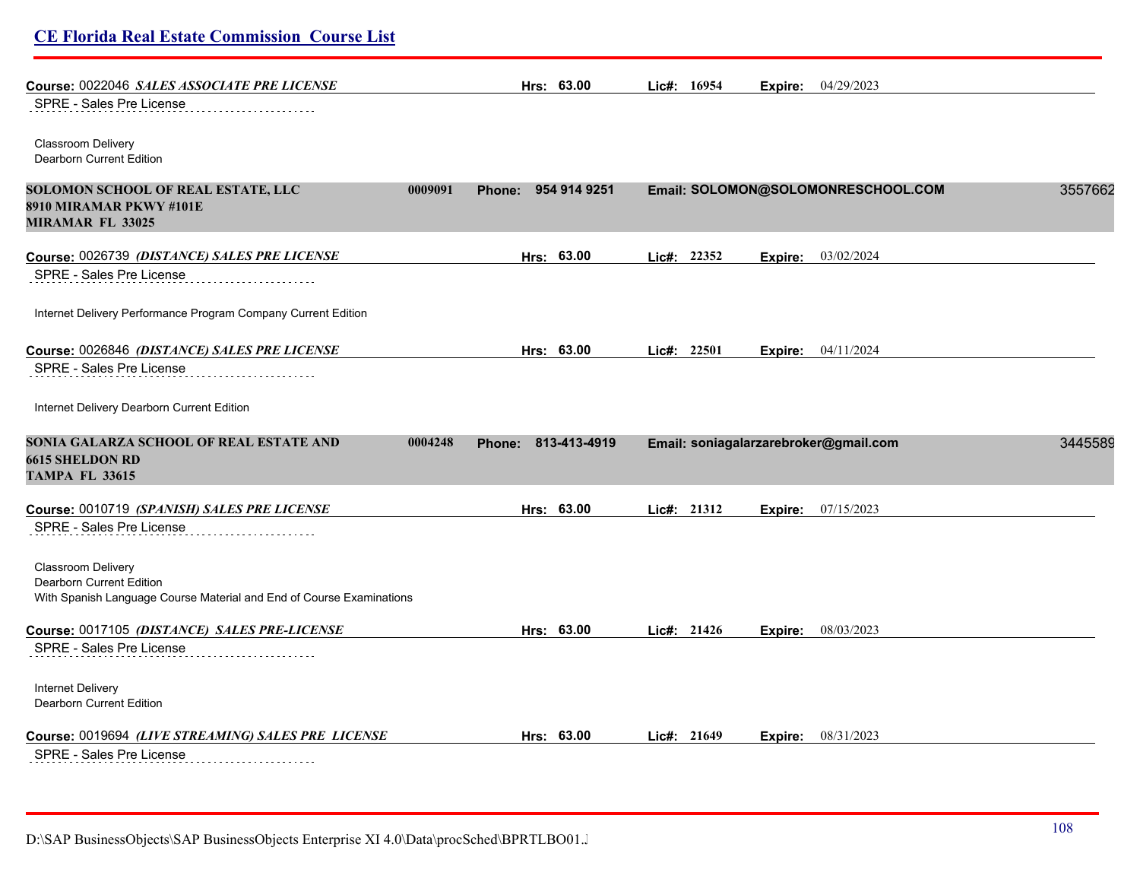| <b>CE Florida Real Estate Commission Course List</b>                                                                          |                        |             |                                       |         |
|-------------------------------------------------------------------------------------------------------------------------------|------------------------|-------------|---------------------------------------|---------|
| Course: 0022046 SALES ASSOCIATE PRE LICENSE                                                                                   | Hrs: 63.00             | Lic#: 16954 | <b>Expire:</b> $04/29/2023$           |         |
| SPRE - Sales Pre License                                                                                                      |                        |             |                                       |         |
| Classroom Delivery<br>Dearborn Current Edition                                                                                |                        |             |                                       |         |
| SOLOMON SCHOOL OF REAL ESTATE, LLC<br>0009091<br>8910 MIRAMAR PKWY #101E<br><b>MIRAMAR FL 33025</b>                           | 954 914 9251<br>Phone: |             | Email: SOLOMON@SOLOMONRESCHOOL.COM    | 3557662 |
| <b>Course: 0026739 <i>(DISTANCE) SALES PRE LICENSE</i></b>                                                                    | Hrs: 63.00             | Lic#: 22352 | Expire: 03/02/2024                    |         |
| SPRE - Sales Pre License                                                                                                      |                        |             |                                       |         |
| Internet Delivery Performance Program Company Current Edition                                                                 |                        |             |                                       |         |
| Course: 0026846 <i>(DISTANCE) SALES PRE LICENSE</i>                                                                           | Hrs: 63.00             | Lic#: 22501 | <b>Expire:</b> $04/11/2024$           |         |
| <b>SPRE - Sales Pre License</b>                                                                                               |                        |             |                                       |         |
| Internet Delivery Dearborn Current Edition                                                                                    |                        |             |                                       |         |
| SONIA GALARZA SCHOOL OF REAL ESTATE AND<br>0004248<br><b>6615 SHELDON RD</b><br><b>TAMPA FL 33615</b>                         | 813-413-4919<br>Phone: |             | Email: soniagalarzarebroker@gmail.com | 3445589 |
| Course: 0010719 <i>(SPANISH) SALES PRE LICENSE</i>                                                                            | Hrs: 63.00             | Lic#: 21312 | Expire: 07/15/2023                    |         |
| SPRE - Sales Pre License                                                                                                      |                        |             |                                       |         |
| <b>Classroom Delivery</b><br>Dearborn Current Edition<br>With Spanish Language Course Material and End of Course Examinations |                        |             |                                       |         |
| Course: 0017105 (DISTANCE) SALES PRE-LICENSE                                                                                  | Hrs: 63.00             | Lie#: 21426 | 08/03/2023<br>Expire:                 |         |
| SPRE - Sales Pre License                                                                                                      |                        |             |                                       |         |
| Internet Delivery<br>Dearborn Current Edition                                                                                 |                        |             |                                       |         |
| Course: 0019694 (LIVE STREAMING) SALES PRE LICENSE                                                                            | Hrs: 63.00             | Lie#: 21649 | <b>Expire:</b> 08/31/2023             |         |
| SPRE - Sales Pre License                                                                                                      |                        |             |                                       |         |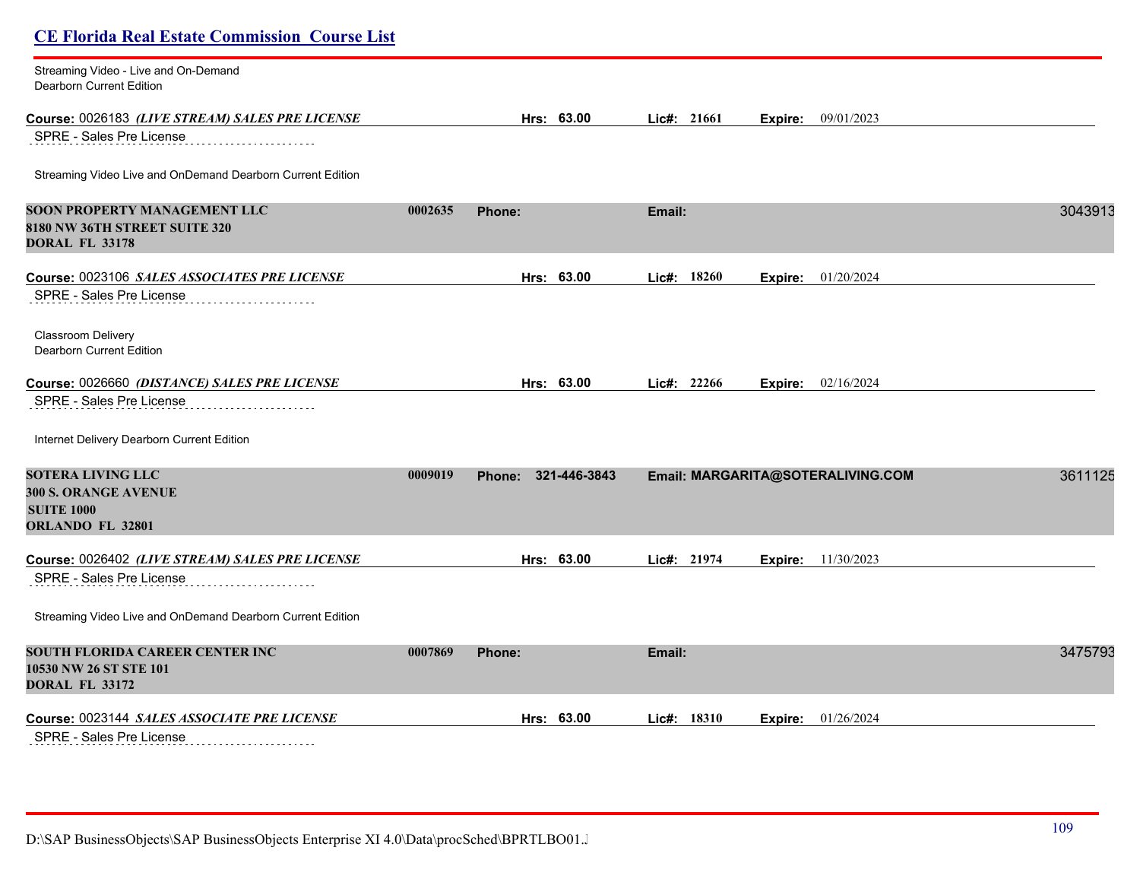| <b>CE Florida Real Estate Commission Course List</b>                                          |         |                     |             |                                   |         |
|-----------------------------------------------------------------------------------------------|---------|---------------------|-------------|-----------------------------------|---------|
| Streaming Video - Live and On-Demand<br>Dearborn Current Edition                              |         |                     |             |                                   |         |
| Course: 0026183 (LIVE STREAM) SALES PRE LICENSE<br>SPRE - Sales Pre License                   |         | Hrs: 63.00          | Lie#: 21661 | Expire: 09/01/2023                |         |
| Streaming Video Live and OnDemand Dearborn Current Edition                                    |         |                     |             |                                   |         |
| <b>SOON PROPERTY MANAGEMENT LLC</b><br>8180 NW 36TH STREET SUITE 320<br><b>DORAL FL 33178</b> | 0002635 | Phone:              | Email:      |                                   | 3043913 |
| Course: 0023106 SALES ASSOCIATES PRE LICENSE                                                  |         | Hrs: 63.00          | Lic#: 18260 | 01/20/2024<br>Expire:             |         |
| SPRE - Sales Pre License                                                                      |         |                     |             |                                   |         |
| Classroom Delivery<br><b>Dearborn Current Edition</b>                                         |         |                     |             |                                   |         |
| Course: 0026660 (DISTANCE) SALES PRE LICENSE                                                  |         | Hrs: 63.00          | Lic#: 22266 | 02/16/2024<br>Expire:             |         |
| SPRE - Sales Pre License                                                                      |         |                     |             |                                   |         |
| Internet Delivery Dearborn Current Edition                                                    |         |                     |             |                                   |         |
| <b>SOTERA LIVING LLC</b>                                                                      | 0009019 | Phone: 321-446-3843 |             | Email: MARGARITA@SOTERALIVING.COM | 3611125 |
| <b>300 S. ORANGE AVENUE</b><br><b>SUITE 1000</b><br><b>ORLANDO FL 32801</b>                   |         |                     |             |                                   |         |
| Course: 0026402 (LIVE STREAM) SALES PRE LICENSE                                               |         | Hrs: 63.00          | Lic#: 21974 | <b>Expire:</b> 11/30/2023         |         |
| SPRE - Sales Pre License                                                                      |         |                     |             |                                   |         |
| Streaming Video Live and OnDemand Dearborn Current Edition                                    |         |                     |             |                                   |         |
| <b>SOUTH FLORIDA CAREER CENTER INC</b><br>10530 NW 26 ST STE 101<br><b>DORAL FL 33172</b>     | 0007869 | Phone:              | Email:      |                                   | 3475793 |
| Course: 0023144 SALES ASSOCIATE PRE LICENSE                                                   |         | Hrs: 63.00          | Lic#: 18310 | 01/26/2024<br>Expire:             |         |
| SPRE - Sales Pre License                                                                      |         |                     |             |                                   |         |

 $SPRE - SdBS PIE LICEISE$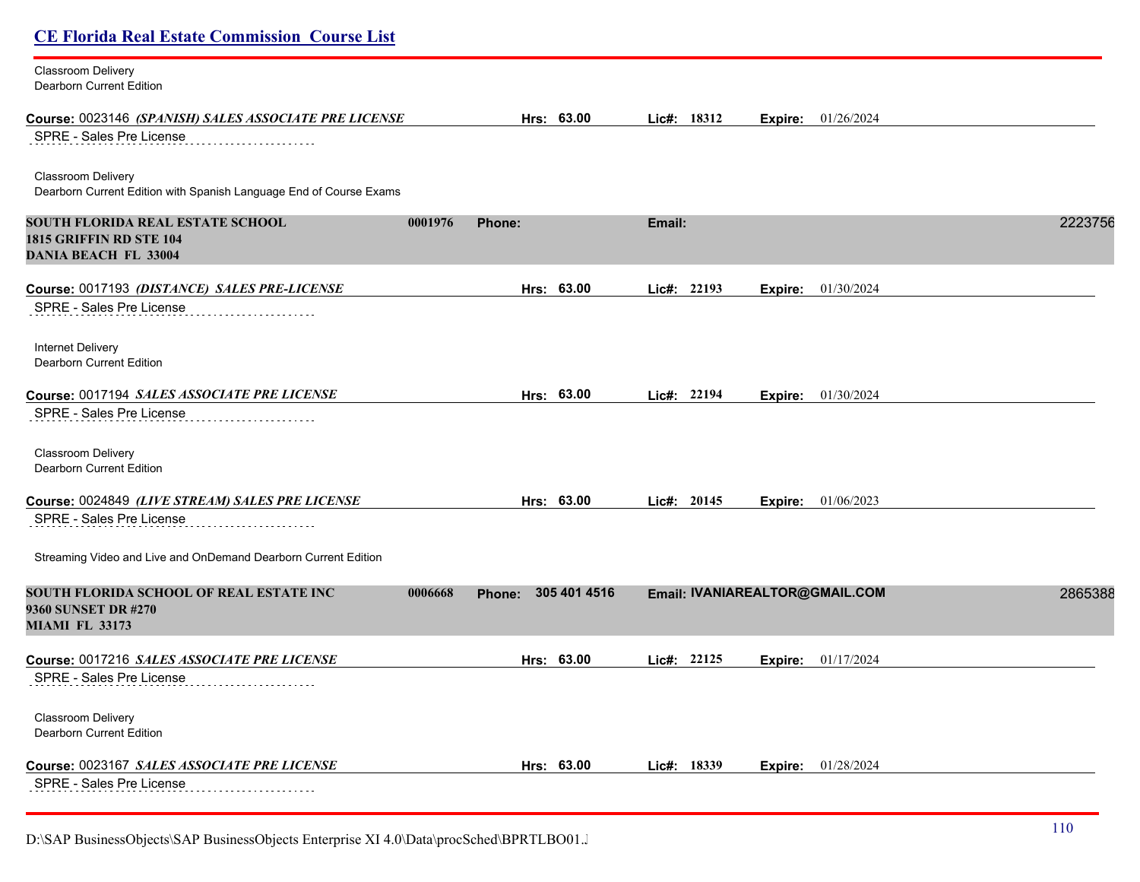| <b>CE Florida Real Estate Commission Course List</b>                                            |         |                     |             |             |         |                                |         |
|-------------------------------------------------------------------------------------------------|---------|---------------------|-------------|-------------|---------|--------------------------------|---------|
| Classroom Delivery<br>Dearborn Current Edition                                                  |         |                     |             |             |         |                                |         |
| Course: 0023146 (SPANISH) SALES ASSOCIATE PRE LICENSE                                           |         | Hrs: 63.00          |             | Lic#: 18312 | Expire: | 01/26/2024                     |         |
| SPRE - Sales Pre License                                                                        |         |                     |             |             |         |                                |         |
| Classroom Delivery<br>Dearborn Current Edition with Spanish Language End of Course Exams        |         |                     |             |             |         |                                |         |
| SOUTH FLORIDA REAL ESTATE SCHOOL<br>1815 GRIFFIN RD STE 104<br><b>DANIA BEACH FL 33004</b>      | 0001976 | Phone:              | Email:      |             |         |                                | 2223756 |
| Course: 0017193 (DISTANCE) SALES PRE-LICENSE<br>SPRE - Sales Pre License                        |         | Hrs: 63.00          | Lic#: 22193 |             | Expire: | 01/30/2024                     |         |
| Internet Delivery<br>Dearborn Current Edition                                                   |         |                     |             |             |         |                                |         |
| Course: 0017194 SALES ASSOCIATE PRE LICENSE<br>SPRE - Sales Pre License                         |         | Hrs: 63.00          | Lic#: 22194 |             | Expire: | 01/30/2024                     |         |
| Classroom Delivery<br>Dearborn Current Edition                                                  |         |                     |             |             |         |                                |         |
| Course: 0024849 (LIVE STREAM) SALES PRE LICENSE                                                 |         | Hrs: 63.00          | Lic#: 20145 |             | Expire: | 01/06/2023                     |         |
| SPRE - Sales Pre License<br>.<br>Streaming Video and Live and OnDemand Dearborn Current Edition |         |                     |             |             |         |                                |         |
| SOUTH FLORIDA SCHOOL OF REAL ESTATE INC<br>9360 SUNSET DR #270<br><b>MIAMI FL 33173</b>         | 0006668 | Phone: 305 401 4516 |             |             |         | Email: IVANIAREALTOR@GMAIL.COM | 2865388 |
| Course: 0017216 SALES ASSOCIATE PRE LICENSE<br>SPRE - Sales Pre License                         |         | Hrs: 63.00          | Lic#: 22125 |             |         | Expire: 01/17/2024             |         |
| Classroom Delivery<br>Dearborn Current Edition                                                  |         |                     |             |             |         |                                |         |
| Course: 0023167 SALES ASSOCIATE PRE LICENSE                                                     |         | Hrs: 63.00          |             | Lic#: 18339 | Expire: | 01/28/2024                     |         |
| SPRE - Sales Pre License                                                                        |         |                     |             |             |         |                                |         |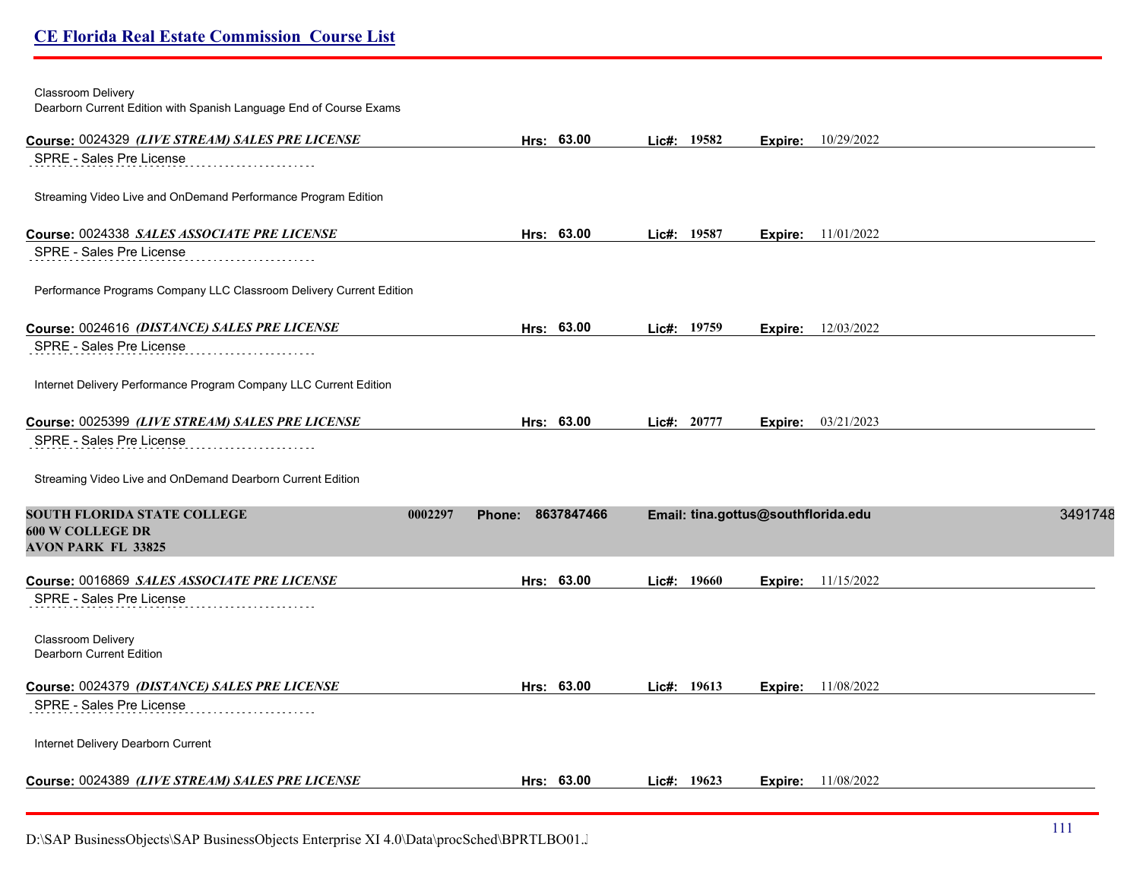#### Classroom Delivery

Dearborn Current Edition with Spanish Language End of Course Exams

| Course: 0024329 (LIVE STREAM) SALES PRE LICENSE                     | Hrs: 63.00        | Lic#: 19582 | Expire:                             | 10/29/2022 |         |
|---------------------------------------------------------------------|-------------------|-------------|-------------------------------------|------------|---------|
| SPRE - Sales Pre License                                            |                   |             |                                     |            |         |
| Streaming Video Live and OnDemand Performance Program Edition       |                   |             |                                     |            |         |
| Course: 0024338 SALES ASSOCIATE PRE LICENSE                         | Hrs: 63.00        | Lic#: 19587 | Expire:                             | 11/01/2022 |         |
| SPRE - Sales Pre License                                            |                   |             |                                     |            |         |
| Performance Programs Company LLC Classroom Delivery Current Edition |                   |             |                                     |            |         |
| Course: 0024616 (DISTANCE) SALES PRE LICENSE                        | Hrs: 63.00        | Lic#: 19759 | Expire:                             | 12/03/2022 |         |
| SPRE - Sales Pre License                                            |                   |             |                                     |            |         |
| Internet Delivery Performance Program Company LLC Current Edition   |                   |             |                                     |            |         |
| Course: 0025399 (LIVE STREAM) SALES PRE LICENSE                     | Hrs: 63.00        | Lic#: 20777 | Expire:                             | 03/21/2023 |         |
| SPRE - Sales Pre License                                            |                   |             |                                     |            |         |
| Streaming Video Live and OnDemand Dearborn Current Edition          |                   |             |                                     |            |         |
| <b>SOUTH FLORIDA STATE COLLEGE</b><br>0002297                       | Phone: 8637847466 |             | Email: tina.gottus@southflorida.edu |            | 3491748 |
| <b>600 W COLLEGE DR</b><br><b>AVON PARK FL 33825</b>                |                   |             |                                     |            |         |
| Course: 0016869 SALES ASSOCIATE PRE LICENSE                         | Hrs: 63.00        | Lic#: 19660 | Expire:                             | 11/15/2022 |         |
| SPRE - Sales Pre License                                            |                   |             |                                     |            |         |
| Classroom Delivery                                                  |                   |             |                                     |            |         |
| Dearborn Current Edition                                            |                   |             |                                     |            |         |
| Course: 0024379 (DISTANCE) SALES PRE LICENSE                        | Hrs: 63.00        | Lic#: 19613 | Expire:                             | 11/08/2022 |         |
| SPRE - Sales Pre License                                            |                   |             |                                     |            |         |
| Internet Delivery Dearborn Current                                  |                   |             |                                     |            |         |
| Course: 0024389 (LIVE STREAM) SALES PRE LICENSE                     | Hrs: 63.00        | Lic#: 19623 | Expire:                             | 11/08/2022 |         |
|                                                                     |                   |             |                                     |            |         |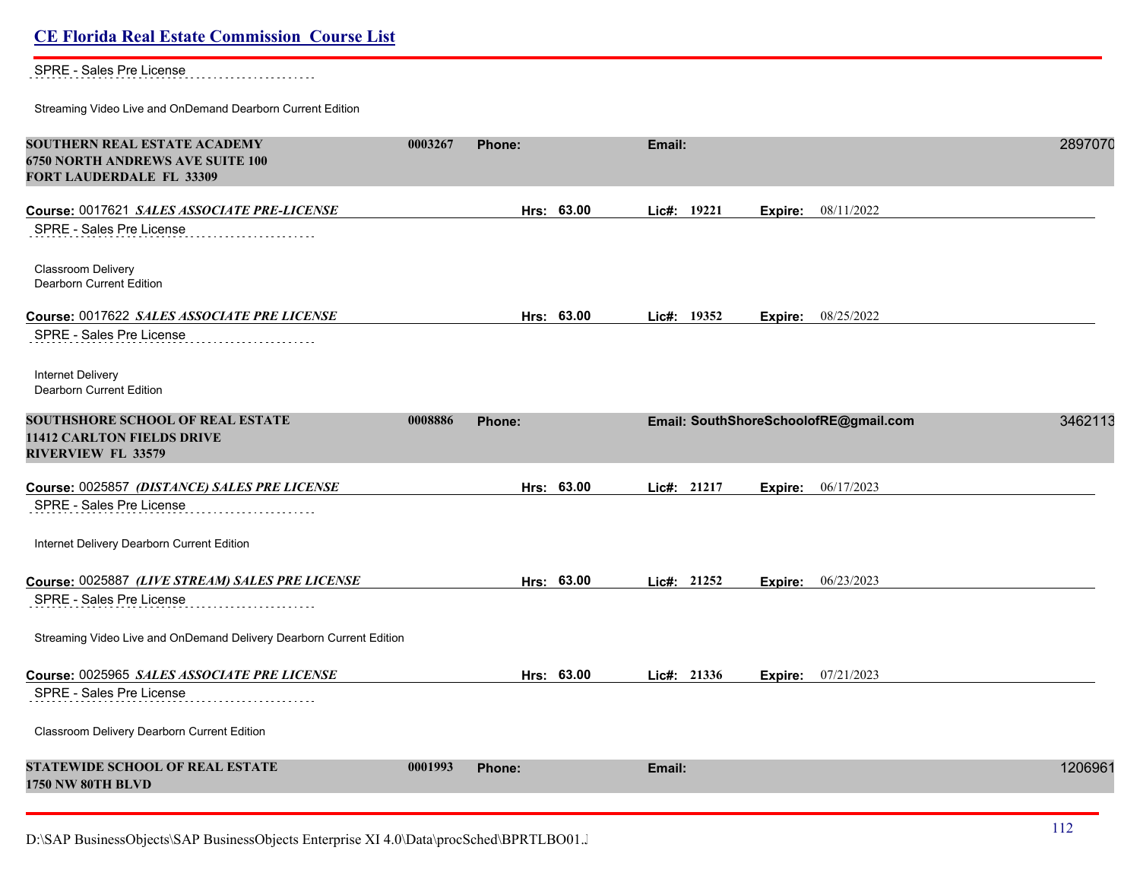#### SPRE - Sales Pre License . . . . . . . . . . . . . . . . . .

Streaming Video Live and OnDemand Dearborn Current Edition

| SOUTHERN REAL ESTATE ACADEMY<br><b>6750 NORTH ANDREWS AVE SUITE 100</b><br><b>FORT LAUDERDALE FL 33309</b> | 0003267 | <b>Phone:</b> | Email: |             |         |                                       | 2897070 |
|------------------------------------------------------------------------------------------------------------|---------|---------------|--------|-------------|---------|---------------------------------------|---------|
| Course: 0017621 SALES ASSOCIATE PRE-LICENSE                                                                |         | Hrs: 63.00    |        | Lic#: 19221 | Expire: | 08/11/2022                            |         |
| SPRE - Sales Pre License                                                                                   |         |               |        |             |         |                                       |         |
| Classroom Delivery<br>Dearborn Current Edition                                                             |         |               |        |             |         |                                       |         |
| Course: 0017622 SALES ASSOCIATE PRE LICENSE                                                                |         | Hrs: 63.00    |        | Lic#: 19352 | Expire: | 08/25/2022                            |         |
| SPRE - Sales Pre License                                                                                   |         |               |        |             |         |                                       |         |
| Internet Delivery<br>Dearborn Current Edition                                                              |         |               |        |             |         |                                       |         |
| <b>SOUTHSHORE SCHOOL OF REAL ESTATE</b>                                                                    | 0008886 | <b>Phone:</b> |        |             |         | Email: SouthShoreSchoolofRE@gmail.com | 3462113 |
| <b>11412 CARLTON FIELDS DRIVE</b>                                                                          |         |               |        |             |         |                                       |         |
| <b>RIVERVIEW FL 33579</b>                                                                                  |         |               |        |             |         |                                       |         |
| Course: 0025857 (DISTANCE) SALES PRE LICENSE                                                               |         | Hrs: 63.00    |        | Lic#: 21217 | Expire: | 06/17/2023                            |         |
| SPRE - Sales Pre License                                                                                   |         |               |        |             |         |                                       |         |
| Internet Delivery Dearborn Current Edition                                                                 |         |               |        |             |         |                                       |         |
| Course: 0025887 (LIVE STREAM) SALES PRE LICENSE                                                            |         | Hrs: 63.00    |        | Lic#: 21252 |         | <b>Expire:</b> 06/23/2023             |         |
| SPRE - Sales Pre License                                                                                   |         |               |        |             |         |                                       |         |
| Streaming Video Live and OnDemand Delivery Dearborn Current Edition                                        |         |               |        |             |         |                                       |         |
| Course: 0025965 SALES ASSOCIATE PRE LICENSE                                                                |         | Hrs: 63.00    |        | Lic#: 21336 |         | <b>Expire:</b> 07/21/2023             |         |
| SPRE - Sales Pre License                                                                                   |         |               |        |             |         |                                       |         |
| Classroom Delivery Dearborn Current Edition                                                                |         |               |        |             |         |                                       |         |
| STATEWIDE SCHOOL OF REAL ESTATE<br><b>1750 NW 80TH BLVD</b>                                                | 0001993 | <b>Phone:</b> | Email: |             |         |                                       | 1206961 |
|                                                                                                            |         |               |        |             |         |                                       |         |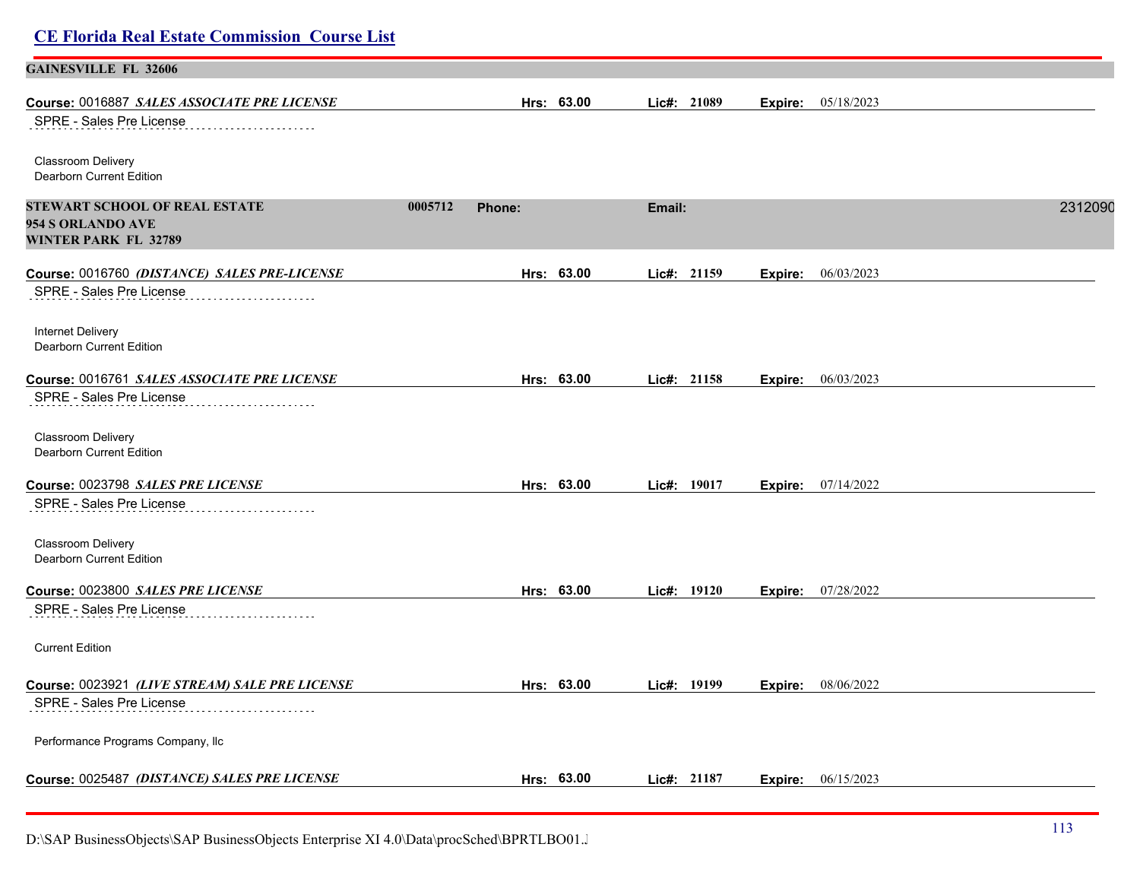| <b>GAINESVILLE FL 32606</b>                      |         |               |            |        |               |         |                             |         |
|--------------------------------------------------|---------|---------------|------------|--------|---------------|---------|-----------------------------|---------|
| Course: 0016887 SALES ASSOCIATE PRE LICENSE      |         |               | Hrs: 63.00 |        | Lic#: 21089   | Expire: | 05/18/2023                  |         |
| SPRE - Sales Pre License                         |         |               |            |        |               |         |                             |         |
| Classroom Delivery                               |         |               |            |        |               |         |                             |         |
| Dearborn Current Edition                         |         |               |            |        |               |         |                             |         |
| STEWART SCHOOL OF REAL ESTATE                    | 0005712 | <b>Phone:</b> |            | Email: |               |         |                             | 2312090 |
| 954 S ORLANDO AVE<br><b>WINTER PARK FL 32789</b> |         |               |            |        |               |         |                             |         |
|                                                  |         |               |            |        |               |         |                             |         |
| Course: 0016760 (DISTANCE) SALES PRE-LICENSE     |         |               | Hrs: 63.00 |        | Lic#: 21159   | Expire: | 06/03/2023                  |         |
| SPRE - Sales Pre License                         |         |               |            |        |               |         |                             |         |
| Internet Delivery                                |         |               |            |        |               |         |                             |         |
| Dearborn Current Edition                         |         |               |            |        |               |         |                             |         |
| Course: 0016761 SALES ASSOCIATE PRE LICENSE      |         |               | Hrs: 63.00 |        | Lic#: 21158   | Expire: | 06/03/2023                  |         |
| SPRE - Sales Pre License                         |         |               |            |        |               |         |                             |         |
| <b>Classroom Delivery</b>                        |         |               |            |        |               |         |                             |         |
| Dearborn Current Edition                         |         |               |            |        |               |         |                             |         |
| Course: 0023798 SALES PRE LICENSE                |         |               | Hrs: 63.00 |        | Lic#: $19017$ | Expire: | 07/14/2022                  |         |
| SPRE - Sales Pre License                         |         |               |            |        |               |         |                             |         |
| <b>Classroom Delivery</b>                        |         |               |            |        |               |         |                             |         |
| Dearborn Current Edition                         |         |               |            |        |               |         |                             |         |
| Course: 0023800 SALES PRE LICENSE                |         |               | Hrs: 63.00 |        | Lic#: 19120   |         | <b>Expire:</b> $07/28/2022$ |         |
| SPRE - Sales Pre License                         |         |               |            |        |               |         |                             |         |
| <b>Current Edition</b>                           |         |               |            |        |               |         |                             |         |
| Course: 0023921 (LIVE STREAM) SALE PRE LICENSE   |         |               | Hrs: 63.00 |        | Lic#: 19199   | Expire: | 08/06/2022                  |         |
| SPRE - Sales Pre License                         |         |               |            |        |               |         |                             |         |
| Performance Programs Company, Ilc                |         |               |            |        |               |         |                             |         |
| Course: 0025487 (DISTANCE) SALES PRE LICENSE     |         |               | Hrs: 63.00 |        | Lic#: 21187   |         | Expire: 06/15/2023          |         |
|                                                  |         |               |            |        |               |         |                             |         |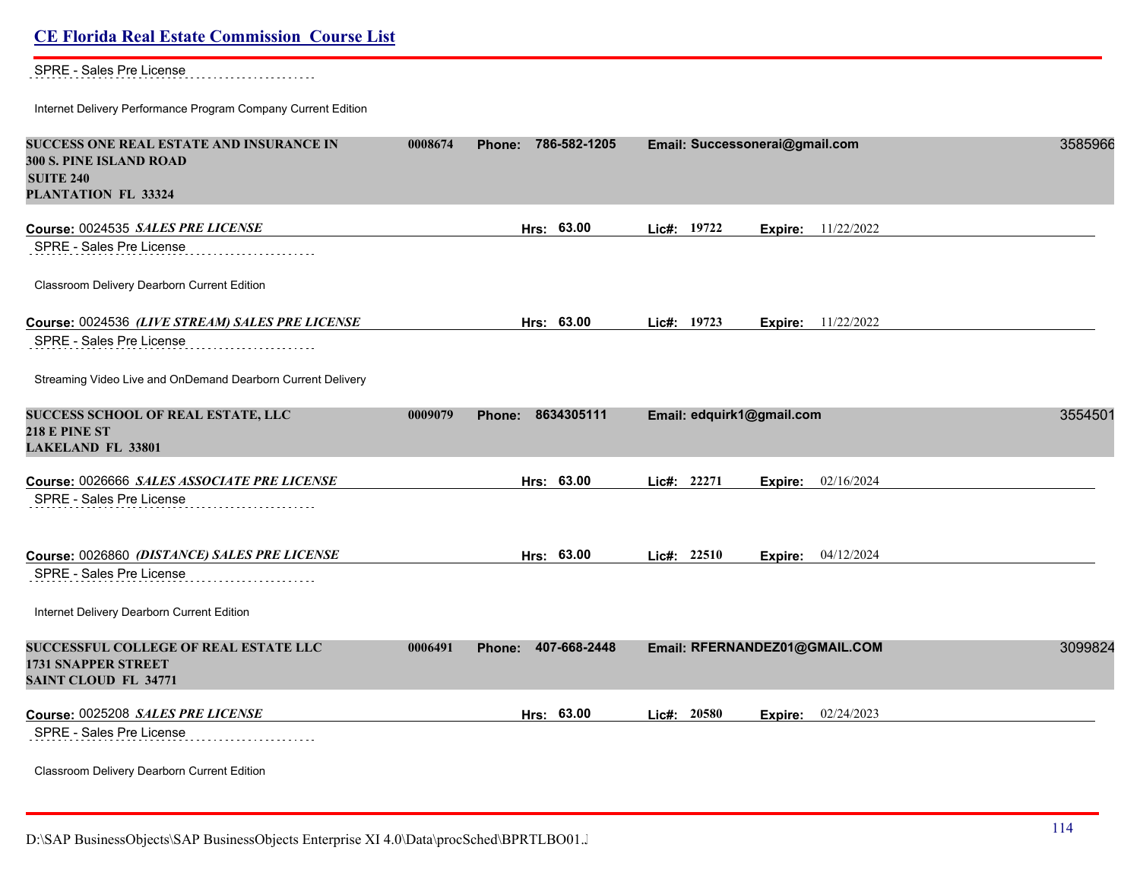| SPRE - Sales Pre License                                                                           |         |                        |                           |                                |         |
|----------------------------------------------------------------------------------------------------|---------|------------------------|---------------------------|--------------------------------|---------|
| Internet Delivery Performance Program Company Current Edition                                      |         |                        |                           |                                |         |
| SUCCESS ONE REAL ESTATE AND INSURANCE IN<br>300 S. PINE ISLAND ROAD                                | 0008674 | 786-582-1205<br>Phone: |                           | Email: Successonerai@gmail.com | 3585966 |
| <b>SUITE 240</b><br>PLANTATION FL 33324                                                            |         |                        |                           |                                |         |
|                                                                                                    |         |                        |                           |                                |         |
| Course: 0024535 SALES PRE LICENSE<br>SPRE - Sales Pre License                                      |         | Hrs: 63.00             | Lic#: 19722               | <b>Expire:</b> 11/22/2022      |         |
| Classroom Delivery Dearborn Current Edition                                                        |         |                        |                           |                                |         |
| Course: 0024536 (LIVE STREAM) SALES PRE LICENSE                                                    |         | Hrs: 63.00             | Lic#: 19723               | <b>Expire:</b> 11/22/2022      |         |
| SPRE - Sales Pre License                                                                           |         |                        |                           |                                |         |
| Streaming Video Live and OnDemand Dearborn Current Delivery                                        |         |                        |                           |                                |         |
| SUCCESS SCHOOL OF REAL ESTATE, LLC<br><b>218 E PINE ST</b><br><b>LAKELAND FL 33801</b>             | 0009079 | 8634305111<br>Phone:   | Email: edquirk1@gmail.com |                                | 3554501 |
| Course: 0026666 SALES ASSOCIATE PRE LICENSE                                                        |         | Hrs: 63.00             | Lic#: 22271               | Expire: 02/16/2024             |         |
| SPRE - Sales Pre License                                                                           |         |                        |                           |                                |         |
| Course: 0026860 (DISTANCE) SALES PRE LICENSE                                                       |         | Hrs: 63.00             | Lic#: 22510               | 04/12/2024<br>Expire:          |         |
| SPRE - Sales Pre License                                                                           |         |                        |                           |                                |         |
| Internet Delivery Dearborn Current Edition                                                         |         |                        |                           |                                |         |
| SUCCESSFUL COLLEGE OF REAL ESTATE LLC<br><b>1731 SNAPPER STREET</b><br><b>SAINT CLOUD FL 34771</b> | 0006491 | Phone:<br>407-668-2448 |                           | Email: RFERNANDEZ01@GMAIL.COM  | 3099824 |
| Course: 0025208 SALES PRE LICENSE                                                                  |         | Hrs: 63.00             | Lic#: 20580               | 02/24/2023<br>Expire:          |         |
| SPRE - Sales Pre License                                                                           |         |                        |                           |                                |         |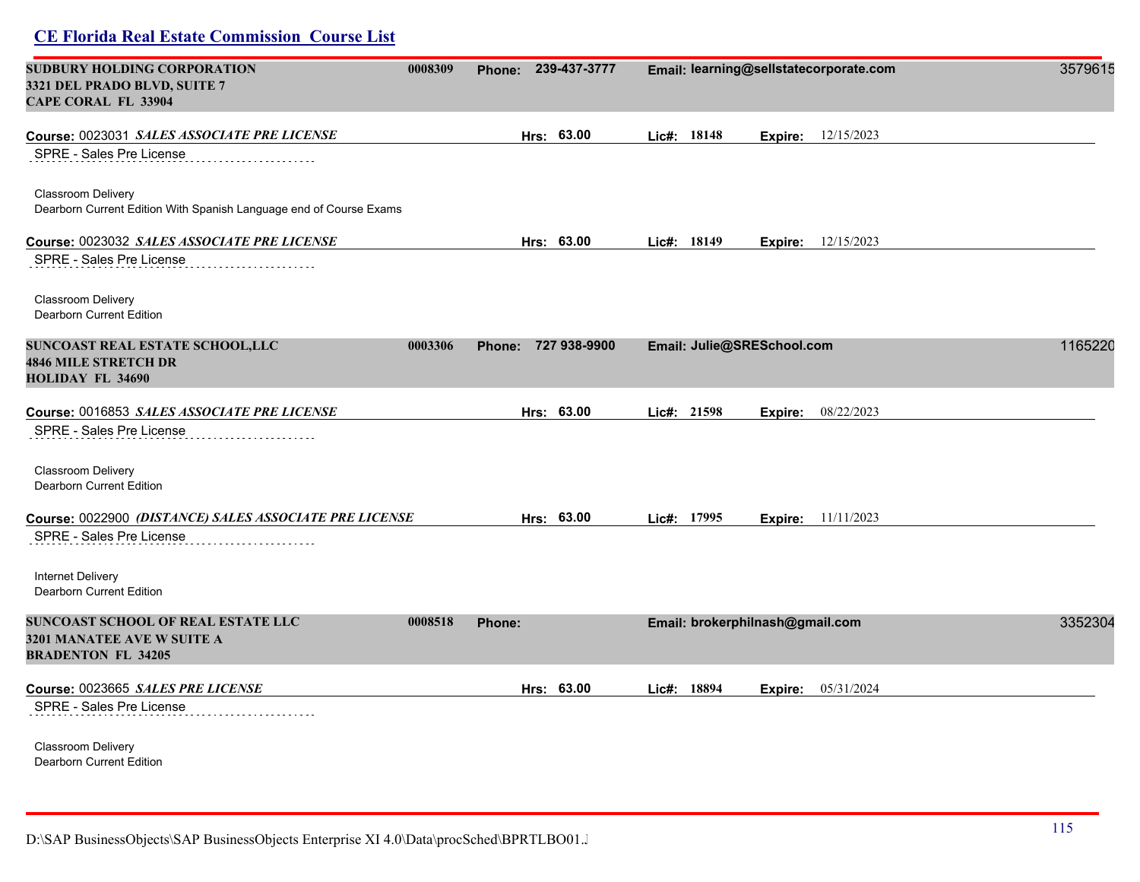| <b>SUDBURY HOLDING CORPORATION</b><br>0008309<br>3321 DEL PRADO BLVD, SUITE 7<br><b>CAPE CORAL FL 33904</b> | Phone: 239-437-3777 |                     |             |                                 | Email: learning@sellstatecorporate.com | 3579615 |
|-------------------------------------------------------------------------------------------------------------|---------------------|---------------------|-------------|---------------------------------|----------------------------------------|---------|
| Course: 0023031 SALES ASSOCIATE PRE LICENSE                                                                 |                     | Hrs: 63.00          | Lie#: 18148 |                                 | <b>Expire:</b> 12/15/2023              |         |
| SPRE - Sales Pre License                                                                                    |                     |                     |             |                                 |                                        |         |
| Classroom Delivery<br>Dearborn Current Edition With Spanish Language end of Course Exams                    |                     |                     |             |                                 |                                        |         |
| Course: 0023032 SALES ASSOCIATE PRE LICENSE                                                                 |                     | Hrs: 63.00          | Lic#: 18149 | Expire:                         | 12/15/2023                             |         |
| SPRE - Sales Pre License                                                                                    |                     |                     |             |                                 |                                        |         |
| Classroom Delivery<br>Dearborn Current Edition                                                              |                     |                     |             |                                 |                                        |         |
| SUNCOAST REAL ESTATE SCHOOL, LLC<br>0003306<br><b>4846 MILE STRETCH DR</b><br><b>HOLIDAY FL 34690</b>       |                     | Phone: 727 938-9900 |             | Email: Julie@SRESchool.com      |                                        | 1165220 |
| Course: 0016853 SALES ASSOCIATE PRE LICENSE                                                                 |                     | Hrs: 63.00          | Lic#: 21598 | Expire:                         | 08/22/2023                             |         |
| SPRE - Sales Pre License                                                                                    |                     |                     |             |                                 |                                        |         |
| <b>Classroom Delivery</b><br>Dearborn Current Edition                                                       |                     |                     |             |                                 |                                        |         |
| Course: 0022900 (DISTANCE) SALES ASSOCIATE PRE LICENSE                                                      |                     | Hrs: 63.00          | Lie#: 17995 |                                 | <b>Expire:</b> 11/11/2023              |         |
| SPRE - Sales Pre License                                                                                    |                     |                     |             |                                 |                                        |         |
| Internet Delivery<br>Dearborn Current Edition                                                               |                     |                     |             |                                 |                                        |         |
| 0008518<br>SUNCOAST SCHOOL OF REAL ESTATE LLC<br>3201 MANATEE AVE W SUITE A<br><b>BRADENTON FL 34205</b>    | Phone:              |                     |             | Email: brokerphilnash@gmail.com |                                        | 3352304 |
| Course: 0023665 SALES PRE LICENSE                                                                           |                     | Hrs: 63.00          | Lic#: 18894 |                                 | Expire: 05/31/2024                     |         |
| SPRE - Sales Pre License                                                                                    |                     |                     |             |                                 |                                        |         |
| <b>Classroom Delivery</b><br>Dearborn Current Edition                                                       |                     |                     |             |                                 |                                        |         |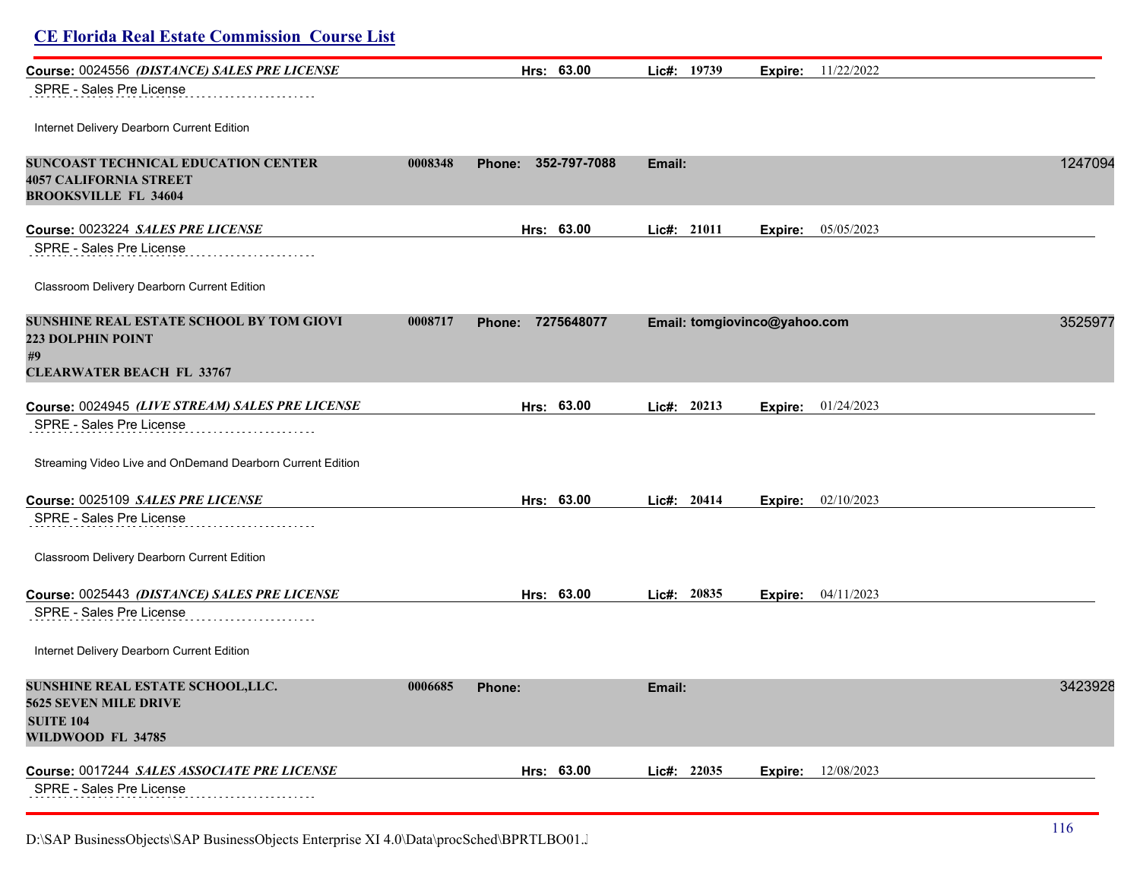# **CE Florida Real Estate Commission Course List Course:** 0024556 *(DISTANCE) SALES PRE LICENSE* **Hrs: 63.00 Lic#: 19739 Expire:** 11/22/2022 SPRE - Sales Pre License Internet Delivery Dearborn Current Edition **SUNCOAST TECHNICAL EDUCATION CENTER 0008348 Phone: 352-797-7088 Email:** 12470948 **4057 CALIFORNIA STREET BROOKSVILLE FL 34604 Course:** 0023224 *SALES PRE LICENSE* **Hrs: 63.00 Lic#: 21011 Expire:** 05/05/2023 SPRE - Sales Pre License Classroom Delivery Dearborn Current Edition **SUNSHINE REAL ESTATE SCHOOL BY TOM GIOVI 0008717 Phone: 7275648077 Email: tomgiovinco@yahoo.com** 35259772 **223 DOLPHIN POINT #9 CLEARWATER BEACH FL 33767 Course:** 0024945 *(LIVE STREAM) SALES PRE LICENSE* **Hrs: 63.00 Lic#: 20213 Expire:** 01/24/2023 SPRE - Sales Pre License Streaming Video Live and OnDemand Dearborn Current Edition **Course:** 0025109 *SALES PRE LICENSE* **Hrs: 63.00 Lic#: 20414 Expire:** 02/10/2023 SPRE - Sales Pre License Classroom Delivery Dearborn Current Edition **Course:** 0025443 *(DISTANCE) SALES PRE LICENSE* **Hrs: 63.00 Lic#: 20835 Expire:** 04/11/2023 SPRE - Sales Pre License Internet Delivery Dearborn Current Edition **SUNSHINE REAL ESTATE SCHOOL,LLC. 0006685 Phone: Email:** 34239286 **5625 SEVEN MILE DRIVE SUITE 104 WILDWOOD FL 34785 Course:** 0017244 *SALES ASSOCIATE PRE LICENSE* **Hrs: 63.00 Lic#: 22035 Expire:** 12/08/2023 SPRE - Sales Pre License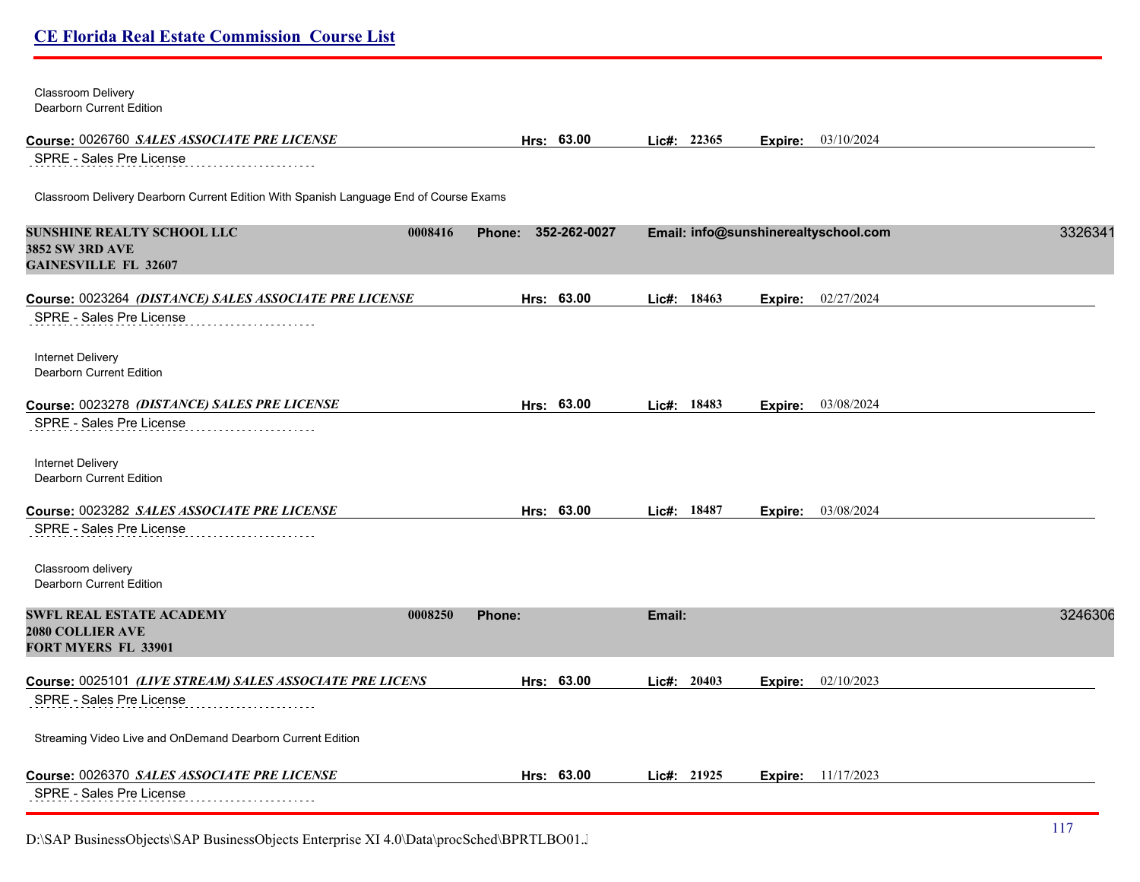| Classroom Delivery<br>Dearborn Current Edition                                                        |        |              |        |             |         |                                      |         |
|-------------------------------------------------------------------------------------------------------|--------|--------------|--------|-------------|---------|--------------------------------------|---------|
| Course: 0026760 SALES ASSOCIATE PRE LICENSE                                                           |        | Hrs: 63.00   |        | Lic#: 22365 |         | Expire: 03/10/2024                   |         |
| SPRE - Sales Pre License                                                                              |        |              |        |             |         |                                      |         |
| Classroom Delivery Dearborn Current Edition With Spanish Language End of Course Exams                 |        |              |        |             |         |                                      |         |
| <b>SUNSHINE REALTY SCHOOL LLC</b><br>0008416<br><b>3852 SW 3RD AVE</b><br><b>GAINESVILLE FL 32607</b> | Phone: | 352-262-0027 |        |             |         | Email: info@sunshinerealtyschool.com | 3326341 |
| Course: 0023264 (DISTANCE) SALES ASSOCIATE PRE LICENSE                                                |        | Hrs: 63.00   |        | Lic#: 18463 | Expire: | 02/27/2024                           |         |
| SPRE - Sales Pre License                                                                              |        |              |        |             |         |                                      |         |
| Internet Delivery<br>Dearborn Current Edition                                                         |        |              |        |             |         |                                      |         |
| Course: 0023278 (DISTANCE) SALES PRE LICENSE                                                          |        | Hrs: 63.00   |        | Lic#: 18483 | Expire: | 03/08/2024                           |         |
| SPRE - Sales Pre License                                                                              |        |              |        |             |         |                                      |         |
| Internet Delivery<br>Dearborn Current Edition                                                         |        |              |        |             |         |                                      |         |
| Course: 0023282 SALES ASSOCIATE PRE LICENSE                                                           |        | Hrs: 63.00   |        | Lic#: 18487 |         | Expire: 03/08/2024                   |         |
| SPRE - Sales Pre License                                                                              |        |              |        |             |         |                                      |         |
| Classroom delivery<br>Dearborn Current Edition                                                        |        |              |        |             |         |                                      |         |
| <b>SWFL REAL ESTATE ACADEMY</b><br>0008250                                                            | Phone: |              | Email: |             |         |                                      | 3246306 |
| <b>2080 COLLIER AVE</b><br>FORT MYERS FL 33901                                                        |        |              |        |             |         |                                      |         |
| Course: 0025101 (LIVE STREAM) SALES ASSOCIATE PRE LICENS                                              |        | Hrs: 63.00   |        | Lic#: 20403 | Expire: | 02/10/2023                           |         |
| SPRE - Sales Pre License                                                                              |        |              |        |             |         |                                      |         |
| Streaming Video Live and OnDemand Dearborn Current Edition                                            |        |              |        |             |         |                                      |         |
| Course: 0026370 SALES ASSOCIATE PRE LICENSE                                                           |        | Hrs: 63.00   |        | Lic#: 21925 |         | <b>Expire:</b> 11/17/2023            |         |
| SPRE - Sales Pre License                                                                              |        |              |        |             |         |                                      |         |
|                                                                                                       |        |              |        |             |         |                                      |         |

D:\SAP BusinessObjects\SAP BusinessObjects Enterprise XI 4.0\Data\procSched\BPRTLBO01.J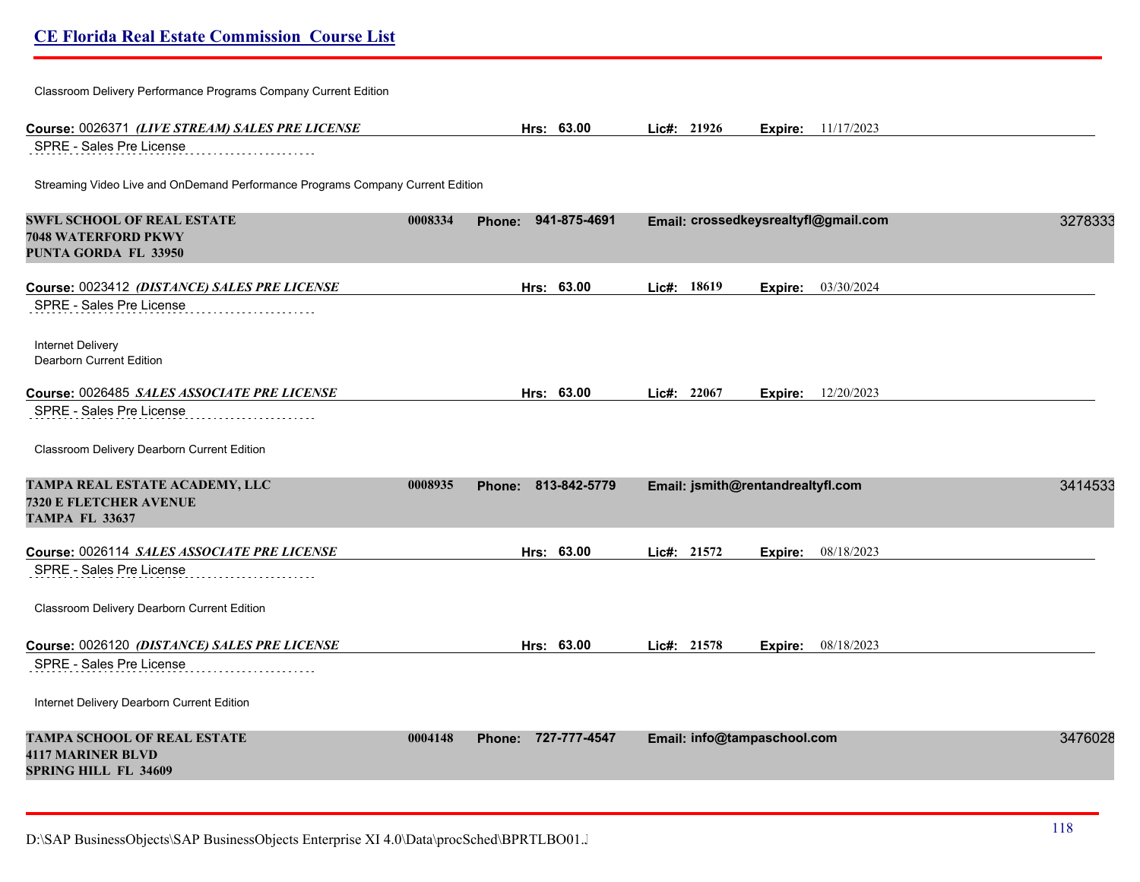| Classroom Delivery Performance Programs Company Current Edition                          |         |                        |             |                                   |         |                                      |         |
|------------------------------------------------------------------------------------------|---------|------------------------|-------------|-----------------------------------|---------|--------------------------------------|---------|
| Course: 0026371 (LIVE STREAM) SALES PRE LICENSE                                          |         | Hrs: 63.00             | Lie#: 21926 |                                   |         | <b>Expire:</b> 11/17/2023            |         |
| SPRE - Sales Pre License                                                                 |         |                        |             |                                   |         |                                      |         |
| Streaming Video Live and OnDemand Performance Programs Company Current Edition           |         |                        |             |                                   |         |                                      |         |
| SWFL SCHOOL OF REAL ESTATE<br><b>7048 WATERFORD PKWY</b><br>PUNTA GORDA FL 33950         | 0008334 | Phone: 941-875-4691    |             |                                   |         | Email: crossedkeysrealtyfl@gmail.com | 3278333 |
| Course: 0023412 (DISTANCE) SALES PRE LICENSE                                             |         | Hrs: 63.00             | Lic#: 18619 |                                   | Expire: | 03/30/2024                           |         |
| SPRE - Sales Pre License                                                                 |         |                        |             |                                   |         |                                      |         |
| Internet Delivery<br>Dearborn Current Edition                                            |         |                        |             |                                   |         |                                      |         |
| Course: 0026485 SALES ASSOCIATE PRE LICENSE                                              |         | Hrs: 63.00             | Lic#: 22067 |                                   |         | Expire: 12/20/2023                   |         |
| SPRE - Sales Pre License                                                                 |         |                        |             |                                   |         |                                      |         |
| Classroom Delivery Dearborn Current Edition                                              |         |                        |             |                                   |         |                                      |         |
| TAMPA REAL ESTATE ACADEMY, LLC<br><b>7320 E FLETCHER AVENUE</b><br><b>TAMPA FL 33637</b> | 0008935 | 813-842-5779<br>Phone: |             | Email: jsmith@rentandrealtyfl.com |         |                                      | 3414533 |
| Course: 0026114 SALES ASSOCIATE PRE LICENSE                                              |         | Hrs: 63.00             | Lic#: 21572 |                                   | Expire: | 08/18/2023                           |         |
| SPRE - Sales Pre License                                                                 |         |                        |             |                                   |         |                                      |         |
| Classroom Delivery Dearborn Current Edition                                              |         |                        |             |                                   |         |                                      |         |
| Course: 0026120 (DISTANCE) SALES PRE LICENSE                                             |         | Hrs: 63.00             | Lic#: 21578 |                                   | Expire: | 08/18/2023                           |         |
| SPRE - Sales Pre License                                                                 |         |                        |             |                                   |         |                                      |         |
| Internet Delivery Dearborn Current Edition                                               |         |                        |             |                                   |         |                                      |         |
| <b>TAMPA SCHOOL OF REAL ESTATE</b><br><b>4117 MARINER BLVD</b><br>SPRING HILL FL 34609   | 0004148 | Phone: 727-777-4547    |             | Email: info@tampaschool.com       |         |                                      | 3476028 |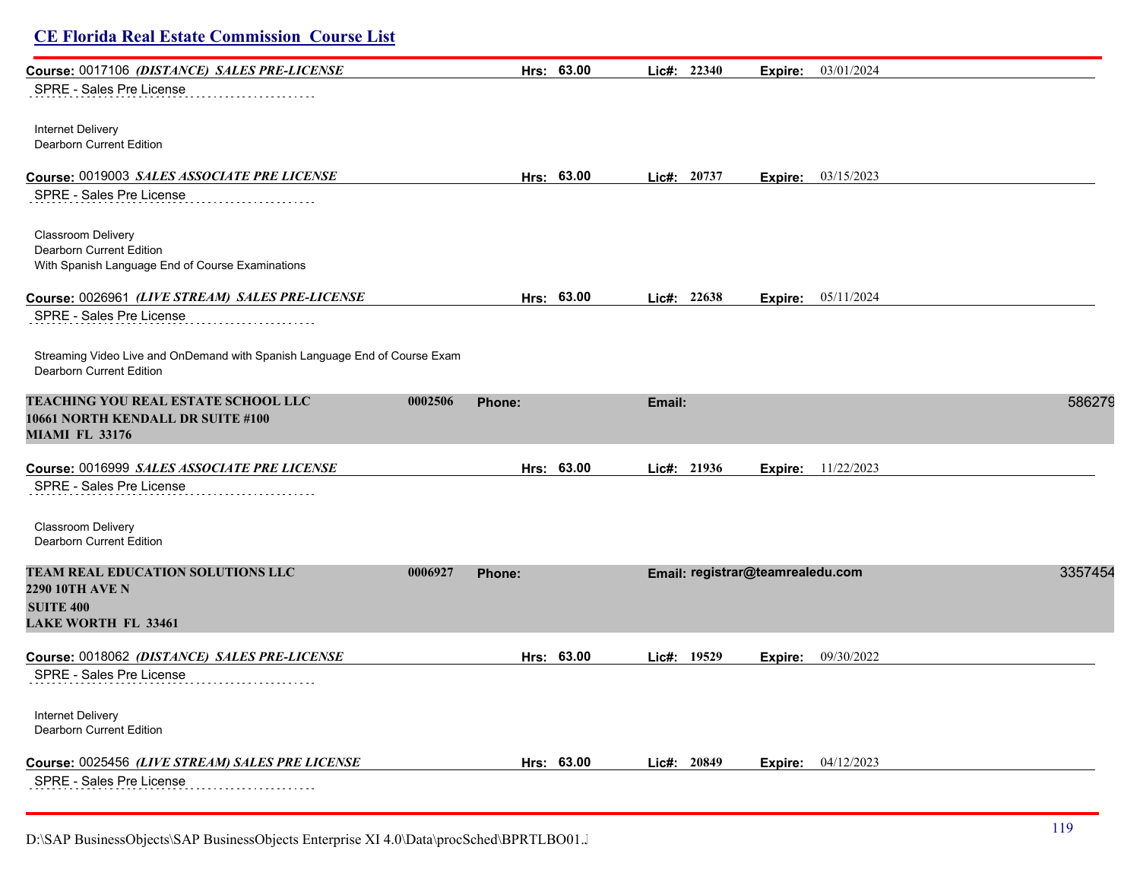| Course: 0017106 (DISTANCE) SALES PRE-LICENSE<br>SPRE - Sales Pre License                               |         |        | Hrs: 63.00 |        | Lic#: 22340    | Expire:                          | 03/01/2024                |         |
|--------------------------------------------------------------------------------------------------------|---------|--------|------------|--------|----------------|----------------------------------|---------------------------|---------|
|                                                                                                        |         |        |            |        |                |                                  |                           |         |
| Internet Delivery                                                                                      |         |        |            |        |                |                                  |                           |         |
| Dearborn Current Edition                                                                               |         |        |            |        |                |                                  |                           |         |
| Course: 0019003 SALES ASSOCIATE PRE LICENSE                                                            |         |        | Hrs: 63.00 |        | Lic#: 20737    |                                  | Expire: 03/15/2023        |         |
| SPRE - Sales Pre License                                                                               |         |        |            |        |                |                                  |                           |         |
| Classroom Delivery                                                                                     |         |        |            |        |                |                                  |                           |         |
| Dearborn Current Edition                                                                               |         |        |            |        |                |                                  |                           |         |
| With Spanish Language End of Course Examinations                                                       |         |        |            |        |                |                                  |                           |         |
| Course: 0026961 (LIVE STREAM) SALES PRE-LICENSE                                                        |         |        | Hrs: 63.00 |        | $Lic\#: 22638$ |                                  | Expire: 05/11/2024        |         |
| SPRE - Sales Pre License                                                                               |         |        |            |        |                |                                  |                           |         |
| Streaming Video Live and OnDemand with Spanish Language End of Course Exam<br>Dearborn Current Edition |         |        |            |        |                |                                  |                           |         |
| TEACHING YOU REAL ESTATE SCHOOL LLC                                                                    | 0002506 | Phone: |            | Email: |                |                                  |                           | 586279  |
| 10661 NORTH KENDALL DR SUITE #100<br><b>MIAMI FL 33176</b>                                             |         |        |            |        |                |                                  |                           |         |
| Course: 0016999 SALES ASSOCIATE PRE LICENSE                                                            |         |        | Hrs: 63.00 |        | Lic#: 21936    |                                  | Expire: 11/22/2023        |         |
| <b>SPRE - Sales Pre License</b>                                                                        |         |        |            |        |                |                                  |                           |         |
| Classroom Delivery                                                                                     |         |        |            |        |                |                                  |                           |         |
| Dearborn Current Edition                                                                               |         |        |            |        |                |                                  |                           |         |
| TEAM REAL EDUCATION SOLUTIONS LLC                                                                      | 0006927 | Phone: |            |        |                | Email: registrar@teamrealedu.com |                           | 3357454 |
| 2290 10TH AVE N                                                                                        |         |        |            |        |                |                                  |                           |         |
| <b>SUITE 400</b><br><b>LAKE WORTH FL 33461</b>                                                         |         |        |            |        |                |                                  |                           |         |
| Course: 0018062 (DISTANCE) SALES PRE-LICENSE                                                           |         |        | Hrs: 63.00 |        | Lie#: 19529    |                                  | Expire: 09/30/2022        |         |
| SPRE - Sales Pre License                                                                               |         |        |            |        |                |                                  |                           |         |
| <b>Internet Delivery</b>                                                                               |         |        |            |        |                |                                  |                           |         |
| Dearborn Current Edition                                                                               |         |        |            |        |                |                                  |                           |         |
| Course: 0025456 (LIVE STREAM) SALES PRE LICENSE                                                        |         |        | Hrs: 63.00 |        | Lic#: 20849    |                                  | <b>Expire:</b> 04/12/2023 |         |
| SPRE - Sales Pre License                                                                               |         |        |            |        |                |                                  |                           |         |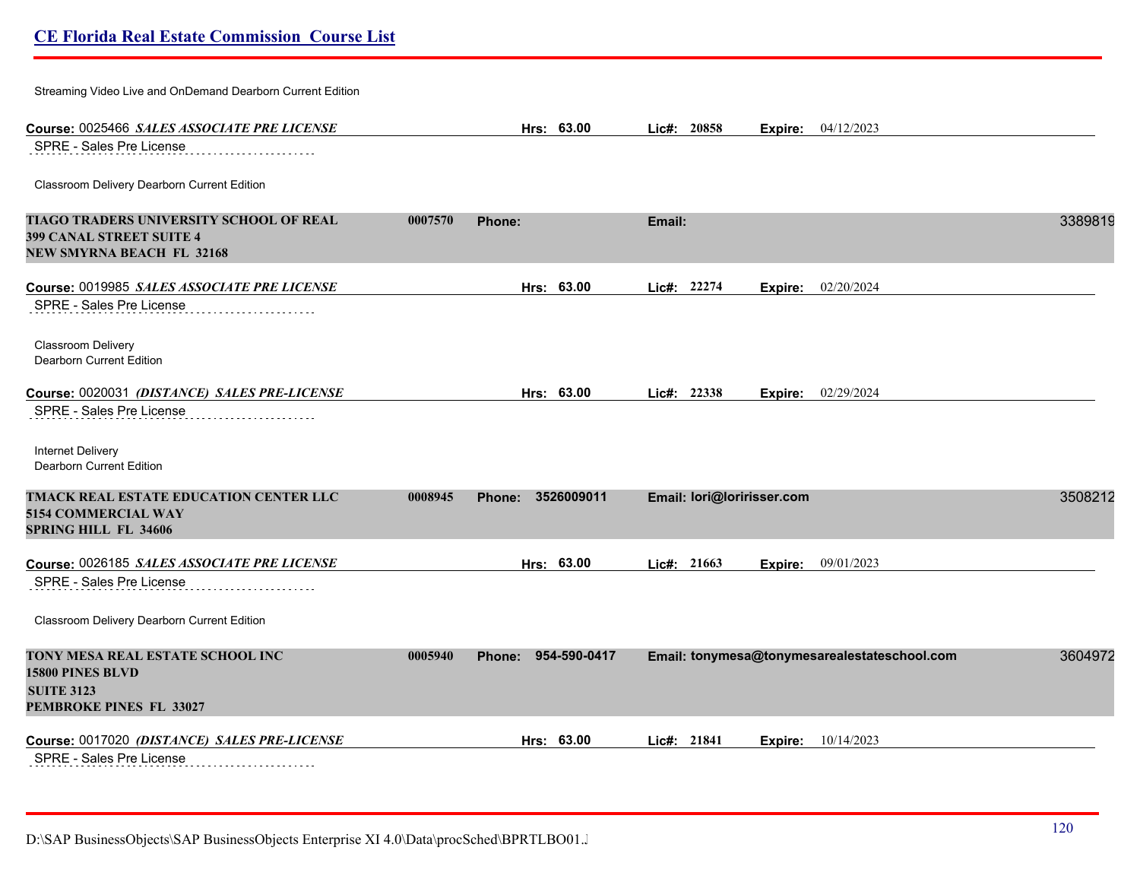| Streaming Video Live and OnDemand Dearborn Current Edition                                           |         |                        |        |               |                            |                                              |         |
|------------------------------------------------------------------------------------------------------|---------|------------------------|--------|---------------|----------------------------|----------------------------------------------|---------|
| Course: 0025466 SALES ASSOCIATE PRE LICENSE                                                          |         | Hrs: 63.00             |        | Lic#: 20858   |                            | Expire: 04/12/2023                           |         |
| SPRE - Sales Pre License                                                                             |         |                        |        |               |                            |                                              |         |
| Classroom Delivery Dearborn Current Edition                                                          |         |                        |        |               |                            |                                              |         |
| TIAGO TRADERS UNIVERSITY SCHOOL OF REAL                                                              | 0007570 | Phone:                 | Email: |               |                            |                                              | 3389819 |
| <b>399 CANAL STREET SUITE 4</b><br><b>NEW SMYRNA BEACH FL 32168</b>                                  |         |                        |        |               |                            |                                              |         |
| Course: 0019985 SALES ASSOCIATE PRE LICENSE                                                          |         | Hrs: 63.00             |        | Lic#: 22274   | Expire:                    | 02/20/2024                                   |         |
| SPRE - Sales Pre License                                                                             |         |                        |        |               |                            |                                              |         |
| Classroom Delivery<br>Dearborn Current Edition                                                       |         |                        |        |               |                            |                                              |         |
| Course: 0020031 (DISTANCE) SALES PRE-LICENSE                                                         |         | Hrs: 63.00             |        | Lic#: 22338   |                            | Expire: 02/29/2024                           |         |
| SPRE - Sales Pre License                                                                             |         |                        |        |               |                            |                                              |         |
| Internet Delivery<br>Dearborn Current Edition                                                        |         |                        |        |               |                            |                                              |         |
| TMACK REAL ESTATE EDUCATION CENTER LLC<br>5154 COMMERCIAL WAY<br><b>SPRING HILL FL 34606</b>         | 0008945 | 3526009011<br>Phone:   |        |               | Email: lori@loririsser.com |                                              | 3508212 |
| Course: 0026185 SALES ASSOCIATE PRE LICENSE                                                          |         | Hrs: 63.00             |        | Lic#: $21663$ | Expire:                    | 09/01/2023                                   |         |
| SPRE - Sales Pre License                                                                             |         |                        |        |               |                            |                                              |         |
| Classroom Delivery Dearborn Current Edition                                                          |         |                        |        |               |                            |                                              |         |
| TONY MESA REAL ESTATE SCHOOL INC<br>15800 PINES BLVD<br><b>SUITE 3123</b><br>PEMBROKE PINES FL 33027 | 0005940 | 954-590-0417<br>Phone: |        |               |                            | Email: tonymesa@tonymesarealestateschool.com | 3604972 |
| Course: 0017020 (DISTANCE) SALES PRE-LICENSE                                                         |         | Hrs: 63.00             |        | Lic#: 21841   | Expire:                    | 10/14/2023                                   |         |
| SPRE - Sales Pre License                                                                             |         |                        |        |               |                            |                                              |         |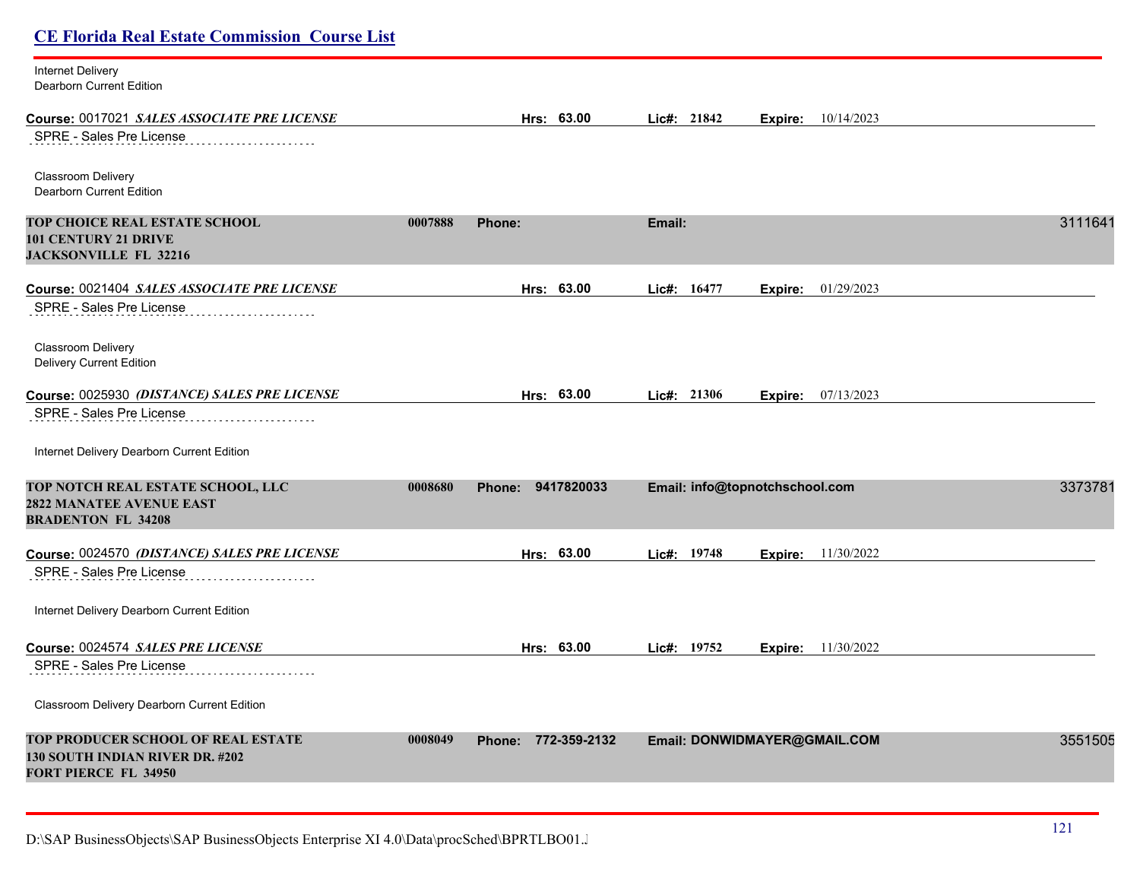| <b>CE Florida Real Estate Commission Course List</b>                                                 |         |                     |             |                                |         |
|------------------------------------------------------------------------------------------------------|---------|---------------------|-------------|--------------------------------|---------|
| Internet Delivery<br>Dearborn Current Edition                                                        |         |                     |             |                                |         |
| Course: 0017021 SALES ASSOCIATE PRE LICENSE                                                          |         | Hrs: 63.00          | Lic#: 21842 | 10/14/2023<br>Expire:          |         |
| SPRE - Sales Pre License                                                                             |         |                     |             |                                |         |
| Classroom Delivery<br>Dearborn Current Edition                                                       |         |                     |             |                                |         |
| TOP CHOICE REAL ESTATE SCHOOL<br><b>101 CENTURY 21 DRIVE</b><br><b>JACKSONVILLE FL 32216</b>         | 0007888 | Phone:              | Email:      |                                | 3111641 |
| Course: 0021404 SALES ASSOCIATE PRE LICENSE                                                          |         | Hrs: 63.00          | Lic#: 16477 | 01/29/2023<br>Expire:          |         |
| SPRE - Sales Pre License                                                                             |         |                     |             |                                |         |
| Classroom Delivery<br><b>Delivery Current Edition</b>                                                |         |                     |             |                                |         |
| Course: 0025930 (DISTANCE) SALES PRE LICENSE                                                         |         | Hrs: 63.00          | Lic#: 21306 | 07/13/2023<br>Expire:          |         |
| SPRE - Sales Pre License                                                                             |         |                     |             |                                |         |
| Internet Delivery Dearborn Current Edition                                                           |         |                     |             |                                |         |
| TOP NOTCH REAL ESTATE SCHOOL, LLC<br>2822 MANATEE AVENUE EAST<br><b>BRADENTON FL 34208</b>           | 0008680 | Phone: 9417820033   |             | Email: info@topnotchschool.com | 3373781 |
| Course: 0024570 (DISTANCE) SALES PRE LICENSE                                                         |         | Hrs: 63.00          | Lic#: 19748 | <b>Expire:</b> 11/30/2022      |         |
| SPRE - Sales Pre License                                                                             |         |                     |             |                                |         |
| Internet Delivery Dearborn Current Edition                                                           |         |                     |             |                                |         |
| Course: 0024574 SALES PRE LICENSE                                                                    |         | Hrs: 63.00          | Lic#: 19752 | <b>Expire:</b> 11/30/2022      |         |
| SPRE - Sales Pre License                                                                             |         |                     |             |                                |         |
| Classroom Delivery Dearborn Current Edition                                                          |         |                     |             |                                |         |
| TOP PRODUCER SCHOOL OF REAL ESTATE<br>130 SOUTH INDIAN RIVER DR. #202<br><b>FORT PIERCE FL 34950</b> | 0008049 | Phone: 772-359-2132 |             | Email: DONWIDMAYER@GMAIL.COM   | 3551505 |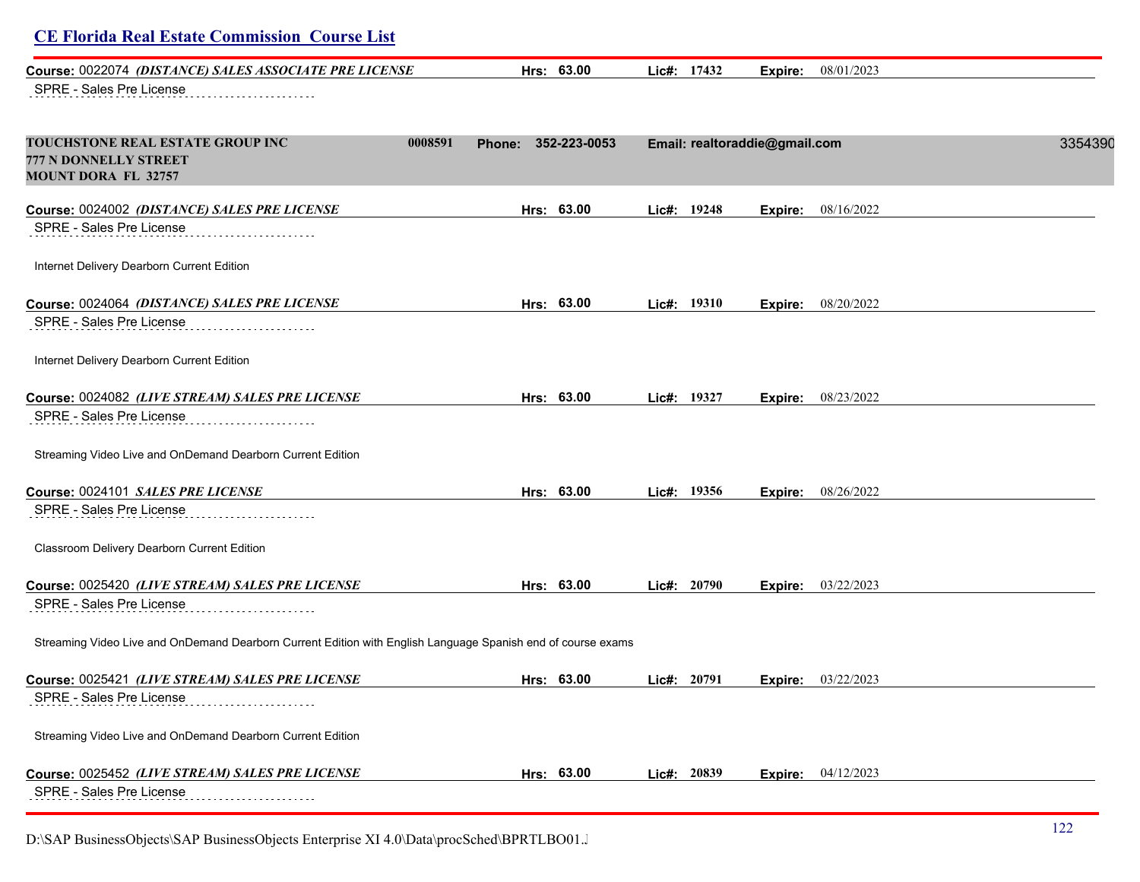| Course: 0022074 (DISTANCE) SALES ASSOCIATE PRE LICENSE                                                       | Hrs: 63.00                    | Lic#: 17432 | 08/01/2023<br>Expire:         |         |
|--------------------------------------------------------------------------------------------------------------|-------------------------------|-------------|-------------------------------|---------|
| SPRE - Sales Pre License                                                                                     |                               |             |                               |         |
| <b>TOUCHSTONE REAL ESTATE GROUP INC</b><br>0008591<br>777 N DONNELLY STREET<br><b>MOUNT DORA FL 32757</b>    | 352-223-0053<br><b>Phone:</b> |             | Email: realtoraddie@gmail.com | 3354390 |
| Course: 0024002 (DISTANCE) SALES PRE LICENSE                                                                 | Hrs: 63.00                    | Lic#: 19248 | 08/16/2022<br>Expire:         |         |
| SPRE - Sales Pre License                                                                                     |                               |             |                               |         |
| Internet Delivery Dearborn Current Edition                                                                   |                               |             |                               |         |
| Course: 0024064 (DISTANCE) SALES PRE LICENSE                                                                 | Hrs: 63.00                    | Lic#: 19310 | <b>Expire:</b> 08/20/2022     |         |
| SPRE - Sales Pre License                                                                                     |                               |             |                               |         |
| Internet Delivery Dearborn Current Edition                                                                   |                               |             |                               |         |
| Course: 0024082 (LIVE STREAM) SALES PRE LICENSE                                                              | Hrs: 63.00                    | Lic#: 19327 | 08/23/2022<br>Expire:         |         |
| SPRE - Sales Pre License                                                                                     |                               |             |                               |         |
| Streaming Video Live and OnDemand Dearborn Current Edition                                                   |                               |             |                               |         |
| Course: 0024101 SALES PRE LICENSE                                                                            | Hrs: 63.00                    | Lic#: 19356 | <b>Expire:</b> 08/26/2022     |         |
| SPRE - Sales Pre License                                                                                     |                               |             |                               |         |
| Classroom Delivery Dearborn Current Edition                                                                  |                               |             |                               |         |
| Course: 0025420 (LIVE STREAM) SALES PRE LICENSE                                                              | Hrs: 63.00                    | Lic#: 20790 | 03/22/2023<br>Expire:         |         |
| SPRE - Sales Pre License                                                                                     |                               |             |                               |         |
| Streaming Video Live and OnDemand Dearborn Current Edition with English Language Spanish end of course exams |                               |             |                               |         |
| Course: 0025421 (LIVE STREAM) SALES PRE LICENSE                                                              | Hrs: 63.00                    | Lic#: 20791 | 03/22/2023<br><b>Expire:</b>  |         |
| SPRE - Sales Pre License                                                                                     |                               |             |                               |         |
| Streaming Video Live and OnDemand Dearborn Current Edition                                                   |                               |             |                               |         |
| Course: 0025452 (LIVE STREAM) SALES PRE LICENSE                                                              | Hrs: 63.00                    | Lic#: 20839 | 04/12/2023<br>Expire:         |         |
| SPRE - Sales Pre License                                                                                     |                               |             |                               |         |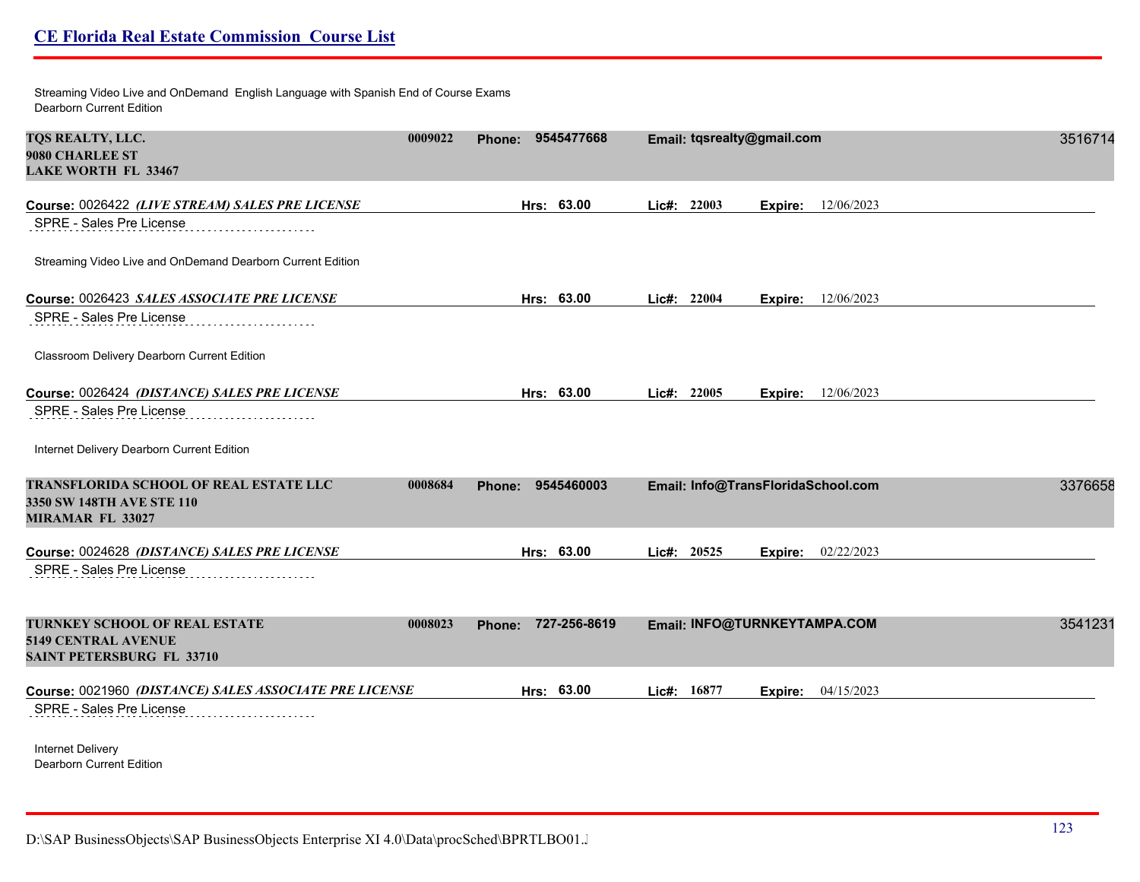Streaming Video Live and OnDemand English Language with Spanish End of Course Exams Dearborn Current Edition

| <b>TQS REALTY, LLC.</b><br>9080 CHARLEE ST<br><b>LAKE WORTH FL 33467</b>                        | 0009022 | Phone: 9545477668   | Email: tqsrealty@gmail.com |                                    | 3516714 |
|-------------------------------------------------------------------------------------------------|---------|---------------------|----------------------------|------------------------------------|---------|
| Course: 0026422 (LIVE STREAM) SALES PRE LICENSE                                                 |         | Hrs: 63.00          | Lic#: 22003                | 12/06/2023<br>Expire:              |         |
| SPRE - Sales Pre License                                                                        |         |                     |                            |                                    |         |
| Streaming Video Live and OnDemand Dearborn Current Edition                                      |         |                     |                            |                                    |         |
| Course: 0026423 SALES ASSOCIATE PRE LICENSE                                                     |         | Hrs: 63.00          | Lic#: 22004                | 12/06/2023<br>Expire:              |         |
| SPRE - Sales Pre License                                                                        |         |                     |                            |                                    |         |
| Classroom Delivery Dearborn Current Edition                                                     |         |                     |                            |                                    |         |
| Course: 0026424 (DISTANCE) SALES PRE LICENSE                                                    |         | Hrs: 63.00          | Lic#: 22005                | 12/06/2023<br>Expire:              |         |
| SPRE - Sales Pre License                                                                        |         |                     |                            |                                    |         |
| Internet Delivery Dearborn Current Edition                                                      |         |                     |                            |                                    |         |
| TRANSFLORIDA SCHOOL OF REAL ESTATE LLC<br>3350 SW 148TH AVE STE 110<br><b>MIRAMAR FL 33027</b>  | 0008684 | Phone: 9545460003   |                            | Email: Info@TransFloridaSchool.com | 3376658 |
| Course: 0024628 (DISTANCE) SALES PRE LICENSE                                                    |         | Hrs: 63.00          | Lic#: 20525                | 02/22/2023<br>Expire:              |         |
| SPRE - Sales Pre License                                                                        |         |                     |                            |                                    |         |
| TURNKEY SCHOOL OF REAL ESTATE<br><b>5149 CENTRAL AVENUE</b><br><b>SAINT PETERSBURG FL 33710</b> | 0008023 | Phone: 727-256-8619 |                            | Email: INFO@TURNKEYTAMPA.COM       | 3541231 |
| Course: 0021960 (DISTANCE) SALES ASSOCIATE PRE LICENSE                                          |         | Hrs: 63.00          | Lic#: 16877                | 04/15/2023<br>Expire:              |         |
| SPRE - Sales Pre License                                                                        |         |                     |                            |                                    |         |
| Internet Delivery<br><b>Dearborn Current Edition</b>                                            |         |                     |                            |                                    |         |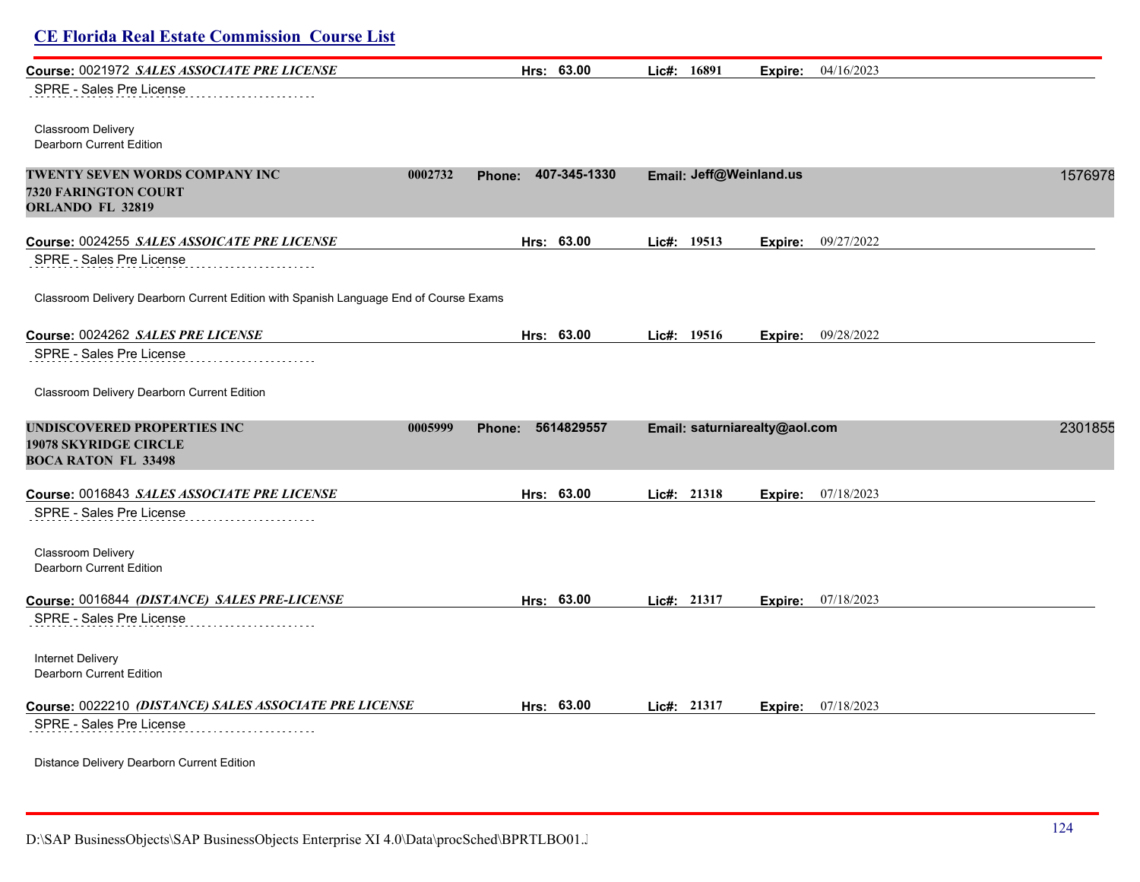|  |  |  |  |  | <b>CE Florida Real Estate Commission Course List</b> |  |  |
|--|--|--|--|--|------------------------------------------------------|--|--|
|--|--|--|--|--|------------------------------------------------------|--|--|

| Course: 0021972 SALES ASSOCIATE PRE LICENSE                                           | Hrs: 63.00                  | Lic#: 16891             | Expire: 04/16/2023            |         |
|---------------------------------------------------------------------------------------|-----------------------------|-------------------------|-------------------------------|---------|
| SPRE - Sales Pre License                                                              |                             |                         |                               |         |
| Classroom Delivery                                                                    |                             |                         |                               |         |
| Dearborn Current Edition                                                              |                             |                         |                               |         |
| TWENTY SEVEN WORDS COMPANY INC<br>0002732                                             | 407-345-1330<br>Phone:      | Email: Jeff@Weinland.us |                               | 1576978 |
| 7320 FARINGTON COURT                                                                  |                             |                         |                               |         |
| ORLANDO FL 32819                                                                      |                             |                         |                               |         |
| Course: 0024255 SALES ASSOICATE PRE LICENSE                                           | Hrs: 63.00                  | Lic#: 19513             | <b>Expire: 09/27/2022</b>     |         |
| SPRE - Sales Pre License                                                              |                             |                         |                               |         |
| Classroom Delivery Dearborn Current Edition with Spanish Language End of Course Exams |                             |                         |                               |         |
| Course: 0024262 SALES PRE LICENSE                                                     | Hrs: 63.00                  | Lic#: 19516             | <b>Expire:</b> 09/28/2022     |         |
| SPRE - Sales Pre License                                                              |                             |                         |                               |         |
| Classroom Delivery Dearborn Current Edition                                           |                             |                         |                               |         |
| UNDISCOVERED PROPERTIES INC<br>0005999                                                | 5614829557<br><b>Phone:</b> |                         | Email: saturniarealty@aol.com | 2301855 |
| <b>19078 SKYRIDGE CIRCLE</b>                                                          |                             |                         |                               |         |
| <b>BOCA RATON FL 33498</b>                                                            |                             |                         |                               |         |
| Course: 0016843 SALES ASSOCIATE PRE LICENSE                                           | Hrs: 63.00                  | Lic#: 21318             | 07/18/2023<br>Expire:         |         |
| SPRE - Sales Pre License                                                              |                             |                         |                               |         |
| Classroom Delivery                                                                    |                             |                         |                               |         |
| Dearborn Current Edition                                                              |                             |                         |                               |         |
| Course: 0016844 (DISTANCE) SALES PRE-LICENSE                                          | Hrs: 63.00                  | Lic#: 21317             | 07/18/2023<br>Expire:         |         |
| SPRE - Sales Pre License                                                              |                             |                         |                               |         |
| Internet Delivery                                                                     |                             |                         |                               |         |
| Dearborn Current Edition                                                              |                             |                         |                               |         |
| Course: 0022210 (DISTANCE) SALES ASSOCIATE PRE LICENSE                                | Hrs: 63.00                  | Lic#: 21317             | 07/18/2023<br>Expire:         |         |
| SPRE - Sales Pre License                                                              |                             |                         |                               |         |
| Distance Delivery Dearborn Current Edition                                            |                             |                         |                               |         |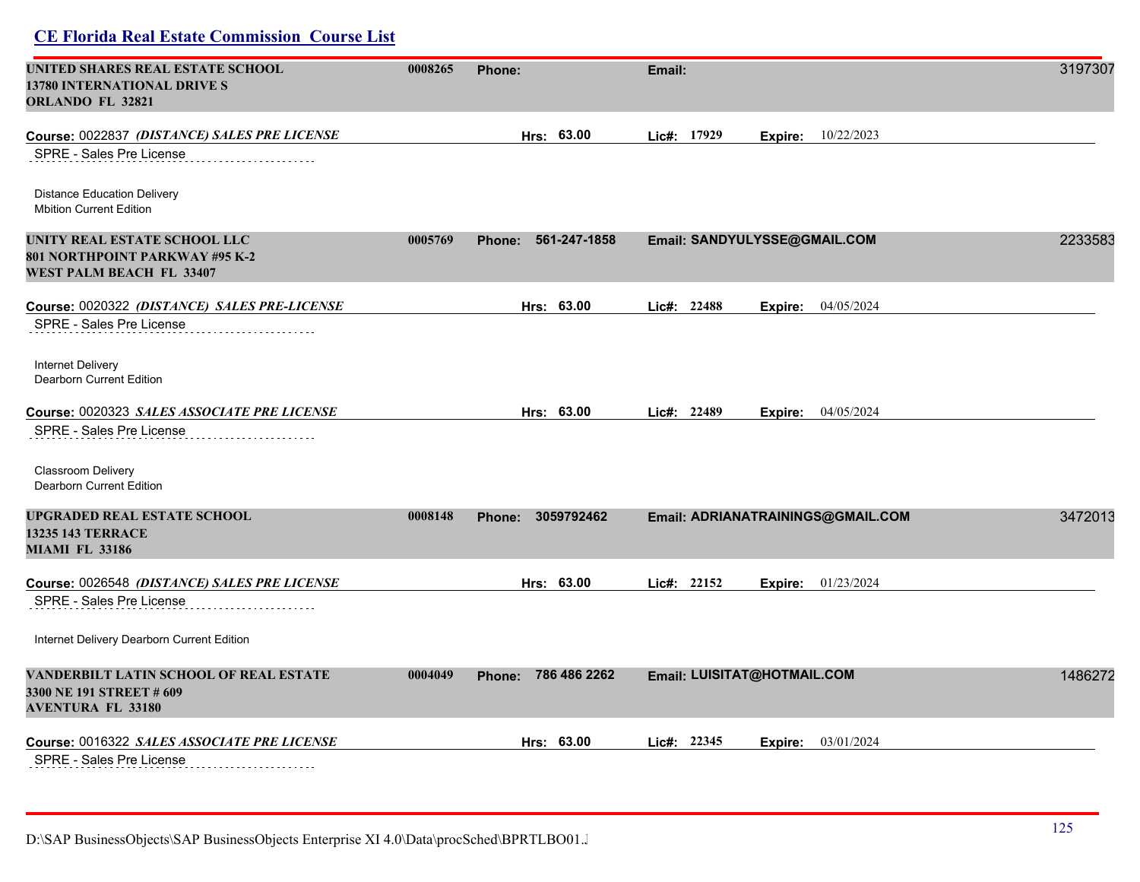| UNITED SHARES REAL ESTATE SCHOOL<br>13780 INTERNATIONAL DRIVE S<br><b>ORLANDO FL 32821</b> | 0008265 | <b>Phone:</b>                 | Email:                            |         |                           | 3197307 |
|--------------------------------------------------------------------------------------------|---------|-------------------------------|-----------------------------------|---------|---------------------------|---------|
| Course: 0022837 (DISTANCE) SALES PRE LICENSE                                               |         | Hrs: 63.00                    | Lic#: 17929                       | Expire: | 10/22/2023                |         |
| SPRE - Sales Pre License                                                                   |         |                               |                                   |         |                           |         |
| <b>Distance Education Delivery</b><br><b>Mbition Current Edition</b>                       |         |                               |                                   |         |                           |         |
| UNITY REAL ESTATE SCHOOL LLC<br>801 NORTHPOINT PARKWAY #95 K-2<br>WEST PALM BEACH FL 33407 | 0005769 | 561-247-1858<br><b>Phone:</b> | Email: SANDYULYSSE@GMAIL.COM      |         |                           | 2233583 |
| Course: 0020322 (DISTANCE) SALES PRE-LICENSE                                               |         | Hrs: 63.00                    | Lie#: 22488                       | Expire: | 04/05/2024                |         |
| SPRE - Sales Pre License                                                                   |         |                               |                                   |         |                           |         |
| Internet Delivery<br>Dearborn Current Edition                                              |         |                               |                                   |         |                           |         |
| Course: 0020323 SALES ASSOCIATE PRE LICENSE                                                |         | Hrs: 63.00                    | Lie#: 22489                       | Expire: | 04/05/2024                |         |
| SPRE - Sales Pre License                                                                   |         |                               |                                   |         |                           |         |
| Classroom Delivery<br>Dearborn Current Edition                                             |         |                               |                                   |         |                           |         |
| UPGRADED REAL ESTATE SCHOOL<br><b>13235 143 TERRACE</b><br><b>MIAMI FL 33186</b>           | 0008148 | Phone: 3059792462             | Email: ADRIANATRAININGS@GMAIL.COM |         |                           | 3472013 |
| Course: 0026548 (DISTANCE) SALES PRE LICENSE                                               |         | Hrs: 63.00                    | Lic#: 22152                       |         | Expire: 01/23/2024        |         |
| SPRE - Sales Pre License                                                                   |         |                               |                                   |         |                           |         |
| Internet Delivery Dearborn Current Edition                                                 |         |                               |                                   |         |                           |         |
| VANDERBILT LATIN SCHOOL OF REAL ESTATE<br>3300 NE 191 STREET # 609<br>AVENTURA FL 33180    | 0004049 | Phone: 786 486 2262           | Email: LUISITAT@HOTMAIL.COM       |         |                           | 1486272 |
| Course: 0016322 SALES ASSOCIATE PRE LICENSE                                                |         | Hrs: 63.00                    | Lie#: 22345                       |         | <b>Expire:</b> 03/01/2024 |         |
| SPRE - Sales Pre License                                                                   |         |                               |                                   |         |                           |         |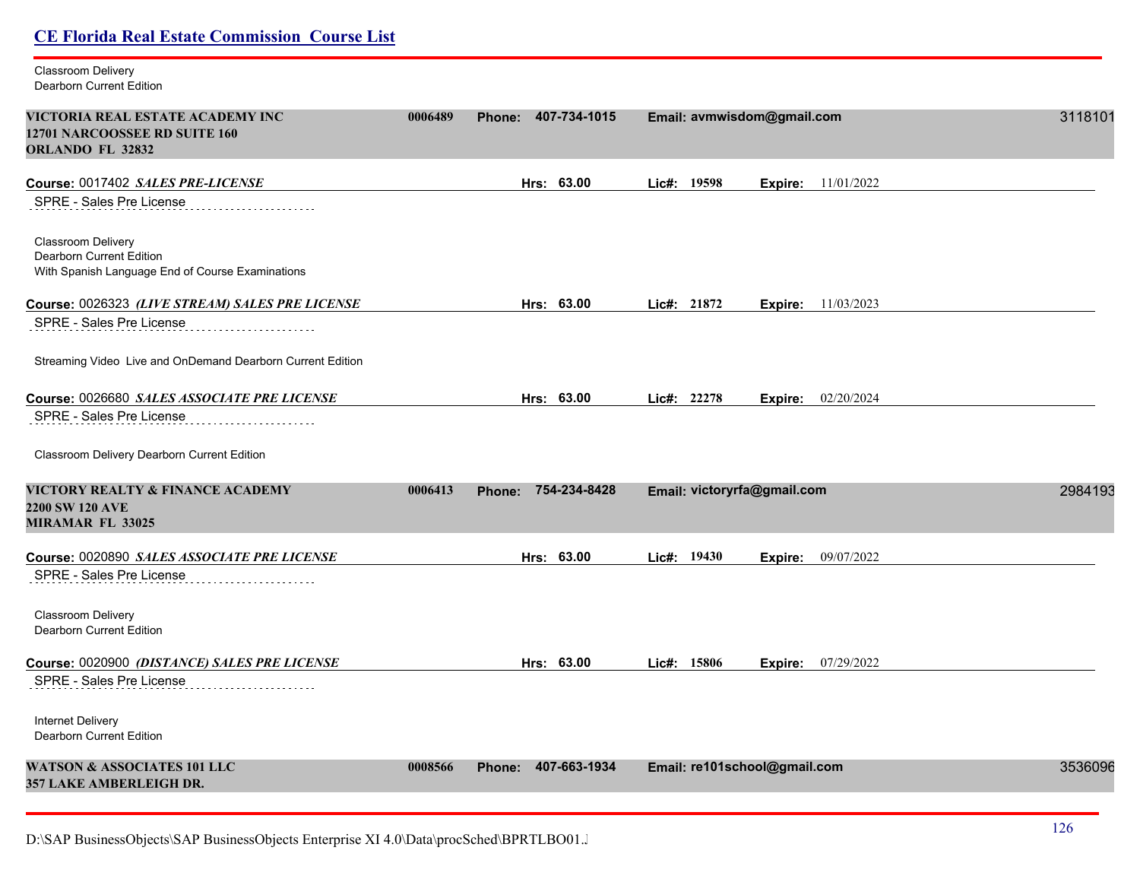| Classroom Delivery<br>Dearborn Current Edition                                                     |         |                               |                                          |         |
|----------------------------------------------------------------------------------------------------|---------|-------------------------------|------------------------------------------|---------|
| VICTORIA REAL ESTATE ACADEMY INC<br>12701 NARCOOSSEE RD SUITE 160<br><b>ORLANDO FL 32832</b>       | 0006489 | Phone: 407-734-1015           | Email: avmwisdom@gmail.com               | 3118101 |
| Course: 0017402 SALES PRE-LICENSE<br>SPRE - Sales Pre License                                      |         | Hrs: 63.00                    | Lie#: 19598<br>11/01/2022<br>Expire:     |         |
| Classroom Delivery<br>Dearborn Current Edition<br>With Spanish Language End of Course Examinations |         |                               |                                          |         |
| Course: 0026323 (LIVE STREAM) SALES PRE LICENSE                                                    |         | Hrs: 63.00                    | Lic#: 21872<br><b>Expire:</b> 11/03/2023 |         |
| SPRE - Sales Pre License<br>Streaming Video Live and OnDemand Dearborn Current Edition             |         |                               |                                          |         |
| Course: 0026680 SALES ASSOCIATE PRE LICENSE                                                        |         | Hrs: 63.00                    | 02/20/2024<br>Lic#: $22278$<br>Expire:   |         |
| SPRE - Sales Pre License<br>Classroom Delivery Dearborn Current Edition                            |         |                               |                                          |         |
| VICTORY REALTY & FINANCE ACADEMY<br><b>2200 SW 120 AVE</b><br><b>MIRAMAR FL 33025</b>              | 0006413 | 754-234-8428<br><b>Phone:</b> | Email: victoryrfa@gmail.com              | 2984193 |
| Course: 0020890 SALES ASSOCIATE PRE LICENSE<br>SPRE - Sales Pre License                            |         | Hrs: 63.00                    | Lic#: 19430<br>09/07/2022<br>Expire:     |         |
| Classroom Delivery<br>Dearborn Current Edition                                                     |         |                               |                                          |         |
| Course: 0020900 (DISTANCE) SALES PRE LICENSE<br>SPRE - Sales Pre License                           |         | Hrs: 63.00                    | Lie#: 15806<br><b>Expire:</b> 07/29/2022 |         |
| <b>Internet Delivery</b><br>Dearborn Current Edition                                               |         |                               |                                          |         |
| <b>WATSON &amp; ASSOCIATES 101 LLC</b><br><b>357 LAKE AMBERLEIGH DR.</b>                           | 0008566 | Phone: 407-663-1934           | Email: re101school@gmail.com             | 3536096 |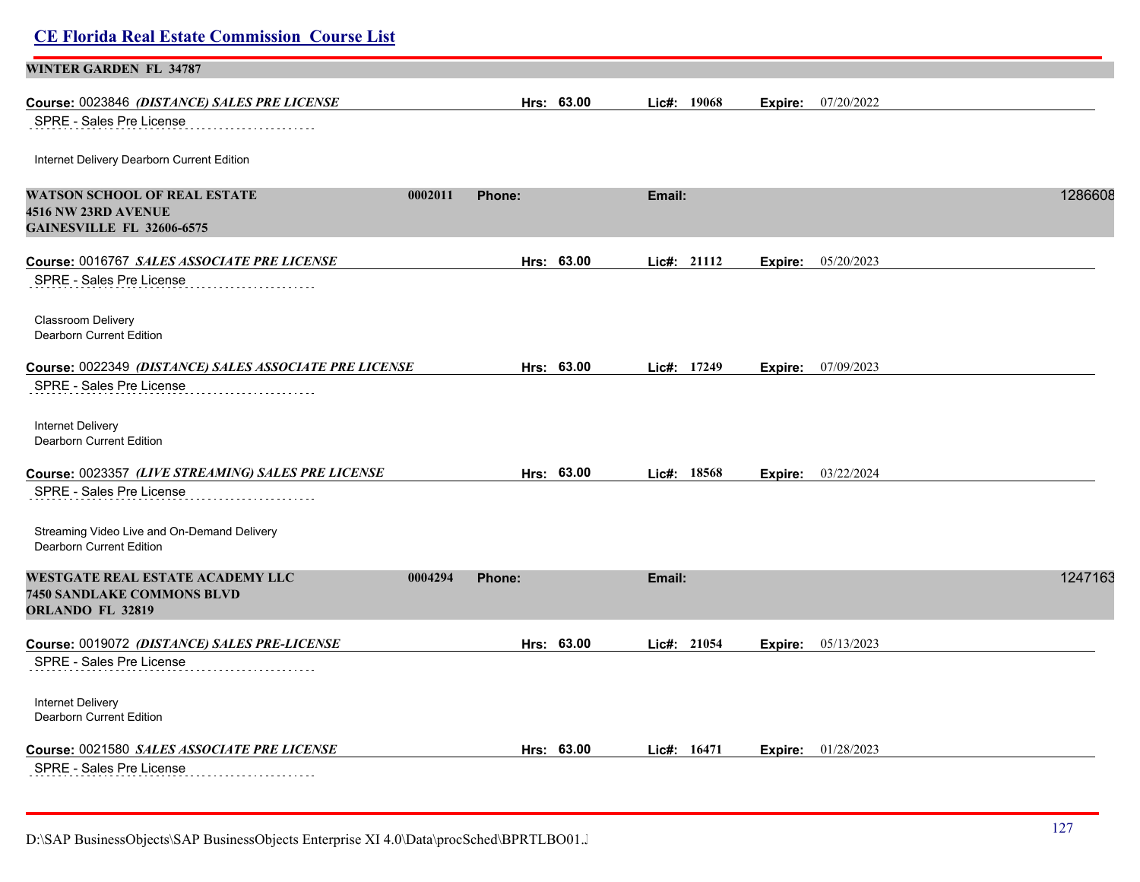| <b>WINTER GARDEN FL 34787</b>                                                                           |         |        |            |        |               |         |                    |         |
|---------------------------------------------------------------------------------------------------------|---------|--------|------------|--------|---------------|---------|--------------------|---------|
| Course: 0023846 (DISTANCE) SALES PRE LICENSE<br>SPRE - Sales Pre License                                |         |        | Hrs: 63.00 |        | Lic#: 19068   | Expire: | 07/20/2022         |         |
| Internet Delivery Dearborn Current Edition                                                              |         |        |            |        |               |         |                    |         |
| <b>WATSON SCHOOL OF REAL ESTATE</b><br>4516 NW 23RD AVENUE<br><b>GAINESVILLE FL 32606-6575</b>          | 0002011 | Phone: |            | Email: |               |         |                    | 1286608 |
| Course: 0016767 SALES ASSOCIATE PRE LICENSE                                                             |         |        | Hrs: 63.00 |        | Lic#: 21112   | Expire: | 05/20/2023         |         |
| SPRE - Sales Pre License                                                                                |         |        |            |        |               |         |                    |         |
| Classroom Delivery<br>Dearborn Current Edition                                                          |         |        |            |        |               |         |                    |         |
| Course: 0022349 (DISTANCE) SALES ASSOCIATE PRE LICENSE                                                  |         |        | Hrs: 63.00 |        | Lic#: 17249   |         | Expire: 07/09/2023 |         |
| SPRE - Sales Pre License                                                                                |         |        |            |        |               |         |                    |         |
| Internet Delivery<br>Dearborn Current Edition                                                           |         |        |            |        |               |         |                    |         |
| Course: 0023357 (LIVE STREAMING) SALES PRE LICENSE                                                      |         |        | Hrs: 63.00 |        | Lie#: 18568   |         | Expire: 03/22/2024 |         |
| SPRE - Sales Pre License                                                                                |         |        |            |        |               |         |                    |         |
| Streaming Video Live and On-Demand Delivery<br>Dearborn Current Edition                                 |         |        |            |        |               |         |                    |         |
| <b>WESTGATE REAL ESTATE ACADEMY LLC</b><br><b>7450 SANDLAKE COMMONS BLVD</b><br><b>ORLANDO FL 32819</b> | 0004294 | Phone: |            | Email: |               |         |                    | 1247163 |
| Course: 0019072 (DISTANCE) SALES PRE-LICENSE                                                            |         |        | Hrs: 63.00 |        | Lic#: 21054   | Expire: | 05/13/2023         |         |
| SPRE - Sales Pre License                                                                                |         |        |            |        |               |         |                    |         |
| Internet Delivery<br>Dearborn Current Edition                                                           |         |        |            |        |               |         |                    |         |
| Course: 0021580 SALES ASSOCIATE PRE LICENSE                                                             |         |        | Hrs: 63.00 |        | Lic#: $16471$ |         | Expire: 01/28/2023 |         |
| SPRE - Sales Pre License                                                                                |         |        |            |        |               |         |                    |         |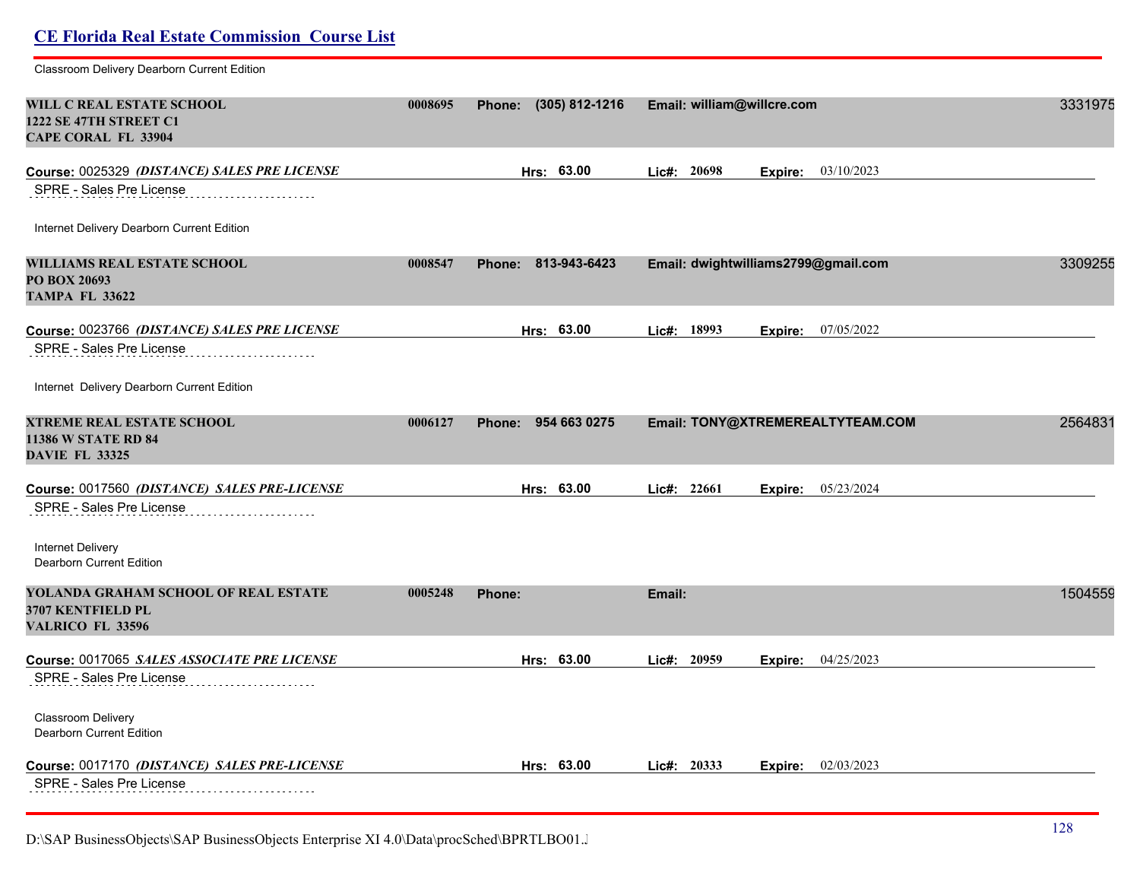## **CE Florida Real Estate Commission Course List** Classroom Delivery Dearborn Current Edition **WILL C REAL ESTATE SCHOOL 0008695 Phone: (305) 812-1216 Email: william@willcre.com** 33319758 **1222 SE 47TH STREET C1 CAPE CORAL FL 33904 Course:** 0025329 *(DISTANCE) SALES PRE LICENSE* **Hrs: 63.00 Lic#: 20698 Expire:** 03/10/2023 SPRE - Sales Pre License Internet Delivery Dearborn Current Edition **WILLIAMS REAL ESTATE SCHOOL 0008547 Phone: 813-943-6423 Email: dwightwilliams2799@gmail.com** 33092557 **PO BOX 20693 TAMPA FL 33622 Course:** 0023766 *(DISTANCE) SALES PRE LICENSE* **Hrs: 63.00 Lic#: 18993 Expire:** 07/05/2022 SPRE - Sales Pre License Internet Delivery Dearborn Current Edition **XTREME REAL ESTATE SCHOOL 0006127 Phone: 954 663 0275 Email: TONY@XTREMEREALTYTEAM.COM** 25648310 **11386 W STATE RD 84 DAVIE FL 33325 Course:** 0017560 *(DISTANCE) SALES PRE-LICENSE* **Hrs: 63.00 Lic#: 22661 Expire:** 05/23/2024 SPRE - Sales Pre License Internet Delivery Dearborn Current Edition **YOLANDA GRAHAM SCHOOL OF REAL ESTATE 0005248 Phone: Email:** 15045596 **3707 KENTFIELD PL VALRICO FL 33596 Course:** 0017065 *SALES ASSOCIATE PRE LICENSE* **Hrs: 63.00 Lic#: 20959 Expire:** 04/25/2023 SPRE - Sales Pre License Classroom Delivery Dearborn Current Edition **Course:** 0017170 *(DISTANCE) SALES PRE-LICENSE* **Hrs: 63.00 Lic#: 20333 Expire:** 02/03/2023 SPRE - Sales Pre License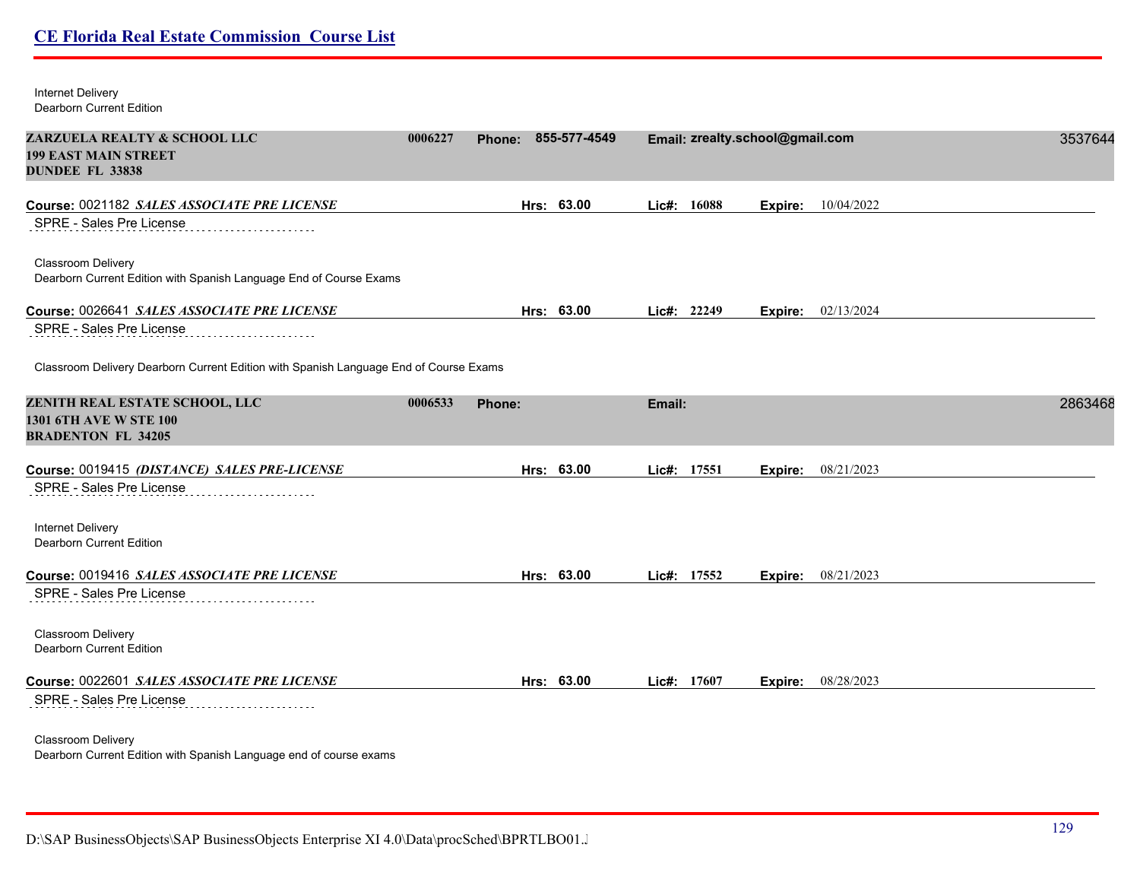Internet Delivery Dearborn Current Edition

| ZARZUELA REALTY & SCHOOL LLC<br><b>199 EAST MAIN STREET</b><br><b>DUNDEE FL 33838</b>        | 0006227 | <b>Phone:</b> | 855-577-4549 |        |             | Email: zrealty.school@gmail.com |                           | 3537644 |
|----------------------------------------------------------------------------------------------|---------|---------------|--------------|--------|-------------|---------------------------------|---------------------------|---------|
| Course: 0021182 SALES ASSOCIATE PRE LICENSE<br>SPRE - Sales Pre License                      |         |               | Hrs: 63.00   |        | Lic#: 16088 | Expire:                         | 10/04/2022                |         |
| Classroom Delivery<br>Dearborn Current Edition with Spanish Language End of Course Exams     |         |               |              |        |             |                                 |                           |         |
| Course: 0026641 SALES ASSOCIATE PRE LICENSE                                                  |         |               | Hrs: 63.00   |        | Lic#: 22249 |                                 | Expire: 02/13/2024        |         |
| SPRE - Sales Pre License                                                                     |         |               |              |        |             |                                 |                           |         |
| Classroom Delivery Dearborn Current Edition with Spanish Language End of Course Exams        |         |               |              |        |             |                                 |                           |         |
| ZENITH REAL ESTATE SCHOOL, LLC<br><b>1301 6TH AVE W STE 100</b><br><b>BRADENTON FL 34205</b> | 0006533 | Phone:        |              | Email: |             |                                 |                           | 2863468 |
| Course: 0019415 (DISTANCE) SALES PRE-LICENSE                                                 |         |               | Hrs: 63.00   |        | Lic#: 17551 | Expire:                         | 08/21/2023                |         |
| SPRE - Sales Pre License                                                                     |         |               |              |        |             |                                 |                           |         |
| Internet Delivery<br>Dearborn Current Edition                                                |         |               |              |        |             |                                 |                           |         |
| Course: 0019416 SALES ASSOCIATE PRE LICENSE                                                  |         |               | Hrs: 63.00   |        | Lic#: 17552 |                                 | <b>Expire:</b> 08/21/2023 |         |
| SPRE - Sales Pre License                                                                     |         |               |              |        |             |                                 |                           |         |
| Classroom Delivery<br>Dearborn Current Edition                                               |         |               |              |        |             |                                 |                           |         |
| Course: 0022601 SALES ASSOCIATE PRE LICENSE                                                  |         |               | Hrs: 63.00   |        | Lic#: 17607 | Expire:                         | 08/28/2023                |         |
| SPRE - Sales Pre License                                                                     |         |               |              |        |             |                                 |                           |         |
| Classroom Delivery<br>Dearborn Current Edition with Spanish Language end of course exams     |         |               |              |        |             |                                 |                           |         |